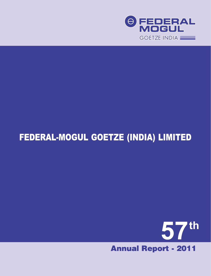

# FEDERAL-MOGUL GOETZE (INDIA) LIMITED

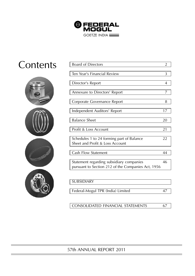

# Contents





| <b>Board of Directors</b>                          | 2  |
|----------------------------------------------------|----|
|                                                    |    |
| Ten Year's Financial Review                        | 3  |
|                                                    |    |
| Director's Report                                  | 4  |
|                                                    |    |
| Annexure to Directors' Report                      | 7  |
|                                                    |    |
| Corporate Governance Report                        | 8  |
|                                                    |    |
| Independent Auditors' Report                       | 17 |
|                                                    |    |
| <b>Balance Sheet</b>                               | 20 |
|                                                    |    |
| Profit & Loss Account                              | 21 |
|                                                    |    |
| Schedules 1 to 24 forming part of Balance          | 22 |
| Sheet and Profit & Loss Account                    |    |
|                                                    |    |
| Cash Flow Statement                                | 44 |
|                                                    |    |
| Statement regarding subsidiary companies           | 46 |
| pursuant to Section 212 of the Companies Act, 1956 |    |
|                                                    |    |
|                                                    |    |
| <b>SUBSIDIARY</b>                                  |    |
|                                                    |    |
| Federal-Mogul TPR (India) Limited                  | 47 |

| CONSOLIDATED FINANCIAL STATEMENTS |  |
|-----------------------------------|--|

## 57th ANNUAL REPORT 2011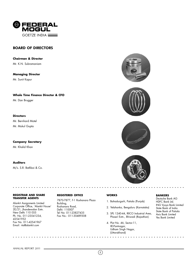

## BOARD OF DIRECTORS

**Chairman & Director** Mr. K.N. Subramaniam

**Managing Director** Mr. Sunit Kapur

**Whole Time Finance Director & CFO**

Mr. Dan Brugger

#### **Directors**

Mr. Bernhard Motel Mr. Mukul Gupta

**Company Secretary** Mr. Khalid Khan

## **Auditors**

M/s. S.R. Batliboi & Co.

#### **REGISTRAR AND SHARE TRANSFER AGENTS**

Alankit Assignments Limited Corporate Office, 'Alankit House' 2E/21, Jhandewalan Extn. New Delhi 110 055 Ph. No. 011-23541234, 42541952 Fax No. 011-42541967 Email: rta@alankit.com

#### **REGISTERED OFFICE**

○○○○○○○○○○○○○○○○○○○○○○○○○○○○○○○○○○ ○○○○○○○○○○○○○○○○○○○○○○○○○○○○○○○○

7870-7877, F-1 Roshanara Plaza Building, Roshanara Road, Delhi -110007 Tel No: 011-23827435 Fax No.: 011-30489308







## **WORKS**

- 1. Bahadurgarh, Patiala (Punjab)
- 2. Yelahanka, Bengaluru (Karnataka)
- 3. SPL 1240-44, RIICO Industrial Area, Phase-I Extn., Bhiwadi (Rajasthan)
- 4. Plot No. 46, Sector-11, IIE-Pantnagar, Udham Singh Nagar, (Uttarakhand)

#### **BANKERS**

Deutsche Bank AG HDFC Bank Ltd. ING Vysya Bank Limited State Bank of India State Bank of Patiala Axis Bank Limited Yes Bank Limited

ANNUAL REPORT 2011

 $\circled{2}$ 

○○○○○○○○○○○○○○○○○○○○○○○○○○○○○○○○○○ ○○○○○○○○○○○○○○○○○○○○○○○○○○○○○○○○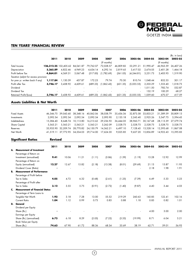

## **TEN YEARS' FINANCIAL REVIEW**

|                                      |                       |          |           |           |            |           |                          |           |            | (Rs. in Lacs) |
|--------------------------------------|-----------------------|----------|-----------|-----------|------------|-----------|--------------------------|-----------|------------|---------------|
|                                      | 2011                  | 2010     | 2009      | 2008      | 2007       | 2006      | 2005-06                  | 2004-05   | 2003-04    | 2002-03       |
|                                      |                       |          |           |           | (9 months) |           |                          |           | (9 months) |               |
| Total Income                         | 126.312.25 102.405.62 |          | 84,041.87 | 79,762.07 | 72,028.57  | 46.809.82 | 53.291.21                | 51.990.47 | 46.963.59  | 26,407.26     |
| Depreciation                         | 5,365.89              | 4.822.46 | 4,949.23  | 4,634.14  | 4,292.16   | 2,819.65  | 3.417.02                 | 2,674.05  | 2.401.28   | 1,464.18      |
| Profit before Tax                    | 4,864.01              | 4.569.31 | 5,067.48  | (517.00)  | (1.782.69) | (561.05)  | (4, 244.81)              | 3.251.73  | 2.405.95   | 1.319.90      |
| Taxation (adjmt for excess provision |                       |          |           |           |            |           |                          |           |            |               |
| for prev yr. written back if any)    | 1,117.84              | 1.130.39 | 457.87    | 172.23    | 79.74      | 70.30     | 810.74                   | 1.048.44  | 852.55     | 301.17        |
| Profit after Tax                     | 3.746.17              | 3.438.92 | 4.609.61  | (689.23)  | (1,862.43) | (631.35)  | (5,055.55)               | 2,203.29  | 1,553.40   | 1,018.73      |
| Dividend                             |                       |          |           |           |            |           | $\overline{\phantom{a}}$ | .011.50   | 782.74     | 532.87        |
| Dividend Tax                         |                       |          |           |           |            |           | $\overline{\phantom{a}}$ | 132.19    | 100.29     | 68.27         |
| Retained Profit/(Loss)               | 3,746.17              | 3,438.92 | 4,609.61  | (689.23)  | (1,862.43) | (631.35)  | (5,055.55)               | ,059.60   | 670.37     | 417.59        |

## **Assets Liabilities & Net Worth**

|                     | 2011      | 2010     | 2009               | 2008                                              | 2007                | 2006                                                                            |          | 2005-06 2004-05    | 2003-04             | 2002-03             |
|---------------------|-----------|----------|--------------------|---------------------------------------------------|---------------------|---------------------------------------------------------------------------------|----------|--------------------|---------------------|---------------------|
| <b>Fixed Assets</b> |           |          |                    |                                                   |                     | 46,346.75 39,043.60 38,348.16 40,062.06 38,038.79 35,436.36 32,873.58 33,833.21 |          |                    | 31.389.59 30.809.13 |                     |
| Investments         | 2.092.34  | 2.092.34 | 2.092.34           | 2.092.34                                          | 2.093.90            | 2,135.18                                                                        | 2.243.40 | 2.925.26           | 3,547.75            | 3,594.43            |
| Indebtedness        | 15.384.40 |          | 8.648.74 10.113.80 |                                                   | 16,213.62 29,236.92 | 36.444.05 38.960.71 30.167.68                                                   |          |                    | 28.113.39 27.579.74 |                     |
| Share Capital       | 5.563.21  | 5.563.21 | 5.563.21           | 5.563.21                                          | 3.262.09            | 2.528.75                                                                        | 2.528.75 | 2.528.75           | 2.528.75            | 3.528.75            |
| Reserves            |           |          |                    | 35.955.90 32.209.74 28.770.82 24.150.79 14.362.21 |                     | 6.497.10                                                                        |          | 7.128.45 13.328.14 |                     | 12.393.68 11.867.08 |
| Net Worth           |           |          |                    | 41,519.11 37,772.95 34,334.03 29,714.00 17,624.30 |                     | 9.025.85                                                                        |          | 9.657.20 15.856.89 |                     | 14.922.43 15.395.83 |
|                     |           |          |                    |                                                   |                     |                                                                                 |          |                    |                     |                     |

#### **Significant Ratios Revised**

|    |                                        | 2011  | 2010  | 2009  | 2008   | 2007    | 2006   | 2005-06 | 2004-05 | 2003-04 | 2002-03 |
|----|----------------------------------------|-------|-------|-------|--------|---------|--------|---------|---------|---------|---------|
| А. | <b>Measurement of Investment</b>       |       |       |       |        |         |        |         |         |         |         |
|    | Percentage of Return on                |       |       |       |        |         |        |         |         |         |         |
|    | Investment (annualised)                | 9.41  | 10.06 | 11.21 | (1.11) | (3.86)  | (1.59) | (1.19)  | 13.28   | 12.92   | 12.99   |
|    | Percentage of Return on                |       |       |       |        |         |        |         |         |         |         |
|    | Equity (annualised)                    | 12.27 | 12.67 | 15.82 | (2.18) | (13.38) | (8.01) | (29.69) | 21.13   | 15.87   | 11.95   |
|    | Dividend Cover (Ratio)                 |       |       |       |        |         |        |         | 2.18    | 1.98    | 1.91    |
|    | <b>B.</b> Measurement of Performance   |       |       |       |        |         |        |         |         |         |         |
|    | Percentage of Profit before            |       |       |       |        |         |        |         |         |         |         |
|    | Tax to Sales                           | 4.05  | 4.72  | 6.32  | (0.68) | (2.61)  | (1.25) | (7.39)  | 6.49    | 5.33    | 5.23    |
|    | Percentage of Profit after             |       |       |       |        |         |        |         |         |         |         |
|    | Tax to Sales                           | 3.12  | 3.55  | 5.75  | (0.91) | (2.72)  | (1.40) | (9.87)  | 4.40    | 3.44    | 4.03    |
| c. | <b>Measurement of Financial Status</b> |       |       |       |        |         |        |         |         |         |         |
|    | Percentage of Term Loans to            |       |       |       |        |         |        |         |         |         |         |
|    | Tangible Net Worth                     | 1.93  | 3.18  | 7.28  | 13.00  | 55.52   | 219.29 | 260.63  | 160.85  | 122.41  | 102.16  |
|    | <b>Current Ratio</b>                   | 1.04  | 1.12  | 0.99  | 0.73   | 0.83    | 0.88   | 1.18    | 0.85    | 0.82    | 1.01    |
|    | D. General                             |       |       |       |        |         |        |         |         |         |         |
|    | Dividend per Equity                    |       |       |       |        |         |        |         |         |         |         |
|    | Share (Rs.)                            |       |       |       |        |         |        |         | 4.00    | 3.00    | 2.00    |
|    | Earnings per Equity                    |       |       |       |        |         |        |         |         |         |         |
|    | Share (Rs.) (annualised)               | 6.73  | 6.18  | 8.29  | (2.05) | (7.22)  | (3.33) | (19.99) | 8.71    | 6.04    | 5.21    |
|    | Book Value per Equity                  |       |       |       |        |         |        |         |         |         |         |
|    | Share (Rs.)                            | 74.63 | 67.90 | 61.72 | 88.36  | 68.34   | 35.69  | 38.19   | 62.71   | 59.01   | 56.93   |

 $\circled{3}$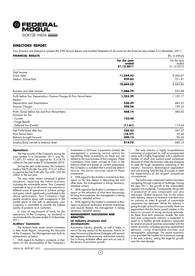

## **DIRECTORS' REPORT**

Your Directors are pleased to present the 57th Annual Report and Audited Statement of Accounts for the financial year ended 31st December, 2011.

| FINANCIAL RESULTS                                                                |                                     | [Rs. in million]                    |
|----------------------------------------------------------------------------------|-------------------------------------|-------------------------------------|
|                                                                                  | For the year<br>ended<br>31.12.2011 | For the year<br>ended<br>31.12.2010 |
| Total Income:<br>Gross Sales                                                     | 11,544.43                           | 9,304.67                            |
| Deduct: Excise Duty                                                              | 939.85<br>10,604.58                 | 721.81<br>8,582.86                  |
| Business and other Income                                                        | 1,086.79                            | 935.88                              |
| Profit before Tax, Depreciation, Finance Charges & Prior Period Items<br>Deduct: | 1,253.29                            | 1,102.17                            |
| Depreciation and Amortization                                                    | 536.59                              | 482.25                              |
| <b>Finance Charges</b>                                                           | 248.56                              | 139.32                              |
| Profit /(Loss) before Tax and Prior Period Items<br>Provision for Tax            | 468.14                              | 480.60                              |
| - Current<br>- Fringe Benefit                                                    | 123.40                              |                                     |
| - Deferred Tax (Credit)                                                          | (11.61)                             | 113.04                              |
| Net Profit/(Loss) after Tax                                                      | 356.35                              | 367.57                              |
| Prior Period Items                                                               | (18.27)                             | 23.68                               |
| Balance brought forward                                                          | 440.13                              | 96.24                               |
| Surplus/(Loss) carried to balance sheet                                          | 814.75                              | 440.13                              |

#### **Operations**

The Net income of the Company during the year ended 31st December 2011 was Rs. 11,691.37 million as against Rs. 9,518.74 million for the year ended 31st December 2010.

During the year under review, the Company made a Net Profit after Tax of Rs. 374.61 million as against the Net Profit after Tax of Rs. 343.89 million in the last year.

The year under review witnessed a global slowdown, impacting the Indian economy including the automobile sector. Your Company continued its focus on all round cost reduction in different areas of operations to achieve savings and gains, which significantly contributed to the above performance. Your Company's high quality products enjoy well acceptance in the market place. In line with its philosophy, your Company is committed to provide the highest quality of products to its customers.

In view of requirement of funds for the operations of the Company, no dividend is recommended for the year ended 31st December 2011.

#### **Auditors' Comments**

The Auditors have made certain comments in their Audit Report, concerning the Accounts of the Company. The Management puts forth its explanations as below:

1. With regard to Auditor's comments in their report on the recoverability of the Company's

ANNUAL REPORT 2011

investments in GI Power Corporation Limited, the management is assessing various options for liquidating these investments as these are not related to the core business of the Company. These investments have been carried at Cost in the balance sheet and based on current assessment, the Company is confident that it would be able to recover the entire carrying value of these investments.

2. With regard to the Auditor's comments in their report on the few delays in depositing tax and other dues, the management is taking necessary remedial actions.

3. With regard to the Auditor's comments in their report on the utilization of short term borrowings for long term purposes, the management is taking necessary remedial actions.

4. With regard to the Auditor's comments in their report on physical verification of certain inventories and records thereof, the management is taking necessary remedial actions.

#### **MANAGEMENT DISCUSSION AND ANALYSIS:**

#### **(a) Industry structures and developments**

Automotive Industry, globally, as well in India, is one of the key sectors of the economy. Due to its deep forward and backward linkages with several key segments of the economy, automotive industry has a strong multiplier effect and acts as one of the drivers of economic growth.

The auto industry is highly comprehensive consisting of organized as well as unorganized sector and is highly fragmented with a significant number of small and medium-sized companies because of which the business rules are changing to meet the tough competition prevailing in the industry. Innovation, technological upgradation and cost pruning hold the key of success to meet the expectations of the exigent competitive circumstances.

The Indian auto component industry has been navigating through a period of challenge. During the year 2011, the growth in the automobiles segment was moderate. Consequently, the growth in production of auto components was also restrained. Global recession has hit the Indian auto industry; impact of recession is evident now on industry as sales & growth of automobile companies has declined. While the industry is going through cyclical hiccups currently, there are expectations that this factor would weaken in the future on account of strong structural tailwinds. As these short term pressures recede, the auto and auto components industry is expected to revert to a healthy growth trajectory supported by several structural positives associated with the Indian economy, including growing replacement demand, rising disposable incomes and demographic advantage. The recent economic crisis provided the impetus for a structural change in the auto industry, setting the stage for growth over the next decade.

 $(4)$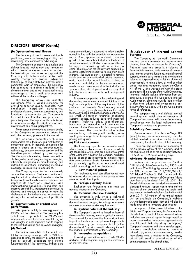

## **DIRECTORS' REPORT (Contd.)**

#### **(b) Opportunities and Threats**

The Company strives to create sustainable profitable growth by leveraging existing and developing new competitive advantages.

The Company's strategy is to develop and deliver leading technology and innovation which results in market share expansion. Federal-Mogul continues to support the Company with its technical expertise. With widely recognized brands, advanced technology, strong distribution network and a committed team of employees, the Company has continued to maintain its lead in the dynamic market and is well positioned to take advantage of the growth prospects and withstand the market challenges.

The Company enjoys an unstinted confidence from its valued customers for providing superior quality products. With excellence, corporate governance, professionalization, financial sustainability and functional competencies the Company is focused to employ the best practices to proactively map the impact of its activities on its performance and profitability from economic, environment and social perspectives.

The superior technology and product quality of the Company at competitive prices has embarked a strong presence in the market.

The Company competes with many independent manufacturers and distributors of component parts. In general, competition for sales is based on price, product quality, technology, delivery, customer service and the breadth of products offered by a given supplier. The Company is meeting these competitive challenges by developing leading technologies, efficiently integrating its manufacturing and distribution operations, expanding its product coverage, restructuring its operations.

The Company operates in an extremely competitive industry. Customers continue to require periodic cost reductions which drive the Company to continually assess, redefine, and improve its operations, products, and manufacturing capabilities to maintain and improve profitability. Management continues to develop and execute initiatives to meet the challenges of the industry and to achieve its strategy for sustainable global profitable growth.

#### **(c) Segment wise or product wise performance**

We operate mainly in two segments i.e. OEM's and the aftermarket. The company has a balanced approach to the OEM's and Aftermarket, which helps us in capitalizing on our strengths in both segments and to respond to market fluctuations and customer strategies. **(d) Outlook**

The Indian automobile sector, which was hit by declining sales growth in 2011, is expected to grow moderately in 2012 due to healthy growth prospects and strong fundamentals of the economy. Indian auto

component industry is expected to follow a stable outlook in line with the growth in the automobile sector. The corporates are optimistic about the growth of the automobile industry on the back of sound fundamentals of Indian economy and hopes for improved industrial growth in the times to come. The players in the industry are expected to resort to cost-cutting measures, to maintain profit margins. The auto sector is expected to remain stable even as competition-led pricing pressure, amid muted sales would lead to a drop in operating profitability. In the current scenario, newly defined rules to excel in the industry are specialization, development and delivery that hold the key to success in the auto component industry.

To remain competitive in the challenging and demanding environment, the yardstick has to be high in anticipation of the requirement of the customers and markets. Your Company would focus its energy on its capabilities like high technology based products, management systems etc, which will result in retaining/ enhancing customer access, reduced costs and improved margins. Technical edge, specialization, innovation and networking will determine the success of the Company in this competitive environment. The combination of effective manufacturing costs along with quality systems would give an edge to the Company in terms of pricing and quality.

#### **(e) Risks and concern**

The Company operates in an environment which is affected by various risks some of which are controllable while some are outside the control of the Company. However, the Company has been taking appropriate measures to mitigate these risks on a continuous basis. Some of the risks that are potentially significant in nature and need careful monitoring are listed hereunder:

#### **1. Raw material prices:**

Our profitability and cost effectiveness may be affected due to change in the prices of raw materials and other inputs.

#### **2. Foreign Currency Risks:**

Exchange rate fluctuations may have an adverse impact on the Company

#### **3. Technical Intensive Industry:**

The automobile industry is a technical intensive industry and thus faced with a constant demand for new designs, knowledge of nascent technology to meet market requirements.

#### **4. Cyclical nature of the Industry:**

The Company's growth is linked to those of the automobile Industry, which is cyclical in nature. The demand for automobiles has a significant impact on the demand and prices of the products manufactured by the Company. A fall in the demand and / or prices would adversely impact the financial performance of the Company.

#### **5. Increasing competition :**

Increasing competition across both OEM's and after market segment, may put some pressure on market share.

#### **(f) Adequacy of Internal Control Systems**

The Company has an Audit Committee headed by a non-executive independent director, inter-alia, to oversee the Company's financial reporting process, disclosure of financial information, performance of statutory and internal auditors, functions, internal control systems, related party transactions, investigation relating to suspected fraud or failure of internal audit control, to name a few, as well as other areas requiring mandatory review per Clause 49 of the Listing Agreement with the stock exchanges. The powers of the Audit Committee, inter-alia, include seeking information from any employee, directing the Company's internal Audit function, obtaining outside legal or other professional advice and investigating any activity of the Company within the Committee's terms of reference.

The company has a well defined internal control system, which aims at protection of Company's resources, efficiency of operations, compliances with the legal obligations and Company's policies and procedures.

#### **Subsidiary Companies**

Annual accounts of the Federal-Mogul TPR (India) Limited, subsidiary company and the related detailed information can be obtained on request by the shareholders of the Company.

These are also available for inspection at the Corporate Office of the Company and at the registered office of the subsidiary between 11 A.M. to 1 P.M.on all working days.

#### **Abridged Financial Statements**

In terms of the provisions of Section 219(1)(b)(iv) of the Companies Act, 1956 read with clause 32 of Listing Agreement as modified by SEBI circular no. CIR/CFD/DIL/7/ 2011dated October 5, 2011 in line with the green initiative of Ministry of Corporate Affairs vide their circular dated April 29, 2011, the Board of directors has decided to circulate the abridged annual report containing salient features of the balance sheet and profit and loss account to the shareholders for the financial year 2011. Full version of the annual report will be available on Company's website www.federalmogulgoetze.com and will also be made available to investors upon request.

In support of the green initiative of the Ministry of Corporate Affairs, the Company has also decided to send all future communications including the annual report through email to those shareholders, who have registered their e-mail id with their depository participant/ Company's registrar and share transfer agent. In case a shareholder wishes to receive a printed copy of such communications, he/she may please send a request to the Company, which will send a printed copy of the communication to the shareholder.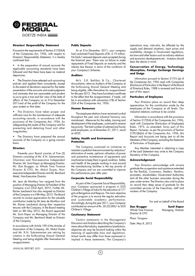

#### **Directors' Responsibility Statement**

Pursuant to the requirements of Section 217(2AA) of the Companies Act, 1956, with respect to Directors' Responsibility Statement, it is hereby confirmed that:

• In the preparation of annual accounts the applicable accounting standards have been followed and that there have been no material departures;

• The Directors have selected such accounting policies and applied them consistently, except to the extent of deviations required for the better presentation of the accounts and made judgments and estimates that are reasonable and prudent so as to give a true and fair view of the state of affairs of the Company as at 31st December 2011and of the profit of the Company for the year ended on that date;

The Directors have taken proper and sufficient care for the maintenance of adequate accounting records, in accordance with the provisions of the Companies Act, 1956, for safeguarding the assets of the Company and for preventing and detecting fraud and other irregularities;

• The Directors have prepared the annual accounts of the Company on a going concern basis.

#### **Directors**

Presently your Board consists of Five (5) Directors consisting of Mr. K.N. Subramaniam, Chairman and Non-executive Independent Director, Mr. Sunit Kapur as Managing Director, Mr. Dan Brugger, as Whole Time Finance Director & CFO, Mr. Mukul Gupta, Nonexecutive Independent Director and Mr. Bernhard Motel, Non-Executive Director.

Mr. Jean de Montlaur has resigned from the position of Managing Director & President of the Company w.e.f 23rd April, 2012. Further Mr. Rainer Jueckstock has also resigned as Director of the Company w.e.f 8th May, 2012. The Board records its sincere appreciation for the valuable contribution made by Mr Jean de Montlaur and Mr. Rainer Jueckstock during their respective tenures with the Company. In the Board meeting held on 8th May 2012, the Board appointed Mr. Sunit Kapur as Managing Director of the Company and Mr. Bernhard Motel as Director of the Company.

In accordance with Article 109 of the Articles of Association of the Company, Mr. Mukul Gupta and Mr. K.N. Subramaniam are retiring by rotation in the forthcoming Annual General Meeting and being eligible offer themselves for re-appointment.

ANNUAL REPORT 2011

#### **Public Deposits**

As at 31st December, 2011, your company had unclaimed Fixed Deposits of Rs. 0.19 million. No fresh/ renewed deposits were accepted during the financial year. There was no failure to make repayments of Fixed Deposits on maturity and the interest due thereon in terms of the conditions of your Company's Schemes.

#### **Auditors**

M/s. S.R. Batliboi & Co., Chartered Accountants, retire as Auditors of the Company at the forthcoming Annual General Meeting and being eligible, offer themselves for re-appointment for the year 2012. They have furnished a certificate to the effect that the re-appointment, if made, will be in accordance with sub-section (1B) of Section 224 of the Companies Act, 1956.

#### **Human Resources**

The employee relations have remained cordial throughout the year and industrial harmony was maintained. Measures for the safety, training and development of the employees, continued to receive top priority. The total number of salaried and hourly paid employees, as at December 31, 2011, stood at 4535.

#### **Safety, Health and Environment Protection**

The Company sustained its initiatives to maintain a pollution free environment by reduction/ elimination of waste, optimum utilization of power and preventive maintenance of equipments and machineries to keep them in good condition. Safety and health of the people working in and around the manufacturing facilities is the top priority of the Company and we are committed to improve this performance year after year.

#### **Corporate Social Responsibility**

As part of the Corporate Social Responsibility, your Company sponsored a program in SOS Children's Village of India for the education of 171 girls at Bangalore and Rajpura. The main objective of the program is to ensure the regular education and sustainable academic performance. Accordingly, during the year 2011, your Company contributed an amount of Rs. 20,52,000/- to SOS Children's Village.

#### **Cautionary Statement**

Certain statements in the Management Discussion and Analysis describing the Company's views about the Industry, expectations/predictions, objectives etc may be forward looking within the meaning of applicable laws and regulations. Actual results may differ from those expressed or implied in these statements. The Company's

operations may, inter-alia, be affected by the supply and demand situations, input prices and availability, changes in Government regulations, tax laws and other factors such as industry relations and economic developments etc. Investors should bear the above in mind.

#### **Conservation of Energy, Technology Absorption, Foreign Exchange Earnings and Outgo**

Information pursuant to Section 217(1) (e) of the Companies Act, 1956 read with Companies (Disclosure of Particulars in the Report of the Board of Directors) Rules, 1988 is annexed and forms a part of this report.

#### **Particulars of Employees**

Your Directors place on record their deep appreciation for the contribution made by the employees of the Company at all levels. Our industrial relations continue to be cordial.

Information in accordance with the provisions of Section 217(2A) of the Companies Act, 1956, read with Companies (Particulars of Employees) Rules, 1975, as amended, forms part of this Report. However, as per the provisions of Section 219(1)(b)(iv) of the Companies Act, 1956, this Report and Accounts are being sent to all the Members of the Company, excluding the Statement of Particulars of Employees.

Any Member interested in obtaining a copy of the said Statement may write to the Company Secretary of the Company.

#### **Acknowledgement**

Your Directors acknowledge with sincere gratitude the co-operation and assistance extended by the Bank(s), Customers, Dealers, Vendors, promoters, shareholders, Government Authorities and all the other business associates during the year under review. The Directors also wish to place on record their deep sense of gratitude for the committed services of the Executives, staff and workers of the Company

For and on behalf of the Board

| Dan Brugger                          |                   | <b>Sunit Kapur</b> |
|--------------------------------------|-------------------|--------------------|
| Whole Time Finance<br>Director & CFO | Managing Director |                    |

Place: Gurgaon

Date: May 8, 2012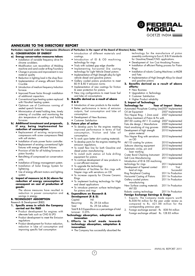

#### **ANNEXURE TO THE DIRECTORS' REPORT**

**Particulars required under the Companies (Disclosure of Particulars in the report of the Board of Directors) Rules, 1988**

#### **A. CONSERVATION OF ENERGY**

- **a) Energy conservation measures taken:** • Installation of variable frequency drive for chrome scrubbers.
	- Modification cum recondition of Molding machine and sand cooler at Ring Foundary
	- Change in process and improvement in raw material quality
	- Reduction in lighting load in the shop floor.
	- Implementation of energy efficient Silicon Crucible
	- Introduction of medium frequency Induction furnace.
	- Improved Power factor through installation of additional capacitors.
	- Conventional type heating system replaced with Fibrothal heating system.
	- Optimum use of Continuous running of sealed quench furnace
	- Minimization of metal holding time, timely sintering of crucibles and monitoring the skin temperature of melting and holding furnaces
- **b) Additional investment and proposals,** if any, being implemented for **reduction of consumption.**
	- Replacement of existing reciprocating compressors with screw compressors fitted with soft starters.
	- Installation of auto power factor controller.
	- Replacement of existing conventional light fixtures with energy efficient fixtures
	- Provision of lids for all holding furnaces in piston foundry
	- Retrofitting of compressed air conservation units
	- Installation of Energy management system.
	- Installation of Solar Energy System for lightening.
	- Use of energy efficient motors and lighting system
- **c) Impact of measure (a) & (b) above for reduction of energy consumption & consequent on cost of production of goods:**
	- The above measures have resulted in reduction in power consumption and savings in energy.

#### **B. TECHNOLOGY ABSORPTION**

- Research & Development (R&D)
- **1. Specific areas in which the Company carried out the R&D**
	- Product development for engines with alternate fuels such as CNG & LPG
	- Product development to meet the Emission regulations
	- Product development for friction reduction, reduction in lube oil consumption and improving specific fuel consumption
- Introduction of different materials and coatings.
	- Introduction of ID & OD machining technology for rings
	- Trials with isolated gap edge chamfer
	- Implementing horizontal Die casting technology for Light Vehicle Diesel pistons
	- Implementation of High Strength alloy for light vehicle diesel and gasoline pistons
	- Gallery cooled pistons production to meet BS IV & BS V emission norms
	- Implementation of new coatings for friction & wear protection for pistons
	- New ring configurations to meet lower fuel and lube oil consumptions

#### **2. Benefits derived as a result of above R & D**

- Introduction of new products to the market. • Better performance in terms of emission outputs, fuel consumption and lube oil consumption.
- Development of New Business.

#### • Customer Satisfaction **3. Future plan of action**

- To develop parts for the engines meeting improved performance in terms of fuel consumption, friction and lube oil consumption.
- To work upon better skirt coating materials
- To develop parts for the engines meeting the emission regulations.
- To install flexi line for both Gasoline and diesel piston manufacturing
- To install multi station oil hole drilling equipment for pistons
- To continue development of new products in a cost efficient manner.
- To upgrade the technology
- Installation of facilities for thin rings with Napier rings with serrations on OD
- To increase capacity for Chrome Ceramic Rings
- To implement bushing technology for High end diesel applications
- To introduce premium surface technologies for pistons and rings

#### **4. Expenditure on Research & Development (R & D)**

Capital: Nil<br>Recurring: Rs. Rs. 29.54 million

Total Rs. 29.54 million

Total R & D Expenditure as a percentage of total turnover: 0.25%

#### **Technology absorption, adaptation and innovation**

- 1. Efforts in brief made towards **technology absorption, adaptation & innovation:**
	- The Company has successfully absorbed the

technology for the manufacture of piston assembly conforming to Euro II, III & VI standards for Gasoline/Diesel/CNG applications.

- Development of low Cost Anodising Process
- Installation of efficient Plating process for Piston Rings
- Installation of robotic Casting Machines i.e MLDB and Fata
- Implementation of High Strength Alloys for diesel and gasoline pistons

#### **2. Benefits derived as a result of above efforts;**

- New Business
- Upgradation in Technology
- Customer Satisfaction
- Higher Product reliability

## **3. Import of Technology**

| Technology for                                   | Year of Import Status |
|--------------------------------------------------|-----------------------|
| Automated Phosphate Coating Line2007 Implemented |                       |
| Oil Jet Equipment                                | 2007 Implemented      |
| Thin Napier Ring - 1.2mm axial                   | 2007 Implemented      |
| Surface treatment of Piston & Pin with           |                       |
| (AV13D coating AV11 D coating)                   | 2007 Implemented      |
| Fata die design / Manufacture                    | 2009 Implemented      |
| Hard anodizing of ring grooves                   | 2009 Implemented      |
| Development of high strength<br>piston material  | 2010 Implemented      |
| Thin Napier Ring with serrations<br>on OD        | 2010 Implemented      |
| AV11D coating for pistons                        | 2010 Implemented      |
| Saltcore cleaning equipment                      | 2010 Implemented      |
| Automatic circlip, pin and<br>laser marking      | 2010 Implemented      |
| Crater Bond Checking Instrument                  | 2010 Implemented      |
| Salt Core Manufacturing                          | 2011 Implemented      |
| Introduction of ID & OD machining                |                       |
| technology for rings                             | 2011 Implemented      |
| Development of Tapered contact                   | 2011<br>Trial         |
| land oil rings                                   | Successful            |
| Ring Peripheral Coating                          | 2011 In Production    |
| Horizontal Casting of Pistons                    | 2011 In Production    |
| Gallery cooled pistons<br>manufacturing          | 2011 In Production    |
| New Surface coating materials<br><b>AV13D</b>    | 2011 In Production    |
| Robotic casting technology                       | 2011 In Production    |
| Foreign Exchange Earnings & Outgo                |                       |
| $\mathbf{r}$ , $\mathbf{r}$ , $\mathbf{r}$       | $\sim 1$              |

- 1. Exports: The Company made exports worth Rs.838.94 million for the year under review as compared to Rs. 621.88 million for the corresponding previous year.
- 2. Foreign exchange earned : Rs 838.94 million Foreign exchange utilized Rs. 128.83 million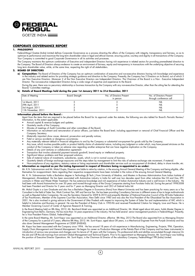

#### **CORPORATE GOVERNANCE REPORT**

#### **1. PHILOSOPHY**

Federal-Mogul Goetze (India) Limited defines Corporate Governance as a process directing the affairs of the Company with integrity, transparency and fairness, so as to optimize its performance and maximize the long term shareholder value in legal and ethical manner, ensuring justice, courtesy and dignity in all transactions of the Company. Your Company is committed to good Corporate Governance in all its activities and processes.

The Company maintains the optimum combination of Executive and independent Directors having rich experience in related sectors for providing premeditated direction to the Company. The Board of Directors always endeavor to create an environment of fairness, equity and transparency in transactions with the underlying objective of securing long term shareholder value, while, at the same time, respecting the right of all stakeholders.

#### **2. BOARD OF DIRECTORS**

**a) Composition:** The Board of Directors of the Company has an optimum combination of executive and non-executive directors having rich knowledge and experience in the industry and related sectors for providing strategic guidance and direction to the Company. Presently, the Company has 5 Directors on its Board, out of which 3 are Non Executive Directors. Moreover 2 of the Non Executive Directors are Independent Directors. The Chairman of the Board is a Non - Executive Independent Director. The non-executive independent Directors bring a wide range of expertise and experience to the Board.

During the year, there was no pecuniary relationship or business transaction by the Company with any non-executive Director, other than the sitting fee for attending the Board/ Committee meetings.

#### **b) Details of Board Meetings held during the year 1st January 2011 to 31st December, 2011**

| Date of Meeting     | Board Strength | No. of Directors Present<br>in person | No. of Directors Present<br>through conference call |
|---------------------|----------------|---------------------------------------|-----------------------------------------------------|
| 1st March, 2011     |                |                                       | <b>NIL</b>                                          |
| 29th April, 2011    |                |                                       | <b>NIL</b>                                          |
| 3rd August, 2011    |                |                                       | <b>NIL</b>                                          |
| 11th November, 2011 |                |                                       | <b>NIL</b>                                          |

#### **Information placed before the Board :**

Apart from the items that are required to be placed before the Board for its approval under the statutes, the following are also tabled for Board's Periodic Review/ Information, to the extent applicable:

- Annual capital & revenue budgets and updates;
- Quarterly results of the Company;
- Minutes of meetings of Audit Committee and other committees of the Board;
- Information on recruitment and remuneration of senior officers, just below the Board level; including appointment or removal of Chief Financial Officer and the Company Secretary.
- Materially important show cause, demand, prosecution and penalty notices;
- Fatal or serious accidents or dangerous occurrences;
- Any materially relevant default in financial obligations to and by the Company or substantial non-payment for goods sold by the Company;
- Any issue, which involves possible public or product liability claims of substantial nature, including any Judgment or order which, may have passed strictures on the conduct of the Company or taken an adverse view regarding another enterprise that can have negative implication on the Company.
- Details of any joint ventures or collaboration agreement.
- Transaction that involve substantial payment towards goodwill, brand equity or intellectual property.
- Significant labour problems and their proposed solutions;
- Sale of material nature of investments, subsidiaries, assets, which is not in normal course of business.
- Quarterly details of foreign exchange exposures and the steps taken by management to limit the risks of adverse exchange rate movement, if material. • Non-compliance of any regulatory, statutory nature or listing requirements and shareholder services such as non-payment of dividend, delay in share transfer, etc.

#### **c) Information as required as per the Listing Agreement in respect of Directors being re-appointed is as under:**

Mr. K.N. Subramaniam and Mr. Mukul Gupta, Directors are liable to retire by rotation, in the ensuing Annual General Meeting of the Company and being eligible, offer themselves for re-appointment. Items regarding their respective re-appointments have been included in the notice of the ensuing Annual General Meeting.

Mr. K. N. Subramaniam holds a Bachelors degree in Technology (B Tech.,) from University of Madras, and Masters in Business Administration from Indian Institute of Management, Ahmedabad. He has been associated with Automotive industry in India for well over two decades apart from other industries like Oil and Gas, EPC contracts in Water and Waste Water Treatment. He has extensive knowledge and rich experience of Indian Automotive Industry and is well known in the Industry. He had been with Anand Automotive for over 30 years and moved through many of the Group Companies starting from Purolator India Ltd. During the period 1998-2008 had been President and Director for 3 years and for 7 years as Managing Director and CEO of Gabriel India Ltd.

Mr. Mukul Gupta is a Law Graduate and also has a Bachelors Degree in Economics (Hons) from Meerut University and has been practicing for many years as a Tax Consultant in the field of Sales Tax, Work Contract Tax, VAT and Service Tax. He has been providing Consultancy Services in different areas of tax to large multinationals as well as Reputed Indian Companies. He was the Secretary General for 2009 & 2010 and presently Member of National Executive Council of the All India Federation of Tax Practitioners, Member of the Supreme Court Bar Association, New Delhi since 1985 and was also the Vice President of the Ghaziabad Tax Bar Association in 2001. He is also involved in giving advice to the Government of Uttar Pradesh with respect to improving the System of Sales Tax and implementation of VAT, which is helpful to Industries and Business in general. He was the President of Rotary Club in 1995-96 and received Presidential Citation for Integrity, Love and Peace. He is Member Governing Council of Center of Agrarian Research & Training.

In the Board Meeting held on 8th May, 2012, Mr. Bernhard Motel was appointed as an Additional Director. Mr. Motel aged about 44 years, holds Master Degree in Engineering from Berlin, Germany. He has more than 16 years experience in the industry. He has held several senior management positions in Federal-Mogul. Presently, he is Vice President Pistons Global, Federal-Mogul.

In the same Board Meeting, Mr. Sunit Kapur was appointed as an Additional Director, effective 8th May, 2012.The Board also appointed him as Managing Director of the Company for a period of 5 years, effective 8th May, 2012. Mr. Sunit Kapur, aged about 38 years, is a Mechanical Engineer from the Punjab University and has also done General Management Programme at CEDEP (INSEAD).

Mr. Kapur has been associated with the Company since 1994. He has around 18 years of rich experience in Manufacturing, Engineering, Projects, TPM, Operation, Supply Chain Management and General Management. He began his career as Production Manager at the Patiala Plant of the Company and has been instrumental in introduction of various new processes and changes over his tenure of 18 years with the Company. His professional skills and abilities accumulated through intensive On the Job and Off the Job trainings from eminent Global Management and Technical Experts. Prior to his appointment as Managing Director, Mr. Sunit Kapur was holding the position of Executive Director Operations. Mr. Sunit Kapur, is the Chairman & Director of the subsidiary Company, Federal-Mogul TPR (India) Limited.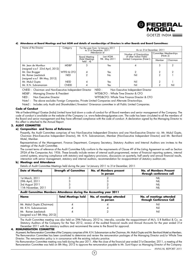

#### **d) Attendance at Board Meetings and last AGM and details of memberships of Directors in other Boards and Board Committees:**

| Name of the Director              | Category     | For the year from 1st January 2011<br>to 31st December, 2011 |                          | As on 31st December, 2011                         |                                   |          |
|-----------------------------------|--------------|--------------------------------------------------------------|--------------------------|---------------------------------------------------|-----------------------------------|----------|
|                                   |              | Attendance at                                                |                          | Number of Directorships<br>of other Indian Public | Committee Memberships<br>[Note 2] |          |
|                                   |              | <b>Board Meeting</b><br>(Total Meetings                      | Last AGM<br>9th May 2011 | Limited Companies (Note1)                         | Member                            | Chairman |
|                                   |              | held $-4$ )                                                  |                          |                                                   |                                   |          |
| Mr. Jean de Montlaur              | MD&P         | 3                                                            | Yes                      |                                                   |                                   |          |
| (resigned w.e.f 23rd April, 2012) |              |                                                              |                          |                                                   |                                   |          |
| Mr. Dan Brugger                   | WTFD & CFO   | 4                                                            | Yes                      |                                                   |                                   | ◠        |
| Mr. Rainer Jueckstock             | <b>NED</b>   | ◠                                                            | No                       | Nil                                               |                                   |          |
| (resigned w.e.f 8th May, 2012)    |              |                                                              |                          |                                                   |                                   |          |
| Mr. Mukul Gupta                   | <b>NEID</b>  | ⊿                                                            | Yes                      | Nil                                               |                                   |          |
| Mr. K.N. Subramaniam              | <b>CNEID</b> |                                                              | Yes                      | Nil                                               | ◠                                 | Nil      |

CNEID : Chairman and Non-Executive Independent Director NEID : Non Executive Independent Director

MD&P : Managing Director & President WTD&CFO : Whole Time Director & CFO

NED : Non Executive Director WTFD&CFO: Whole Time Finance Director & CFO

Note1 : The above excludes Foreign Companies, Private Limited Companies and Alternate Directorships.

Note2 : Includes only Audit and Shareholders'/Investors' Grievance committee in all Public Limited Companies.

#### **Code of Conduct**

We at Federal-Mogul Goetze (India) Limited have laid down a code of conduct for all Board members and senior management of the Company. The code of conduct is available on the website of the Company i.e. www.federalmogulgoetze.com. The code has been circulated to all the members of the Board and senior management and they have affirmed compliance with the code of conduct. A declaration signed by the Managing Director to this effect is attached to the Annual Report.

#### **3. AUDIT COMMITTEE**

#### **a) Composition and Terms of Reference**

Presently, the Audit Committee comprises of two Non-Executive Independent Directors and one Non-Executive Director viz. Mr. Mukul Gupta, Chairman (Non-Executive Independent Director), Mr. K.N. Subramaniam, Member (Non-Executive Independent Director) and Mr. Bernhard Motel, Member.

Representatives of the Management, Finance Department, Company Secretary, Statutory Auditors and Internal Auditors are invitees to the meetings of the Audit Committee.

The current terms of reference of the Audit Committee fully conform to the requirements of Clause 49 of the Listing Agreement as well as Section 292A of the Companies Act, 1956. These broadly include review of internal audit programmed, review of financial reporting systems, internal control systems, ensuring compliance with statutory and regulatory provisions, discussions on quarterly, half yearly and annual financial results, interaction with senior management, statutory and internal auditors, recommendation for re-appointment of statutory auditors etc.

#### **b) Meetings and Attendance**

Details of Audit Committee Meetings held during the year 1st January 2011 to 31st December, 2011

| <b>Date of Meeting</b> | <b>Strength of Committee</b> | No. of Members present<br>in person | <b>No. of Members Present</b><br>through conference call |
|------------------------|------------------------------|-------------------------------------|----------------------------------------------------------|
| 1st March, 2011        |                              |                                     | nil                                                      |
| 29th April, 2011       |                              |                                     | NIL                                                      |
| 3rd August 2011        |                              |                                     | NIL                                                      |
| 11th November, 2011    |                              |                                     | <b>NIL</b>                                               |

#### **Audit Committee Members Attendance during the Accounting year 2011**

| <b>Name</b>                                             | <b>Total Meetings held</b> | No. of meetings attended<br>in person | No. of meetings attended<br>through Conference Call |
|---------------------------------------------------------|----------------------------|---------------------------------------|-----------------------------------------------------|
| Mr. Mukul Gupta (Chairman)                              |                            |                                       | Nil                                                 |
| Mr. K.N. Subramaniam                                    |                            |                                       | Nil                                                 |
| Mr. Rainer Jueckstock<br>(resigned w.e.f 8th May, 2012) |                            |                                       | Nil                                                 |

The Audit Committee meeting was also held on 29th February, 2012 to, inter-alia, consider the reappointment of M/s. S R Batliboi & Co. as Statutory Auditors of the Company for the Year 2012, review of the audited financial results and Annual Accounts for the year ended 31st December 2011 with the statutory auditors and recommend the same to the Board for approval.

#### **4. REMUNERATION COMMITTEE**

At present, the Remuneration Committee of the Company comprises of Mr. K.N. Subramaniam as the Chairman, Mr. Mukul Gupta and Mr. Bernhard Motel as Members. The Remuneration Committee has been constituted to determine and review the remuneration packages of the Managing Director and/or Whole Time Director. The remuneration policy is in consonance with the existing industry practice.

No Remuneration Committee meeting was held during the year 2011. After the close of the financial year ended 31st December, 2011, a meeting of the Remuneration Committee was held on 8th May, 2012 to approve the remuneration payable to Mr. Sunit Kapur as Managing Director of the Company.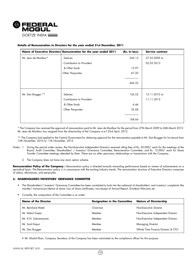

|                       | Name of Executive Directors Remuneration for the year ended 2011 | (Rs. In lacs) | Service contract |
|-----------------------|------------------------------------------------------------------|---------------|------------------|
| Mr. Jean de Montlaur* | - Salaries                                                       | 345.15        | 27.03.2009 to    |
|                       | - Contribution to Provident                                      |               | 02.03.2013       |
|                       | & Other funds                                                    | 13.97         |                  |
|                       | -Other Perquisites                                               | 67.20         |                  |
|                       |                                                                  |               |                  |
|                       |                                                                  | 426.32        |                  |
|                       |                                                                  |               |                  |
| Mr. Dan Brugger **    | - Salaries                                                       | 126.52        | 12.11.2010 to    |
|                       | - Contribution to Provident                                      |               | 11.11.2015       |
|                       | & Other funds                                                    | 6.46          |                  |
|                       | - Other Perquisites                                              | 35.68         |                  |
|                       |                                                                  |               |                  |
|                       |                                                                  | 168.66        |                  |

#### **Details of Remuneration to Directors for the year ended 31st December, 2011**

\* The Company has received the approval of remuneration paid to Mr. Jean de Montlaur for the period from 27th March 2009 to 26th March 2012. Mr. Jean de Montlaur has resigned from the directorship of the Company w.e.f 23rd April, 2012.

\*\* The Company had applied to the Central Government for obtaining approval for the remuneration payable to Mr. Dan Brugger for his tenure from 12th November, 2010 to 11th November, 2015.

- Notes: 1. During the period under review, the Non-Executive Independent Directors received sitting fees of Rs. 20,000/- each for the meetings of the Board, Audit Committee, Shareholders' / Investors' Grievance Committee, Remuneration Committee, and Rs. 15,000/- each for Share Transfer Committee meetings attended by them. There are no other pecuniary relationships or transactions with the Company.
	- 2. The Company does not have any stock option scheme.

Remuneration Policy of the Company: Remuneration policy is directed towards rewarding performance based on review of achievements on a periodical basis. The Remuneration policy is in consonance with the existing Industry trends. The remuneration structure of Executive Directors comprises of salary, allowances, and perquisites.

#### **5. SHAREHOLDERS'/INVESTORS' GRIEVANCE COMMITTEE**

- The Shareholders'/ Investors' Grievance Committee has been constituted to look into the redressal of shareholders' and investors' complaints like transfer/ transmission/demat of share; loss of share certificates; non-receipt of Annual Report; Dividend Warrants etc.
- Currently, the composition of the Committee is as under:

| <b>Name of the Director</b> | Designation in the Committee Nature of Directorship |                                    |
|-----------------------------|-----------------------------------------------------|------------------------------------|
| Mr. Bernhard Motel          | Chairman                                            | Non-Executive Director             |
| Mr. Mukul Gupta             | Member                                              | Non-Executive Independent Director |
| Mr. K.N. Subramaniam        | Member                                              | Non-Executive Independent Director |
| Mr. Sunit Kapur             | Member                                              | <b>Managing Director</b>           |
| Mr. Dan Brugger             | Member                                              | Whole Time Finance Director & CFO  |

• Mr. Khalid Khan, Company Secretary of the Company has been nominated as the compliance officer for this purpose.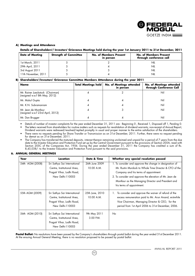

## **A) Meetings and Attendance**

**Details of Shareholders'/ Investors' Grievance Meetings held during the year 1st January 2011 to 31st December, 2011**

| <b>Date of Meeting</b> | <b>Strength of Committee</b> | <b>No. of Members Present</b><br>in person | <b>No. of Members Present</b><br>through conference call |
|------------------------|------------------------------|--------------------------------------------|----------------------------------------------------------|
| 1st March, 2011        |                              |                                            | NIL                                                      |
| 29th April, 2011       |                              |                                            | nil                                                      |
| 3rd August 2011        |                              |                                            | NIL                                                      |
| 11th November, 2011    |                              |                                            | NIL                                                      |

#### **B) Shareholders'/Investors' Grievance Committee Members Attendance during the year 2011**

| <b>Name</b>                                                        | <b>Total Meetings held</b> | No. of Meetings attended<br>in person | No. of Meetings attended<br>through Conference Call |
|--------------------------------------------------------------------|----------------------------|---------------------------------------|-----------------------------------------------------|
| Mr. Rainer Jueckstock (Chairman)<br>(resigned w.e.f 8th May, 2012) |                            |                                       | Nil                                                 |
| Mr. Mukul Gupta                                                    | 4                          | 4                                     | Nil                                                 |
| Mr. K.N. Subramaniam                                               | 4                          |                                       | Nil                                                 |
| Mr. Jean de Montlaur<br>(resigned w.e.f 23rd April, 2012)          | 4                          |                                       | Nil                                                 |
| Mr. Dan Brugger                                                    | 4                          |                                       | Nil                                                 |

• Details of number of investor complaints for the year ended December 31, 2011 are : Beginning 0 , Received 1, Disposed off 1, Pending 0. • The letters received from shareholders for routine matters such as requests for revalidation of dividend warrants; non-receipt of Annual Report,

Dividend warrants were redressed/resolved/replied promptly in usual and proper manner to the entire satisfaction of the shareholders. • There were no requests pending for Share Transfer or Transmission as on 31st December, 2011. Further, there were no request pending

for demat as on 31st December, 2011. • The Company has transferred the matured deposits, interest thereon remaining unclaimed and unpaid for a period of 7 years from the due date to the Investor Education and Protection Fund set up by the Central Government pursuant to the provisions of Section 205A, read with Section 205C of the Companies Act, 1956. During the year ended December 31, 2011 the Company has credited a sum of Rs. 8,45,038/- to the Investor Education and Protection Fund pursuant to the said provisions.

#### **6. ANNUAL GENERAL MEETINGS**

| Year            | Location                                                                                                      | Date & Time                   | Whether any special resolution passed                                                                                                                                                                                                                                                                     |
|-----------------|---------------------------------------------------------------------------------------------------------------|-------------------------------|-----------------------------------------------------------------------------------------------------------------------------------------------------------------------------------------------------------------------------------------------------------------------------------------------------------|
| 54th AGM (2008) | Sri Sathya Sai International<br>Centre, Institutional Area,<br>Pragati Vihar, Lodhi Road,<br>New Delhi-110003 | 26th June 2009<br>10.00 A.M.  | 1. To consider and approve the change in designation of<br>Mr. Rustin Murdock to Whole Time Director & CFO of the<br>Company and his terms of appointment.<br>2. To consider and approve the elevation of Mr. Jean de<br>Montlaur as the Managing Director and President and<br>his terms of appointment. |
| 55th AGM (2009) | Sri Sathya Sai International<br>Centre, Institutional Area,<br>Pragati Vihar, Lodhi Road,<br>New Delhi-110003 | 25th June, 2010<br>10.00 A.M. | To consider and approve the waiver of refund of the<br>excess remuneration paid to Mr. Arun Anand, erstwhile<br>Vice Chairman, Managing Director & CEO, for the<br>period from 1st April 2006 to 31st December, 2006.                                                                                     |
| 56th AGM (2010) | Sri Sathya Sai International<br>Centre, Institutional Area,<br>Pragati Vihar, Lodhi Road,<br>New Delhi-110003 | 9th May 2011<br>3.00 P.M.     | No                                                                                                                                                                                                                                                                                                        |

Postal Ballot: No resolutions have been passed by the Company's shareholders through postal ballot during the year ended 31st December 2011. At the ensuing Annual General Meeting, there is no resolution proposed to be passed by postal ballot.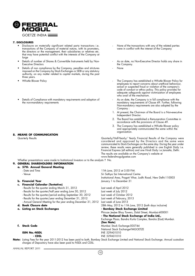

#### **7. DISCLOSURES**

- Disclosure on materially significant related party transactions i.e. transactions of the Company of material nature, with its promoters, the directors or the management, their subsidiaries or relatives etc. that may have potential conflict with the interests of the Company at large
- Details of number of Shares & Convertible Instruments held by Non-Executive Directors
- Details of non compliance by the Company, penalties and strictures imposed on the Company by Stock Exchanges or SEBI or any statutory authority, on any matter related to capital markets, during the past three years.
- Whistle Blower Policy
- Details of Compliance with mandatory requirements and adoption of the non-mandatory requirements

## **8. MEANS OF COMMUNICATION**

- None of the transactions with any of the related parties were in conflict with the interest of the Company
- As on date, no Non-Executive Director holds any share in the Company.
- None

11th June, 2012 at 3.00 P.M.

- The Company has established a Whistle Blower Policy for employees to report concerns about unethical behaviour, actual or suspected fraud or violation of the company's code of conduct or ethics policy. This policy provides for adequate safeguards against victimization of employees who avail of the mechanism.
- As on date, the Company is in full compliance with the mandatory requirements of Clause 49. Further, following Non-mandatory requirements are also adopted by the Company :
- 1. At present, the Chairman of the Board is a Non-executive Independent Director.
- 2. The Board has established a Remuneration Committee in accordance with the provisions of Clause 49.
- 3. The Company has established a Whistle Blower policy and appropriately communicated the same within the organization.

Quarterly Results Quarterly/Half-Yearly/ Yearly Financial Results of the Company were considered and approved by the Directors and the same were communicated to Stock Exchanges on the same day. During the year under review, these results were generally published in one English Daily i.e. Financial Express (all edition) and one Hindi Daily i.e Jansatta, Delhi. The results are available on the Company's website at www.federalmogulgoetze.com

Institutional Area, Pragati Vihar, Lodhi Road, New Delhi-110003

Phiroze JeeJee Bhoy Towers, Dalal Street, Mumbai-400001 **- The National Stock Exchange of India Ltd.,**

Exchange Plaza, Bandra Kurla Complex, Bandra (East) Mumbai.

Whether presentations were made to Institutional Investors or to the analysts ? No.

## **9. GENERAL SHAREHOLDERS INFORMATION**

- **a. 57th Annual General Meeting**
	-
	- Venue Sri Sathya Sai International Centre

#### **b. Financial Year b. Financial Year January 1 to December 31**

- **c. Financial Calendar (Tentative)**
	-
	- Results for the quarter ending March 31, 2012 Last week of April 2012<br>- Results for the quarter/half year ending June 30, 2012 Last week of July 2012 - Results for the quarter/half year ending June 30, 2012
	- Results for the quarter/period ending September 30, 2012 Last week of October 2012
	- Results for the quarter/year ending December 31, 2012
	- Annual General Meeting for the year ending December 31, 2012 Last week of June 2013

## **d. Book Closure date** 28th May, 2012 to 11th June, 2012 (both days inclusive)

- **e. Listing on Stock Exchanges The Communist Communist Communist Communist Communist Communist Communist Communist Communist Communist Communist Communist Communist Communist Communist Communist Communist Communist Communi**
- **f. Stock Code details and Stock Exchange-505744**

## **ISIN No.-NSDL ISIN No.-NSDL**

## **- CDSL** INE 529A01010

**Note:** Listing Fees for the year 2011-2012 has been paid to both, Bombay Stock Exchange Limited and National Stock Exchange. Annual custodian charges of Depository have also been paid to NSDL and CDSL.

**(See Note)**

National Stock Exchange-FMGOETZE

ANNUAL REPORT 2011

 $(12)$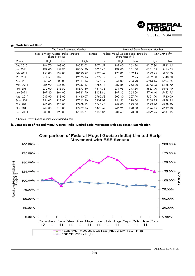

## **g. Stock Market Data\***

|                  | The Stock Exchange, Mumbai             |                   |          | National Stock Exchange, Mumbai |                                                             |        |         |               |  |
|------------------|----------------------------------------|-------------------|----------|---------------------------------|-------------------------------------------------------------|--------|---------|---------------|--|
|                  | Federal-Mogul Goetze (India) Limited's | Šhare Price (Rs.) |          | Sensex                          | Federal-Mogul Goetze (India) Limited's<br>Share Price (Rs.) |        |         | S&P CNX Nifty |  |
| Month            | High                                   | Low               | High     | Low                             | High                                                        | Low    | High    | Low           |  |
| Dec 2010         | 184.70                                 | 163.05            | 20552.03 | 19074.57                        | 189.00                                                      | 163.20 | 6147.30 | 5721.15       |  |
| Jan 2011         | 197.00                                 | 152.90            | 20664.80 | 18038.48                        | 199.00                                                      | 151.00 | 6181.05 | 5416.65       |  |
| Feb 2011         | 158.00                                 | 139.00            | 18690.97 | 17295.62                        | 170.05                                                      | 139.15 | 5599.25 | 5177.70       |  |
| Mar 2011         | 211.50                                 | 139.10            | 19575.16 | 17792.17                        | 210.95                                                      | 139.25 | 5872.00 | 5348.20       |  |
| April 2011       | 250.65                                 | 203.00            | 19811.14 | 18976.19                        | 251.00                                                      | 204.90 | 5944.45 | 5693.25       |  |
| May 2011         | 286.90                                 | 244.00            | 19253.87 | 17786.13                        | 289.85                                                      | 243.00 | 5775.25 | 5328.70       |  |
| June 2011        | 272.00                                 | 245.50            | 18873.39 | 17314.38                        | 271.95                                                      | 243.50 | 5657.90 | 5195.90       |  |
| <b>July 2011</b> | 307.40                                 | 264.00            | 19131.70 | 18131.86                        | 307.35                                                      | 264.00 | 5740.40 | 5453.95       |  |
| Aug. 2011        | 289.90                                 | 213.05            | 18440.07 | 15765.53                        | 292.80                                                      | 207.90 | 5551.90 | 4720.00       |  |
| Sept. 2011       | 246.00                                 | 218.00            | 17211.80 | 15801.01                        | 246.45                                                      | 219.00 | 5169.25 | 4758.85       |  |
| Oct. 2011        | 245.00                                 | 223.00            | 17908.13 | 15745.43                        | 247.00                                                      | 223.00 | 5399.70 | 4728.30       |  |
| Nov 2011         | 244.80                                 | 210.00            | 17702.26 | 15478.69                        | 246.95                                                      | 220.00 | 5326.45 | 4639.10       |  |
| Dec. 2011        | 230.00                                 | 193.80            | 17003.71 | 15135.86                        | 231.60                                                      | 193.30 | 5099.25 | 4531.15       |  |

\* Source : www.bseindia.com; www.nseindia.com

**h. Comparison of Federal-Mogul Goetze (India) Limited Scrip movement with BSE Sensex (Month High)**



 $\binom{13}{ }$ 

Comparison of Federal-Mogul Goetze (India) Limited Scrip **Movement with BSE Sensex** 

ANNUAL REPORT 2011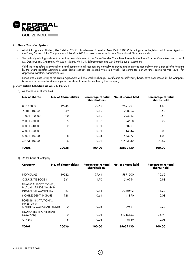

#### **i. Share Transfer System**

- Alankit Assignments Limited, RTA Division, 2E/21, Jhandewalan Extension, New Delhi 110055 is acting as the Registrar and Transfer Agent for the Equity Shares of the Company, w.e.f 1st May 2005 to provide services in both Physical and Electronic Mode.
- The authority relating to share transfer has been delegated to the Share Transfer Committee. Presently, the Share Transfer Committee comprises of Mr. Dan Brugger, Chairman, Mr. Mukul Gupta, Mr. K.N. Subramaniam and Mr. Sunit Kapur as Members.
- Valid share transfers in physical form and complete in all respects are normally approved and registered generally within a period of a fortnight by the Share Transfer Committee. Valid demat requests are cleared twice in a week. The committee met 20 times during the year 2011 for approving transfers, transmission etc.
- Pursuant to clause 47(c) of the Listing Agreement with the Stock Exchanges, certificates on half yearly basis, have been issued by the Company Secretary in practice for due compliance of share transfer formalities by the Company.

#### **j. Distribution Schedule as on 31/12/2011**

| A] On the basis of shares held |  |
|--------------------------------|--|
|--------------------------------|--|

| No. of shares    | No. of Shareholders | Percentage to total<br><b>Shareholders</b> | No. of shares held | Percentage to total<br>shares held |
|------------------|---------------------|--------------------------------------------|--------------------|------------------------------------|
| <b>UPTO 5000</b> | 19945               | 99.55                                      | 2691901            | 4.83                               |
| 5001 - 10000     | 39                  | 0.19                                       | 288764             | 0.52                               |
| 10001 - 20000    | 20                  | 0.10                                       | 294033             | 0.53                               |
| 20001 - 30000    | 5                   | 0.02                                       | 124568             | 0.22                               |
| 30001 - 40000    | $\overline{2}$      | 0.01                                       | 70701              | 0.13                               |
| 40001 - 50000    |                     | 0.01                                       | 44044              | 0.08                               |
| 50001 -100000    | 8                   | 0.04                                       | 554777             | 1.00                               |
| ABOVE 100000     | 16                  | 0.08                                       | 51563342           | 92.69                              |
| <b>TOTAL</b>     | 20036               | 100.00                                     | 55632130           | 100.00                             |

#### B] On the basis of Category

| Category                                                                      | No. of Shareholders | Percentage to total<br><b>Shareholders</b> | No. of shares held | Percentage to total<br>shares held |
|-------------------------------------------------------------------------------|---------------------|--------------------------------------------|--------------------|------------------------------------|
| <b>INDIVIDUALS</b>                                                            | 19522               | 97.44                                      | 5871500            | 10.55                              |
| <b>CORPORATE BODIES</b>                                                       | 341                 | 1.70                                       | 546954             | 0.98                               |
| FINANCIAL INSTITUTIONS /<br>MUTUAL FUNDS/BANKS/<br><b>INSURANCE COMPANIES</b> | 27                  | 0.13                                       | 7340692            | 13.20                              |
| NON-RESIDENT INDIANS                                                          | 128                 | 0.64                                       | 41870              | 0.08                               |
| FOREIGN INSTITUTIONAL<br>INVESTORS/<br><b>OVERSEAS CORPORATE BODIES</b>       | 10                  | 0.05                                       | 109521             | 0.20                               |
| PROMOTERS (NON-RESIDENT<br>COMPANY)                                           | 2                   | 0.01                                       | 41715454           | 74.98                              |
| <b>OTHERS</b>                                                                 | 6                   | 0.03                                       | 6139               | 0.01                               |
| <b>TOTAL</b>                                                                  | 20036               | 100.00                                     | 55632130           | 100.00                             |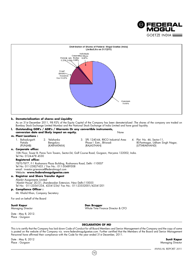



#### **k. Dematerialization of shares and Liquidity**

As on 31st December 2011, 98.92% of the Equity Capital of the Company has been dematerialized .The shares of the company are traded on Bombay Stock Exchange Limited Mumbai and the National Stock Exchange of India Limited and have good liquidity.



#### **DECLARATION OF MD**

This is to certify that the Company has laid down Code of Conduct for all Board Members and Senior Management of the Company and the copy of same is posted on the website of the Company viz. www.federalmogulgoetze.com. Further certified that the Members of the Board and Senior Management Personnel have affirmed their compliance with the Code for the year ended 31st December, 2011.

 $(15)$ 

Date : May 8, 2012 **Sunit Kapur** Place : Gurgaon Managing Director (No. 2016) Managing Director (No. 2016) Managing Director (No. 2016) Managing Director

ANNUAL REPORT 2011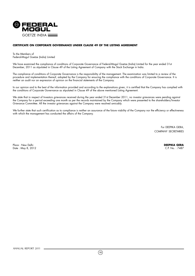

#### **CERTIFICATE ON CORPORATE GOVERNANCE UNDER CLAUSE 49 OF THE LISTING AGREEMENT**

To the Members of Federal-Mogul Goetze (India) Limited

We have examined the compliance of conditions of Corporate Governance of Federal-Mogul Goetze (India) Limited for the year ended 31st December, 2011 as stipulated in Clause 49 of the Listing Agreement of Company with the Stock Exchange in India.

The compliance of conditions of Corporate Governance is the responsibility of the management. The examination was limited to a review of the procedure and implementation thereof, adopted by the Company for ensuring the compliance with the conditions of Corporate Governance. It is neither an audit nor an expression of opinion on the financial statements of the Company.

In our opinion and to the best of the information provided and according to the explanations given, it is certified that the Company has complied with the conditions of Corporate Governance as stipulated in Clause 49 of the above mentioned Listing Agreement.

We state that in respect of Investors grievances received during the year ended 31st December 2011, no investor grievances were pending against the Company for a period exceeding one month as per the records maintained by the Company which were presented to the shareholders/Investor Grievance Committee. All the investor grievances against the Company were resolved amicably.

We further state that such certification as to compliance is neither an assurance of the future viability of the Company nor the efficiency or effectiveness with which the management has conducted the affairs of the Company.

> For DEEPIKA GERA, COMPANY SECRETARIES

Place : New Delhi **DEEPIKA GERA** Date : May 8, 2012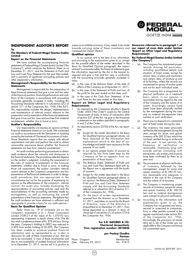

#### **INDEPENDENT AUDITOR'S REPORT To**

#### **The Members of Federal-Mogul Goetze (India) Limited**

#### **Report on the Financial Statements**

We have audited the accompanying financial statements of Federal-Mogul Goetze (India) Limited ("the Company"), which comprise the Balance Sheet as at December 31, 2011, and the Statement of Profit and Loss and Cash Flow Statement for the year then ended, and a summary of significant accounting policies and other explanatory information.

#### **Management's Responsibility for the Financial Statements**

Management is responsible for the preparation of these financial statements that give a true and fair view of the financial position, financial performance and cash flows of the Company in accordance with accounting principles generally accepted in India, including the Accounting Standards referred to in sub-section (3C) of section 211 of the Companies Act, 1956 ("the Act"). This responsibility includes the design, implementation and maintenance of internal control relevant to the preparation and presentation of the financial statements that give a true and fair view and are free from material misstatement, whether due to fraud or error.

#### **Auditor's Responsibility**

Our responsibility is to express an opinion on these financial statements based on our audit. We conducted our audit in accordance with the Standards on Auditing issued by the Institute of Chartered Accountants of India. Those Standards require that we comply with ethical requirements and plan and perform the audit to obtain reasonable assurance about whether the financial statements are free from material misstatement.

An audit involves performing procedures to obtain audit evidence about the amounts and disclosures in the financial statements. The procedures selected depend on the auditor's judgment, including the assessment of the risks of material misstatement of the financial statements, whether due to fraud or error. In making those risk assessments, the auditor considers internal control relevant to the Company's preparation and fair presentation of the financial statements in order to design audit procedures that are appropriate in the circumstances but not for the purpose of expressing an opinion on the effectiveness of the company's internal control. An audit also includes evaluating the appropriateness of accounting policies used and the reasonableness of the accounting estimates made by management, as well as evaluating the overall presentation of the financial statements. We believe that the audit evidence we have obtained is sufficient and appropriate to provide a basis for our audit opinion. **Basis for Qualified Opinion**

Refer Note no. 19 of Schedule 24 on the Company's investments in G. I. Power Corporation Limited ('GIPCL') of the value of Rs 1,070.92 lacs representing investment in equity shares of Rs.194.48 lacs and in preference shares of Rs. 876.44 lacs. During the year, Company's holding in GIPCL was reduced to 6.60% from earlier holding of 26.00%. The Company has been unable to produce audited financial information and, as represented to us, is also in discussion for sale of these investments at par, that are yet to be concluded. In view of these uncertainties and due to non-availability of audited financial information as at December 31, 2011, we are not in a position to

assess as to whether provision, if any, needs to be made towards carrying value of these investments and consequential impact thereof.

#### **Qualified opinion**

In our opinion and to the best of our information and according to the explanations given to us, except for the possible effects of the matter described in the Basis for Qualified Opinion paragraph, the impact whereof is unascertainable, the financial statements give the information required by the Act in the manner so required and give a true and fair view in conformity with the accounting principles generally accepted in India:

- (a) in the case of the Balance Sheet, of the state of affairs of the Company as at December 31, 2011;
- (b) in the case of the Statement of Profit and Loss, of the profit for the year ended on that date; and
- in the case of the Cash Flow Statement, of the cash flows for the year ended on that date.

#### **Report on Other Legal and Regulatory Requirements**

- 1. As required by the Companies (Auditor's Report) Order, 2003 ("the Order") issued by the Central Government of India in terms of sub-section (4A) of section 227 of the Act, we give in the Annexure a statement on the matters specified in paragraphs 4 and 5 of the Order.
- 2. As required by section 227(3) of the Act, we report  $\frac{1}{11}$ that:
	- (a) Except for the matter described in the Basis for Qualified Opinion paragraph above, we have obtained all the information and explanations which to the best of our knowledge and belief were necessary for the purpose of our audit;
	- In our opinion proper books of account as required by law have been kept by the Company so far as appears from our examination of those books;
	- The Balance Sheet, Statement of Profit and Loss and Cash Flow Statement dealt with by this Report are in agreement with the books of account;
	- Except for the matter described in the Basis for Qualified Opinion paragraph above, in our opinion, the Balance Sheet, Statement of Profit and Loss and Cash Flow Statement comply with the Accounting Standards referred to in subsection (3C) of section 211 of the Companies Act, 1956;
	- On the basis of written representations received from the directors as on December 31, 2011, and taken on record by the Board of Directors, none of the directors is disqualified as on December 31, 2011, from being appointed as a director in terms of clause (g) of sub-section (1) of section 274 of the Companies Act, 1956.

#### **For S.R. BATLIBOI & CO. Chartered Accountants Firm registration number: 301003E**

## **per Pankaj Chadha**

Place : Gurgaon Membership Date : February 29, 2012

 $\left(\overline{17}\right)$ 

**Partner**<br>Membership

#### **Annexure referred to in paragraph 1 of our report of even date under Section 'Report on Other Legal and Regulatory Requirements'**

#### **Re: Federal-Mogul Goetze (India) Limited ('the Company')**

- (a) The Company has maintained proper records showing full particulars, including quantitative details and situation of fixed assets, except for certain items of plant and machinery and certain items of furniture at one of its facilities, where the records are maintained for group of similar assets and not for each individual asset.
- The Company has a programme for physical verification on a rotational basis, which, in our opinion, is reasonable having regard to the size of the Company and the nature of its assets. Accordingly, certain fixed assets have been physically verified by the management during the year and no material discrepancies were noticed on such verification.
- (c) There was no disposal of a substantial part of fixed assets during the year.
- The inventory has been physically verified by the management during the year, except for stores and spares inventory of Rs 585.53 lacs which has not been verified during or at the end of the year. In our opinion, the frequency of verification is reasonable. Inventories lying with outside parties (including with transporters, job workers and at ports) have been confirmed by them as at year end.
- (b) The procedures of physical verification of inventory followed by the management, except for stores and spares inventory of Rs 585.53 lacs, are reasonable and adequate in relation to the size of the Company and the nature of its business.
- (c) The Company is maintaining proper records of inventory, except for stores and spares inventory of Rs. 585.53 lacs and no material discrepancies were noticed on physical verification.
- iii. (a) According to the information and explanations given to us, the Company has not granted any loans, secured or unsecured to companies, firms or other parties covered in the register maintained under section 301 of the Companies Act, 1956. Accordingly, the provisions of clause 4(iii) (a) to (d) of the Order are not applicable to the Company and hence not commented upon.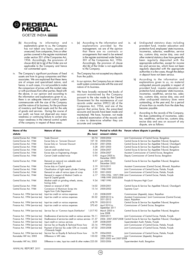

- (b) According to information and explanations given to us, the Company has not taken any loans, secured or unsecured, from companies, firms or other parties covered in the register maintained under section 301 of the Companies Act, 1956. Accordingly, the provisions of clause 4(iii) (e) to (g) of the Order are not applicable to the Company and hence not commented upon.
- iv. The Company's significant purchases of fixed assets are from its group companies and their associates. We are explained that these items are of unique and specialized nature, and hence, in such cases, it is not possible to make the comparison of prices with the market rates or with purchases from other parties. Read with the above, in our opinion and according to the information and explanations given to us, there is an adequate internal control system commensurate with the size of the Company and the nature of its business, for the purchase of inventory and fixed assets and for the sale of goods and services. During the course of our audit, we have not observed any major weakness or continuing failure to correct any major weakness in the internal control system of the company in respect of these areas.
- v. (a) According to the information and explanations provided by the management, we are of the opinion that there are no contracts or arrangements that need to be entered in the register maintained under Section 301 of the Companies Act, 1956. Accordingly, the provision of clause 4(v) (b) of the Order is not applicable to the Company.
- vi. The Company has not accepted any deposits from the public.
- vii. In our opinion, the Company has an internal audit system commensurate with the size and nature of its business.
- viii. We have broadly reviewed the books of account maintained by the Company pursuant to the rules made by the Central Government for the maintenance of cost records under section 209(1) (d) of the Companies Act, 1956, and are of the opinion that prima facie, the prescribed accounts and records have been made and maintained. We have, however, not made a detailed examination of the records with a view to determine whether they are accurate and complete.
- ix. a) Undisputed statutory dues including provident fund, investor education and protection fund, employees' state insurance, income-tax, sales-tax, wealth-tax, service tax, customs duty, excise duty, cess and other material statutory dues have generally been regularly deposited with the appropriate authorities, except for income tax and service tax, which have not been regularly deposited with the appropriate authorities in a few cases, though the delays in deposit have not been serious.
	- b) According to the information and explanations given to us, no material undisputed amounts payable in respect of provident fund, investor education and protection fund, employees' state insurance, income-tax, wealth-tax, service tax, salestax, customs duty, excise duty, cess and other undisputed statutory dues were outstanding, at the year end, for a period of more than six months from the date they became payable.
	- According to the records of the Company, the dues outstanding of income-tax, salestax, wealth-tax, service tax, customs duty, excise duty and cess on account of any dispute, are as follows:

| Name of the                     | <b>Nature of dues</b>                                             | Amount     |                                 | Period to which the Forum where dispute is pending                                |
|---------------------------------|-------------------------------------------------------------------|------------|---------------------------------|-----------------------------------------------------------------------------------|
| statute                         |                                                                   | (Rs. Lacs) | amount relates                  |                                                                                   |
| Central Excise Act, 1944        | <b>Trade Discount</b>                                             | 33.74      | 2000-2004                       | Joint Commissioner of Central Excise, Bangalore                                   |
| Central Excise Act, 1944        | Excise Duty on Turnover Discount                                  | 107.18     | 2000-2006                       | Central Excise & Service Tax Appellate Tribunal, Bangalore                        |
| Central Excise Act, 1944        | Excise Duty on Turnover Discount                                  | 214.50     | 2001-2006                       | Central Excise & Service Tax Appellate Tribunal, Chandigarh                       |
| Central Excise Act, 1944        | Sale returns                                                      | 5.28       | 2001-2003                       | Central Excise & Service Tax Appellate Tribunal, Bangalore                        |
| Central Excise Act, 1944        | Cenvat credit availed twice                                       | 5.04       | 2006-2007                       | Central Excise & Service Tax Appellate Tribunal, Bangalore                        |
| Central Excise Act, 1944        | Excise duty on Engineering charges                                | 0.34       | 2006-2007                       | Assistant Commissioner of Central Excise, Bangalore                               |
| Central Excise Act, 1944        | Cenvat Credit availed twice                                       | 0.93       | August 2005 to<br>December 2005 | Deputy Commissioner of Central Excise, Bangalore                                  |
| Central Excise Act, 1944        | Demand on removal non saleable stock<br>removed from RG -1        | 8.57       | July 2005 to<br>December 2005   | Central Excise & Service Tax Appellate Tribunal, Bangalore                        |
| Central Excise Act, 1944        | Excise duty on Capital goods                                      | 3.19       | 2010-2011                       | Assistant Commissioner (Central Excise), Bhiwadi, Rajasthan                       |
| Central Excise Act, 1944        | Classification of Light metal cylinder Casting                    | 6.97       | 1998-1999                       | Joint Commissioner of Central Excise, Patiala, Punjab                             |
| Central Excise Act, 1944        | Demand on sale of various types of scrap                          | 3.33       | 2001-2002                       | Joint Commissioner of Central Excise, Patiala, Punjab                             |
| Central Excise Act, 1944        | Demand in respect of Modvat Credits on<br>Input & Capital goods   | 6.17       | 1998-1999 2003-2004             | 1995-1996. 1997-1998 Joint Commissioner of Central Excise, Patiala, Punjab        |
| Central Excise Act, 1944        | Modvat credit on grinding wheels, stones,<br>honing sticks        | 9.34       | 1987-1990                       | Punjab & Haryana High Court                                                       |
| Central Excise Act, 1944        | Interest on reversal of SAD                                       | 14.02      | 2000-2001                       | Central Excise & Service Tax Appellate Tribunal, Chandigarh                       |
| Central Excise Act, 1944        | Conversion of Aluminum Scrap into<br>Ingots from Colts Department | 15.14      | 2000-2002                       | Supreme Court                                                                     |
| Finance Act, 1994 (service tax) | Input tax credit on various expenses                              | 1.25       | 2008-2009                       | Commissioner (Appeals), Jaipur, Rajasthan                                         |
| Finance Act, 1994 (service tax) | Input tax credit on various expenses                              | 50.32      | 2009-2010 to<br>2011-2012       | Assistant Commissioner/ Joint Commissioner (Central Excise),<br>Jaipur, Rajasthan |
| Finance Act, 1994 (service tax) | Input tax credit on various expenses                              | 678.79     | 2005-2010                       | Central Excise & Service Tax Appellate Tribunal, Bangalore                        |
| Finance Act, 1994 (service tax) | Input tax credit on various expenses                              | 370.43     | April 2010 to<br>September 2011 | Commissioner of Central Excise, Bangalore                                         |
| Finance Act, 1994 (service tax) | Service Tax on 'Common Inputs Distribution'                       | 1.017.92   | March 2005 to<br>June 2008      | Central Excise & Service Tax Appellate Tribunal, Bangalore                        |
| Finance Act, 1994 (service tax) | Disallowance of service tax credit on various services 96.11      |            | 2005-2011                       | Joint Commissioner of Central Excise, Patiala, Punjab                             |
| Finance Act, 1994 (service tax) | Disallowance of service tax credit on various services 21.57      |            |                                 | 2006 -2007, 2007-2008 Central Excise & Service Tax Appellate Tribunal, Chandigarh |
| Finance Act, 1994 (service tax) | Input credit on various services                                  | 5.09       | 2008-2009                       | Superintendent Audit, Patiala, Punjab                                             |
| Finance Act, 1994 (service tax) | Service Tax on Royalty & Technical Know how                       | 23.16      | 1999-2003                       | Joint Commissioner of Central Excise, Patiala, Punjab                             |
| Finance Act, 1994 (service tax) | Payment of Service Tax under GTA on inwards<br>/Outwards freight  | 67.02      | 2005-2008                       | Joint Commissioner of Central Excise, Patiala, Punjab                             |
| Finance Act, 1994 (service tax) | Service Tax on Royalty & Technical Know how                       | 16.79      | 2004-2005                       | Joint Commissioner of Central Excise, Patiala, Punjab                             |
| Karnataka VAT Act, 2003         | Difference in VAT rates                                           | 153.02     | 1998-1999 to                    | Joint Commissioner (Appeals), Bangalore                                           |
|                                 |                                                                   |            | 2001-2002 and 2007-2008         |                                                                                   |
| Karnataka VAT Act, 2003         | Difference in rates, Input tax credit & other matters 225.00      |            | 2005-2006                       | Superintendent Audit, Bangalore                                                   |
|                                 |                                                                   |            |                                 |                                                                                   |

ANNUAL REPORT 2011

 $(18)$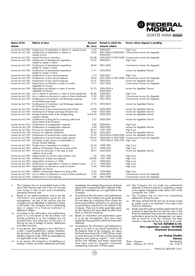

| Name of the          | <b>Nature of dues</b>                                                                                     | Amount     | Period to which the              | Forum where dispute is pending                          |
|----------------------|-----------------------------------------------------------------------------------------------------------|------------|----------------------------------|---------------------------------------------------------|
| statute              |                                                                                                           | (Rs. Lacs) | amount relates                   |                                                         |
| Income tax Act, 1961 | Disallowance of expenditure in relation to exempt income                                                  | 3.05       | 2000-2001                        | High Court                                              |
| Income tax Act, 1961 | Disallowance of expenditure in relation to<br>exempt income                                               | 10.59      | 2004-2005                        | 2001-2002 & 2004-2005 Commissioner Income Tax (Appeals) |
|                      | Income tax Act, 1961 Interest free loan to subsidiary                                                     | 105.48     |                                  | 2006-2007 & 2007-2008 Commissioner Income Tax (Appeals) |
| Income tax Act, 1961 | Disallowance of development expenditure<br>treated as capital in nature                                   | 22.32      | 2000-2001                        | High Court                                              |
|                      | Income tax Act, 1961 Disallowance of development expenditure<br>treated as capital in nature              | 68.45      | 2001-2002                        | Commissioner Income Tax (Appeals)                       |
| Income tax Act, 1961 | Disallowance of development expenditure<br>treated as capital in nature                                   | 11.61      | 2002-2003                        | Income Tax Appellate Tribunal                           |
| Income tax Act, 1961 | Disallowance of prior period expenses                                                                     | 5.10       | 2000-2001                        | <b>High Court</b>                                       |
| Income tax Act, 1961 | Disallowance of prior period expenses                                                                     | 92.64      |                                  | 2001-2002 & 2007-2008 Commissioner Income Tax (Appeals) |
| Income tax Act, 1961 | Disallowance of prior period expenses                                                                     | 57.57      | 2002-2003                        | Income Tax Appellate Tribunal                           |
|                      | Income tax Act, 1961 Depreciation not allowed on assets of inactive<br>Vegetable Oil Division             | 10.17      | 2001-2002                        | Commissioner Income Tax (Appeals)                       |
|                      | Income tax Act, 1961 Depreciation not allowed on assets of inactive<br>Vegetable Oil Division             | 22.23      | 2002-2003 &<br>2003-2004         | Income Tax Appellate Tribunal                           |
|                      | Income tax Act, 1961 Loss in relation to diminution in value of shares disallowed                         | 84.80      | 2000-2001                        | High Court                                              |
|                      | Income tax Act, 1961 Loss in relation to diminution in value of shares disallowed                         | 12.39      | 2001-2002                        | Commissioner Income Tax (Appeals)                       |
|                      | Income tax Act, 1961 Disallowance of Commission and Brokerage expenses<br>for facilitating loan funds     | 6.52       | 2001-2002                        | Commissioner Income Tax (Appeals)                       |
|                      | Income tax Act, 1961 Disallowance of Commission and Brokerage expenses<br>for facilitating loan funds     | 37.76      | 2002-2003                        | Income Tax Appellate Tribunal                           |
|                      | Income tax Act, 1961 Disallowance of loan processing fee paid to bank                                     | 33.99      | 2002-2003                        | Income Tax Appellate Tribunal                           |
| Income tax Act, 1961 | Disallowance of foreign exchange fluctuation loss                                                         | 5.04       | 2002-2003                        | Income Tax Appellate Tribunal                           |
| Income tax Act, 1961 | Brought forward losses of the amalgamating<br>company denied                                              | 5,674.45   | 2002-2003                        | Income Tax Appellate Tribunal                           |
|                      | Income tax Act, 1961 Disallowance of filing fee for increasing authorized<br>share capital of the Company | 2.21       | 2002-2003                        | Income Tax Appellate Tribunal                           |
|                      | Income tax Act, 1961 Disallowance of amalgamation expenses                                                | 0.89       | 2000-2001                        | <b>High Court</b>                                       |
|                      | Income tax Act, 1961 Disallowance of amalgamation expenses                                                | 0.69       | 2002-2003                        | Income Tax Appellate Tribunal                           |
|                      | Income tax Act, 1961 Provision for expenses disallowed                                                    | 85.17      | 1997-1998                        | High Court                                              |
|                      | Income tax Act, 1961 Provision for expenses disallowed                                                    | 57.64      | 2002-2003                        | Income Tax Appellate Tribunal                           |
|                      | Income tax Act, 1961 Disallowance of proportionate royalty expense                                        | 52.57      |                                  | 2003-2004 & 2005-2006 Income Tax Appellate Tribunal     |
|                      | Income tax Act, 1961 Disallowance of proportionate royalty expense                                        | 103.47     |                                  | 2004-2005 & 2007-2008 Commissioner Income Tax (Appeals) |
|                      | Income tax Act, 1961 Distribution of gift coupons to shareholders at<br>Annual General Meeting            | 16.54      | 1995-1996 & 1996-1997 High Court |                                                         |
|                      | Income tax Act, 1961 Disallowance of exemption on dividend                                                | 66.55      | 1998-1999                        | High Court                                              |
| Income tax Act, 1961 | Addition of Revaluation Reserves to book profits                                                          | 16.71      | 1998-1999                        | High Court                                              |
|                      | Income tax Act, 1961 Provision for diminution in the value of asset<br>added to book profits              | 38.75      | 2005-2006                        | Income Tax Appellate Tribunal                           |
|                      | Income tax Act, 1961 Apportionment of common administrative costs                                         | 1.52       | 1997-1998                        | High Court                                              |
| Income tax Act, 1961 | Disallowance of lease rent expenses                                                                       | 345.80     | 1997-1998                        | High Court                                              |
| Income tax Act, 1961 | Applicability of interest u/s 234D                                                                        | 0.51       | 2000-2001                        | High Court                                              |
| Income tax Act, 1961 | Disallowance of expenditure in relation to exempt income                                                  | 21.21      | 1999-2000                        | High Court                                              |
| Income tax Act, 1961 | Depreciation not allowed on assets of inactive<br>Vegetable Oil Division                                  | 13.63      | 1999-2000                        | High Court                                              |
|                      | Income tax Act, 1961 Addition of Revaluation Reserves to book profits                                     | 17.65      | 1999-2000                        | High Court                                              |
|                      | Income tax Act, 1961 Loss in relation to diminution in value of shares disallowed                         | 19.23      | 2004-2005                        | Commissioner Income Tax (Appeals)                       |
|                      | Income tax Act, 1961 Disallowance of Club Expenses                                                        | 2.80       | 2007-2008                        | Commissioner Income Tax (Appeals)                       |

- x. The Company has no accumulated losses at the end of the financial year and it has not incurred cash losses in the current and immediately preceding financial year.
- xi. Based on our audit procedures and as per the information and explanations given by the management, we are of the opinion that the Company has not defaulted in repayment of dues to the banks. The Company has no outstanding dues in respect of a financial institution or debenture holders.
- xii. According to the information and explanations given to us and based on the documents and records produced to us, the Company has not granted loans and advances on the basis of security by way of pledge of shares, debentures and other securities.
- xiii. In our opinion, the Company is not a chit fund or<br>a nidhi / mutual benefit fund / society. Therefore,<br>the provisions of clause 4(xiii) of the Companies<br>(Auditor's Report) Order, 2003 (as amended) are<br>not applicable t
- xiv. In our opinion, the Company is not dealing in or trading in shares, securities, debentures and other

investments. Accordingly, the provisions of clause 4(xiv) of the Companies (Auditor's Report) Order, 2003 (as amended) are not applicable to the Company.

- xv. According to the information and explanations given to us, the Company has given guarantee for loan taken by a subsidiary from a bank; the terms and conditions whereof in our opinion are not prima-facie prejudicial to the interest of the Company. There are no other guarantees given by the Company for loans taken by others from bank or financial institutions.
- xvi. Based on information and explanations given to us by the management, term loans were applied for the purpose for which the loans were obtained.
- xvii. According to the information and explanations given to us and on an overall examination of the balance sheet of the Company, we report that funds amounting to Rs. 5,049.06 lacs raised on short term basis in the form of intercorporate deposits and working capital / cash credit facility from affiliates and banks respectively have been used for long-term investment representing acquisition of fixed assets.
- xviii. The Company has not made any preferential allotment of shares to parties or companies covered in the register maintained under section 301 of the Companies Act, 1956.
- xix. The Company did not have any outstanding debentures during the year.
- xx. We have verified that the end use of money raised by public issues is as disclosed in the notes to the financial statements.
- xxi. Based upon the audit procedures performed for the<br>purpose of reporting the true and fair view of the<br>financial statements and as per the information and<br>explanations given by the management, we report<br>that no fraud on

#### **For S.R. BATLIBOI & CO. Firm registration number: 301003E Chartered Accountants**

#### **per Pankaj Chadha Partner**

|                                            | - - - - - - - - - -      |
|--------------------------------------------|--------------------------|
| Place : Gurgaon<br>Date: February 29, 2012 | Membership<br>No.: 91813 |
|                                            |                          |

ANNUAL REPORT 2011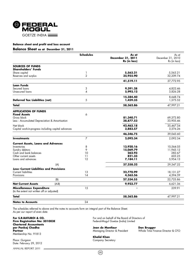

## **Balance Sheet as at December 31, 2011**

|                                                                          | <b>Schedules</b> | As at                             | As at             |
|--------------------------------------------------------------------------|------------------|-----------------------------------|-------------------|
|                                                                          |                  | December 31, 2011<br>Rs (in lacs) | December 31, 2010 |
|                                                                          |                  |                                   | Rs (in lacs)      |
| <b>SOURCES OF FUNDS</b><br>Shareholders' Funds                           |                  |                                   |                   |
| Share capital                                                            | 1                | 5,563.21                          | 5,563.21          |
| Reserves and surplus                                                     | $\overline{2}$   | 35,955.90                         | 32,209.74         |
|                                                                          |                  |                                   |                   |
|                                                                          |                  | 41,519.11                         | 37,772.95         |
| <b>Loan Funds</b><br>Secured loans                                       | 3                | 9,391.28                          | 4,822.46          |
| Unsecured loans                                                          | 4                | 5,993.12                          | 3,826.28          |
|                                                                          |                  |                                   |                   |
|                                                                          |                  | 15,384.40                         | 8,648.74          |
| <b>Deferred Tax Liabilities (net)</b>                                    | 5                | 1,459.35                          | 1,575.52          |
| Total                                                                    |                  | 58,362.86                         | 47,997.21         |
| <b>APPLICATION OF FUNDS</b>                                              |                  |                                   |                   |
| <b>Fixed Assets</b>                                                      | 6                |                                   |                   |
| Gross block                                                              |                  | 81,340.71                         | 69,372.80         |
| Less: Accumulated Depreciation & Amortisation                            |                  | 38,877.53                         | 33,905.46         |
| Net block                                                                |                  | 42,463.18                         | 35,467.34         |
| Capital work-in-progress including capital advances                      |                  | 3,883.57                          | 3,576.26          |
|                                                                          |                  | 46,346.75                         | 39,043.60         |
| <b>Investments</b>                                                       | 7                | 2,092.34                          | 2,092.34          |
| <b>Current Assets, Loans and Advances</b>                                |                  |                                   |                   |
| Inventories                                                              | 8                | 13,920.16                         | 10,564.05         |
| Sundry debtors                                                           | 9                | 15,069.79                         | 11,943.12         |
| Cash and bank balances                                                   | 10               | 262.93                            | 282.67            |
| Other current assets<br>Loans and advances                               | 11<br>12         | 821.33                            | 603.25            |
|                                                                          |                  | 7,184.11                          | 5,954.13          |
| (A)                                                                      |                  | 37,258.32                         | 29,347.22         |
| <b>Less: Current Liabilities and Provisions</b>                          |                  |                                   |                   |
| Current liabilities                                                      | 13               | 22,770.99                         | 18,131.27         |
| Provisions                                                               | 14               | 4,563.56                          | 4,594.59          |
| (B)                                                                      |                  | 27,334.55                         | 22,725.86         |
| $(A-B)$<br><b>Net Current Assets</b>                                     |                  | 9,923.77                          | 6,621.36          |
| Miscellaneous Expenditure<br>(to the extent not written off or adjusted) | 15               |                                   | 239.91            |
| Total                                                                    |                  | 58,362.86                         | 47,997.21         |
| <b>Notes to Accounts</b>                                                 | 24               |                                   |                   |

The schedules referred to above and the notes to accounts form an integral part of the Balance Sheet. As per our report of even date

**Chartered Accountants per Pankaj Chadha Jean de Montlaur de Dan Brugger<br>Partner Managing Director & President Monde Time Finder School Dan Brugger<br>Partner Managing Director & President Monde Time Finder** Membership No. 91813

Place: Gurgaon **Company Secretary** Date: February 29, 2012

ANNUAL REPORT 2011

**For S.R.BATLIBOI & CO.** For and on behalf of the Board of Directors of **Firm Registration No: 301003E** Federal-Mogul Goetze (India) Limited

Whole Time Finance Director & CFO

**Khalid Khan**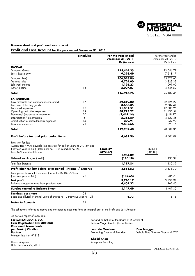

## **Profit and Loss Account for the year ended December 31, 2011**

|                                                                                                                                                                                                                                                                                                                                                                                                                                           | <b>Schedules</b>                      | For the year ended<br>December 31, 2011<br>Rs (in lacs)                                                                    | For the year ended<br>December 31, 2010<br>Rs (in lacs)                                                                |
|-------------------------------------------------------------------------------------------------------------------------------------------------------------------------------------------------------------------------------------------------------------------------------------------------------------------------------------------------------------------------------------------------------------------------------------------|---------------------------------------|----------------------------------------------------------------------------------------------------------------------------|------------------------------------------------------------------------------------------------------------------------|
| <b>INCOME</b><br>Turnover (Gross)<br>Less : Excise duty                                                                                                                                                                                                                                                                                                                                                                                   |                                       | 115,444.35<br>9,398.49                                                                                                     | 93,046.77<br>7,218.17                                                                                                  |
| Turnover (Net)<br>Trading sales<br>Job work income<br>Other income                                                                                                                                                                                                                                                                                                                                                                        | 16                                    | 106,045.86<br>4,724.00<br>1,136.23<br>5,007.67                                                                             | 85,828.60<br>3,823.33<br>1,091.00<br>4,444.52                                                                          |
| Total                                                                                                                                                                                                                                                                                                                                                                                                                                     |                                       | 116,913.76                                                                                                                 | 95,187.45                                                                                                              |
| <b>EXPENDITURE</b><br>Raw materials and components consumed<br>Purchase of trading goods<br>Personnel expenses<br>Operating and other expenses<br>Decrease/ (increase) in inventories<br>Depreciation/ amortisation<br>Amortisation of miscellaneous expenses<br>Financial expenses<br>Total<br>Profit before tax and prior period items<br>Provision for Tax<br>Current tax / MAT payable (Includes tax for earlier years Rs 297.59 lacs | 17<br>18<br>19<br>20<br>6<br>15<br>21 | 42,819.00<br>3,656.35<br>21,331.51<br>38,775.22<br>(2, 441.14)<br>5,365.89<br>239.91<br>2,485.66<br>112,232.40<br>4,681.36 | 32,526.22<br>2,782.41<br>17,800.96<br>31,435.52<br>(619.27)<br>4,822.46<br>239.90<br>1,393.16<br>90,381.36<br>4,806.09 |
| (Previous year Rs Nil)) (Refer note no. 17 in schedule no. 24)<br>Less: MAT credit entitlement                                                                                                                                                                                                                                                                                                                                            |                                       | 1,626.89<br>(392.87)<br>1,234.02                                                                                           | 805.83<br>(805.83)                                                                                                     |
| Deferred tax charge/ (credit)                                                                                                                                                                                                                                                                                                                                                                                                             |                                       | (116.18)                                                                                                                   | 1,130.39                                                                                                               |
| <b>Total Tax Expense</b>                                                                                                                                                                                                                                                                                                                                                                                                                  |                                       | 1,117.84                                                                                                                   | 1,130.39                                                                                                               |
| Profit after tax but before prior period (income) / expense<br>Prior period (income) / expense (net of tax Rs 103.79 lacs                                                                                                                                                                                                                                                                                                                 |                                       | 3,563.52                                                                                                                   | 3,675.70                                                                                                               |
| (Previous year Rs Nil))                                                                                                                                                                                                                                                                                                                                                                                                                   | 22                                    | (182.65)                                                                                                                   | 236.78                                                                                                                 |
| Net profit<br>Balance brought forward from previous year                                                                                                                                                                                                                                                                                                                                                                                  |                                       | 3,746.17<br>4,401.32                                                                                                       | 3,438.92<br>962.40                                                                                                     |
| <b>Surplus carried to Balance Sheet</b>                                                                                                                                                                                                                                                                                                                                                                                                   |                                       | 8,147.49                                                                                                                   | 4,401.32                                                                                                               |
| <b>Earnings per share</b><br>Basic and diluted [Nominal value of shares Rs 10 (Previous year Rs 10)]                                                                                                                                                                                                                                                                                                                                      | 23                                    | 6.73                                                                                                                       | 6.18                                                                                                                   |
| <b>Notes to Accounts</b>                                                                                                                                                                                                                                                                                                                                                                                                                  | 24                                    |                                                                                                                            |                                                                                                                        |

The schedules referred to above and the notes to accounts form an integral part of the Profit and Loss Account

As per our report of even date

**Chartered Accountants per Pankaj Chadha Jean de Montlaur de Dan Brugger<br>Partner Managing Director & President Monde Time Finder School Dan Brugger<br>Partner** Managing Director & President Monde Time Finder Membership No. 91813

Place: Gurgaon **Company Secretary** Date: February 29, 2012

**For S.R.BATLIBOI & CO.** For and on behalf of the Board of Directors of Federal-Mogul Goetze (India) Limited

Whole Time Finance Director & CFO

**Khalid Khan**

ANNUAL REPORT 2011

 $(21)$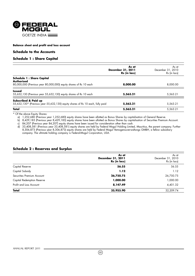

## **Schedule to the Accounts**

## **Schedule 1 : Share Capital**

|                                                                                                                            | As at<br>December 31, 2011<br>Rs (in lacs) | As at<br>December 31, 2010<br>Rs (in lacs) |
|----------------------------------------------------------------------------------------------------------------------------|--------------------------------------------|--------------------------------------------|
| <b>Schedule 1: Share Capital</b><br><b>Authorised</b><br>80,000,000 (Previous year 80,000,000) equity shares of Rs 10 each | 8,000.00                                   | 8,000.00                                   |
| <b>Issued</b><br>55,632,130 (Previous year 55,632,130) equity shares of Rs 10 each                                         | 5,563.21                                   | 5,563.21                                   |
| Subscribed & Paid up<br>55,632,130* (Previous year 55,632,130) equity shares of Rs 10 each, fully paid                     | 5,563.21                                   | 5.563.21                                   |
| Total                                                                                                                      | 5,563.21                                   | 5,563.21                                   |

\* Of the above Equity Shares:

a) 1,252,680 (Previous year 1,252,680) equity shares have been allotted as Bonus Shares by capitalisation of General Reserve.

b) 8,429,183 (Previous year 8,429,183) equity shares have been allotted as Bonus Shares by capitalisation of Securities Premium Account. c) 84,207 (Previous year 84,207) equity shares have been issued for consideration other than cash.

d) 33,408,581 (Previous year 33,408,581) equity shares are held by Federal Mogul Holding Limited, Mauritius, the parent company. Further 8,306,873 (Previous year 8,306,873) equity shares are held by Federal Mogul Vemogensuverwaltungs GMBH, a fellow subsidiary company. The ultimate holding company is Federal-Mogul Corporation, USA.

## **Schedule 2 : Reserves and Surplus**

|                            | As at<br>December 31, 2011<br>Rs (in lacs) | As at<br>December 31, 2010<br>Rs (in lacs) |
|----------------------------|--------------------------------------------|--------------------------------------------|
| Capital Reserve            | 56.55                                      | 56.55                                      |
| Capital Subsidy            | 1.12                                       | 1.12                                       |
| Securities Premium Account | 26,750.75                                  | 26,750.75                                  |
| Capital Redemption Reserve | 1,000.00                                   | 1,000.00                                   |
| Profit and Loss Account    | 8,147.49                                   | 4,401.32                                   |
| Total                      | 35,955.90                                  | 32,209.74                                  |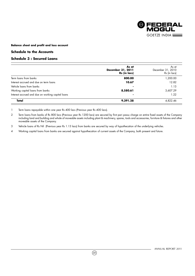

## **Schedule to the Accounts**

## **Schedule 3 : Secured Loans**

|                                                   | As at<br>December 31, 2011<br>Rs (in lacs) | As at<br>December 31, 2010<br>Rs (in lacs) |
|---------------------------------------------------|--------------------------------------------|--------------------------------------------|
| Term loans from banks                             | 800.00                                     | 1,200.00                                   |
| Interest accrued and due on term loans            | 10.67                                      | 12.82                                      |
| Vehicle loans from banks                          |                                            | 1.13                                       |
| Working capital loans from banks                  | 8,580.61                                   | 3,607.29                                   |
| Interest accrued and due on working capital loans | $\blacksquare$                             | 1.22                                       |
| Total                                             | 9,391.28                                   | 4,822.46                                   |

1 Term loans repayable within one year Rs 400 lacs (Previous year Rs 400 lacs).

2 Term loans from banks of Rs 800 lacs (Previous year Rs 1200 lacs) are secured by first pari passu charge on entire fixed assets of the Company including land and building and whole of moveable assets including plant & machinery, spares, tools and accessories, furniture & fixtures and other moveable assets of the Company.

3 Vehicle loans of Rs Nil (Previous year Rs 1.13 lacs) from banks are secured by way of hypothecation of the underlying vehicles.

4 Working capital loans from banks are secured against hypothecation of current assets of the Company, both present and future.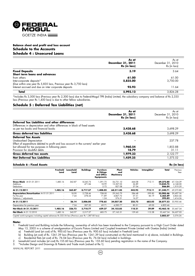

## **Balance sheet and profit and loss account Schedule to the Accounts Schedule 4 : Unsecured Loans**

|                                                                  | As at<br>December 31, 2011<br>Rs (in lacs) | As at<br>December 31, 2010<br>Rs (in lacs) |
|------------------------------------------------------------------|--------------------------------------------|--------------------------------------------|
| <b>Fixed Deposits</b>                                            | 3.19                                       | 3.64                                       |
| Short term loans and advances                                    |                                            |                                            |
| from others                                                      | 61.00                                      | 61.00                                      |
| Inter-corporate deposits*                                        | 5,835.00                                   | 3,750.00                                   |
| (Due within one year Rs 5,835 lacs, Previous year Rs 3,750 lacs) |                                            |                                            |
| Interest accrued and due on inter corporate deposits             | 93.93                                      | 11.64                                      |
| Total                                                            | 5,993.12                                   | 3.826.28                                   |

\*Includes Rs 3,500 lacs (Previous year Rs 2,300 lacs) due to Federal-Mogul TPR (India) Limited, the subsidiary company and balance of Rs 2,335 lacs (Previous year Rs  $1,450$  lacs) is due to other fellow subsidiaries.

## **Schedule 5 : Deferred Tax Liabilities (net)**

|                                                                                       | As at<br>December 31, 2011<br>Rs (in lacs) | As at<br>December 31, 2010<br>Rs (in lacs) |
|---------------------------------------------------------------------------------------|--------------------------------------------|--------------------------------------------|
| Deferred Tax Liabilities and other differences                                        |                                            |                                            |
| Differences in depreciation and other differences in block of fixed assets            |                                            |                                            |
| as per tax books and financial books                                                  | 3,438.68                                   | 3,698.29                                   |
| <b>Gross deferred tax liabilities</b>                                                 | 3,438.68                                   | 3,698.29                                   |
| <b>Deferred Tax Assets</b>                                                            |                                            |                                            |
| Unabsorbed Depreciation                                                               |                                            | 237.78                                     |
| Effect of expenditure debited to profit and loss account in the current/ earlier year |                                            |                                            |
| but allowed for tax purposes in following years                                       | 1,960.54                                   | 1,853.88                                   |
| Provision for doubtful debts                                                          | 18.79                                      | 31.11                                      |
| Gross deferred tax assets                                                             | 1,979.33                                   | 2,122.77                                   |
| <b>Net Deferred Tax Liabilities</b>                                                   | 1,459.35                                   | 1,575.52                                   |

#### **Schedule 6 : Fixed Assets Rs (in lacs)**

|                                                                                                     | Freehold<br>Land | Leasehold<br>Land                  | <b>Buildings</b>   | <b>Furniture</b><br>& Fittinas<br>and Office<br><b>Equipments</b> | Plant<br>and<br>Machinery        | <b>Vehicles</b>          | Intangibles*    | Total                            | Previous<br>Year                  |
|-----------------------------------------------------------------------------------------------------|------------------|------------------------------------|--------------------|-------------------------------------------------------------------|----------------------------------|--------------------------|-----------------|----------------------------------|-----------------------------------|
| Gross Block At 01.01.2011<br><b>Additions</b><br>Deductions                                         | 1,485.16<br>٠    | 362.87<br>$\overline{\phantom{a}}$ | 8,245.73<br>471.84 | 1,391.75<br>18.99<br>2.72                                         | 56,731.10<br>12.307.03<br>827.08 | 444.08<br>36.89<br>37.04 | 712.11<br>٠     | 69,372.80<br>12,834.75<br>866.84 | 67,124.39<br>4.168.00<br>1,919.59 |
| At 31.12.2011                                                                                       | 485.16,          | 362.87                             | 8,717.57           | 1,408.02                                                          | 68,211.05                        | 443.93                   | 712.11          | 81,340.71                        | 69,372.80                         |
| Depreciation/Amortisation At 01.01.2011<br>For the year<br>Deletions / adjustments                  | ٠<br>٠<br>٠      | 18.90<br>7.24                      | 2.728.46<br>278.34 | 708.00<br>71.89<br>.24                                            | 29.565.79<br>4,867.72<br>376.31  | 284.48<br>57.51<br>16.27 | 599.83<br>83.19 | 33,905.46<br>5,365.89<br>393.82  | 30.497.36<br>4,822.46<br>,414.36  |
| At 31.12.2011                                                                                       | $\blacksquare$   | 26.14                              | 3.006.80           | 778.65                                                            | 34,057.20                        | 325.72                   | 683.02          | 38,877.53                        | 33.905.46                         |
| Depreciation for previous year                                                                      |                  | 7.24                               | 307.20             | 69.71                                                             | 4,283.77                         | 85.51                    | 69.03           | 4,822.46                         |                                   |
| Net Block At 31.12.2011                                                                             | 1,485.16         | 336.73                             | 5.710.77           | 629.37                                                            | 34,153.85                        | 118.21                   | 29.09           | 42,463.18                        | 35.467.34                         |
| <b>Net Block</b> At 31.12.2010                                                                      | ,485.16          | 343.97                             | 5,517.27           | 683.75                                                            | 27,165.31                        | 159.60                   | 112.28          | 35,467.34                        | 36,627.03                         |
| Capital work-in-progress including capital advances Rs 222.56 lacs (Previous year Rs 1,387.85 lacs) |                  |                                    |                    |                                                                   |                                  |                          |                 | 3.883.57                         | 3.576.26                          |

#### **Note:**

1. Freehold Land and Building include the following, ownership of which has been transfered to the Company pursuant to a High Court Order dated May 13, 2003 in a scheme of amalgamation of Escorts Pistons Limited and Coupled Investment Private Limited with Goetze (India) Limited:

a) Freehold Land (at cost) of Rs. 900.65 lacs (Previous year Rs. 900.65 lacs) included in Freehold Land.

b) Building (at cost) of Rs. 1261.39 lacs (Previous year Rs. 1261.39 lacs) constructed on the land mentioned in a) above, included in Buildings. c) Residential flats (at cost) of Rs. 76.04 lacs (Previous year Rs. 76.04 lacs) included in buildings.

2. Leasehold Land includes (at cost) Rs.155.60 lacs (Previous year Rs. 155.60 lacs) pending registration in the name of the Company.

3. \*Includes Design and Drawings & Patents and Trade mark (valued at Re.1).

ANNUAL REPORT 2011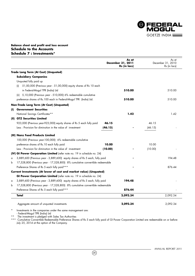

## **Balance sheet and profit and loss account Schedule to the Accounts Schedule 7 : Investments\***

|                                                                                   |         | As at<br>December 31, 2011<br>Rs (in lacs) |         | As at<br>December 31, 2010<br>Rs (in lacs) |
|-----------------------------------------------------------------------------------|---------|--------------------------------------------|---------|--------------------------------------------|
| Trade Long Term (At Cost) (Unquoted)                                              |         |                                            |         |                                            |
| <b>Subsidiary Companies</b>                                                       |         |                                            |         |                                            |
| Unquoted fully paid up                                                            |         |                                            |         |                                            |
| 51,00,000 (Previous year - 51,00,000) equity shares of Rs 10 each                 |         |                                            |         |                                            |
| in Federal-Mogul TPR (India) Ltd                                                  |         | 510.00                                     |         | 510.00                                     |
| (ii) 5,10,000 (Previous year - 510,000) 6% redeemable cumulative                  |         |                                            |         |                                            |
| preference shares of Rs.100 each in Federal-Mogul TPR (India) Ltd.                |         | 510.00                                     |         | 510.00                                     |
| Non-Trade Long Term (At Cost) (Unquoted)                                          |         |                                            |         |                                            |
| <b>Government Securities</b><br>(1)                                               |         |                                            |         |                                            |
| National Savings Certificates**                                                   |         | 1.42                                       |         | 1.42                                       |
| (II) GTZ Securities Limited                                                       |         |                                            |         |                                            |
| 923,000 (Previous year-923,000) equity shares of Rs 5 each fully paid             | 46.15   |                                            | 46.15   |                                            |
| Less: Provision for diminution in the value of investment                         | (46.15) |                                            | (46.15) |                                            |
| (III) Nanz Food Products Limited                                                  |         |                                            |         |                                            |
| 100,000 (Previous year-100,000) 6% redeemable cumulative                          |         |                                            |         |                                            |
| preference shares of Rs.10 each fully paid                                        | 10.00   |                                            | 10.00   |                                            |
| Less: Provision for diminution in the value of investment                         | (10.00) |                                            | (10.00) |                                            |
| (IV) GI Power Corporation Limited (refer note no. 19 in schedule no. 24)          |         |                                            |         |                                            |
| 3,889,600 (Previous year - 3,889,600) equity shares of Rs 5 each, fully paid<br>a |         |                                            |         | 194.48                                     |
| 17,528,800 (Previous year - 17,528,800) 8% cumulative convertible redeemable<br>b |         |                                            |         |                                            |
| Preference Shares of Rs 5 each fully paid***                                      |         |                                            |         | 876.44                                     |
| Current Investments (At lower of cost and market value) (Unquoted)                |         |                                            |         |                                            |
| GI Power Corporation Limited (refer note no. 19 in schedule no. 24)               |         |                                            |         |                                            |
| 3,889,600 (Previous year - 3,889,600) equity shares of Rs 5 each, fully paid<br>a |         | 194.48                                     |         |                                            |
| 17,528,800 (Previous year - 17,528,800) 8% cumulative convertible redeemable<br>b |         |                                            |         |                                            |
| Preference Shares of Rs 5 each fully paid***                                      |         | 876.44                                     |         |                                            |
| Total                                                                             |         | 2,092.34                                   |         | 2,092.34                                   |
| Aggregate amount of unquoted investments                                          |         | 2,092.34                                   |         | 2,092.34                                   |

\* Investments in the companies under the same management are: - Federal-Mogul TPR (India) Ltd

\*\* The investment is pledged with Sales Tax Authorities

\*\*\* Cumulative Convertible Redeemable Preference Shares of Rs 5 each fully paid of GI Power Corporation Limited are redeemable on or before July 25, 2014 at the option of the Company.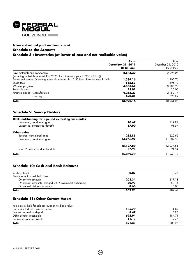

## **Schedule to the Accounts**

## **Schedule 8 : Inventories (at lower of cost and net realisable value)**

|                                                                                                                | As at<br>December 31, 2011<br>Rs (in lacs) | As at<br>December 31, 2010<br>Rs (in lacs) |
|----------------------------------------------------------------------------------------------------------------|--------------------------------------------|--------------------------------------------|
| Raw materials and components<br>(Including materials in transit Rs 695.23 lacs (Previous year Rs 968.43 lacs)) | 2,843.30                                   | 2,097.07                                   |
| Stores and spares (Including materials in transit Rs 12.45 lacs (Previous year Rs Nil))                        | 1,384.16                                   | 1,305.76                                   |
| Loose tools                                                                                                    | 585.53                                     | 495.19                                     |
| Work-in-progress                                                                                               | 4,358.62                                   | 3,385.97                                   |
| Reusable scrap                                                                                                 | 23.01                                      | 30.00                                      |
| Finished goods - Manufactured                                                                                  | 4,235.23                                   | 2,952.17                                   |
| - Tradina                                                                                                      | 490.31                                     | 297.89                                     |
| Total                                                                                                          | 13,920.16                                  | 10,564.05                                  |

## **Schedule 9: Sundry Debtors**

| Debts outstanding for a period exceeding six months |           |           |
|-----------------------------------------------------|-----------|-----------|
| Unsecured, considered good                          | 70.67     | 119.97    |
| Unsecured, considered doubtful                      | 57.90     | 91.54     |
| Other debts                                         |           |           |
| Secured, considered good                            | 232.85    | 220.65    |
| Unsecured, considered good                          | 14,766.27 | 11,602.50 |
|                                                     | 15,127.69 | 12,034.66 |
| Less: Provision for doubtful debts                  | 57.90     | 91.54     |
| <b>Total</b>                                        | 15,069.79 | 11,943.12 |

## **Schedule 10: Cash and Bank Balances**

| Cash on hand                                              | 0.02   | 0.35   |
|-----------------------------------------------------------|--------|--------|
| Balances with scheduled banks:                            |        |        |
| On current accounts                                       | 203.34 | 217.18 |
| On deposit accounts (pledged with Government authorities) | 50.97  | 50.14  |
| On unpaid dividend accounts                               | 8.60   | 15.00  |
| Total                                                     | 262.93 | 282.67 |
|                                                           |        |        |

## **Schedule 11: Other Current Assets**

| Fixed assets held for sale (at lower of net book value |        |        |
|--------------------------------------------------------|--------|--------|
| and estimated net realisable value)                    | 105.79 | 1.82   |
| Interest accrued on deposits                           | 8.47   | 6.96   |
| DEPB benefits receivable                               | 695.94 | 584.71 |
| Insurance claim receivable                             | 11.13  | 9.76   |
| Total                                                  | 821.33 | 603.25 |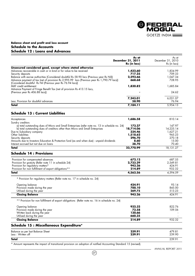

## **Balance sheet and profit and loss account Schedule to the Accounts Schedule 12 : Loans and Advances**

|                                                                                                                   | As at                             | As at                             |
|-------------------------------------------------------------------------------------------------------------------|-----------------------------------|-----------------------------------|
|                                                                                                                   | December 31, 2011<br>Rs (in lacs) | December 31, 2010<br>Rs (in lacs) |
| Unsecured considered good, except where stated otherwise                                                          |                                   |                                   |
| Advances recoverable in cash or in kind or for value to be received                                               | 1,432.60                          | 1,834.99                          |
| Security deposits                                                                                                 | 717.25                            | 709.33                            |
| Balance with excise authorities (Considered doubtful Rs 58.90 lacs (Previous year Rs Nil))                        | 2,593.66                          | 1,047.34                          |
| Advance payment of tax (net of provision Rs 2,995.99 lacs (Previous year Rs 1,790.79 lacs))                       | 668.68                            | 728.95                            |
| (Considered doubtful Rs Nil (Previous year Rs 76.94 lacs))                                                        |                                   |                                   |
| MAT credit entitlement                                                                                            | 1,830.82                          | 1,685.84                          |
| Advance Payment of Fringe Benefit Tax (net of provision Rs 413.15 lacs,                                           |                                   |                                   |
| (Previous year Rs 406.88 lacs))                                                                                   |                                   | 24.62                             |
|                                                                                                                   |                                   |                                   |
|                                                                                                                   | 7,243.01                          | 6,031.07                          |
| Less: Provision for doubtful advances                                                                             | 58.90                             | 76.94                             |
| Total                                                                                                             | 7,184.11                          | 5,954.13                          |
| <b>Schedule 13: Current Liabilities</b>                                                                           |                                   |                                   |
| Acceptances                                                                                                       | 1,686.58                          | 810.14                            |
| Sundry creditors                                                                                                  |                                   |                                   |
| a) total outstanding dues of Micro and Small Enterprises (refer note no. 13 in schedule no. 24)                   | 173.27                            | 147.97                            |
| b) total outstanding dues of creditors other than Micro and Small Enterprises                                     | 18,714.06                         | 14,225.14                         |
| Due to Subsidiary company                                                                                         | 334.46                            | 1,627.21                          |
| Other liabilities                                                                                                 | 1,518.62                          | 965.23                            |
| Security deposits                                                                                                 | 296.70                            | 270.18                            |
| Amounts due to Investors Education & Protection fund (as and when due) - unpaid dividends                         | 8.60                              | 15.00                             |
| Interest accrued but not due on loans                                                                             | 38.70                             | 70.40                             |
| Total                                                                                                             | 22,770.99                         | 18,131.27                         |
| <b>Schedule 14 : Provisions</b>                                                                                   |                                   |                                   |
|                                                                                                                   |                                   |                                   |
| Provision for compensated absences                                                                                | 672.12                            | 687.55                            |
| Provision for gratuity (Refer note 11 in schedule 24)                                                             | 2,733.29                          | 2,549.81                          |
| Provision for regulatory matters*                                                                                 | 943.26                            | 424.91                            |
| Provision for non fulfillment of export obligations**                                                             | 214.89                            | 932.32                            |
| Total                                                                                                             | 4,563.56                          | 4,594.59                          |
| * Provision for regulatory matters (Refer note no. 17 in schedule no. 24)                                         |                                   |                                   |
| Opening balance                                                                                                   | 424.91                            | 93.14                             |
| Provision made during the year                                                                                    | 788.10                            | 845.00                            |
| Utilised during the year                                                                                          | 269.75                            | 513.23                            |
| <b>Closing Balance</b>                                                                                            | 943.26                            | 424.91                            |
| ** Provision for non fulfillment of export obligations (Refer note no. 16 in schedule no. 24)                     |                                   |                                   |
| Opening balance                                                                                                   | 932.32                            | 822.76                            |
| Provision made during the year                                                                                    | 73.58                             | 109.56                            |
| Written back during the year                                                                                      | 130.66                            |                                   |
| Utilised during the year                                                                                          | 660.35                            |                                   |
| <b>Closing Balance</b>                                                                                            | 214.89                            | 932.32                            |
| Schedule 15 : Miscellaneous Expenditure*                                                                          |                                   |                                   |
|                                                                                                                   |                                   |                                   |
| Balance as per last Balance Sheet                                                                                 | 239.91                            | 479.81                            |
| Less : Written off                                                                                                | 239.91                            | 239.90                            |
| Total                                                                                                             |                                   | 239.91                            |
| * Amount represents the impact of transitional provision on adoption of notified Accounting Standard 15 (revised) |                                   |                                   |

nount represents the impact of transitional provision on adoption of notified Accounting Standard 15 (revised).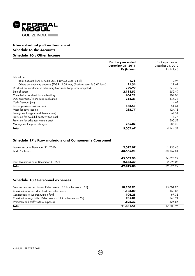

## **Schedule to the Accounts**

## **Schedule 16 : Other Income**

|                                                                                 | For the year ended | For the year ended |
|---------------------------------------------------------------------------------|--------------------|--------------------|
|                                                                                 | December 31, 2011  | December 31, 2010  |
|                                                                                 | Rs (in lacs)       | Rs (in lacs)       |
| Interest on:                                                                    |                    |                    |
| Bank deposits (TDS Rs 0.18 Lacs, (Previous year Rs Nil))                        | 1.78               | 0.97               |
| Others on electricity deposits (TDS Rs 2.58 lacs, (Previous year Rs 3.01 lacs)) | 21.54              | 19.69              |
| Dividend on investment in subsidiary-Non-trade Long Term (unquoted)             | 759.90             | 270.30             |
| Sale of scrap                                                                   | 2,188.53           | 1,652.49           |
| Commission received from subsidiary                                             | 464.28             | 407.08             |
| Duty drawback/ Exim Scrip realisation                                           | 352.27             | 344.38             |
| Cash Discount (net)                                                             |                    | 4.62               |
| Excess provision written back                                                   | 168.58             | 54.61              |
| Miscellaneous income                                                            | 285.77             | 424.18             |
| Foreign exchange rate difference (net)                                          |                    | 64.51              |
| Provision for doubtful debts written back                                       |                    | 13.77              |
| Provision for advances written back                                             |                    | 500.59             |
| Management support charges                                                      | 765.02             | 687.33             |
| Total                                                                           | 5,007.67           | 4,444.52           |

## **Schedule 17 : Raw materials and Components Consumed**

| Total                                     | 42,819.00 | 32,526.22 |
|-------------------------------------------|-----------|-----------|
| Less: Inventories as at December 31, 2011 | 2,843.30  | 2.097.07  |
|                                           | 45,662.30 | 34,623.29 |
| Add: Purchases                            | 43,565.23 | 33,369.81 |
| Inventories as at December 31, 2010       | 2,097.07  | 1,253.48  |

## **Schedule 18 : Personnel expenses**

| Salaries, wages and bonus (Refer note no. 15 in schedule no. 24) | 18,250.93 | 15,001.96 |
|------------------------------------------------------------------|-----------|-----------|
| Contribution to provident fund and other funds                   | 1,133.00  | 1,160.85  |
| Contribution to superannuation fund                              | 106.25    | 67.38     |
| Contribution to gratuity (Refer note no. 11 in schedule no. 24)  | 235.01    | 243.91    |
| Workmen and staff welfare expenses                               | 1,606.32  | 1.326.86  |
| Total                                                            | 21,331.51 | 17,800.96 |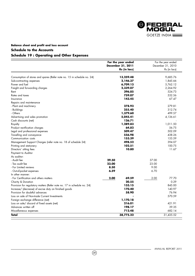

## **Schedule to the Accounts**

## **Schedule 19 : Operating and Other Expenses**

|                                                                         | For the year ended | For the year ended |
|-------------------------------------------------------------------------|--------------------|--------------------|
|                                                                         | December 31, 2011  | December 31, 2010  |
|                                                                         | Rs (in lacs)       | Rs (in lacs)       |
| Consumption of stores and spares (Refer note no. 15 in schedule no. 24) | 13,259.48          | 9,685.76           |
| Sub-contracting expenses                                                | 2,146.37           | 1,845.66           |
| Power and fuel                                                          | 6,709.13           | 5,762.12           |
| Freight and forwarding charges                                          | 2,339.07           | 2,264.92           |
| Rent                                                                    | 396.85             | 524.73             |
| Rates and taxes                                                         | 759.07             | 532.56             |
| Insurance                                                               | 143.45             | 67.47              |
| Repairs and maintenance                                                 |                    |                    |
| - Plant and machinery                                                   | 278.93             | 279.81             |
| - Buildings                                                             | 255.40             | 312.74             |
| - Others                                                                | 1,379.60           | 499.57             |
| Advertising and sales promotion                                         | 5,045.41           | 4,136.61           |
| Cash discounts (net)                                                    | 126.71             |                    |
| Royalty                                                                 | 1,289.83           | 1,011.50           |
| Product rectification charges                                           | 64.82              | 56.75              |
| Legal and professional expenses                                         | 509.47             | 502.09             |
| Travelling and conveyance                                               | 556.98             | 438.26             |
| Communication costs                                                     | 153.39             | 153.59             |
| Management Support Charges (refer note no. 18 of schedule 24)           | 498.52             | 394.07             |
| Printing and stationery                                                 | 102.51             | 100.75             |
| Directors' sitting fees                                                 | 10.80              | 11.67              |
| Payment to Auditor                                                      |                    |                    |
| As auditor:                                                             |                    |                    |
| - Audit fee                                                             | 29.50              | 37.00              |
| - Tax audit fee                                                         | 23.00              | 23.00              |
| - For Limited reviews                                                   | 8.50               | 9.00               |
| - Out-of-pocket expenses                                                | 6.59               | 6.70               |
| In other manner:                                                        |                    |                    |
| - For Certification and others matters                                  | 2.00<br>69.59      | 2.00<br>77.70      |
| Charity & Donation                                                      | 20.55              | 0.29               |
| Provision for regulatory matters (Refer note no. 17 in schedule no. 24) | 133.15             | 845.00             |
| Increase/ (decrease) of excise duty on finished goods                   | 170.40             | 140.97             |
| Provision for doubtful advances                                         | 58.90              | 76.94              |
| Loss on sale of Non-trade Current Investments                           |                    | 570.59             |
| Foreign exchange difference (net)                                       | 1,170.18           |                    |
| Loss on sale/ discard of fixed assets (net)                             | 216.01             | 421.91             |
| Advances written off                                                    | 198.17             | 39.35              |
| Miscellaneous expenses                                                  | 712.48             | 682.14             |
| Total                                                                   | 38,775.22          | 31,435.52          |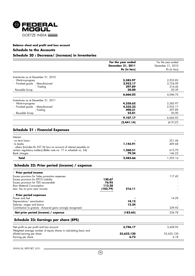

## **Schedule to the Accounts**

## **Schedule 20 : Decrease/ (increase) in Inventories**

|                                     | For the year ended | For the year ended |
|-------------------------------------|--------------------|--------------------|
|                                     | December 31, 2011  | December 31, 2010  |
|                                     | Rs (in lacs)       | Rs (in lacs)       |
| Inventories as at December 31, 2010 |                    |                    |
| - Work-in-progress                  | 3,385.97           | 2,955.83           |
| Finished goods - Manufactured       | 2,952.17           | 2,754.09           |
| - Tradina                           | 297.89             | 316.45             |
| - Reusable Scrap                    | 30.00              | 20.39              |
|                                     | 6,666.03           | 6,046.76           |
| Inventories as at December 31, 2011 |                    |                    |
| - Work-in-progress                  | 4,358.62           | 3,385.97           |
| Finished goods - Manufactured       | 4,235.23           | 2,952.17           |
| - Tradina                           | 490.31             | 297.89             |
| Reusable Scrap                      | 23.01              | 30.00              |
|                                     | 9,107.17           | 6,666.03           |
|                                     | (2,441.14)         | (619.27)           |

## **Schedule 21 : Financial Expenses**

| Total                                                               | 2,485.66 | 1.393.16 |
|---------------------------------------------------------------------|----------|----------|
| Bank charges                                                        | 79.24    | 146.23   |
| certain regulatory matters) (Refer note no. 17 in schedule no. 24)  | 1,260.51 | 615.79   |
| - others (Includes Rs 357.36 lacs on account of interest payable on |          |          |
| - to banks                                                          | 1,145.91 | 409.68   |
| - on term loans                                                     |          | 221.46   |
| Interest                                                            |          |          |

## **Schedule 22: Prior period (income) / expense**

|          |                           | 117.43 |
|----------|---------------------------|--------|
|          |                           |        |
|          |                           |        |
| (103.79) | 216.11                    |        |
|          |                           |        |
|          |                           | 14.29  |
|          | 18.12                     |        |
|          | 15.34                     |        |
|          |                           | 339.92 |
|          | (182.65)                  | 236.78 |
|          | 130.67<br>76.95<br>112.28 |        |

| Net profit as per profit and loss account                                                      | 3,746.17   | 3.438.92   |
|------------------------------------------------------------------------------------------------|------------|------------|
| Weighted average number of equity shares in calculating basic and<br>diluted earning per share | 55,632,130 | 55,632,130 |
| Earning per share                                                                              | 6.73       | 6.18       |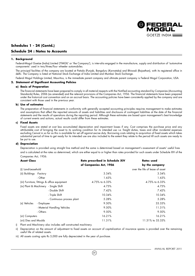

## **Schedules 1 - 24 (Contd.)**

## **Schedule 24 : Notes to Accounts**

#### **1. Background**

Federal-Mogul Goetze (India) Limited ('FMGIL' or 'the Company'), is inter-alia engaged in the manufacture, supply and distribution of 'automotive components' used in two/three/four wheeler automobiles.

The principal facilities of the company are located at Patiala (Punjab, Bangaluru (Karnataka) and Bhiwadi (Rajasthan), with its registered office in delhi. The Company is listed at National Stock Exchange of India Limited and Mumbai Stock Exchange.

Federal Mogul Holdings Limited, Mauritius, is the immediate parent company and ultimate parent company is Federal Mogul Corporation, USA.

#### **2. Statement of Significant Accounting Policies**

#### **a) Basis of Preparation**

The financial statements have been prepared to comply in all material respects with the Notified accounting standard by Companies (Accounting Standards) Rules, 2006 (as amended) and the relevant provisions of the Companies Act, 1956. The financial statements have been prepared under the historical cost convention and on an accrual basis. The accounting policies have been consistently applied by the company and are consistent with those used in the previous year.

#### **b) Use of estimates**

The preparation of financial statements in conformity with generally accepted accounting principles requires management to make estimates and assumptions that affect the reported amounts of assets and liabilities and disclosure of contingent liabilities at the date of the financial statements and the results of operations during the reporting period. Although these estimates are based upon management's best knowledge of current events and actions, actual results could differ from these estimates.

#### **c) Fixed Assets**

Fixed assets are stated at cost less accumulated depreciation and impairment losses if any. Cost comprises the purchase price and any attributable cost of bringing the asset to its working condition for its intended use i.e. freight duties, taxes and other incidental expenses excluding Cenvat in so far as this is available for set off against excise duty. Borrowing costs relating to acquisition of fixed assets which takes substantial period of time to get ready for its intended use are also included to the extent they relate to the period till such assets are ready to be put to use.

#### **d) Depreciation**

Depreciation is provided using straight line method and the same is determined based on management's assessment of assets' useful lives and is calculated at the rates so determined, which are either equal to or higher than rates provided for such assets under Schedule XIV of the

Companies Act, 1956.

| <b>Asset Class</b>                           | <b>Rate prescribed in Schedule XIV</b> | <b>Rates used</b>               |
|----------------------------------------------|----------------------------------------|---------------------------------|
|                                              | of Companies Act, 1956                 | by the company                  |
| (i) Land-Leasehold                           |                                        | over the life of lease of asset |
| (ii) Buildings - Factory                     | 3.34%                                  | 3.34%                           |
| - Other                                      | 1.63%                                  | 1.63%                           |
| (iii) Furniture, fittings & office equipment | 4.75% to 6.33%                         | 4.75% to 6.33%                  |
| (iv) Plant & Machinery - Single Shift        | 4.75%                                  | 4.75%                           |
| - Double Shift                               | 7.42%                                  | 7.42%                           |
| - Triple Shift                               | 10.34%                                 | 10.34%                          |
| - Continuous process plant                   | 5.28%                                  | 5.28%                           |
| (v) Vehicles<br>- Employee                   | 9.50%                                  | 33.33%                          |
| - Material Handling Vehicles                 | 9.50%                                  | 11.31%                          |
| - Others                                     | 9.50%                                  | 9.50%                           |
| (vi) Computers                               | 16.21%                                 | 16.21%                          |
| (vii) Dies and Moulds                        | 11.31%                                 | 11.31% to 33.33%                |

i) Plant and Machinery also includes self constructed machinery.

ii) Depreciation on the amount of adjustment to fixed assets on account of capitalization of insurance spares is provided over the remaining useful life of related assets.

iii) All assets costing upto Rs 5,000 are fully depreciated in the year of purchase.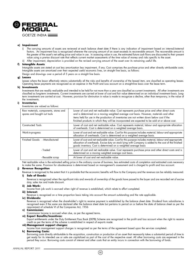

#### **e) Impairment**

- i) The carrying amounts of assets are reviewed at each balance sheet date if there is any indication of impairment based on internal/external factors. An impairment loss is recognized wherever the carrying amount of an asset exceeds its recoverable amount. The recoverable amount is the greater of the asset's net selling price and value in use. In assessing value in use, the estimated future cash flows are discounted to their present value using a pre-tax discount rate that reflects current market assessments of the time value of money and risks specific to the asset.
- ii) After impairment, depreciation is provided on the revised carrying amount of the asset over its remaining useful life.

#### **f) Intangible Assets**

Intangible assets are stated at cost less amortization less impairment, if any. Cost comprises the purchase price and other directly attributable costs. Intangible assets are amortized over their expected useful economic lives, on straight line basis, as follows: Design and drawings- over a period of 5 years on a straight line basis.

#### **g) Leases**

Leases where the lessor effectively retains substantially all the risks and benefits of ownership of the leased item, are classified as operating leases. Operating lease payments are recognized as an expense in the Profit and Loss account on a straight-line basis over the lease term.

#### **h) Investments**

Investments that are readily realizable and intended to be held for not more than a year are classified as current investments. All other investments are classified as long-term investments. Current investments are carried at lower of cost and fair value determined on an individual investment basis. Longterm investments are carried at cost. However, provision for diminution in value is made to recognize a decline, other than temporary, in the value of the investments.

#### **i) Inventories**

Inventories are valued as follows:

| Raw materials, components, stores and<br>spares and bought out tools | Lower of cost and net realizable value. Cost represents purchase price and other direct costs<br>and is determined on a moving weighted average cost basis. However, materials and other<br>items held for use in the production of inventories are not written down below cost if the<br>finished products in which they will be incorporated are expected to be sold at or above cost. |
|----------------------------------------------------------------------|------------------------------------------------------------------------------------------------------------------------------------------------------------------------------------------------------------------------------------------------------------------------------------------------------------------------------------------------------------------------------------------|
| Constructed Tools                                                    | Lower of cost and net realizable value. Cost represents material, labour and appropriate allocation<br>of overheads. Cost is determined on a weighted average basis.                                                                                                                                                                                                                     |
| Work-in-progress                                                     | Lower of cost and net realizable value. Cost for this purpose includes material, labour and appropriate<br>allocation of overheads. Cost is determined on a weighted average basis.                                                                                                                                                                                                      |
| Finished Goods: - Manufactured                                       | Lower of cost and net realizable value. Cost for this purpose includes material, labour and appropriate<br>allocation of overheads. Excise duty on stock lying with Company is added to the cost of the finished<br>goods inventory. Cost is determined on a weighted average basis                                                                                                      |
| - Traded                                                             | Lower of cost and net realizable value. Cost represents purchase price and other direct costs and is<br>determined on a moving weighted average cost basis.                                                                                                                                                                                                                              |
| - Reusable scrap                                                     | At lower of cost and net realizable value.                                                                                                                                                                                                                                                                                                                                               |

Net realizable value is the estimated selling price in the ordinary course of business, less estimated costs of completion and estimated costs necessary to make the same. Provision for obsolescence is determined based on management's assessment and is charged to profit and loss account.

#### **j) Revenue Recognition**

Revenue is recognised to the extent that it is probable that the economic benefits will flow to the Company and the revenue can be reliably measured. **i) Sale of Goods:**

Revenue is recognized when the significant risks and rewards of ownership of the goods have passed to the buyer and are recorded net of excise duty, sales tax and trade discount.

#### **ii) Job Work:**

Income from job work is accrued when right of revenue is established, which relate to effort completed.

#### **iii) Interest:**

Revenue is recognised on a time proportion basis taking into account the amount outstanding and the rate applicable.

#### **iv) Dividends:**

Revenue is recognised when the shareholder's right to receive payment is established by the balance sheet date. Dividend from subsidiaries is recognised even if the same are declared after the balance sheet date but pertains to period on or before the date of balance sheet as per the requirement of schedule VI of the Companies Act, 1956

#### **v) Commission:**

Commission Income is accrued when due, as per the agreed terms. **vi) Export Benefits/Incentives:**

Export entitlements under the Duty Entitlement Pass Book (DEPB) Scheme are recognized in the profit and loss account when the right to receive credit as per the terms of the scheme is established in respect of exports made.

#### **vii) Management support charges:**

Income from management support charges is recognized as per the terms of the agreement based upon the services completed.

#### **k) Borrowing Costs:**

Borrowing costs directly attributable to the acquisition, construction or production of an asset that necessarily takes a substantial period of time to get ready for its intended use or sale are capitalized as part of the cost of the respective asset. All other borrowing costs are expensed in the period they occur. Borrowing costs consist of interest and other costs that an entity incurs in connection with the borrowing of funds.

#### ANNUAL REPORT 2011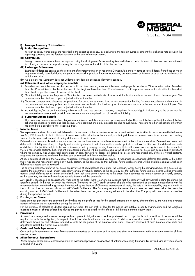

#### **l) Foreign Currency Transactions**

#### **(i) Initial Recognition**

Foreign currency transactions are recorded in the reporting currency, by applying to the foreign currency amount the exchange rate between the reporting currency and the foreign currency at the date of the transaction.

#### **(ii) Conversion**

Foreign currency monetary items are reported using the closing rate. Non-monetary items which are carried in terms of historical cost denominated in a foreign currency are reported using the exchange rate at the date of the transaction.

#### **(iii) Exchange Differences**

Exchange differences arising on the settlement of monetary items or on reporting Company's monetary items at rates different from those at which they were initially recorded during the year, or reported in previous financial statements, are recognised as income or as expenses in the year in which they arise.

**(iv)** As a policy, the Company does not undertake any foreign exchange derivative contract.

#### **m) Retirement and other employee benefits**

- Provident fund contributions are charged to profit and loss account, when contributions paid/payable are due to "Goetze India Limited Provident Fund Trust", administered by the trustees and to the Regional Provident Fund Commissioners. The Company accrues for the deficit in the Provident Fund Trust as per the books of account of the Trust.
- (ii) Gratuity liability under the Payment of Gratuity Act is accrued on the basis of an actuarial valuation made at the end of each financial year. The actuarial valuation is done as per projected unit credit method.
- (iii) Short term compensated absences are providend for based on estimates, Long term compensation liability for leave encashment is determined in accordance with company policy and is measured on the basis of valuation by an independent actuary at the end of the financial year. The actuarial valuation is done as per projected unit credit method.
- (iv) Actuarial gains/losses are immediately taken to profit and loss account. However, recognition for acturial gain is done only to the extent that the net cumulative unrecognised acturial gains exceeds the unrecognised part of transitional liability.

#### (v) **Superannuation Benefit**

The Company has superannuation obligation administered with Life Insurance Corporation of India (LIC). Contributions to the defined contribution scheme are charged to profit and loss account when contributions paid/ payable are due to such fund. There are no other obligations other than the contribution payable to the respective trusts.

#### **n) Income Taxes**

Tax expense comprises of current and deferred tax is measured at the amount expected to be paid to the tax authorities in accordance with the Income Tax Act, 1961 enacted in India. Deferred income taxes reflects the impact of current year timing differences between taxable income and accounting income for the year and reversal of timing differences of earlier years.

Deferred tax is measured based on the tax rates and the tax laws enacted or substantively enacted at the balance sheet date. Deferred tax assets and deferred tax liability are offset, if a legally enforcable right exists to set off current tax assets against current tax liabilities and the defered tax assets and deffered tax liabilities relate to the tax on income levied by same governing taxation loss. Defered tax assets are recognised only to the extent that there is reasonable certainty that sufficient future taxable income will be available against which such defered tax assets can be realised. In situations where the company has unabsorbed depriciation or carry forward tax losses, all defered tax assets are recognised only if there is virtual certainty supported by convincing evidence that they can be realised and future taxable profits.

At each balance sheet date the Company re-assesses unrecognised deferred tax assets. It recognises unrecognised deferred tax assets to the extent that it has become reasonably certain or virtually certain, as the case may be that sufficient future taxable income will be available against which such deferred tax assets can be realised.

The carrying amount of deferred tax assets are reviewed at each balance sheet date. The Company writes-down the carrying amount of a deferred tax asset to the extent that it is no longer reasonably certain or virtually certain, as the case may be, that sufficient future taxable income will be available against which deferred tax asset can be realised. Any such write-down is reversed to the extent that it becomes reasonably certain or virtually certain, as the case may be, that sufficient future taxable income will be available.

MAT credit is recognised as an asset only when and to the extent there is convincing evidence that the company will pay normal income tax during the specified period. In the year in which the Minimum Alternative tax (MAT) credit becomes eligible to be recognized as an asset in accordance with the recommendations contained in guidance Note issued by the Institute of Chartered Accountants of India, the said asset is created by way of a credit to the profit and loss account and shown as MAT Credit Entitlement. The Company reviews the same at each balance sheet date and writes down the carrying amount of MAT Credit Entitlement to the extent there is no longer convincing evidence to the effect that Company will pay normal Income Tax during the specified period.

#### **o) Earnings per Share**

Basic earnings per share are calculated by dividing the net profit or loss for the period attributable to equity shareholders by the weighted average number of equity shares outstanding during the period.

For the purpose of calculating diluted earnings per share, the net profit or loss for the period attributable to equity shareholders and the weighted average number of shares outstanding during the period are adjusted for the effects of all dilutive potential equity shares.

#### **p) Provisions**

A provision is recognised when an enterprise has a present obligation as a result of past event and it is probable that an outflow of resources will be required to settle the obligation, in respect of which a reliable estimate can be made. Provisions are not discounted to its present value and are determined based on best estimate required to settle the obligation at the balance sheet date. These are reviewed at each balance sheet date and adjusted to reflect the current best estimates.

#### **q) Cash and Cash Equivalents**

Cash and cash equivalents for cash flow statement comprises cash at bank and in hand and short-term investments with an original maturity of three months or less.

#### **r) Miscellaneous Expenditure**

 Miscellaneous expenditure representing infact of transitional provision on adoption of notified Accounting Standard 15 (revised) and is written of over a period of 5 years.

 $(33)$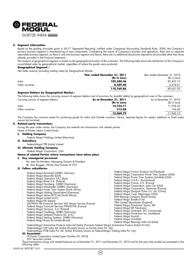

#### **3. Segment Information**

Based on the guiding principles given in AS-17 'Segmental Reporting' notified under Companies (Accounting Standard) Rules, 2006, the Company's primary business segment is manufacturing of auto components. Considering the nature of Company's business and operations, there are no separate reportable business segment, as there is only one business segment and hence, there are no additional disclosures required to be provided other than those already provided in the financial statements.

The analysis of geographical segment is based on the geographical location of the customers. The following table shows the distribution of the Company's consolidated sales by geographical market, regardless of where the goods were produced.

#### **Geographical Segment :**

Net Sales revenue (including trading sales) by Geographical Market

|                 | Year ended December 31, 2011 | Year ended December 31, 2010 |
|-----------------|------------------------------|------------------------------|
|                 | (Rs in Lacs)                 | (Rs in Lacs)                 |
| India           | 102,380.46                   | 83,433.12                    |
| Other countries | 8,389.40                     | 6.218.81                     |
|                 | 110,769.86                   | 89.651.93                    |

#### **Segment Debtors by Geographical Market :**

The following table shows the carrying amount of segment debtors (net of provision for doubtful debts) by geographical area of the customers:

| Carrying amount of segment debtors | As at December 31, 2011 | As at December 31, 2010 |
|------------------------------------|-------------------------|-------------------------|
|                                    | (Rs in Lacs)            | (Rs in Lacs)            |
| India                              | 14,754.71               | 11.798.52               |
| Other countries                    | 315.08                  | 144.60                  |
|                                    | 15,069.79               | 11.943.12               |

The Company has common assets for producing goods for India and Outside countries. Hence, separate figures for assets/ additions to fixed assets cannot be furnished.

#### **4. Related party transactions**

During the year under review, the Company has entered into transactions with related parties.

Name of Parties where Control Exists

#### **i) Holding Company**

- Federal Mogul Holdings Limited (Mauritius)
- **ii) Subsidiary**
	- Federal-Mogul TPR (India) Limited
- **iii) Ultimate Holding Company**
	- Federal Mogul Corporation, USA.

#### **Name of related Parties where transactions have taken place**

#### **i) Key managerial personnel**

- Mr. Jean De Montleur, Managing Director & President
- Mr. Dan Brugger, Whole Time Director & CFO

#### **ii) Fellow subsidiaries**

- Federal Mogul Burscheid GMBH, Germany
- Federal Mogul Maysville (USA)
- Federal Mogul Operation S.R.L (Italy)
- Federal Mogul Bimet S.A. (Poland)
- Federal Mogul Nurnberg, GMBH (Germany)
- Federal Mogul Wiesbaden GMBH, (Germany)
- Federal Mogul Power Train System (South Africa)
- Federal Mogul Holding Deutschland (Germany) - Federal Mogul Valves (PTY) Ltd (South Africa)
- Federal Mogul Limited (U.K.)
- Federal Mogul KK (Japan)
- SSCFRAN FM Financial Services SAS Veurey Voroize (France)
- Federal Mogul Financial Services FRANCTNL (France)
- Federal Mogul Gorzyce, S.A. (Poland)
- Federal Mogul Friedberg, GMBH (Germany)
- Federal Mogul Sintered Products Ltd. (U.K.)
- Federal Mogul Sealing Systems, GMBH (Germany)
- Federal Mogul Brasil do Limited (Brazil)
- Federal Mogul Friction Products Ltd (Thailand) Federal Mogul Corporation Power Train Systems (USA)
- Federal Mogul Power Train Systems Schofield (USA)
- Federal Mogul S.A.R.L. (Switzerland)
- Federal Mogul France, S.A. (France)
- Federal Mogul Corporation, Lake City (USA)
- Federal Mogul Corporation, Garennes (France)
- Federal Mogul Dongsuh Piston Co. Ltd. (China)
- Federal Mogul Corp, Mgmoogus (USA)
- KFM Bearing Company (South Korea)
- Federal Mogul Bradford Ltd.
- T&N Limited Manchester (England) Federal Mogul Powertrain Spara, MII
- Federal Mogul KK Yokohama
- Federal Mogul Sintertech SVC Functionnels
- Federal Mogul Powertrain Inc, Southbend
- Federal Mogul Kontich
- Federal Mogul Schofield
- Federal Mogul Bearings India Ltd (India)
- Federal-Mogul Automotive Products India Ltd (India) (Formerly Federal Mogul Automotive Product (India) Pvt Ltd.)
- Federal-Mogul VSP India Ltd. (India) (Formerly known as Ferodo India Pvt. Ltd.)
- Federal-Mogul PTSB India Pvt. Ltd. (India) (Formerly known as Federal-Mogul Trading India Pvt. Ltd.)
- **iii) Associates**
- GI Power Corporation Limited (upto October 05, 2010)

GTZ Securities Limited Those transactions along with related balances as at December 31, 2011 and December 31, 2010 and for the years then ended are presented in the following table:

ANNUAL REPORT 2011

 $(34)$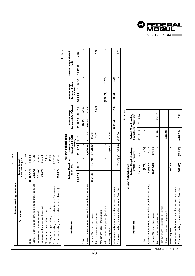| ∊ |
|---|
| n |
|   |

| Ultimate Holding Company                                    |            |                                    |
|-------------------------------------------------------------|------------|------------------------------------|
| Particulars                                                 |            | Corporation (USA)<br>Federal Mogul |
|                                                             | 31.12.11   | 31.12.10                           |
| Sales                                                       | (5,487.77) | (4, 861.58)                        |
| Purchase of raw material, intermediaries and finished goods | 382.72     | 739.55                             |
| Reimbursement of expenses paid                              | 474.57     | 315.96                             |
| Reimbursement of expenses (received)                        | (170.59)   | (322.34)                           |
| Management Support charges paid                             |            | 394.07                             |
| Management Support charges received                         |            | (46.80)                            |
| Balance outstanding as at the end of the year Receivables   |            | ,395.99                            |
| Balance outstanding as at the end of the year (Payable)     | (298.97)   | (647.66)                           |

|                                                             |          |                                 | Fellow Subsidiaries                         |          |                       |                       |                                             |                     |                                     |       |
|-------------------------------------------------------------|----------|---------------------------------|---------------------------------------------|----------|-----------------------|-----------------------|---------------------------------------------|---------------------|-------------------------------------|-------|
| Particulars                                                 |          | Federal Mogul do<br>Brasil Ltd. | Burscheid GMBH,<br>Federal Mogul<br>Germany |          | Gorzyce S.A. (Poland) | Federal Mogul         | Federal Mogul<br>Dongsuh Piston<br>Co. Ltd. |                     | Federal Mogul Limited<br> <br> U.K) |       |
|                                                             |          | $31.12.11$ 31.12.10             | 31.12.11 31.12.10                           |          |                       | $31.12.11$ $31.12.10$ |                                             | $31.12.11$ 31.12.10 |                                     |       |
| Sales                                                       |          |                                 |                                             |          | (10.10)               | (68.26)               |                                             |                     |                                     |       |
| Purchase of raw material, intermediaries and finished goods |          |                                 | 6,620.15                                    | 5,171.04 | 797.54                | 108.69                |                                             |                     |                                     |       |
| Purchase/(Sale) of Fixed Assets                             | (121.83) | 369.50                          | 3, 198.47                                   | 1,365.03 |                       |                       |                                             |                     |                                     |       |
| Reimbursement of expenses paid                              |          |                                 |                                             | 53.76    |                       | 28.07                 |                                             |                     |                                     | 17.79 |
| Mnagement Support charges paid                              |          |                                 |                                             |          |                       |                       |                                             |                     |                                     |       |
| Reimbursement of expenses (received)                        |          |                                 |                                             |          |                       |                       | (122.74)                                    | (139.22)            |                                     |       |
| Royalty Expense                                             |          |                                 | 359.21                                      | 412.56   |                       |                       |                                             |                     |                                     |       |
| Balance outstanding as at the end of the year Receivables   |          |                                 |                                             |          | (214.65)              | 7.33                  | (16.50)                                     | 19.90               |                                     |       |
| Balance outstanding as at the end of the year (Payable)     |          |                                 | $(253.33)$ $(2,166.13)$                     | (957.50) |                       |                       |                                             |                     |                                     | 5.85  |
|                                                             |          |                                 |                                             |          |                       |                       |                                             |                     |                                     |       |

 $\circledS$ 

| ÷ |
|---|

|                                                             |                                           |          |          | Rs. in lacs                                    |
|-------------------------------------------------------------|-------------------------------------------|----------|----------|------------------------------------------------|
|                                                             | Fellow Subsidiaries                       |          |          |                                                |
| Particulars                                                 | Federal Mogul Nurnberg,<br>GMBH (Germany) |          |          | Federal Mogul Holding<br>Deutschland (Germany) |
|                                                             | 31.12.11                                  | 31.12.10 | 31.12.11 | 31.12.10                                       |
| Sales                                                       | (7.22)                                    | (5.77)   |          |                                                |
| Purchase of raw material, intermediaries and finished goods | 2,693.49                                  | 61.78    |          |                                                |
| Purchase/(Sale) of Fixed Assets                             | 2,894.08                                  | 393.80   |          |                                                |
| Reimbursement of expenses paid                              |                                           |          | 81.49    | 150.25                                         |
| Reimbursement of expenses (received)                        |                                           |          |          |                                                |
| Mnagement Support charges paid                              |                                           |          | 498.52   |                                                |
| Royalty Expense                                             | 560.55                                    | 400.32   |          |                                                |
| Balance outstanding as at the end of the year Receivables   |                                           |          |          |                                                |
| Balance outstanding as at the end of the year (Payable)     | (1,208.05)                                | (275.80) | (498.52) | (10.99)                                        |



ANNUAL REPORT 2011

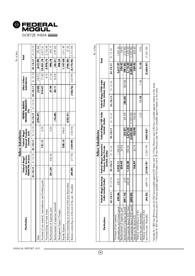

Rs. in lacs

|                                                               |                   |                                            | Fellow Subsidiaries |                                                             |                                                                                       |                                         |               |                              |                                      |           |
|---------------------------------------------------------------|-------------------|--------------------------------------------|---------------------|-------------------------------------------------------------|---------------------------------------------------------------------------------------|-----------------------------------------|---------------|------------------------------|--------------------------------------|-----------|
| Particulars                                                   | FRANCTNL (France) | <b>Financial Services</b><br>Federal Mogul |                     | <b>Sintered Products</b><br>Federal Mogul<br>Limited, (U.K) |                                                                                       | FRICTION PRODUCTS<br>FEDERAL MOGUL<br>Ë |               | Other Fellow<br>Subsidiaries | Total                                |           |
|                                                               |                   |                                            |                     |                                                             | 31.12.11   31.12.10   31.12.11   31.12.11   31.12.11   31.12.10   31.12.11   31.12.10 |                                         |               |                              | 31.12.11                             | 131.12.10 |
| Sales                                                         |                   |                                            |                     |                                                             | (593.47)                                                                              |                                         | (2.50)        | (18.51)                      | (613.29)                             | (92.54)   |
| Purchase of raw material, intermediaries and finished goods   |                   |                                            | 121.1               | 4.70                                                        |                                                                                       |                                         | 219.47        | 71.40                        | 10,451.76                            | 5,417.61  |
| Purchase/(Sale) of Fixed Assets                               |                   |                                            |                     |                                                             |                                                                                       |                                         |               | 4.75                         | 5,970.72                             | 2,133.08  |
| Reimbursement of expenses paid                                | 351.34            | 322.56                                     |                     | 0.20                                                        |                                                                                       |                                         | 57.95         | 21.56                        | 490.78                               | 594.19    |
| Reimbursement of expenses (received)                          |                   |                                            |                     |                                                             | (16.68)                                                                               |                                         | $\frac{1}{3}$ | (0.33)                       | (56.31)                              | 139.55)   |
| Management Support Charges                                    |                   |                                            |                     |                                                             |                                                                                       |                                         |               |                              | 498.52                               |           |
| Royalty Expense                                               |                   |                                            | 228.12              | 198.61                                                      |                                                                                       |                                         |               |                              | 1,147.88                             | 1,011.49  |
| eivables<br>Balance outstanding as at the end of the year Rec |                   |                                            |                     |                                                             | (535.21)                                                                              |                                         |               |                              | (766.36)                             | 27.23     |
| Balance outstanding as at the end of the year (Payable)       | (49.49)           | (17.70)                                    | (129.99)            | (105.93)                                                    |                                                                                       |                                         | (120.76)      |                              | $(135.99)$ $(4.172.94)$ $(1.751.39)$ |           |
|                                                               |                   |                                            |                     |                                                             |                                                                                       |                                         |               |                              |                                      |           |

Rs. in lacs

|                                                               |                           |                             |                                                                          | Fellow Subsidiaries |                  |                         |                                                      |          |               |            |
|---------------------------------------------------------------|---------------------------|-----------------------------|--------------------------------------------------------------------------|---------------------|------------------|-------------------------|------------------------------------------------------|----------|---------------|------------|
| Particulars                                                   | Federal Moc<br>India Limi | aul Bearings<br>ted (India) | Federal Mogul Automotive<br>Products (India) Private<br>Limited, (India) |                     | Limited, (India) | Federal-Mogul VSP India | Federal Mogul PTSB India<br>Private Limited, (India) |          | Total         |            |
|                                                               | 31.12.11                  | 31.12.10                    | 31.12.11                                                                 | 31.12.10            | 31.12.11         | 31.12.10                | 31.12.11                                             | 31.12.10 | 31.12.11      | 31.12.10   |
| intermediaries and finished goods<br>Purchase of raw material | 695.86                    | 438.91                      | 2,922.11                                                                 | 1,508.45            |                  |                         |                                                      |          | 3,617.97      | 1.947.36   |
| Reimbursement ot expenses paid                                |                           |                             | 324.42                                                                   | 24.94               |                  |                         |                                                      |          | 324.42        | 24.94      |
| Reimbursement of expenses (received)                          | (841.10)                  | 4.53                        |                                                                          |                     | (54.07)          | (43.39)                 | (86.63)                                              | (85.04)  | (981.80)      | (123.90)   |
| nter-corporate deposit (ICD) Taken                            |                           | 600.00                      | 1,235.00                                                                 | 850.00              | 3,875.00         |                         |                                                      |          | 5,110.00      | 450.00     |
| nter-corporate deposit (ICD) repaid                           | (600.00)                  |                             |                                                                          |                     | (3,405.00)       | 1,025.00)               |                                                      |          | (4,005.00)    | 1,025.001  |
| Interest on the above ICD                                     |                           |                             | 146.97                                                                   | 42.14               | 102.98           | 163.26                  |                                                      |          | 249.95        | 205.40     |
| Balance outstanding as at the<br>end of the year Receivables  |                           |                             |                                                                          |                     |                  | 235                     | 11.10                                                | 7.58     | $\frac{1}{2}$ | 9.93       |
| Balance outstanding as at the<br>end of the year (Payable)    | (45.25)                   | (499.71)                    | $(2158.19)^*$                                                            | (1,061.79)          | $(453.43)$ **    |                         |                                                      |          | (2,656.87)    | (1,561.50) |
|                                                               |                           |                             |                                                                          |                     |                  |                         |                                                      |          |               |            |

\*Includes Rs 1,885 lacs (Previous year Rs 850 lacs) payable against ICD taken and 16.19 lacs (Previous year 6.82 lacs ) payable against interest on the same.<br>\*\*Includes Rs 450 lacs (Previous year Rs Nil lacs) payable again \*Includes Rs 1,885 lacs (Previous year Rs 850 lacs) payable against ICD taken and 16.19 lacs (Previous year 6.82 lacs ) payable against interest on the same. \*\*Includes Rs 450 lacs (Previous year Rs Nil lacs) payable against ICD taken and 4.78 lacs (Previous year Nil lacs ) payable against interest on the same.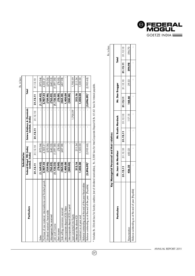|                                                             | Subsidiaries                                  |            |          |                                                |                |            |
|-------------------------------------------------------------|-----------------------------------------------|------------|----------|------------------------------------------------|----------------|------------|
| Particulars                                                 | Federal-Mogul TPR (India)<br>Limited, (India) |            |          | Satara Rubbers & Chemicals<br>Limited, (India) | Total          |            |
|                                                             | 31.12.11                                      | 31.12.10   | 31.12.11 | 31.12.10                                       | 31.12.11       | 31.12.10   |
| Sales                                                       | (1, 169.43)                                   | (973.04)   |          |                                                | (1, 169.43)    | (973.04)   |
| Purchase of raw material, intermediaries and finished goods | 5,907.42                                      | 4,505.21   |          |                                                | 5,907.42       | 4,505.21   |
| Dividend received /receivable                               | (759.90)                                      | (270.30)   |          |                                                | (759.90)       | (270.30)   |
| Management fee received                                     | (765.02)                                      | (640.53)   |          |                                                | (765.02)       | 640.53)    |
| Job work income                                             | (1, 136.23)                                   | (1,091.00) |          |                                                | (1, 136.23)    | (1,091.00) |
| Rent income                                                 | (78.00)                                       | (78.00)    |          |                                                | (78.00)        | [78.00]    |
| Sole selling commission received                            | (464.28)                                      | (407.08)   |          |                                                | (464.28)       | (407.08)   |
| Inter-corporate deposit (ICD) Taken                         | 00.004/1                                      |            |          |                                                | 1,400.00       |            |
| Inter-corporate deposit (ICD) re paid                       | (200.00)                                      |            |          |                                                | (200.00)       |            |
| Loan converted into Equity                                  |                                               |            |          | 700.59                                         |                | 1,700.59   |
| Interest on the above ICD                                   | 212.16                                        | 211.54     |          |                                                | 212.16         | 211.54     |
| Investment as at year end                                   | 1,020.00                                      | 00.020     |          |                                                | 1,020.00       | 00.020     |
| Balance outstanding as at the end of the year Receivables   |                                               |            |          |                                                |                |            |
| Balance outstanding as at the end of the year (Payable)     | $(3,896.09)^*$                                | (3,955.65) |          |                                                | $(3,896.09)^*$ | (3,955.65) |

\* Includes Rs. 334.46 lacs for Sundry creditors (net of dividend receivables), Rs. 3,500 lacs for Inter-Corporate Deposit & Rs. 61.63 lacs for interest payable. \* Includes Rs. 334.46 lacs for Sundry creditors (net of dividend receivables), Rs. 3,500 lacs for Inter-Corporate Deposit & Rs. 61.63 lacs for interest payable.

|                                                     | Key Managerial Personnel and their relatives |          |          |                    |                     |                 |                     |        |
|-----------------------------------------------------|----------------------------------------------|----------|----------|--------------------|---------------------|-----------------|---------------------|--------|
| Particulars                                         | Mr. Jean de Montlaur                         |          |          | Mr. Rustin Murdock |                     | Mr. Dan Brugger | Total               |        |
|                                                     | 31.12.11                                     | 31.12.10 | 31.12.11 |                    | $31.12.10$ 31.12.11 | 31.12.10        | $31.12.11$ 31.12.10 |        |
| emuneration                                         | 426.32                                       | 450.22   |          | 117.15             | 168.66              | 29.33           | 594.98              | 596.70 |
| salance outstanding as at the end of year (Payable) |                                              |          |          |                    |                     |                 |                     |        |
|                                                     |                                              |          |          |                    |                     |                 |                     |        |



ANNUAL REPORT 2011

 $\overline{37}$ 

Rs. in lacs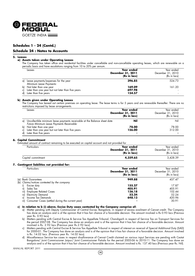

# **Schedules 1 - 24 (Contd.)**

# **Schedule 24 : Notes to Accounts**

#### **5. Leases**

#### **a) Assets taken under Operating Leases**

The Company has taken office and residential facilities under cancellable and non-cancellable operating leases, which are renewable on a periodic basis and have escalations ranging from 10 to 20% per annum.

| Leases                                                                                                            | Year ended<br><b>December 31, 2011</b><br>(Rs in lacs) | Year ended<br>December 31, 2010<br>(Rs in lacs) |
|-------------------------------------------------------------------------------------------------------------------|--------------------------------------------------------|-------------------------------------------------|
| Lease payments/expenses for the year<br>a)<br>Minimum Lease Payments:                                             | 396.85                                                 | 524.73                                          |
| Not later than one year<br>b)<br>Later than one year but not later than five years<br>c)<br>Later than five years | 169.09<br>697.98<br>154.57                             | 161.20                                          |

#### **b) Assets given under Operating Leases**

The Company has leased out certain premises on operating lease. The lease terms is for 5 years and are renewable thereafter. There are no restrictions imposed by lease arrangements.

|    | Leases                                                                                                                 | Year ended<br>December 31, 2011<br>(Rs in lacs) | Year ended<br>December 31, 2010<br>(Rs in lacs) |
|----|------------------------------------------------------------------------------------------------------------------------|-------------------------------------------------|-------------------------------------------------|
| a) | Uncollectible minimum lease payments receivable at the Balance sheet date<br>Future Minimum Lease Payments Receivable: | <b>Nil</b>                                      | Nil                                             |
| bl | Not later than one year                                                                                                | 78.00                                           | 78.00                                           |
| c) | Later than one year but not later than five years                                                                      | 156.00                                          | 312.00                                          |
|    | Later than five years                                                                                                  |                                                 |                                                 |

#### **6. Capital Commitment**

Estimated amount of contract remaining to be executed on capital account and not provided for

| <b>Particulars</b> | Year ended<br><b>December 31, 2011</b> | Year ended<br>December 31, 2010 |
|--------------------|----------------------------------------|---------------------------------|
|                    | (Rs in lacs)                           | (Rs in lacs)                    |
| Capital commitment | 4,359.65                               | 3.428.39                        |

#### **7. Contingent liabilities not provided for:**

|      | Particulars                                      | Year ended<br><b>December 31, 2011</b><br>(Rs in lacs) | Year ended<br>December 31, 2010<br>(Rs in lacs) |
|------|--------------------------------------------------|--------------------------------------------------------|-------------------------------------------------|
|      | (a) Bank Guarantees                              | 949.88                                                 | 457.47                                          |
|      | (b) Claims/notices contested by the company      |                                                        |                                                 |
|      | Excise duty                                      | 155.27                                                 | 17.87                                           |
| ii)  | Sales Tax                                        | 405.91                                                 | 405.91                                          |
| iii) | <b>Employee Related Cases</b>                    | 136.18                                                 | 102.44                                          |
| iv)  | <b>Electricity Demand</b>                        | 52.24                                                  | 52.24                                           |
| ٧l   | Income Tax Demands                               | 648.13                                                 | 420.96                                          |
| vi)  | Consumer Cases (settled during the current year) |                                                        | 30.91                                           |

#### **c) In relation to b (i) above, Excise Duty cases contested by the Company comprise of:**

- a) Matter pending with Deputy Commissioner of Central Excise, Bangalore, in respect of excess availment of Cenvat credit. The Company has done an analysis and is of the opinion that it has fair chance of a favorable decision. The amount involved is Rs 0.93 lacs (Previous year Rs. 0.93 lacs)
- b) Matters pending with Central Excise & Service Tax Appellate Tribunal, Chandigarh in respect of Service Tax on Transport Services for the period 2007-08. The Company has done an analysis and is of the opinion that it has fair chance of a favorable decision. Amount involved is Rs. 2.92 lacs (Previous year Rs.2.92 lacs).
- c) Matters pending with Central Excise & Service Tax Appellate Tribunal in respect of interest on reversal of Special Additional Duty (SAD) for 2000-01. The Company has done an analysis and is of the opinion that it has fair chance of a favorable decision. Amount involved is Rs. 14.02 lacs. (Previous year Rs. 14.02 lacs).
- d) Miscellaneous Service tax cases in respect disallowance of Cenvat Credit claimed on various input Services are pending with Cestat Bangalore/ Joint Commissioner Jaipur/ Joint Commissioner Patiala for the period 2005-06 to 2010-11. The Company has done an analysis and is of the opinion that it has fair chance of a favorable decision. Amount involved is Rs. 137.40 lacs (Previous year Rs. Nil).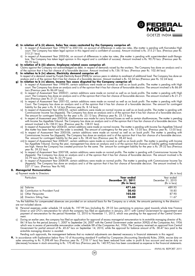

#### **d) In relation of b (ii) above, Sales Tax cases contested by the Company comprise of:**

- i) In respect of Assessment Year 1996-97 to 2001-02, on account of differences in sales tax rates, (the matter is pending with Karnataka High court. The Company has taken legal opinion in this regard and is confident of success). Amount involved is Rs. 315.21 lacs. (Previous year Rs. 315.21 lacs).
- ii) In respect of Assessment Year 2005-06, on account of differences in sales tax rates, (the matter is pending with superintendent audit Bangalore. The Company has taken legal opinion in this regard and is confident of success). Amount involved is Rs. 90.70 lacs. (Previous year Rs. 90.70 lacs).
- **e) In relation of b (iii) above, Employee related cases comprise of:**
- Claims against the Company not acknowledged as debt, in respect of demands raised by the workers. The Company has done an analysis and is of the opinion that it has fair chance of a favorable decision. Amount involved is Rs.136.18 lacs. (Previous year Rs. 102.44 lacs)
- **f) In relation to b (iv) above, Electricity demand comprise of:** In respect of a demand raised by Punjab Electricity Board (PSEB) for various years in relation to availment of additional load. The Company has done an analysis and is of the opinion that it has fair chance of a favorable decision. Amount involved is Rs. 52.24 lacs (Previous year Rs. 52.24 lacs).

#### **g) In relation to b (v) above, Income Tax cases disputed by the Company comprise of:**

- i) In respect of Assessment Year 1998-99, certain additions were made on normal as well as on book profits. The matter is pending with High court. The Company has done an analysis and is of the opinion that it has fair chance of favourable decision. The amount involved is Rs 86.69 Lacs (Previous year Rs 86.69 Lacs).
- In respect of Assessment Year 2000-01, certain additions were made on normal as well as on book profits. The matter is pending with High court. The Company has done an analysis and is of the opinion that it has fair chance of favourable decision. The amount involved is Rs 21.21 Lacs (Previous year Rs 21.21 Lacs).
- iii) In respect of Assessment Year 2001-02, certain additions were made on normal as well as on book profit. The matter is pending with High Court. The Company has done an analysis and is of the opinion that it has fair chance of a favorable decision. The amount for contingent liability for the year is Rs. 8.14 lacs (Previous year Rs. 8.14 lacs).
- iv) In respect of Assessment Year 2002-03, certain additions were made on normal income as well as on book profits. The matter is pending with Commissioner Income Tax (Appeals). The Company has done an analysis and is of the opinion that it has fair chance of a favorable decision. The amount for contingent liability for the year is Rs. 23.13 lacs. (Previous year Rs. 23.13 lacs).
- In respect of Assessment year 2003-04, disallowance was made for carry forward losses as well as certain disallowances. The matter is pending with Income Tax Appellate Tribunal. The Company has done an analysis and is of the opinion that it has fair chance of a favorable decision. The amount involved is Rs.158.01 lacs. (Previous year Rs. 158.01 lacs).
- vi) In respect of Assessment Year 2004-05, certain additions were made on normal income. The matter is pending with Income Tax Appellate Tribunal (the matter has been heard and the order is awaited). The amount of contingency for the year is Rs. 13.05 lacs. (Previous year Rs. 13.05 lacs)
- vii) In respect of Assessment Year 2005-06, certain additions were made on normal as well as on book profit. The matter is pending with Commissioner Income Tax (Appeals). The Company has done an analysis and is of the opinion that it has fair chance of a favorable decision. The amount for contingent liability for the year is Rs. 38.42 lacs (Previous year Rs. 38.42 lacs).
- viii) In respect of Assessment Year 2006-07, certain additions were made on normal as well as on book profit. The matter is pending with Income Tax Appellate Tribunal. During the year, management has done an analysis and is of the opinion that chances of liability getting materialised are high. Hence the Company has created provision for the same. The amount for contingent liability for the year is Rs. 39.52 lacs (Previous year Rs. 39.52 lacs)
- ix) In respect of Assessment Year 2007-08, certain additions were made on normal profits. The matter is pending with Commissioner Income Tax (Appeals). The Company has done an analysis and is of the opinion that it has fair chance of favorable decision. The amount involved is Rs 32.79 Lacs (Previous Year Rs 32.79 Lacs).
- In respect of Assessment Year 2008-09, certain additions were made on normal profits. The matter is pending with Commissioner Income Tax (Appeals). The Company has done an analysis and is of the opinion that it has fair chance of favorable decision. The amount involved is Rs 227.17 Lacs. (Previous Year Rs Nil).

#### **8. Managerial Remuneration**

| a) Payment made to Directors:      |                                                        | (Rs in lacs)                                    |
|------------------------------------|--------------------------------------------------------|-------------------------------------------------|
| Particulars                        | Year ended<br><b>December 31, 2011</b><br>(Rs in lacs) | Year ended<br>December 31, 2010<br>(Rs in lacs) |
| Salaries<br>(a)                    | 471.66                                                 | 489.95                                          |
| (b) Contribution to Provident Fund | 20.43                                                  | 18.85                                           |
| (c) Other Perquisites              | 102.88                                                 | 87.90                                           |
| (d) Directors Sitting Fees         | 10.80                                                  | 11.67                                           |

\*As the liabilities for compensated absences are provided on an actuarial basis for the Company as a whole, the amounts pertaining to the directors are not included above.

b) Personal expenses under schedule 18 include Rs. 197.99 lacs (including Rs. 29.33 lacs pertaining to previous year) towards whole time Finance Direct or and CFO's remuneration for which the company has filed an application in January, 2011 with Central Government for appointment and payment of remuneration for the period November 12, 2010 to November 11, 2015, which was pending for the approval of the Central Government.

c) During an earlier year, the company has filed an application for approval of excess managerial remuneration to its erstwhile managing director of Rs. 84.14 lacs for the period January 1, 2007 to September 24, 2007 with the Central Government under section 309(3) of the Companies Act, 1956 which was in excess of permissible remuneration under schedule XIII of the Companies Act, 1956. The Company received an approval from Central Government for partial amount of Rs. 45.67 lacs on September 14, 2010, while the approval for balance amount of Rs. 38.47 lacs paid to the erstwhile managing director is awaited.

Pending such approvals, the management believes that no material adjustments are deemed necessary in financial statements in this regard.

**9.** In accordance with Explanation below Para 10 of Accounting standard 9 notified by Companies (Accounting Standards) Rules, 2006, excise duty on sales amounting to Rs. 9,398.49 lacs (Previous year Rs. 7,218.17 lacs) has been reduced from sales in profit & loss account and excise duty on (decrease)/increase in stock amounting to Rs. 170.40 lacs (Previous year Rs. 140.97) lacs has been considered as expense in the financial statements.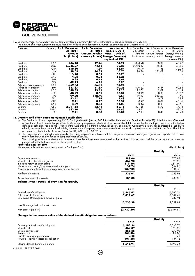

#### **10.** During the year, the Company has not taken any foreign currency derivative instruments to hedge its foreign currency risk. The amount of foreign currency exposure that is not hedged by a derivative instrument or otherwise as at December 31, 2011:

| The different of foreign correlaty exposure filar is not neaged by a derivative filstrument of otherwise as at December 01, 2011. |             |                         |                       |                                     |                |                        |                                    |
|-----------------------------------------------------------------------------------------------------------------------------------|-------------|-------------------------|-----------------------|-------------------------------------|----------------|------------------------|------------------------------------|
| Particulars                                                                                                                       |             | Currency As At December | <b>As At December</b> | Year ended                          | As at December | As at December         | As at December                     |
|                                                                                                                                   |             | 31, 2011                | 31, 2011              | Dec. 31, 2011                       | 31, 2010       | 31, 2010               | 31, 2010                           |
|                                                                                                                                   |             | Amount                  |                       | Amount (Foreign (Rates, 1 Unit of   |                | Amount Amount (Foreign | (Rates, 1 Unit of)                 |
|                                                                                                                                   |             | Rs. (in lacs)           |                       | currency in lacs) Foreign Currency) | Rs.(in lacs)   |                        | currency in lacs) Foreign currency |
|                                                                                                                                   |             |                         |                       | equivalent INR)                     |                |                        | equivalent INR)                    |
| Creditors                                                                                                                         | <b>USD</b>  | 936.18                  | 17.26                 | 54.24                               | 1.394.90       | 30.81                  | 45.27                              |
| Creditors                                                                                                                         | <b>EURO</b> | 5,246.27                | 74.68                 | 70.25                               | 2.710.17       | 55.47                  | 48.86                              |
| Creditors                                                                                                                         | <b>GBP</b>  | 116.30                  | 1.39                  | 83.67                               | 110.99         | 1.58                   | 70.25                              |
| Creditors                                                                                                                         | JPY         | 59.08                   | 84.35                 | 0.70                                | 96.88          | 173.07                 | 0.56                               |
| Creditors                                                                                                                         | <b>CHF</b>  | 5.20                    | 0.09                  | 57.73                               |                |                        |                                    |
| Creditors                                                                                                                         | CAD         | 4.26                    | 0.08                  | 53.25                               |                |                        |                                    |
| Creditors                                                                                                                         | THB         | 0.25                    | 0.15                  | 1.67                                |                |                        |                                    |
| Creditors                                                                                                                         | <b>SEK</b>  | 49.25                   | 6.21                  | 7.93                                |                |                        |                                    |
| Advance from customers                                                                                                            | <b>USD</b>  | 1,952.64                | 36.00                 | 54.24                               |                |                        |                                    |
| Advance to creditors                                                                                                              | <b>EUR</b>  | 833.87                  | 11.87                 | 70.25                               | 390.52         | 6.44                   | 60.64                              |
| Advance to creditors                                                                                                              | <b>USD</b>  | 699.33                  | 13.41                 | 52.15                               | 92.51          | 2.07                   | 44.69                              |
| Advance to creditors                                                                                                              | <b>GBP</b>  | 48.99                   | 0.61                  | 80.31                               | 58.12          | 0.83                   | 70.02                              |
| Advance to creditors                                                                                                              | JPY         | 99.80                   | 148.49                | 0.67                                | 119.57         | 213.59                 | 0.56                               |
| Advance to creditors                                                                                                              | <b>SEK</b>  | 53.41                   | 7.14                  | 7.48                                | 5.41           | 0.79                   | 6.85                               |
| Advance to creditors                                                                                                              | <b>CHF</b>  | 9.41                    | 0.17                  | 55.34                               | 0.97           | 0.02                   | 48.66                              |
| Advance to creditors                                                                                                              | CAD         | 4.09                    | 0.08                  | 51.08                               | 0.46           | 0.01                   | 45.61                              |
| Debtors                                                                                                                           | <b>USD</b>  | 2,211.68                | 42.41                 | 52.15                               | 301.36         | 6.73                   | 44.78                              |
| <b>Debtors</b>                                                                                                                    | <b>EURO</b> | 532.70                  | 7.90                  | 67.43                               | 65.73          | 1.11                   | 59.22                              |
| <b>Debtors</b>                                                                                                                    | <b>GBP</b>  | 2.41                    | 0.03                  | 80.31                               | 27.11          | 0.40                   | 67.78                              |

#### **11. Gratuity and other post-employment benefit plans:**

a) The Guidance Note on implementing AS-15, Employee Benefits (revised 2005) issued by the Accounting Standard Board (ASB) of the Institute of Chartered Accountants of India states that provident funds set up by employers, which requires interest shortfall to be met by the employer, needs to be treated as defined benefit plan. Pending the issuance of the Guidance Note from the Actuarial Society of India, the Company's actuary has expressed his inability to reliably measure the provident fund liability. However, the Company, on a conservative basis has made a provision for the deficit in the fund. The deficit accounted for the in the books as on December 31, 2011 is Rs. 50.57 lacs.

b) The Company has a defined benefit gratuity plan. Every employee who has completed five years or more of service gets a gratuity on departure at 15 days salary (last drawn salary) for each completed year of service.

The following table summarizes the components of net benefit expense recognised in the profit and loss account and the funded status and amounts recognised in the balance sheet for the respective plans.

**Profit and Loss account**

| Net employee benefit expense (recognised in Employee Cost)                                                     |                   | (Rs. in lacs)       |
|----------------------------------------------------------------------------------------------------------------|-------------------|---------------------|
|                                                                                                                |                   | Gratuity            |
|                                                                                                                | 2011              | 2010                |
| Current service cost                                                                                           | 288.66            | 270.98              |
| Interest cost on benefit obligation                                                                            | 467.90            | 398.23              |
| Expected return on plan assets                                                                                 | (319.39)          | (284.34)            |
| Net actuarial(gain) / loss recognised in the year<br>Previous years actuarial gains recognized during the year | 37.74<br>(239.90) | (40.86)<br>(100.10) |
| Net benefit expense                                                                                            | 235.01            | 243.91              |
| Actual Return on Plan Assets                                                                                   | 180.08            | 489.37              |
| <b>Balance sheet - Details of Provision for gratuity</b>                                                       |                   |                     |
|                                                                                                                |                   | Gratuity            |
|                                                                                                                | 2011              | 2010                |
| Defined benefit obligation                                                                                     | 6,545.91          | 6,192.34            |
| Fair value of plan assets                                                                                      | 3,812.62          | 3,882.44            |
| Cumulative Unrecognized actuarial gains                                                                        |                   | 239.91              |
|                                                                                                                | 2,733.29          | 2,549.81            |
| Less: Unrecognised past service cost                                                                           |                   |                     |
| Plan asset / (liability)                                                                                       | (2,733.29)        | (2,549.81)          |

## **Changes in the present value of the defined benefit obligation are as follows:**

|                                          | Gratuity |                   |  |
|------------------------------------------|----------|-------------------|--|
|                                          | 2011     | 2010              |  |
| Opening defined benefit obligation       | 6,192.34 | 5.535.76          |  |
| Interest cost                            | 467.89   | 398.23            |  |
| Current service cost                     | 288.66   | 270.98            |  |
| Benefits paid                            | (304.90) | (195.54)<br>18.75 |  |
| Transfer from group company              | 3.48     |                   |  |
| Actuarial (gains) / losses on obligation | (101.56) | 164.16            |  |
| Closing defined benefit obligation       | 6,545.91 | 6,192.34          |  |
|                                          |          |                   |  |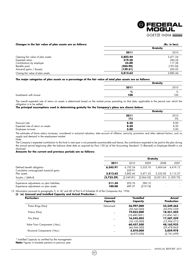

#### **Changes in the fair value of plan assets are as follows: (Rs. in lacs)**

|                                   | Gratuity |          |  |
|-----------------------------------|----------|----------|--|
|                                   | 2011     | 2010     |  |
| Opening fair value of plan assets | 3,882.44 | 3,471.24 |  |
| Expected return                   | 319.38   | 284.34   |  |
| Contributions by employer         | 55.00    | 117.38   |  |
| Benefits paid                     | (304.90) | (195.54) |  |
| Actuarial gains / (losses)        | (139.31) | 205.03   |  |
| Closing fair value of plan assets | 3,812.62 | 3.882.44 |  |

#### **The major categories of plan assets as a percentage of the fair value of total plan assets are as follows:**

|      | Gratuity             |
|------|----------------------|
| 2011 | 2010                 |
| %    | 07<br>$\sqrt{\circ}$ |
| 100  | 100                  |

The overall expected rate of return on assets is determined based on the market prices prevailing on that date, applicable to the period over which the obligation is to be settled.

#### **The principal assumptions used in determining gratuity for the Company's plans are shown below:**

|                                   |      | Gratuity |
|-----------------------------------|------|----------|
|                                   | 2011 | 2010     |
|                                   | (%)  | (%)      |
|                                   | 8.50 | 8.00     |
| Expected rate of return on assets | 8.50 | 8.50     |
|                                   | 5.00 | 5.00     |

The estimates of future salary increases, considered in actuarial valuation, take account of inflation, seniority, promotion and other relevant factors, such as supply and demand in the employment market.

Note:

The Company's expected contribution to the fund in next year is not presently ascertainable and hence, the contribution expected to be paid to the plan during the annual period beginning after the balance sheet date as required by Para 120 (o) of the Accounting Standard 15 (Revised) on Employee Benefit is not disclosed.

#### **Amounts for the current and previous periods are as follows:**

|                                            |            |            | Gratuity   |                           |          |  |  |
|--------------------------------------------|------------|------------|------------|---------------------------|----------|--|--|
|                                            | 2011       | 2010       | 2009       | 2008                      | 2007     |  |  |
| Defined benefit obligation                 | 6,545.91   | 6.192.34   | 5.535.76   | 5.404.64                  | 4.419.12 |  |  |
| Cumulative unrecognized actuarial gains    |            | 239.91     |            |                           |          |  |  |
| Plan assets                                | 3,812.62   | 3.882.44   | 3.471.23   | 3.352.83                  | 3.115.37 |  |  |
| Surplus / (deficit)                        | (2,733.29) | (2.549.81) | (2,064.53) | $(2,051.81)$ $(1,303.75)$ |          |  |  |
| Experience adjustments on plan liabilities | 511.34     | 205.76     | 280.10     |                           |          |  |  |
| Experience adjustments on plan assets      | 180.08     | 489.37     | (210.74)   |                           |          |  |  |

12. Information pursuant to paragraphs 3, 4, 4C and 4D of Part II of Schedule VI of the Companies Act, 1956.

**(i) (a) Licensed and Installed Capacity and Actual Production : Particulars Licensed \*Installed Actual Capacity Capacity Production** Piston Rings (Nos) **52,349,365**<br>
Delicensed **56,997,000 52,349,365**<br>
(50,992,559) 58,560,000 (50,992,559) (50,992,559) Pistons (Nos) ,, **19,055,000 18,251,502** (18,480,000)<br>**16,545,003 17,587,359**  Pins (Nos) ,, **16,545,003 17,587,359** (18,120,000) (15,904,571)<br>**60,457,500 48,162,932** 

Valve Train Components ( Nos.) , **60,457,500** , **60,457,500** , **60,457,500** 46,944,000)<br>**5,870,000** (39,478,863) Structural Components ( Nos.) **5,870,000** ( Structural Components ( Nos.)

\* Installed Capacity as certified by the management.

**Note:** Figures in brackets pertains to previous year

(2,741,699)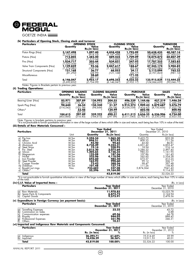

**GOETZE INDIA \_** 

#### **(b) Particulars of Opening Stock, Closing stock and turnover**

| <b>Particulars</b>           |                                   | <b>OPENING STOCK</b>          |                                     | <b>CLOSING STOCK</b>          |                                           | <b>TURNOVER</b>                         |  |  |
|------------------------------|-----------------------------------|-------------------------------|-------------------------------------|-------------------------------|-------------------------------------------|-----------------------------------------|--|--|
|                              | Quantity                          | Value<br>Rs.(in lacs)         | Quantity                            | Value<br>Rs.(in lacs)         | Quantity                                  | Value<br>Rs.(in lacs)                   |  |  |
| Piston Rings (Nos)           | 3,147,498                         | 1,097.40                      | 4,858,428                           | 1,795.09                      | 50,638,435                                | 40,387.14                               |  |  |
| Pistons (Nos)                | ,735,013)<br>712.805<br>1579.9611 | 1918.331<br>.382.40<br>319.04 | (3, 147, 498)<br>889,435<br>12,805) | .097.401<br>.709.09<br>382.40 | 150.580.0741<br>18.074.872<br>15,271,2981 | 137.450.071<br>60,807.29<br>(44,235.18) |  |  |
| Pins (Nos)                   | .034.717                          | 303.44                        | 834.821                             | 347.02                        | 17.787,255                                | 7.582.85                                |  |  |
| Valve Train Components (Nos) | 020,504)<br>29,859<br>,274,082)   | (288.75)<br>93.56<br>(109.27) | ,034,717)<br>2.047.617<br>129.8591  | (303.44)<br>188.67<br>(93.56) | .890.3581<br>47.245.174<br>(39.623.086)   | (5,953.85)<br>5,904.82<br>(4,426.54)    |  |  |
| Structural Components (Nos)  | 121,168<br>(81, 292)              | 36.77<br>(28.99)              | 68,052<br>(121, 168)                | 24.11<br>(36.77)              | 2,113,094<br>(2,701,823)                  | 762.23<br>(981.13)                      |  |  |
| <b>Miscellaneous</b>         |                                   | 38.60<br>189.711              |                                     | 171.25<br>138.601             |                                           |                                         |  |  |
| Total                        | 6,146,047<br>15,690,852)          | 2,952.17<br>(2,754.09)        | 8,698,353<br>(6, 146, 047)          | 4,235.23<br>(2,952.17)        | 135,915,834<br>(124,066,639)              | 115,444.35<br>(93, 046.77)              |  |  |

Notes: Figures in Brackets pertain to previous year.

#### **(ii) Trading Operations:**

| <b>Particulars</b>  | Quantity                               | <b>OPENING BALANCE</b><br>Value | Quantity                                | <b>CLOSING BALANCE</b><br>Value | Quantity                                | <b>PURCHASE</b><br>Value           | <b>SALES</b><br>Quantity                 | Value                                  |
|---------------------|----------------------------------------|---------------------------------|-----------------------------------------|---------------------------------|-----------------------------------------|------------------------------------|------------------------------------------|----------------------------------------|
|                     |                                        | Rs.(in lacs)                    |                                         | Rs.(in lacs)                    |                                         | Rs.(in lacs)                       |                                          | Rs.(in lacs)                           |
| Bearing\Liner (Nos) | 85,971                                 | 207.89                          | 124,992                                 | 304.55                          | 496,239                                 | 144.46، ا                          | 457.219                                  | <b>A46.24, I</b>                       |
| Spark Plug (Nos)    | $\binom{89,318}{98,644}$<br>(314, 542) | (175.48 )<br>36.54<br>(101.58)  | (85,971)<br><b>134,230</b><br>(98, 644) | $(207.89)$<br>51.27             | (476,487)<br>5.915.273<br>(4, 534, 558) | 1072.77<br>,909.43<br>1416.62)     | $(479, 834)$<br>5,879,687<br>(4,750,456) | $(1,436.27)$<br><b>2,476.79</b>        |
| Others*             |                                        | 53.46<br>(39.39)                |                                         | [36.54]                         |                                         | 602.46                             |                                          | $\left[ \frac{922.78}{800.96} \right]$ |
| Total               | 184,615<br>(403, 860)                  | 297.89<br>(316.45)              | 259,222<br>(184,615)                    | (53.46)<br>490.31<br>(297.89)   | 6,411,512<br>(5,011,045)                | (293.02)<br>3,656.35<br>(2,782.41) | 6,336,906<br>(5, 230, 290)               | (464.28)<br>4,724.00<br>(3,823,33)     |

Note: Figures in brackets pertains to previous year<br>\*It is not practicable to furnish quantitative information in view of the large number of items which differ in size and nature, each being less than 10% in value of the **(iii) Details of Raw Materials Consumed :**

| <b>Particulars</b>                                                                                                                                                                                                                                          |                                                                                                                           |                                                                                                                                                         | Year Ended<br>December 31, 2011                                                                                                                               | Year Ended<br>December 31, 2010                                                                                                               |                                                                                                                                                            |
|-------------------------------------------------------------------------------------------------------------------------------------------------------------------------------------------------------------------------------------------------------------|---------------------------------------------------------------------------------------------------------------------------|---------------------------------------------------------------------------------------------------------------------------------------------------------|---------------------------------------------------------------------------------------------------------------------------------------------------------------|-----------------------------------------------------------------------------------------------------------------------------------------------|------------------------------------------------------------------------------------------------------------------------------------------------------------|
|                                                                                                                                                                                                                                                             | Unit                                                                                                                      | Quantity                                                                                                                                                | Rs.(in lacs)                                                                                                                                                  | Quantity                                                                                                                                      | Rs.(in lacs)                                                                                                                                               |
| Pig Iron<br>a)<br>bl<br>Alloys<br>Chrómic Acid<br>Aluminum<br>dl<br>Steel Strips<br>Pin .Steel<br>Silicon<br>9)<br>Magnesium<br>Nickel<br>Iron Powder<br>Steel Powder<br>Copper Powder<br><b>Distalloys</b><br>m<br>Bought out rings<br>nı<br>Others*<br>οI | M.Ton<br>M.Ton<br>M.Ton<br>M.Ton<br>M.Ton<br>M.Ton<br>M.Ton<br>M.Ton<br>M.Ton<br>M.Ton<br>M.Ton<br>M.Ton<br>M.Ton<br>Nos. | 3,594.54<br>898.51<br>42.40<br>8,734.49<br>19.14<br>3,815.20<br>7202.65<br>125.08<br>325.06<br>642.60<br>162.92<br>73.42<br>101.48<br>733,682<br>35,596 | ,065.30<br>875.93<br>94.65<br>9,323.21<br>238.95<br>3,075.64<br>2,126.35<br>187.56<br>4,118.04<br>485.50<br>990.60<br>388.56<br>157.14<br>527.08<br>19,164.00 | 3,425.73<br>809.33<br>43.60<br>6,851.42<br>18.94<br>3,286.33<br>985.53<br>107.86<br>265.60<br>673.57<br>99.12<br>98.47<br>111.26<br>5,874,364 | 853.28<br>711.26<br>86.81<br>6,853.47<br>216.14<br>2,497.45<br>161.95<br>161.43<br>2,354.38<br>412.25<br>506.17<br>397.48<br>158.40<br>7041.43<br>9,114.32 |

**Total 42,819.00** 32,526.22 \*It is not practicable to furnish quantitative information in view of the large number of items which differ in size and nature, each being less than 10% in value<br>of the total.

|                            | (iv) C.I.F. Value of Imported items :                                                                                     |                        |                                             |                        | (Rs. in Lacs)                              |
|----------------------------|---------------------------------------------------------------------------------------------------------------------------|------------------------|---------------------------------------------|------------------------|--------------------------------------------|
|                            | <b>Particulars</b>                                                                                                        |                        | Year Ended<br>December 31, 2011             |                        | Year Ended<br>December 31, 2010            |
| (a)<br>(b)<br>(c           | Raw Materials<br>Spare Parts & Components<br>Capital Goods                                                                |                        | 11,978.85<br>6,872.75<br>9,573.91           |                        | 10,533.78<br>3,124.94<br>2.478.56          |
|                            | (v) Expenditure in Foreign Currency (on payment basis):                                                                   |                        |                                             |                        | (Rs. in Lacs)                              |
|                            | <b>Particulars</b>                                                                                                        |                        | Year Ended<br>December 31, 2011             |                        | Year Ended<br>December 31, 2010            |
| (9) (9) (9)<br>(9) (9) (9) | <b>Travelling Expenses</b><br>Commission on Sales<br>Communication expenses<br>Royalty<br>Professional Expenses<br>Others |                        | 32.22<br>69.56<br>944.02<br>231.96<br>10.51 |                        | 43.72<br>6.88<br>64.78<br>888.42<br>346.31 |
|                            | (vi) Imported and Indigenous Raw Materials and Components Consumed:                                                       |                        |                                             |                        |                                            |
|                            | <b>Particulars</b>                                                                                                        |                        | Year Ended<br>December 31, 2011             |                        | Year Ended<br>December 31, 2010            |
|                            |                                                                                                                           | Rs. (in lacs)          | %                                           | Rs. (in lacs)          | %                                          |
| (а)<br>(b)                 | Indigenous<br>Imported                                                                                                    | 26,392.71<br>16,426.29 | 61.64%<br>38.36%                            | 19.514.69<br>13,011.53 | 59.99<br>40.01                             |
|                            | Total                                                                                                                     | 42,819.00              | 100.00%                                     | 32,526.22              | 100.00                                     |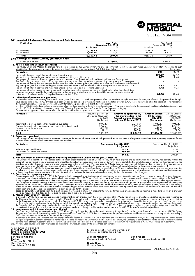

 $G$ OFT $7$ FINDIA  $\square$ 

#### **(vii) Imported & Indigenous Stores, Spares and Tools Consumed**

|           | Particulars                                     |                       | <b>Year Ended</b><br>December 31, 2011 |                   |                   |  |
|-----------|-------------------------------------------------|-----------------------|----------------------------------------|-------------------|-------------------|--|
|           |                                                 | Rs. in lacs           |                                        | Rs. in lacs       | December 31, 2010 |  |
| (a)<br>ÌЫ | Indiaenous<br>Imported                          | 12,225.48<br>1,034.00 | 92.20%<br>7.80%                        | 8900.76<br>785.00 | 91.90 %<br>8.10%  |  |
|           | Total                                           | 13,259.48             | 100.00%                                | 9685.76           | 100.00            |  |
| (viii)    | Earnings in Foreign Currency (on accrual basis) |                       |                                        |                   |                   |  |

#### Export on FOB basis **8,389.40** 6,218.81 **13. Micro, Small and Medium Enterprises**

| The Micro, Small and Medium Enterprises have been identified by the Company from the available information, which has been relied upon by the auditors. According to such<br>identification, the disclosures in respect to Micro and Small Enterprises as per MSMED Act, 2006 is as follows: |        | (Rs. in lacs) |
|----------------------------------------------------------------------------------------------------------------------------------------------------------------------------------------------------------------------------------------------------------------------------------------------|--------|---------------|
| <b>Particulars</b>                                                                                                                                                                                                                                                                           | 2011   | 2010          |
| The principal amount remaining unpaid as at the end of year                                                                                                                                                                                                                                  | 173.27 | 147.97        |
| Interest due on above principal and remaining unpaid as at the end of the year                                                                                                                                                                                                               | 1.59   | 0.44          |
| The amount of interest paid by the buyer in terms of section 16, of the Micro Small and Medium Enterprise Development                                                                                                                                                                        |        |               |
| Act, 2006 along with the amounts of the payment made to the supplier beyond the appointed day during each accounting year                                                                                                                                                                    |        |               |
| The amount of interest due and payable for the period of delay in making payment (which have been paid but beyond the appointed                                                                                                                                                              |        |               |
| day during the year) but without adding the interest specified under Micro Small and Medium Enterprise Development Act, 2006.                                                                                                                                                                | 12.83  | 8.91          |
| The amount of interest accrued and remaining unpaid at the end of each accounting year; and                                                                                                                                                                                                  | 14.42  | 9.35          |
| The amount of further interest remaining due and payable even in the succeeding years, until such date when the interest dues                                                                                                                                                                |        |               |
| as above are actually paid to the small enterprise for the purpose of disallowance as a deductible expenditure under section 23                                                                                                                                                              |        |               |
| of the Micro Small and Medium Enterprise Development Act, 2006                                                                                                                                                                                                                               | 34.90  | 20.48         |

#### **14. Utilisation of proceeds of Right Issue**

In the earlier years, the Company had issued 23,011,192 shares @ Rs. 10 each at a premium of Rs. 46 per share on right issue basis for cash, out of which, the proceeds of the right<br>issue aggregating to Rs. 11,737.50 lacs h

| Particulars                                                           | Amount as per letter of | Amount as approved by   | <b>Amount utilized</b> | Amount utilized |
|-----------------------------------------------------------------------|-------------------------|-------------------------|------------------------|-----------------|
|                                                                       | offer dated November    | the shareholders in the | till December          | till December   |
|                                                                       | . 2008                  | Annual General Meetina  | 31, 2011               | 31, 2010        |
|                                                                       | (Rs. in lacs)           | held on 25th June 2010  | (Rs. in lacs)          | (Rs. in lacs)   |
| Repayment of existing debt on their respective due dates              | 3.040.67                | 3.040.67                | 3.040.67               | 3.040.67        |
| Payment to suppliers for purchase of machineries (including interest) | 9.296.61                | 9.296.61                | 9.296.61               | 8.753.51        |
| General corporate purposes                                            | 431.30                  | 441.65                  | 441.65                 | 441.65          |
| Issue expenses                                                        | 117.69                  | 107.34                  | 107.34                 | 107.34          |
| Total                                                                 | 12.886.27               | 12,886.27               | 12,886.27              | 12.343.17       |

#### **15. Expenses capitalised**

The Company has capitalized various expenses incurred in the course of construction of self generated assets, the details of expenses capitalized from operating expenses for the purpose of construction of self generated as

| <b>Particulars</b>                                            | Year ended Dec. 31, 2011<br>Rs. (in lacs) | Year ended Dec. 31, 2010<br>lin lacs |
|---------------------------------------------------------------|-------------------------------------------|--------------------------------------|
| Salaries, wages and bonus<br>Consumption of stores and spares | 177.53<br>266.30                          | 120.66<br>180.98                     |
| Total                                                         | 443.83                                    | 301.64                               |

16. Non fulfillment of export beligetion under Export Promotion Capital Goods scheme, which have expired and against which the Company has partially fulfilled the export obligation (levied in lieu of permission to import f

Based on consultation's obtained from the experts in respect of the said matters, in management's view, no further costs are expected to be incurred to remediate for which a provision<br>
18. Management support charges<br>
ID De

In addition to the above, the Company has now changed the classification the investment in GIPCL from long term investment to current investment, as the Company is assessing various options<br>for liquidating these investment

| As per our report of even date<br>For S.R.BATLIBOI & CO.<br>Firm Registration No: 301003E<br><b>Chartered Accountants</b> | For and on behalf of the Board of Directors of<br>Federal-Mogul Goetze (India) Limited |
|---------------------------------------------------------------------------------------------------------------------------|----------------------------------------------------------------------------------------|
| per Pankaj Chadha<br>Partner<br>Membership No. 91813                                                                      | Jean de Montlaur<br>Managing Director & President                                      |

Place: Gurgaon<br>Date: February 29, 2012 **Company Secretary Secretary** 

**Jean de Montlaur Chadha Dan Brugger<br>Managing Director & President Chaddha Dan Director & Changing Director & CFO Partners Managing Director & President Khalid Khan** 

 $(43)$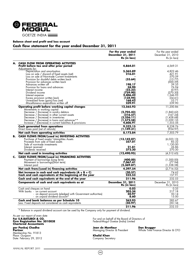

#### **Balance sheet and profit and loss account**

### **Cash flow statement for the year ended December 31, 2011**

|    |                                                                                                                                                                                                                                                                                 | For the year ended<br><b>December 31, 2011</b><br>Rs (in lacs)          | For the year ended<br>December 31, 2010<br>Rs (in lacs)        |
|----|---------------------------------------------------------------------------------------------------------------------------------------------------------------------------------------------------------------------------------------------------------------------------------|-------------------------------------------------------------------------|----------------------------------------------------------------|
| А. | <b>CASH FLOW FROM OPERATING ACTIVITIES</b><br>Profit before tax and after prior period<br>Adjustments for:                                                                                                                                                                      | 4,864.01                                                                | 4,569.31                                                       |
|    | Depreciation and amortisation<br>Loss on sale / discard of fixed assets (net)<br>Loss on sale of Non-trade Current Investments                                                                                                                                                  | 5,365.89<br>216.01                                                      | 4,822.46<br>421.91<br>570.59                                   |
|    | Provision for doubtful debts written back<br>Provision for advances written back<br>Advances written off                                                                                                                                                                        | (33.64)<br>198.17                                                       | (13.77)<br>(500.59)<br>39.35                                   |
|    | Provision for loans and advances<br>Interest income<br>Dividend income<br>Interest expense<br>Excess provision written back<br>Unrealised forex (gain)/loss (net)                                                                                                               | 58.90<br>(23.32)<br>(759.90)<br>2.406.42<br>(134.94)<br>168.42          | 76.94<br>(0.97)<br>(270.30)<br>1,246.93<br>(54.61)<br>53.71    |
|    | Miscellaneous expenditure written off<br>Operating profit before working capital changes                                                                                                                                                                                        | 239.91<br>12,565.93                                                     | 239.90<br>11,200.86                                            |
|    | Movements in working capital:<br>Decrease / (Increase) in sundry debtors<br>Decrease / (Increase) in other current assets<br>Decrease / (Increase) in inventories<br>Decrease / (Increase) in loans and advances**<br>Increase / (Decrease) in current liabilities & provisions | (2,705.43)<br>(216.57)<br>(3,356.11)<br>(1 <i>,</i> 572.58)<br>4,606.91 | (1,860.62)<br>(167.24)<br>(1,428.68)<br>(1,059.12)<br>1,553.56 |
|    | <b>Cash generated from operations</b><br>Direct taxes paid (net of refunds)                                                                                                                                                                                                     | 9,322.15<br>(1, 149.31)                                                 | 8,238.76<br>(934.97)                                           |
|    | Net cash from operating activities                                                                                                                                                                                                                                              | 8,172.84                                                                | 7,303.79                                                       |
| В. | <b>CASH FLOWS FROM/(used in) INVESTING ACTIVITIES</b><br>Purchase of fixed assets/ Intangibles Assets<br>Proceeds from sale of fixed assets<br>Sale of non-trade investments<br>Interest received<br>Dividends received                                                         | (13, 142.07)<br>257.01<br>21.81<br>372.30                               | (6,023,13)<br>83.32<br>1,130.00<br>26.86<br>270.30             |
|    | Net cash used in investing activities                                                                                                                                                                                                                                           | (12, 490.95)                                                            | (4, 512.65)                                                    |
|    | C. CASH FLOWS FROM/(used in) FINANCING ACTIVITIES<br>Payment of borrowings (Long term)<br>Movement in borrowings(Short term)<br>Interest paid                                                                                                                                   | (400.00)<br><i>7.</i> 067.41<br>(2,369.87)                              | (1,300.00)<br>(77.94)<br>(1,338.58)                            |
|    | Net cash from/(used in) financing activities                                                                                                                                                                                                                                    | 4,297.54                                                                | (2,716.52)                                                     |
|    | Net increase in cash and cash equivalents $(A + B + C)$<br>Cash and cash equivalents at the beginning of the year                                                                                                                                                               | (20.57)<br>232.53                                                       | 74.62<br>157.91                                                |
|    | Cash and cash equivalents at the end of the year                                                                                                                                                                                                                                | 211.96                                                                  | 232.53                                                         |
|    | Components of cash and cash equivalents as at                                                                                                                                                                                                                                   | <b>December 31, 2011</b><br>Rs (in lacs)                                | December 31, 2010<br>Rs (in lacs)                              |
|    | Cash and cheques on hand<br>With banks - on current account<br>- on deposit accounts (pledged with Government authorities)<br>- on unpaid dividend account*                                                                                                                     | 0.02<br>203.34<br>50.97<br>8.60                                         | 0.35<br>217.18<br>50.14<br>15.00                               |
|    | Cash and bank balances as per Schedule 10<br>Less: Fixed deposits not considered as cash equivalents                                                                                                                                                                            | 262.93<br>(50.97)                                                       | 282.67<br>(50.14)                                              |
|    |                                                                                                                                                                                                                                                                                 | 211.96                                                                  | 232.53                                                         |

\* Balance in unpaid dividend account can be used by the Company only for payment of dividend.

As per our report of even date Membership No. 91813 Place: Gurgaon **Khalid Khan**

For and on behalf of the Board of Directors of<br>Federal-Mogul Goetze (India) Limited **Firm Registration No: 301003E** Federal-Mogul Goetze (India) Limited **Chartered Accountants**

**Jean de Montlaur<br>Managing Director & President** 

**Dan Brugger**<br>Whole Time Finance Director & CFO

Date: February 29, 2012 Company Secretary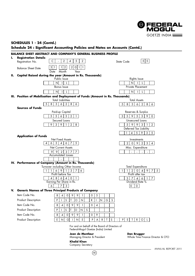

# **SCHEDULES 1 - 24 (Contd.)**

### **Schedule 24 : Significant Accounting Policies and Notes on Accounts (Contd.)**



Federal-Mogul Goetze (India) Limited

 $(45)$ 

**Jean de Montlaur Dan Brugger**

**Khalid Khan** Company Secretary Whole Time Finance Director & CFO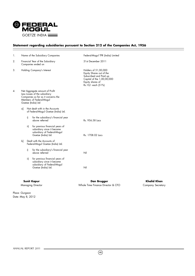

## **Statement regarding subsidiaries pursuant to Section 212 of the Companies Act, 1956**

|    |                                                                                                                     | Federal-Mogul TPR (India) Limited                                                                                                                                                                                                                                                                                                                                                                                                 |
|----|---------------------------------------------------------------------------------------------------------------------|-----------------------------------------------------------------------------------------------------------------------------------------------------------------------------------------------------------------------------------------------------------------------------------------------------------------------------------------------------------------------------------------------------------------------------------|
|    |                                                                                                                     | 31st December 2011                                                                                                                                                                                                                                                                                                                                                                                                                |
|    |                                                                                                                     | Holders of 51,00,000<br>Equity Shares out of the<br>Subscribed and Paid up<br>Capital of the 1,00,00,000<br>Equity shares of<br>Rs. 10/- each (51%)                                                                                                                                                                                                                                                                               |
|    |                                                                                                                     |                                                                                                                                                                                                                                                                                                                                                                                                                                   |
| a] |                                                                                                                     |                                                                                                                                                                                                                                                                                                                                                                                                                                   |
|    | for the subsidiary's financial year<br>above referred                                                               | Rs. 956.58 Lacs                                                                                                                                                                                                                                                                                                                                                                                                                   |
|    | for previous financial years of<br>subsidiary since it became<br>subsidiary of Federal-Mogul<br>Goetze (India) Ltd. | Rs. 1708.02 Lacs                                                                                                                                                                                                                                                                                                                                                                                                                  |
| b  |                                                                                                                     |                                                                                                                                                                                                                                                                                                                                                                                                                                   |
|    | for the subsidiary's financial year<br>above referred                                                               | Nil                                                                                                                                                                                                                                                                                                                                                                                                                               |
|    | for previous financial years of<br>subsidiary since it became<br>subsidiary of Federal-Mogul<br>Goetze (India) Ltd. | Nil                                                                                                                                                                                                                                                                                                                                                                                                                               |
|    | i)<br>ii)<br>i)<br>ii)                                                                                              | Name of the Subsidiary Companies<br>Financial Year of the Subsidiary<br>Companies ended on<br>Holding Company's Interest<br>Net Aggregate amount of Profit<br>Less Losses of the subsidiary<br>Companies so far as it concerns the<br>Members of Federal-Mogul<br>Goetze (India) Ltd<br>Not dealt with in the Accounts<br>of Federal-Mogul Goetze (India) Ltd.<br>Dealt with the Accounts of<br>Federal-Mogul Goetze (India) Ltd. |

Place: Gurgaon Date: May 8, 2012

**Sunit Kapur Constanting Constanting Constanting Dan Brugger Constanting Constanting Constanting Constanting Constanting Constanting Constanting Constanting Constanting Constanting Constanting Constanting Constanting Con** Managing Director **Managing Director** Whole Time Finance Director & CFO Company Secretary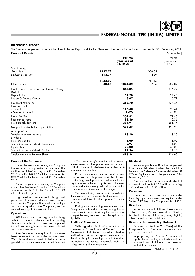#### **DIRECTOR' S REPORT**

The Directors are pleased to present the fifteenth Annual Report and Audited Statement of Accounts for the financial year ended 31st December, 2011. **Financial Results** [Rs. in Million]

|                                                                                                                       |                   |                                     |                  | [no. in minon]                      |
|-----------------------------------------------------------------------------------------------------------------------|-------------------|-------------------------------------|------------------|-------------------------------------|
|                                                                                                                       |                   | For the<br>year ended<br>31.12.2011 |                  | For the<br>year ended<br>31.12.2010 |
| Total Income:<br>Gross Sales<br>Deduct: Excise Duty                                                                   | 1157.79<br>113.77 |                                     | 1006.05<br>94.89 |                                     |
| Other Income                                                                                                          | 1044.02<br>30.80  | 1074.82                             | 911.16<br>27.86  | 939.02                              |
| Profit before Depreciation and Finance Charges                                                                        |                   | 348.05                              |                  | 316.72                              |
| Deduct:<br>Depreciation<br>Interest & Finance Charges                                                                 |                   | 32.28<br>3.07                       |                  | 37.48<br>5.79                       |
| Net Profit before Tax                                                                                                 |                   | 312.70                              |                  | 273.45                              |
| Provision for Tax<br>- Current<br>- Deferred tax credit                                                               |                   | 117.40<br>(7.62)                    |                  | 98.41<br>(4.39)                     |
| Profit after Tax<br>Prior period items<br>Profit brought forward                                                      |                   | 202.92<br>15.36<br>334.91           |                  | 179.43<br>2.36<br>256.44            |
| Net profit available for appropriation                                                                                |                   | 522.47                              |                  | 438.23                              |
| Appropriations:<br>Transfer to general reserve<br>Dividend-                                                           |                   | 18.80                               |                  | 18.20                               |
| Preference @ 6%<br>Tax and cess on dividend - Preference<br><b>Equity Shares</b><br>Tax and cess on dividend - Equity |                   | 6.00<br>0.97<br>70.00<br>11.36      |                  | 6.00<br>1.00<br>67.00<br>11.13      |
| Surplus carried to Balance Sheet                                                                                      |                   | 415.34                              |                  | 334.90                              |
|                                                                                                                       |                   |                                     |                  |                                     |

#### **Financial Performance**

During the year under review, your Company has recorded an impressive performance. The total income of the Company as at 31st December 2011 was Rs. 1074.82 million as against Rs. 939.02 million for the year ended 31st December 2010.

During the year under review, the Company made a Net Profit after Tax of Rs. 187.56 million as against the Net Profit after Tax of Rs. 181.79 million in the last year.

High level of competence in design and processes, high productivity and low costs are the forte of the Company. The superior technology and product quality of the Company give it a competitive edge in the market place.

### **Operations**

2011 was a year that began with a bang only to fizzle out in the end with stagnating demands and sales. Global slowdown impacted the Indian economy, including the automobile and auto component sector.

Auto Component industry in India has always been dependent on automotive manufacturers. Weak demand from domestic industry and slow growth in exports has hampered growth in market size. The auto industry's growth rate has slowed. Interest rates and fuel prices have made things difficult. However, it is believed that this is a shortterm event and cyclical.

During such a challenging environment specialization, improvement in labour productivity, development and delivery holds the key to success in the industry. Access to the latest and superior technology will bring competitive advantage over the other market players.

The auto industry is expected to revive in the times to come and such revitalization would bring potential and intensification opportunity in the industry.

During such demanding environment, your Company continued to portray a significant development due to its strong fundamentals of competitiveness, technological absorption and flexibility.

#### **Auditors' Comments**

With regard to Auditors' observations as contained in Clause ii (a) and Clause ix (a) of Annexure to their Report regarding physical verification of stores and spares inventory and the slight delay in depositing tax and other dues respectively, the necessary remedial action is being taken by the management.

#### **Dividend**

In view of profits your Directors are pleased to recommend dividend @ 6% on the Cumulative Redeemable Preference Shares and dividend @ 70% on Equity shares for the year ended 31st December, 2011.

The total outflow on account of dividend, if approved, will be Rs.88.33 million [including dividend tax of Rs.12.33 million].

#### **Personnel**

There are no employees who come under the category of employees, as required under Section 217(2A) of the Companies Act, 1956.

#### **Directors**

In accordance with Articles of Association of the Company, Mr. Jean de Montlaur, Director, is liable to retire by rotation and, being eligible, offers himself for re-appointment.

#### **Directors' Responsibility Statement**

Pursuant to Section 217(2AA) of the Companies Act, 1956, your Directors wish to place on record that:

In preparing the Annual Accounts, all applicable accounting standards have been followed and that there have been no material departures;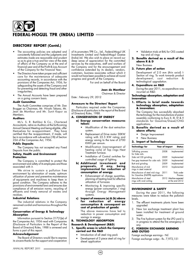# **DIRECTORS' REPORT (Contd.)**

- The accounting policies are adopted and consistently followed and the judgments and estimates made are reasonable and prudent so as to give a true and fair view of the state of affairs of the Company as at the end of financial year and of the Profit & Loss Account of the Company for the Financial Year;
- The Directors have taken proper and sufficient care for the maintenance of adequate accounting records, in accordance with the provisions of the Companies Act, 1956, for safeguarding the assets of the Company and for preventing and detecting fraud and other irregularities;
- The Annual Accounts have been prepared on a going concern basis.

#### **Audit Committee**

The Audit Committee comprises of Mr. Dan Brugger as Chairman, Mr. Hiroshi Takano, Mr. Jean de Montlaur and Mr. Sunit Kapur as **Members** 

#### **Auditors**

M/s. S. R. Batliboi & Co., Chartered Accountants, retire as Auditors at the forthcoming Annual General Meeting and being eligible, offer themselves for re-appointment. They have certified that the re-appointment, if made, will be in accordance with sub-section (1B) of Section 224 of the Companies Act, 1956.

#### **Public Deposits**

The Company has not accepted any Fixed Deposits from the public.

#### **Safety, Health and Environment Protection**

The Company is committed to protect the environment and safety of its employees and those associated with it.

We strive to sustain a pollution free environment by elimination of waste, optimum utilization of power and preventive maintenance of equipments and machines to keep them in good condition. The Company adheres to the provisions of environmental laws and ensures due compliance of all emission norms, recycling of effluents and timely removal of wastes and residues.

#### **Industrial Relations**

The industrial relations in the Company remained cordial and harmonious throughout the year.

#### **Conservation of Energy & Technology Absorption**

Information pursuant to Section 217(1)(e) of the Companies Act, 1956 read with Companies (Disclosure of Particulars in the Report of the Board of Directors) Rules, 1988 is annexed and forms a part of this report.

### **Acknowledgement**

The Board of Directors would like to express its sincere thanks for the support and cooperation

ANNUAL REPORT 2011

of its promoters TPR Co., Ltd., Federal-Mogul UK Investments Limited and Federal-Mogul Goetze (India) Ltd. We also wish to place on record our deep sense of appreciation for the committed services by the executives, staff and workers of the Company and for the encouragement and confidence extended by its dealers, vendors, customers, business associates without which it would not have been possible to achieve all round progress and growth of the Company.

For and on behalf of the Board

#### **Jean de Montlaur**

Chairman & Director

Date : February 29, 2012

#### **Annexure to the Directors' Report**

Particulars required under the Companies (Disclosure of particulars in the report of the Board of Directors) Rules, 1988.

#### **A. CONSERVATION OF ENERGY**

- **a) Energy conservation measures taken:**
	- Modification of the dust extraction system.
	- Replacement of Drive motor 30KW rating with 22.5 KW rating and energy saving to the tune of 2700 KWH per annum.
	- Modification (rearrangement of heating coils) of Top rings Heat Treatment furnace.
	- Installation of Control switches for controlled usage of lighting.
- **b) Additional investment and proposals, if any, being proposa ls, if any, be ing implemented for reduction of consumption of energy.**
	- Enhancement of charge quantities, planning of heating load for effective utilization of furnaces
	- Monitoring & improving specific energy (power consumption / ring) through Energy Management systems.
- **c) Impact of measure (a) & (b) above for reduction of energy consumption & consequent on cost of production of goods:**

The above measures have led to reduction in power consumption and savings in energy.

## **B. TECHNOLOGY ABSORPTION**

#### **Research & Development (R&D)**

#### **1. Specific areas in which the Company carried out the R&D**

- Introduction of all steel ring pack
- Development of 3 piece steel oil ring for diesel application
- Validation trials at BAL for CKS coated top and oil rings
- **2. Benefits derived as a result of the above R & D** New Business

#### **3. Future plan of action**

Development of 2.0 mm (thin axial) I-Section oil ring. To work towards product development, cost reduction & technological upgradation.

**4. Expenditure on R&D** During the year 2011, no expenditure was incurred on R&D.

#### **Technology absorption, adaptation and innovation**

#### **1. Efforts in brief made towards technology absorption, adaptation & innovation:**

The Company has successfully absorbed the technology for the manufacture of piston assembly conforming to Euro II, III, IV & V standards for Gasoline/Diesel/CNG applications.

- **2. Benefits derived as a result of above efforts;**
	- Design Improvement
- New Business

### **3. Import of Technology**

| <b>Technology for</b>                                               | <b>Year of Import</b> | Status                                   |
|---------------------------------------------------------------------|-----------------------|------------------------------------------|
| Tuffriding process<br>for Side rails                                | 2008                  | Implemented                              |
| Side rail OD grinding                                               | 2009                  | Implemented                              |
| Fee gap treatment for side rails                                    | 2009                  | Implemented                              |
| Butt end grinding                                                   | 2009                  | Implemented                              |
| Manufacture of mid<br>rings in steel material                       | 2010                  | Implemented                              |
| Manufacture of steel mid rings<br>for Gasoline (FMTPR) applications | 2011                  | Trials under<br>Process                  |
| Manufacture of steel<br>rings with oval coiling                     |                       | 2012 Machine expected<br>at the end 2012 |

#### **ENVIRONMENT & SAFETY**

During the year 2011, the following measures were taken to reduce the pollution levels.

- 1. The effluent treatments plants have been upgraded
- 2. New Ion exchange treatment plant has been installed for treatment of ground water.
- 3. The Fire hydrant system for the LPG yard is in progress to attend the fire emergency if any.

#### **C. FOREIGN EXCHANGE EARNING AND OUTGO**

Foreign exchange earnings - Nil Foreign exchange outgo - Rs. 7,972,151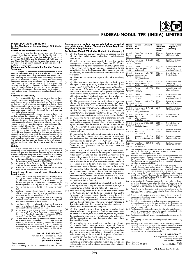

#### **INDEPENDENT AUDITOR'S REPORT To the Members of Federal-Mogul TPR (India) Limited**

**Report on the Financial Statements**<br>We have audited the accompanying financial<br>statements of Federal-Mogul TPR (India) Limited ("the<br>Company"), which comprise the Balance Sheet as at<br>December 31, 2011, and the Statement o

# **Management's Responsibility for the Financial**

**Statements**<br> **Statements**<br>
Management is responsible for the preparation of these<br>
Management is responsible for the preparation of the<br>
financial statements that give a true and tair view of the<br>
financial position, fina

#### **Auditor's Responsibility**

Our responsibility is to express an opinion on these<br>financial statements based on our audit. We conducted our<br>audit in accordance with the Standards on Auditing issued<br>by the Institute of Chardrered Accountants of India.

from material misstatement.<br>
An audit involves performing procedures to obtain audit<br>
An audit involves performing procedures to obtain audit<br>
avidence about the amounts and disclosures in the financial<br>
statements. The pr

#### **Opinion**

In our opinion and to the best of our information and<br>according to the explanations given to us, the financial<br>statements give the information required by the Act in the<br>manner so required and give a true and fair view in

- (a) in the case of the Balance Sheet, of the state of affairs of the Company as at December 31, 2011;
- (b) in the case of the Statement of Profit and Loss, of the profit for the year ended on that date; and
- (c) in the case of the Cash Flow Statement, of the cash from the case of the Cash Flow Statement, of the cash<br>flows for the year ended on that date.
- **Report on Other Legal and Regulatory Requirements**
- 1. As required by the Companies (Auditor's Report) Order, 2003 ("the Order") issued by the Central Government of India in terms of sub-section (4A) of section 227 of the Act, we give in the Annexure a statement on the matters specified in paragraphs 4 and 5 of the Order.
- 2. As required by section 227(3) of the Act, we report<br>that:<br>(a) We have obtained all the information and explanations
- (a) We have obtained all the information and explanations which to the best of our knowledge and belief were necessary for the purpose of our audit;
- (b) In our opinion proper books of account as required by law have been kept by the Company so far as appears from our examination of those books;
- (c) The Balance Sheet, Statement of Profit and Loss and Cash Flow Statement dealt with by this Report are in agreement with the books of account;
- (d) In our opinion, the Balance Sheet, Statement of Profit and Loss and Cash Flow Statement comply with the Accounting Standards referred to in subsection (3C) of section 211 of the Companies Act, 1956;
- (e) On the basis of written representations received from<br>the directors as on December 31, 2011, and taken on<br>record by the Board of Directors, none of the directors<br>is disqualitied as on December 31, 2011, from being<br>app

#### **For S.R. BATLIBOI & CO.**

Firm registration number: 301003E Chartered Accountants **per Pankaj Chadha** Place : Gurgaon Partner Date : February 29, 2012 Membership No.: 91813

#### **Annexure referred to in paragraph 1 of our report of even date under Section 'Report on Other Legal and Regulatory Requirements'**

**Re: Federal-Mogul TPR (India) Limited ('the Company')** (i) (a) The Company has maintained proper records showing full particulars, including quantitative details and situation of fixed assets.

(b) All fixed assets were physically verified by the management during the year ended December 31, 2010 in accordance with a planned programme of verifying them once<br>in three years which, in our opinion, is reasonable having<br>regard to the size of the Company and the nature of its assets.<br>As informed, no material discrepancies w

verification.<br>(c) There There was no substantial disposal of fixed assets during the year.

(ii) (a) The inventory has been physically verified by the management during the year, except for stores and spares inventory of Rs 3,979,609 which has not been verified during or at the end of the year. In our opinion, the frequency of verification is reasonable. Inventories lying with outside parties have been confirmed by them as at year end. Inventories lying with outside parties (including transporters, job workers and at ports) have been confirmed by them as at year end.

(b) The procedures of physical verification of inventory followed by the management, except for stores and spares inventory of Rs 3,979,609 are reasonable and adequate in relation to the size of the Company and the nature of its business.

(c) The Company is maintaining proper records of inventory, except for stores and spares inventory of Rs. 3,979,609 and no material discrepancies were noticed on physical verification. (iii) (a) According to the information and explanations given to

us, the Company has not granted any loans, secured or unsecured to companies, firms or other parties covered in the register maintained under section 301 of the Companies Act, 1956. Accordingly, the provisions of clause 4(iii) (a) to (d) of the Order are not applicable to the Company and hence not commented upon.

According to information and explanations given to us, the Company has not taken any loans, secured or unsecured, from companies, firms or other parties covered in the register maintained under section 301 of the Companies Act, 1956. Accordingly, the provisions of clause 4(iii) (e) to (g) of the Order are not applicable to the Company and hence not commented upon.

(iv) In our opinion and according to the information and explanations given to us, there is an adequate internal control system commensurate with the size of the Company and the nature of its business, for the purchase of inventory and fixed<br>assets and for the sale of goods and services. During the<br>course of our audit, we have not observed any major weakness<br>or continuing failure to correct any ma internal control system of the company in respect of these areas.

(v) (a) According to the information and explanations provided by the management, we are of the opinion that there are no contracts or arrangements that need to be entered in the register maintained under Section 301 of the Companies Act, 1956. Accordingly, the provisions of clause 4(v) (b) of the Order are not applicable to the Company.

- (vi) The Company has not accepted any deposits from the public. (vii) In our opinion, the Company has an internal audit system commensurate with the size and nature of its business.
- (viii) We have broadly reviewed the books of account maintained by the Company pursuant to the rules made by the Central Government for the maintenance of cost records under section 209(1)(d) of the Companies Act, 1956, and are of the opinion that prima facie, the prescribed accounts and records have been made and maintained. We have, however, not made a detailed examination of the records with a view to determine whether they are accurate and complete.
- (ix) (a) Undisputed statutory dues including provident fund, investor education and protection fund, or employees' state insurance, income-tax, sales-tax, wealth-tax, service tax, customs duty, excise duty, cess have generally been regularly deposited with the appropriate authorities though there has been a slight delay in a few cases.

(b) According to the information and explanations given to us, no undisputed amounts payable in respect of provident fund, investor education and protection fund, employees' state insurance, income-tax, wealth-tax, service tax, sales-tax, customs duty, excise duty, cess and other undisputed statutory dues were outstanding, at the year end, for a period of more than six months from the date they became payable.

(c) According to the records of the Company, the dues outstanding of income-tax, sales-tax, wealth-tax, service tax, customs duty, excise duty and cess on account of any dispute, are as follows:

| Name<br>of the<br>statute                | Nature<br>of<br>dues                                             | Amount                                 | Period to<br>which the<br>amount<br>relates | Forum where<br>dispute is<br>pending                    |
|------------------------------------------|------------------------------------------------------------------|----------------------------------------|---------------------------------------------|---------------------------------------------------------|
| Central<br>Excise<br>Act                 | Excise Duty 242,426<br>on trade<br>discount                      |                                        | 2000 to<br>2004                             | Joint Commissioner<br>of Central Excise                 |
| Central<br>1944                          | Excise Act, on import<br>services                                | Service tax 1,542,269                  | 2004 to<br>2006                             | Joint Commissioner<br>of Service Tax                    |
| Central<br>1944                          | Cenvat<br>Excise Act. credit availment<br>on Job work            | 18,053,327                             | 2005 to<br>2007                             | Central Excise and<br>Service Tax<br>Appellant Tribunal |
| Central<br>1944                          | Excise Act, on management<br>fees and sole<br>selling commission | Service tax 2,435,525                  | 2006 to<br>2007                             | Commissioner of<br>Central Excise                       |
| Central<br>1944                          | Excise Act, on supplementary<br>bills for price reduction        | Service tax 11,936,332                 | 2007 to<br>2008                             | Central Excise and<br>Service Tax<br>Appellant Tribunal |
| Central<br>Excise Act, credit of<br>1944 | Cenvat<br>service tax                                            | 2,471,010                              | 2005                                        | Central Excise and<br>of central excise                 |
| Central<br>Excise Act, credit on<br>1944 | Cenvat<br>job work                                               | 30,680,233                             | 2008 to<br>2010                             | Central Excise and<br>Service Tax<br>Appellant Tribunal |
| Central<br>Excise Act, credit on<br>1944 | Cenvat<br>iob work                                               | 16,814,854                             | 2010,<br>2011                               | Joint Commissioner<br>of central excise                 |
| Central<br>1944                          | Excise Act, credit on sole<br>selling commission                 | Service tax 5,649,735                  | 2010 to<br>2011                             | Joint Commissioner<br>of central excise                 |
| Central<br>1944                          | Excise Act. demand on<br>sales commission<br>and freight charges | Service tax 13,813,503                 | 2008 to<br>2010                             | Commissioner of<br>central excise                       |
| Central<br>1944                          | Excise Act. demand on<br>management tees                         | Service tax 7,376,990                  | 2008 to<br>2009                             | Commissioner of<br>central excise                       |
| <b>KVAT</b>                              | VAT<br>Act, 2003 demand for<br>vat rate issue                    | 45,426,388                             | 2007 to<br>2008                             | Joint commissioner<br>of commercial tax.                |
| U.P.<br>Sales<br>Tax Act                 | Sales tax                                                        | 1,679,664<br>demand for tax rate issue | 2007 to<br>2008                             | Joint commissioner<br>of commercial tax.                |
| Rajasthan Sales tax<br>Sales<br>Tax Act  | demand for<br>tax rate issue                                     | 1,528,145                              | 2007 to<br>2010                             | Joint commissioner<br>of commercial tax.                |

- (x) The Company has no accumulated losses at the end of the financial year and it has not incurred cash losses in the current and immediately preceding financial year.
- (xi) Based on our audit procedures and as per the information and<br>explanations given by the management, we are of the opinion that<br>the Company has not defaulted in repayment of dues to the banks.<br>The Company has no outstan
- (xii) According to the information and explanations given to us and<br>based on the documents and records produced to us, the Company<br>has not granted loans and advances on the basis of security by<br>way of pledge of shares, deb
- (xiii) In our opinion, the Company is not a chit fund or a nidhi / mutual<br>benefit fund / society. Therefore, the provisions of clause 4(xiii) of<br>the Companies (Auditor's Report) Order, 2003 (as amended) are<br>not applicable
- 
- (xv) According to the information and explanations given to us, the Company has not given any guarantee for loans taken by others from bank or financial institutions.
- (xvi) Based on information and explanations given to us by the management, term loans were applied for the purpose for which the loans were obtained.
- (xvii) According to the information and explanations given to us and on an overall examination of the balance sheet of the Company, we report that no funds raised on short-term basis have been used for long-term investment.
- (xviii) The Company has not made any preferential allotment of shares to parties or companies covered in the register maintained under section 301 of the Companies Act, 1956.
- The Company did not have any outstanding debentures during the year.
- (xx) The company has not raised any money through public issue during the year.
- (xxi) Based upon the audit procedures performed for the purpose of<br>reporting the true and fair view of the financial statements and as<br>per the information and explanations given by the management,<br>we report that no fraud o

Place : Gurgaon<br>Date : February 29, 2012

**For S.R. BATLIBOI & CO.**

Firm registration number: 301003E Chartered Accountants **per Pankaj Chadha** rartner<br>1813 : Membership No.: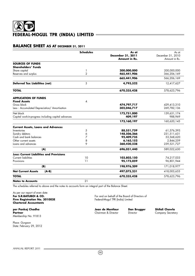# **BALANCE SHEET AS AT DECEMBER 31, 2011**

|                                                     | <b>Schedules</b> | As at                | As at             |
|-----------------------------------------------------|------------------|----------------------|-------------------|
|                                                     |                  | December 31, 2011    | December 31, 2010 |
|                                                     |                  | <b>Amount in Rs.</b> | Amount in Rs.     |
| <b>SOURCES OF FUNDS</b>                             |                  |                      |                   |
| Shareholders' Funds                                 |                  |                      |                   |
| Share capital                                       | 1                | 200,000,000          | 200,000,000       |
| Reserves and surplus                                | 2                | 465,441,906          | 366,206,169       |
|                                                     |                  | 665,441,906          | 566,206,169       |
| <b>Deferred Tax Liabilities (net)</b>               | 3                | 4,793,522            | 12,417,627        |
| <b>TOTAL</b>                                        |                  | 670,235,428          | 578,623,796       |
| <b>APPLICATION OF FUNDS</b>                         |                  |                      |                   |
| <b>Fixed Assets</b>                                 | 4                |                      |                   |
| Gross block                                         |                  | 474,797,717          | 429,413,310       |
| Less: Accumulated Depreciation/ Amortisation        |                  | 302,046,717          | 269,782,136       |
| Net block                                           |                  | 172,751,000          | 159,631,174       |
| Capital work-in-progress including capital advances |                  | 409,197              | 988,969           |
|                                                     |                  | 173,160,197          | 160,620,143       |
| <b>Current Assets, Loans and Advances</b>           |                  |                      |                   |
| Inventories                                         | 5                | 88,551,759           | 61,576,393        |
| Sundry debtors                                      | 6                | 148,506,266          | 231,511,631       |
| Cash and bank balances                              | 7                | 92,409,735           | 53,568,620        |
| Other current assets                                | 8                | 6,163,152            | 2,844,259         |
| Loans and advances                                  | 9                | 360,420,528          | 239,521,727       |
| (A)                                                 |                  | 696,051,440          | 589,022,630       |
| Less: Current Liabilities and Provisions            |                  |                      |                   |
| <b>Current liabilities</b>                          | 10               | 103,803,150          | 74,217,033        |
| Provisions                                          | 11               | 95,173,059           | 96,801,944        |
| (B)                                                 |                  | 198,976,209          | 171,018,977       |
| <b>Net Current Assets</b><br>$(A-B)$                |                  | 497,075,231          | 418,003,653       |
| <b>TOTAL</b>                                        |                  | 670,235,428          | 578,623,796       |
| <b>Notes to Accounts</b>                            | 21               |                      |                   |

The schedules referred to above and the notes to accounts form an integral part of the Balance Sheet.

As per our report of even date<br>For S.R.BATLIBOI & CO. **Firm Registration No. 301003E Chartered Accountants**

**per Pankaj Chadha Jean de Montlaur Dan Brugger Shifali Chawla** Membership No. 91813

Place: Gurgaon Date: February 29, 2012 For and on behalf of the Board of Directors of<br>Federal-Mogul TPR (India) Limited

**Partners** Company Secretary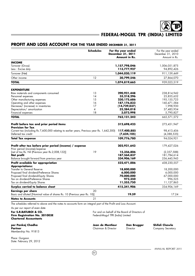# **PROFIT AND LOSS ACCOUNT FOR THE YEAR ENDED DECEMBER 31, 2011**

|                                                                                                                                                                                            | <b>Schedules</b> | For the year ended<br><b>December 31, 2011</b><br>Amount in Rs. | For the year ended<br>December 31, 2010<br>Amount in Rs. |
|--------------------------------------------------------------------------------------------------------------------------------------------------------------------------------------------|------------------|-----------------------------------------------------------------|----------------------------------------------------------|
| <b>INCOME</b>                                                                                                                                                                              |                  |                                                                 |                                                          |
| Turnover (Gross)                                                                                                                                                                           |                  | 1,157,798,046                                                   | 1,006,051,875                                            |
| Less : Excise duty                                                                                                                                                                         |                  | 113,777,927                                                     | 94,892,426                                               |
| Turnover (Net)                                                                                                                                                                             |                  | 1,044,020,119                                                   | 911,159,449                                              |
| Other income                                                                                                                                                                               | 12               | 30,799,546                                                      | 27,864,070                                               |
| <b>TOTAL</b>                                                                                                                                                                               |                  | 1,074,819,665                                                   | 939,023,519                                              |
| <b>EXPENDITURE</b>                                                                                                                                                                         |                  |                                                                 |                                                          |
| Raw materials and components consumed                                                                                                                                                      | 13               | 290,921,448                                                     | 238,814,942                                              |
| Personnel expenses                                                                                                                                                                         | 14               | 33,218,296                                                      | 25,855,632                                               |
| Other manufacturing expenses                                                                                                                                                               | 15               | 230,175,686                                                     | 195, 155, 723                                            |
| Operating and other expenses                                                                                                                                                               | 16               | 187,176,833                                                     | 160,471,584                                              |
| Decrease/ (increase) in inventories                                                                                                                                                        | 17               | (14,729,037)                                                    | 1,998,930                                                |
| Depreciation/ amortization                                                                                                                                                                 | 4                | 32,284,018                                                      | 37,483,934                                               |
| Financial expenses                                                                                                                                                                         | 18               | 3,073,998                                                       | 5,790,827                                                |
| <b>TOTAL</b>                                                                                                                                                                               |                  | 762,121,242                                                     | 665,571,572                                              |
| Profit before tax and prior period items<br><b>Provision for Tax</b><br>Current tax (including Rs 7,600,000 relating to earlier years, Previous year Rs. 1,642,300)<br>Deferred tax credit |                  | 312,698,423<br>117,400,885<br>(7,624,105)                       | 273,451,947<br>98,413,456<br>(4,388,535)                 |
| <b>Total Tax expense</b>                                                                                                                                                                   |                  | 109,776,780                                                     | 94,024,921                                               |
| Profit after tax before prior period (income) / expense<br>Prior period (income)/expense                                                                                                   |                  | 202,921,643                                                     | 179,427,026                                              |
| [net of tax Rs. Nil (Previous year Rs.2,008,122)]                                                                                                                                          | 19               | 15,356,806                                                      | (2,357,588)                                              |
| Net profit                                                                                                                                                                                 |                  | 187,564,837                                                     | 181,784,614                                              |
| Balance brought forward from previous year                                                                                                                                                 |                  | 334,906,169                                                     | 256,445,943                                              |
| Profit available for appropriation                                                                                                                                                         |                  | 522,471,006                                                     | 438,230,557                                              |
| <b>Appropriations:</b>                                                                                                                                                                     |                  |                                                                 |                                                          |
| Transfer to General Reserve                                                                                                                                                                |                  | 18,800,000                                                      | 18,200,000                                               |
| Proposed final dividend-Preference Shares                                                                                                                                                  |                  | 6,000,000                                                       | 6,000,000                                                |
| Proposed final dividend-Equity Shares                                                                                                                                                      |                  | 70,000,000                                                      | 67,000,000                                               |
| Tax on dividend-Preference Shares                                                                                                                                                          |                  | 973,350                                                         | 996,525                                                  |
| Tax on dividend-Equity Shares                                                                                                                                                              |                  | 11,355,750                                                      | 11,127,863                                               |
| Surplus carried to balance sheet                                                                                                                                                           |                  | 415,341,906                                                     | 334,906,169                                              |
| Earnings per share<br>Basic and diluted [Nominal value of shares Rs. 10 (Previous year Rs. 10)]                                                                                            | 20               | 19.59                                                           | 17.24                                                    |
| <b>Notes to Accounts</b>                                                                                                                                                                   | 21               |                                                                 |                                                          |
| The schedules referred to above and the notes to accounts form an integral part of the Profit and Loss Account.                                                                            |                  |                                                                 |                                                          |

As per our report of even date

**Firm Registration No. 301003E Chartered Accountants**

**per Pankaj Chadha Jean de Montlaur de Dan Brugger - Shifali Chawla**<br>Partner - Chairman & Director - Director - Company Secreta Membership No. 91813

Place: Gurgaon Date: February 29, 2012

**For S.R.BATLIBOI & CO.** For and on behalf of the Board of Directors of

**Company Secretary** 

 $(51)$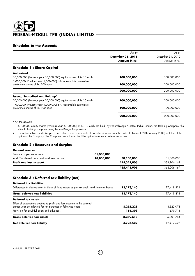# **Schedules to the Accounts**

|                                                                                                   | As at                    | As at             |
|---------------------------------------------------------------------------------------------------|--------------------------|-------------------|
|                                                                                                   | <b>December 31, 2011</b> | December 31, 2010 |
|                                                                                                   | <b>Amount in Rs.</b>     | Amount in Rs.     |
| <b>Schedule 1 : Share Capital</b>                                                                 |                          |                   |
| <b>Authorised</b>                                                                                 |                          |                   |
| 10,000,000 (Previous year 10,000,000) equity shares of Rs 10 each                                 | 100,000,000              | 100,000,000       |
| 1,000,000 (Previous year 1,000,000) 6% redeemable cumulative<br>preference shares of Rs. 100 each | 100,000,000              | 100,000,000       |
|                                                                                                   | 200,000,000              | 200,000,000       |
| Issued, Subscribed and Paid up*                                                                   |                          |                   |
| 10,000,000 (Previous year 10,000,000) equity shares of Rs 10 each                                 | 100,000,000              | 100,000,000       |
| 1,000,000 (Previous year 1,000,000) 6% redeemable cumulative<br>preference shares of Rs. 100 each | 100,000,000              | 100,000,000       |
|                                                                                                   | 200,000,000              | 200,000,000       |

\* Of the above::

1. 5,100,000 equity shares (Previous year 5,100,000) of Rs. 10 each are held by Federal-Mogul Goetze (India) Limited, the Holding Company, the ultimate holding company being Federal-Mogul Corporation.

2. The redeemable cumulative preference shares are redeemable at par after 5 years from the date of allotment (20th January 2000) or later, at the option of the Company. The Company has not exercised the option to redeem preference shares.

## **Schedule 2 : Reserves and Surplus**

| General reserve                               |            |             |             |
|-----------------------------------------------|------------|-------------|-------------|
| Balance as per last account                   | 31,300,000 |             |             |
| Add: Transferred from profit and loss account | 18,800,000 | 50,100,000  | 31,300,000  |
| <b>Profit and loss account</b>                |            | 415,341,906 | 334,906,169 |
|                                               |            | 465,441,906 | 366,206,169 |

# **Schedule 3 : Deferred tax liability (net)**

| <b>Deferred tax liabilities</b> |  |
|---------------------------------|--|
|                                 |  |

| Differences in depreciation in block of fixed assets as per tax books and financial books                                                | 13,173,140 | 17,419,411 |
|------------------------------------------------------------------------------------------------------------------------------------------|------------|------------|
| <b>Gross deferred tax liabilities</b>                                                                                                    | 13,173,140 | 17,419,411 |
| Deferred tax assets                                                                                                                      |            |            |
| Effect of expenditure debited to profit and loss account in the current/<br>earlier year but allowed for tax purposes in following years | 8,265,225  | 4,322,073  |
| Provision for doubtful debts and advances                                                                                                | 114,393    | 679.711    |
| Gross deferred tax assets                                                                                                                | 8,379,618  | 5,001,784  |
| Net deferred tax liability                                                                                                               | 4,793,522  | 12,417,627 |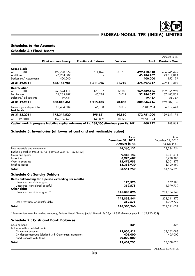# **Schedules to the Accounts**

# **Schedule 4 : Fixed Assets**

|                                         |                            |                                                                                            |                 |             | Amount in Rs.        |
|-----------------------------------------|----------------------------|--------------------------------------------------------------------------------------------|-----------------|-------------|----------------------|
|                                         | <b>Plant and machinery</b> | <b>Furniture &amp; fixtures</b>                                                            | <b>Vehicles</b> | Total       | <b>Previous Year</b> |
| <b>Gross block</b>                      |                            |                                                                                            |                 |             |                      |
| At 01.01.2011                           | 427,770,574                | 1,611,026                                                                                  | 31,710          | 429,413,310 | 406,246,495          |
| <b>Additions</b>                        | 45,784,407                 |                                                                                            |                 | 45,784,407  | 23,319,014           |
| Deductions/ Adjustments                 | 400,000                    |                                                                                            |                 | 400,000     | 152,199              |
| At 31.12.2011                           | 473,154,981                | 1,611,026                                                                                  | 31,710          | 474,797,717 | 429,413,310          |
| <b>Depreciation</b>                     |                            |                                                                                            |                 |             |                      |
| At 01.01.2011                           | 268,594,111                | 1,170,187                                                                                  | 17.838          | 269,782,136 | 232,356,959          |
| For the year                            | 32,235,787                 | 45,218                                                                                     | 3,012           | 32,284,017  | 37,483,934           |
| Deletions/ adjustments                  | 19,437                     |                                                                                            |                 | 19,437      | 58,757               |
| At 31.12.2011                           | 300,810,461                | 1,215,405                                                                                  | 20,850          | 302,046,716 | 269,782,136          |
| Previous year depreciation<br>Net block | 37,434,734                 | 46,188                                                                                     | 3,012           | 37,483,934  | 36,717,643           |
| At 31.12.2011                           | 172,344,520                | 395,621                                                                                    | 10,860          | 172,751,000 | 159,631,174          |
| At 31.12.2010                           | 159,176,463                | 440,839                                                                                    | 13,872          | 159,631,174 |                      |
|                                         |                            | Capital work in progress including capital advances of Rs. 259,200 (Previous year Rs. NIL) |                 | 409,197     | 988,969              |

# **Schedule 5: Inventories (at lower of cost and net realisable value)**

|                                                                    | As at                                            | As at                              |
|--------------------------------------------------------------------|--------------------------------------------------|------------------------------------|
|                                                                    | <b>December 31, 2011</b><br><b>Amount in Rs.</b> | December 31, 2010<br>Amount in Rs. |
|                                                                    |                                                  |                                    |
| Raw materials and components                                       | 44,260,122                                       | 28,384,554                         |
| (Including stock in transit Rs. Nil (Previous year Rs. 1,628,122)) |                                                  |                                    |
| Stores and spares                                                  | 9,484,143                                        | 13,351,511                         |
| Loose tools                                                        | 3,976,609                                        | 3,738,480                          |
| Work-in-progress                                                   | 15,476,955                                       | 8,001,379                          |
| Finished goods                                                     | 15,353,930                                       | 8,100,469                          |
| Total                                                              | 88,551,759                                       | 61,576,393                         |
| <b>Schedule 6 : Sundry Debtors</b>                                 |                                                  |                                    |
| Debts outstanding for a period exceeding six months                |                                                  |                                    |
| Unsecured, considered good                                         | 170,370                                          | 207,484                            |
| Unsecured, considered doubtful                                     | 352,578                                          | 1,999,739                          |
| Other debts                                                        |                                                  |                                    |
| Unsecured, considered good *                                       | 148,335,896                                      | 231,304,147                        |
|                                                                    | 148,858,844                                      | 233,511,370                        |
| Less: Provision for doubtful debts                                 | 352,578                                          | 1,999,739                          |
| Total                                                              | 148,506,266                                      | 231,511,631                        |

\*Balance due from the holding company, Federal-Mogul Goetze (India) Limited Rs 33,445,851 (Previous year Rs. 162,720,859).

# **Schedule 7 : Cash and Bank Balances**

| Total                                                     | 92,409,735 | 53,568,620 |
|-----------------------------------------------------------|------------|------------|
| <b>Fixed Deposits with Banks</b>                          | 80,000,000 |            |
| On deposit accounts (pledged with Government authorities) | 405,000    | 405,000    |
| On current accounts                                       | 12,004,511 | 53,162,093 |
| Balances with scheduled banks:                            |            |            |
| Cash on hand                                              | 224        | 527. ا     |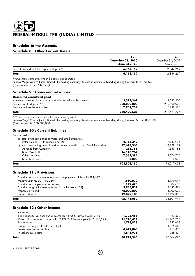# **Schedules to the Accounts**

# **Schedule 8 : Other Current Assets**

|                                                           | As at<br>December 31, 2010        | As at<br>December 31, 2009 |
|-----------------------------------------------------------|-----------------------------------|----------------------------|
| Interest accrued on Inter-corporate deposit <sup>**</sup> | <b>Amount in Rs.</b><br>6,163,152 | Amount in Rs.<br>2,844,259 |
| Total                                                     | 6,163,152                         | 2,844,259                  |

\*\*Dues from companies under the same management:

Federal-Mogul Goetze (India) Limited, the holding company (Maximum amount outstanding during the year Rs. 6,163,152 (Previous year Rs. 23,547,277))

#### **Schedule 9 : Loans and advances**

| Unsecured considered good                                           |             |             |
|---------------------------------------------------------------------|-------------|-------------|
| Advances recoverable in cash or in kind or for value to be received | 2,519,269   | 3,322,200   |
| Inter-corporate deposit***                                          | 350,000,000 | 230,000,000 |
| Balance with excise authorities                                     | 7,901,259   | 6.199.527   |
| Total                                                               | 360,420,528 | 239,521,727 |

\*\*\*Dues from companies under the same management:

Federal-Mogul Goetze (India) Limited, the holding company (Maximum amount outstanding during the year Rs. 350,000,000 (Previous year Rs. 230,000,000))

# **Schedule 10 : Current liabilities**

|       | Sundry creditors                                                           |             |            |
|-------|----------------------------------------------------------------------------|-------------|------------|
| a)    | total outstanding dues of Micro and Small Enterprises                      |             |            |
|       | (refer note no. 13 to schedule no. 21)                                     | 2,156,349   | 2,134,975  |
| b)    | total outstanding dues of creditors other than Micro and Small Enterprises | 77,673,365  | 62,128,159 |
|       | <b>Advance from Customers</b>                                              | 265,785     | 1,369,183  |
|       | Book Overdraft                                                             | 16,140,267  |            |
|       | Other Liabilities                                                          | 7,559,384   | 8,576,716  |
|       | Security deposits                                                          | 8,000       | 8,000      |
| Total |                                                                            | 103,803,150 | 74,217,033 |

# **Schedule 11 : Provisions**

|                                                                         | 95,173,059 | 96,801,944 |
|-------------------------------------------------------------------------|------------|------------|
| Tax on dividend                                                         | 12,329,100 | 12,124,388 |
| Proposed dividend                                                       | 76,000,000 | 73,000,000 |
| Provision for gratuity (refer note no. 7 to schedule no. 21)            | 3,983,857  | 2,693,874  |
| Provision for compensated absences                                      | 1,179,470  | 804.638    |
| Previous year Rs. 301,992,280)                                          | 1,680,632  | 8,179,044  |
| Provision for taxation (net of advance tax payments of Rs. 425,891,577) |            |            |
|                                                                         |            |            |

# **Schedule 12 : Other Income**

| Total                                                                      | 30,799,546 | 27,864,070 |
|----------------------------------------------------------------------------|------------|------------|
| Miscellaneous income                                                       | 1,648,971  | 346,639    |
| Excess provision written back                                              | 4,419,848  | 1,111,810  |
| Foreign exchange rate difference (net)                                     |            | 3,325,680  |
| Sale of scrap                                                              | 1,718,818  | 1,892,618  |
| -Others (Tax deducted at source Rs. 2,129,242 Previous year Rs. 2,115,395) | 21,216,424 | 21,163,723 |
| -Bank deposits (Tax deducted at source Rs. 98,055, Previous year Rs. Nil)  | 1,795,485  | 23,600     |
| Interest on                                                                |            |            |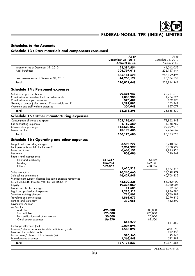# **Schedules to the Accounts**

# **Schedule 13 : Raw materials and components consumed**

|                                                                  | As at                    |         | As at               |
|------------------------------------------------------------------|--------------------------|---------|---------------------|
|                                                                  | <b>December 31, 2011</b> |         | December 31, 2010   |
|                                                                  | Amount in Rs.            |         | Amount in Rs.       |
| Inventories as at December 31, 2010                              | 28,384,554               |         | 41,042,052          |
| Add: Purchases                                                   | 306,797,016              |         | 226, 157, 444       |
|                                                                  | 335,181,570              |         | 267,199,496         |
| Less: Inventories as at December 31, 2011                        | 44,260,122               |         | 28,384,554          |
| Total                                                            | 290,921,448              |         | 238,814,942         |
| <b>Schedule 14 : Personnel expenses</b>                          |                          |         |                     |
| Salaries, wages and bonus                                        | 29,421,947               |         | 22,751,610          |
| Contribution to provident fund and other funds                   | 1,830,930                |         | 1,764,326           |
| Contribution to super annuation                                  | 370,489                  |         | 209,278             |
| Gratuity expenses (refer note no. 7 to schedule no. 21)          | 1,289,982                |         | 173,341             |
| Workmen and staff welfare expenses                               | 304,948                  |         | 957,077             |
| Total                                                            | 33,218,296               |         | 25,855,632          |
| <b>Schedule 15: Other manufacturing expenses</b>                 |                          |         |                     |
| Consumption of stores and spares                                 | 102,196,624              |         | 72,862,348          |
| Sub-contracting expenses                                         | 4,160,569                |         | 3,768,789           |
| Chrome plating charges                                           | 113,623,057              |         | 109,099,917         |
| Power and fuel                                                   | 10,195,436               |         | 9,424,669           |
| Total                                                            | 230,175,686              |         | 195, 155, 723       |
| <b>Schedule 16: Operating and other expenses</b>                 |                          |         |                     |
| Freight and forwarding charges                                   | 3,590,777                |         | 3,240,267           |
| Rent (refer note no 14 of schedule 21)                           | 7,964,999                |         | 7,970,999           |
| Rates and taxes                                                  | 6,668,132                |         | 2,915,923           |
| Insurance                                                        | 908,496                  |         | 220,869             |
| Repairs and maintenance<br>- Plant and machinery                 | 531,317                  | 43,325  |                     |
| - Buildings                                                      | 406,934                  | 692,333 |                     |
| - Others                                                         | 682,067                  | 438,752 |                     |
|                                                                  | 1,620,318                |         | 1,174,410           |
| Sales promotion                                                  | 10,240,660               |         | 17,399,979          |
| Sole selling commission                                          | 46,427,549               |         | 40,708,332          |
| Management support charges (including expense reimbursed         |                          |         |                     |
| Rs. 71,314,846 (Previous year Rs. 58,865,419)                    | 76,502,326               |         | 64,052,900          |
| Royalty                                                          | 19,337,069               |         | 15,080,005          |
| Product rectification charges<br>Legal and professional expenses | 11,585<br>2,213,512      |         | 32,865<br>1,936,880 |
| Technical training charges                                       | 714,801                  |         | 1,760,391           |
| Travelling and conveyance                                        | 1,563,673                |         | 2,279,315           |
| Printing and stationery                                          | 372,058                  |         | 432,592             |
| Payment to Auditor                                               |                          |         |                     |
| As Auditor                                                       |                          |         |                     |
| - Audit fee                                                      | 425,000                  | 500,000 |                     |
| - Tax audit fee                                                  | 125,000                  | 275,000 |                     |
| - For certification and others matters                           | 50,000                   | 25,000  |                     |
| - Out-of-pocket expenses                                         | 56,279<br>656,279        | 81,550  |                     |
| Exchange difference (net)                                        | 5,207,096                |         | 881,550             |
| Increase/ (decrease) of excise duty on finished goods            | 1,533,092                |         | (458, 873)          |
| Provision for doubtful debts                                     |                          |         | 227,450             |
| Loss on sale / discard of fixed assets (net)                     | 380,563                  |         | 93,443              |
| Miscellaneous expenses                                           | 1,263,848                |         | 522,287             |
| Total                                                            | 187,176,833              |         | 160,471,584         |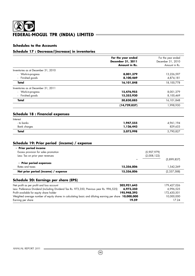# **Schedules to the Accounts**

# **Schedule 17 : Decrease/(increase) in inventories**

|                                                                          | For the year ended     |                            | For the year ended   |
|--------------------------------------------------------------------------|------------------------|----------------------------|----------------------|
|                                                                          | December 31, 2011      |                            | December 31, 2010    |
|                                                                          | <b>Amount in Rs.</b>   |                            | Amount in Rs.        |
| Inventories as at December 31, 2010                                      |                        |                            |                      |
| - Work-in-progress                                                       | 8,001,379              |                            | 13,226,597           |
| - Finished goods                                                         | 8,100,469              |                            | 4,874,181            |
| Total                                                                    | 16,101,848             |                            | 18,100,778           |
| Inventories as at December 31, 2011                                      |                        |                            |                      |
| - Work-in-progress                                                       | 15,476,955             |                            | 8,001,379            |
| Finished goods                                                           | 15,353,930             |                            | 8,100,469            |
| Total                                                                    | 30,830,885             |                            | 16,101,848           |
|                                                                          | (14,729,037)           |                            | 1,998,930            |
| Interest<br>- to banks<br><b>Bank charges</b>                            | 1,947,555<br>1,126,443 |                            | 4,961,194<br>829,633 |
|                                                                          |                        |                            |                      |
| Total                                                                    | 3,073,998              |                            | 5,790,827            |
| Schedule 19: Prior period (income) / expense                             |                        |                            |                      |
| - Prior period income                                                    |                        |                            |                      |
| Excess provision for sales promotion<br>Less: Tax on prior year revenues |                        | (5,907,979)<br>(2,008,122) |                      |
| - Prior period expenses                                                  |                        |                            | (3,899,857)          |
| Rates and taxes                                                          | 15,356,806             |                            | 1,542,269            |
| Net prior period (income) / expense                                      | 15,356,806             |                            | (2,357,588)          |
| <b>Schedule 20: Earnings per share (EPS)</b>                             |                        |                            |                      |

| Net profit as per profit and loss account                                                               | 202,921,643 | 179.427.026 |
|---------------------------------------------------------------------------------------------------------|-------------|-------------|
| Less: Preference Dividend (including Dividend Tax Rs. 973,350, Previous year Rs. 996,525)               | 6,973,350   | 6.996.525   |
| Profit available for equity share holder                                                                | 195,948,293 | 172.430.501 |
| Weighted average number of equity shares in calculating basic and diluting earning per share 10,000,000 |             | 10,000,000  |
| Earning per share                                                                                       | 19.59       | 17.24       |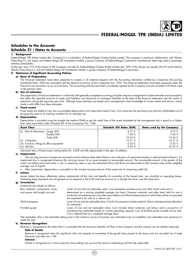## **Schedules to the Accounts Schedule 21 : Notes to Accounts**

#### **1. Background**

Federal-Mogul TPR (India) Limited (the 'Company') is a subsidiary of Federal-Mogul Goetze (India) Limited. The company in technical collaboration with Teikoku Piston Ring Co. Ltd, Japan and Federal Mogul UK Investments Limited, a group Company of Federal-Mogul Corporation manufactures steel rings used in passenger vehicles automobiles.

At the year end, 51% of the shares of the Company are held by Federal-Mogul Goetze (India) Limited and 49% of the shares are equally (24.5% each) held by Teikoku Piston Ring Co. Ltd and Federal Mogul UK Investments Limited, a group company of Federal-Mogul Corporation.

#### **2. Statement of Significant Accounting Policies**

#### **a) Basis of Preparation**

The financial statements have been prepared to comply in all material respects with the Accounting Standards notified by Companies (Accounting Standards) Rules, 2006 (as amended) and the relevant provisions of the Companies Act, 1956. The financial statements have been prepared under the historical cost convention on an accrual basis. The accounting policies have been consistently applied by the Company and are consistent with those used in the previous year.

#### **b) Use of estimates**

The preparation of financial statements in conformity with generally accepted accounting principles requires management to make estimates and assumptions that affect the reported amounts of assets and liabilities and disclosure of contingent liabilities at the date of the financial statements and the results of operations during the reporting year end. Although these estimates are based upon management's best knowledge of current events and actions, actual results could differ from these estimates.

#### **c) Fixed assets**

Fixed assets are stated at cost, less accumulated depreciation and impairment losses if any. Cost comprises the purchase price and any attributable cost of bringing the asset to its working condition for its intended use.

#### **d) Depreciation**

Depreciation is provided using the straight line method (SLM) as per the useful lives of the assets estimated by the management and is equal to or higher than rates prescribed under Schedule XIV of the Companies Act, 1956:

| <b>Asset Class</b>                           | <b>Schedule XIV Rates (SLM)</b> | Rates used by the Company |
|----------------------------------------------|---------------------------------|---------------------------|
| Plant & Machinery - Single Shift<br>(i)      | 4.75 %                          | 4.75 %                    |
| - Double Shift                               | 7.42%                           | 7.42%                     |
| - Triple Shift                               | 10.34%                          | 10.34%                    |
| (ii)<br>Computers                            | 16.21%                          | 16.21%                    |
| (iii) Furniture, fittings & office equipment | 6.33%                           | 6.33%                     |
| (iv) Vehicles                                | 9.50%                           | 33.33 %                   |

Individual items of fixed assets costing below Rs. 5,000 are fully depreciated in the year of addition.

#### **e) Impairment**

i. The carrying amounts of assets are reviewed at each balance sheet date if there is any indication of impairment based on internal/external factors. An impairment loss is recognized wherever the carrying amount of an asset exceeds its recoverable amount. The recoverable amount is the greater of the asset's net selling price and value in use. In assessing value in use, the estimated future cash flows are discounted to their present value at the weighted average cost of capital.

ii. After impairment, depreciation is provided on the revised carrying amount of the asset over its remaining useful life.

#### **f) Leases**

Leases where the lessor effectively retains substantially all the risks and benefits of ownership of the leased term, are classified as operating leases. Operating lease payments are recognized as an expense in the Profit and Loss account on a straight line basis over the lease term.

#### **g) Inventories**

| Inventories are valued as follows: |                                                                                                                                                                                                                                                                             |
|------------------------------------|-----------------------------------------------------------------------------------------------------------------------------------------------------------------------------------------------------------------------------------------------------------------------------|
| Raw materials, components, stores  | Lower of cost and net realizable value. Cost represents purchase price and other direct costs and is                                                                                                                                                                        |
| and spares and bought out tools.   | determined on a moving weighted average cost basis. However materials and other items held for use in<br>production of inventories are not written down below cost if the finished products in which they will be incorporated<br>are expected to be sold at or above cost. |
| Work-in-progress.                  | Lower of cost and net realizable value. Cost for this purpose includes material, labour and appropriate allocation<br>of overheads.                                                                                                                                         |
| Finished goods                     | Lower of cost and net realizable value. Cost includes direct materials and labour and a proportion of<br>manufacturing overheads based on normal operating capacity. Cost of finished goods includes excise duty.<br>Cost is determined on a weighted average basis.        |
| <b>Article Hotel Hotel Hotel</b>   | and an extent of a state the control of the state of the state of the state of the state of the state of the s                                                                                                                                                              |

Net realizable value is the estimated selling price in the ordinary course of business, less estimated costs of completion and estimated costs necessary to make the sale.

#### **h) Revenue Recognition**

Revenue is recognised to the extent that it is probable that the economic benefits will flow to the Company and the revenue can be reliably measured. **Sale of Goods**

Revenue is recognised when the significant risks and rewards of ownership of the goods have passed to the buyer and are recorded net of trade discounts and sales tax / VAT.

#### **Interest**

Interest is recognised on a time proportion basis taking into account the amount outstanding and the rate applicable.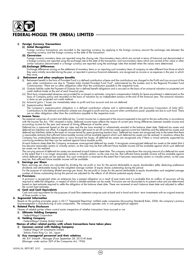#### **i) Foreign Currency Transactions**

#### **(i) Initial Recognition**

Foreign currency transactions are recorded in the reporting currency, by applying to the foreign currency amount the exchange rate between the reporting currency and the foreign currency at the date of the transaction.

### **(ii) Conversion**

Foreign currency monetary items are reported using the closing rate. Non-monetary items which are carried in terms of historical cost denominated in a foreign currency are reported using the exchange rate at the date of the transaction; and non-monetary items which are carried at fair value or other similar valuation denominated in a foreign currency are reported using the exchange rates that existed when the values were determined.

#### **(iii) Exchange Differences**

Exchange differences arising on the settlement of monetary items or on reporting such monetary items of company at rates different from those at which<br>they were initially recorded during the year, or reported in previous f they arise.

#### **j) Retirement and other employee benefits**

- (i) Retirement benefit in the form of Provident Fund is a defined contribution scheme and the contributions are charged to the Profit and Loss account of the year when contributions are due to "Goetze India Limited Provident Fund Trust", administered by the trustees and to the Regional Provident Fund Commissioners. There are no other obligations other than the contribution payable to the respective trusts.
- (ii) Gratuity liability under the Payment of Gratuity Act is defined benefit obligations and is accrued on the basis of an actuarial valuation on projected unit credit method made at the end of each financial year.
- (iii) Short term compensated absences are provided for on based on estimates. Long term compensation liability for leave encashment is determined on the basis of Company policy and recorded on the basis of valuation by an independent actuary at the end of the financial year. The actuarial valuation is done as per projected unit credit method.
- (iv) Actuarial gains / losses are immediately taken to profit and loss account and are not deferred.
- Superannuation Benefit

The Company's superannuation obligation is a defined contribution scheme and is administered with Life Insurance Corporation of India (LIC). Contributions to the defined contribution scheme are charged to profit and loss account when contributions paid/ payable are due to such fund. There are no other obligations other than the contribution payable to the respective trusts.

#### **k) Income Taxes**

Tax expense comprises of current and deferred tax. Current income tax is measured at the amount expected to be paid to the tax authorities in accordance with the Income Tax Act, 1961 enacted in India. Deferred income taxes reflects the impact of current year timing differences between taxable income and accounting income for the year and reversal of timing differences of earlier years.

Deferred tax is measured based on the tax rates and the tax laws enacted or substantively enacted at the balance sheet date. Deferred tax assets and deferred tax liabilities are offset, if a legally enforceable right exists to set off current tax assets against current tax liabilities and the deferred tax assets and deterred tax liabilities relate to the taxes on income levied by same governing taxation laws. Deterred tax assets are recognised only to the extent that there<br>is reasonable certainty that sufficient future taxable income Company has unabsorbed depreciation or carry forward tax losses, all deferred tax assets are recognised only if there is virtual certainty supported by convincing evidence that they can be realised against future taxable profits.

At each balance sheet date the Company re-assesses unrecognized deferred tax assets. It recognises unrecognised deferred tax assets to the extent that it has become reasonably certain or virtually certain, as the case may be that sufficient future taxable income will be available against which such deferred tax assets can be realised.

The carrying amount of deferred tax assets are reviewed at each balance sheet date. The company writes-down the carrying amount of a deferred tax asset to the extent that it is no longer reasonably certain or virtually certain, as the case may be, that sufficient future taxable income will be available against which deferred tax asset can be realised. Any such write-down is reversed to the extent that it becomes reasonably certain or virtually certain, as the case<br>may be, that sufficient future taxable income will be available.

#### **l) Earnings per Share**

Basic earnings per share are calculated by dividing the net profit or loss for the period attributable to equity shareholders (after deducting preference dividends and attributable taxes) by the weighted average number of equity shares outstanding during the period.

For the purpose of calculating diluted earnings per share, the net profit or losses for the period attributable to equity shareholders and weighted average number of shares outstanding during the period are adjusted for the effects of all dilutive potential equity shares.

#### **m) Provisions**

A provision is recognized when an enterprise has a present obligation as a result of past event and it is probable that an outflow of resources will be required to settle the obligation, in respect of which a reliable estimate can be made. Provisions are not discounted to its present value and are determined based on best estimate required to settle the obligation at the balance sheet date. These are reviewed at each balance sheet date and adjusted to reflect the current best estimates.

#### **n) Cash and Cash Equivalents**

Cash and cash equivalents for the purposes of cash flow statement comprise cash at bank and in hand and short - term investments with an original maturity of three months or less.

#### **3. Segmental Information**

Based on the guiding principles given in AS-17 'Segmental Reporting' notified under companies (Accounting Standard) Rules, 2006, the company's primary businesssegment is manufacturing of auto components. The company operates only in one geographical segment.

#### **4. Related Party Disclosure**

Names of related parties where control exists irrespective of whether transaction have occured or not

- **i) Ultimate Holding Company**
- Federal-Mogul Corporation

#### **ii) Holding Company**

# - Federal-Mogul Goetze (India) Limited

# **Names of other related parties with whom transactions have taken place**

# **i) Common control with Holding Company**

- Federal Mogul UK Investments Limited - Teikoku Piston Ring Co. Ltd., Japan
- **ii) Key managerial personnel and their relatives**
	- -Mr. B.P. Srikanth , Manager (From September 28, 2010 till date) (Manager under section 269 of the Companies Act, 1956)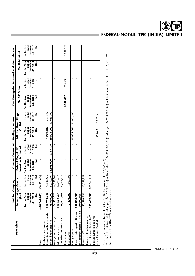|                                                                 | Holding                         | Company               |                                         |                       | Common Control with Holding Company |                           |                       |                       | Key Managerial Personnel and their relatives |                       |
|-----------------------------------------------------------------|---------------------------------|-----------------------|-----------------------------------------|-----------------------|-------------------------------------|---------------------------|-----------------------|-----------------------|----------------------------------------------|-----------------------|
| Particulars                                                     | Federal Mogul Goetze<br>(India) | itd.                  | Investments Limited<br>Federal Mogul UK |                       | Teikoku Piston Rings<br>Co. Ltd.    |                           | Mr. B.P. Srikant      |                       | Mr. Krish Mani                               |                       |
|                                                                 | For the Year<br>ended           | For the Year<br>ended | For the Year<br>ended                   | For the Year<br>ended | For the Year<br>ended               | For the Year<br>ended     | For the Year<br>ended | For the Year<br>ended | For the Year<br>ended                        | ended<br>For the Year |
|                                                                 | <b>December</b>                 | December<br>31, 2010  | December                                | December              | <b>December</b>                     | December<br>31, 2010      | December              | December<br>31, 2010  | December                                     | December              |
|                                                                 | (Rs.)<br>31, 2011               | (Rs.)                 | (Rs.)<br>31,2011                        | 31, 2010<br>(Rs.)     | (Rs.)<br>31, 2011                   | (Rs.)                     | 31, 2011<br>(Rs.)     | (Rs.                  | 31, 2011<br>(Rs.)                            | 31, 2010<br>(Rs.)     |
| Sales                                                           | [590,742,441]                   | (450, 521, 424)       |                                         |                       |                                     |                           |                       |                       |                                              |                       |
| intermediaries and finished goods<br>Purchase of raw material   | 116,942,845                     | 97,303,655            |                                         |                       | 1,729,688                           | 508,909                   |                       |                       |                                              |                       |
| Dividend Paid/ proposed                                         | 75,990,000                      |                       | 27,030,000 36,505,000                   | 12,985,000            | 36,505,000                          | 12,985,000                |                       |                       |                                              |                       |
| Management support charges*                                     | 76,502,326                      | 64,052,900            |                                         |                       |                                     |                           |                       |                       |                                              |                       |
| Job work Expense                                                | 113,623,057                     | 109,099,917           |                                         |                       |                                     |                           |                       |                       |                                              |                       |
| Sole selling commission Paid                                    | 46,427,549                      | 40,708,332            |                                         |                       |                                     |                           |                       |                       |                                              |                       |
| Remuneration                                                    |                                 |                       |                                         |                       |                                     |                           | 1,507,567             | 330,038               |                                              | 1,081,595             |
| Rent expense                                                    | 7,800,000                       | 7,800,000             |                                         |                       |                                     |                           |                       |                       |                                              |                       |
| Royalty expense                                                 |                                 |                       |                                         |                       | 17,939,045                          | 15,080,005                |                       |                       |                                              |                       |
| Inter-corporate deposit (ICD) given                             | 140,000,000                     |                       |                                         |                       |                                     |                           |                       |                       |                                              |                       |
| Inter-corporate deposit (ICD) repaid                            | (20,000,000)                    |                       |                                         |                       |                                     |                           |                       |                       |                                              |                       |
| Interest on ICD                                                 | 21,216,424                      | 21,153,954            |                                         |                       |                                     |                           |                       |                       |                                              |                       |
| end of the year (Receivable)**<br>Balance outstanding as at the | 389,609,003                     | 395,565,118           |                                         |                       |                                     |                           |                       |                       |                                              |                       |
| Balance outstanding as at the<br>end of the year (Payable)      |                                 |                       |                                         |                       |                                     | $(646,081)$ $(7,879,304)$ |                       |                       |                                              |                       |
|                                                                 |                                 |                       |                                         |                       |                                     |                           |                       |                       |                                              |                       |

\*Including expenses reimbursed Rs. 71,413,698 (Previous year Rs. 58,865,419).

 $\overline{59}$ 

\*Including expenses reimbursed Rs. 71,413,698 [Previous year Rs. 58,865,419].<br>\*\* Includes Rs. 33,445,851 [Previous year Rs. 162,720,859] for Sundry debtors, Rs. 350,000,000 [Previous year Rs. 230,000,000] for Inter-Corpora  $^*$ \* Includes Rs. 33,445,851 (Previous year Rs. 162,720,859) for Sundry debtors, Rs. 350,000 (Previous year Rs. 230,000,000) for Inter-Corporate Deposit and Rs. 6,163,152 (Previous year Rs. 2,844,259) for interest receivable.

FEDERAL-MOGUL TPR (INDIA) LIMITED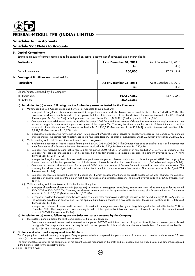# **Schedules to the Accounts**

# **Schedule 22 : Notes to Accounts**

#### **5. Capital Commitment**

Estimated amount of contract remaining to be executed on capital account (net of advances) and not provided for:

| Particulars        | As at December 31, 2011 | As at December 31, 2010 |
|--------------------|-------------------------|-------------------------|
|                    | (Rs.)                   | (Rs.                    |
| Capital commitment | 100,800                 | 27,536,562              |

#### **6. Contingent liabilities not provided for:**

| <b>Particulars</b>                      | As at December 31, 2011<br>(Rs.) | As at December 31, 2010<br>(Rs. |
|-----------------------------------------|----------------------------------|---------------------------------|
| Claims/notices contested by the Company |                                  |                                 |
| Excise duty<br>a)                       | 127,527,262                      | 84.619.552                      |
| Sales tax<br>bl                         | 45,426,388                       |                                 |

#### **a) In relation to (a) above, following are the Excise duty cases contested by the Company:**

- i) Matters pending with Central Excise and Service Tax Appellate Tribunal (CESTAT):
	- a. In respect of irregular availment of cenvat credit in respect to certain products obtained on job work basis for the period 2005- 2007. The Company has done an analysis and is of the opinion that it has fair chance of a favorable decision. The amount involved is Rs. 36,106,654 (Previous year Rs. 36,106,654) including interest and penalties of Rs. 18,053,327 (Previous year Rs. 18,053,327).
	- b. Company has received demand notice received for the period 2008-09, which is on account of demand for service tax on supplementary bills on job work charges for price reduction passed on by one of the supplier. The Company has done an analysis and is of the opinion that it has fair chance of a favorable decision. The amount involved is Rs. 11,936,332 (Previous year Rs. 8,952,249) including interest and penalties of Rs. 8,952,249 (Previous year Rs. 5,968,166).
	- c. In respect of notice received for the period 2009-10 on account of Cenvat credit of service tax on job work charges. The Company has done an analysis and is of the opinion that it has fair chance of a favorable decision. The amount involved is Rs. 30,680,233(Previous year Rs. 30,680,233).
- ii) Matter pending with Joint Commissioner of Central Excise, Bangalore:
	- a. In relation to deduction of Trade Discounts for the period 2000-2002 to 2003-2004. The Company has done an analysis and is of the opinion that it has fair chance of a favorable decision. The amount involved is Rs. 242,426 (Previous year Rs. 242,426).
	- b. Company has received demand notice received for the period 2005 which is on account of non production of service tax document. The Company has done an analysis and is of the opinion that it has fair chance of a favorable decision. The amount involved is Rs. 2,471,010 (Previous year Rs. 2,471,010).
	- c. In respect of irregular availment of cenvat credit in respect to certain product obtained on job work basis for the period 2010. The company has done an analysis and if of the opinion that it has fair chance of a favorable decision. The amount involved is Rs. 8,566,414 (Previous year Rs. Nil).
	- d. Company has received demand Notice for the period 2010 which on account of Service Tax credit availed on sole selling commission. The company had done an analysis and is of the opinion that it has fair chance of a favorable decision. The amount involved is Rs. 5,649,735 (Previous year Rs. Nil).
	- e. Company has received demand Notice for the period 2011 which on account of Service Tax credit availed on job work charges. The company had done an analysis and is of the opinion that it has fair chance of a favorable decision. The amount involved is Rs. 8,248,440 (Previous year Rs. Nil).
- iii) Matters pending with Commissioner of Central Excise, Bangalore:
	- a. In respect of availment of cenvat credit (service tax) in relation to management consultancy service and sole selling commission for the period 2004-2005 to 2006-2007. The Company has done an analysis and is of the opinion that it has fair chance of a favorable decision. The amount involved is Rs. 2,435,525 (Previous year Rs. 6,163,980).
	- b. In respect of availment of cenvat credit (service tax) in relation to sales commission and freight charges for the period January 2008 to April 2010. The Company has done an analysis and is of the opinion that it has fair chance of a favorable decision. The amount involved is Rs. 13,813,503 (Previous year Rs. Nil).
	- c. In respect of availment of cenvat credit (service tax) in relation to management consultancy and freight charges for the period September 2008 to November 2009. The Company has done an analysis and is of the opinion that it has fair chance of a favorable decision. The amount involved is Rs. 7,376,990 (Previous year Rs. Nil).

#### **b) In relation to (b) above, following are the Sales tax cases contested by the Company:**

- i) The matter is pending before the Joint Commissioner of Sales Tax, Bangalore:
	- a. Company has received demand notice received for the period 2007-08 which is on account of applicability of higher tax rate on goods cleared local goods. The company has done an analysis and is of the opinion that it has fair chance of a favorable decision. The amount involved is Rs. 45,426,388 (Previous year Rs. Nil).

#### **7. Gratuity and other post-employment benefit plans:**

The Company has a defined benefit gratuity plan. Every employee who has completed five years or more of service gets a gratuity on departure at 15 days salary (last drawn salary) for each completed year of service.

The following tables summarise the components of net benefit expense recognised in the profit and loss account and the funded status and amounts recognised in the balance sheet for the respective plans.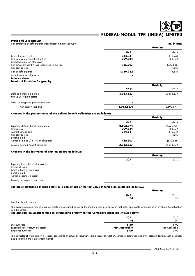#### **Profit and Loss account**

Net employee benefit expense (recognised in Employee Cost) **(Rs. in lacs)**

|                                                   |           | Gratuity   |
|---------------------------------------------------|-----------|------------|
|                                                   | 2011      | 2010       |
| Current service cost                              | 344,841   | 310.944    |
| Interest cost on benefit obligation               | 209,834   | 183,874    |
| Expected return on plan assets                    |           |            |
| Net actuarial(gain) / loss recognised in the year | 735,307   | (332, 866) |
| Past service cost                                 |           | 11,389     |
| Net benefit expense                               | 12,89,982 | 173.341    |
| Actual return on plan assets                      |           |            |

#### **Balance sheet Details of Provision for gratuity**

|                                                         |             | Gratuity    |
|---------------------------------------------------------|-------------|-------------|
|                                                         | 2011        | 2010        |
| Defined benefit obligation<br>Fair value of plan assets | 3,983,857   | 2,693,874   |
| Less: Unrecognised past service cost                    |             |             |
| Plan asset / (liability)                                | (3,983,857) | (2,693,874) |

#### **Changes in the present value of the defined benefit obligation are as follows:**

|                                          | Gratuity  |            |
|------------------------------------------|-----------|------------|
|                                          | 2011      | 2010       |
| Opening defined benefit obligation       | 2,693,874 | 2,520,533  |
| Interest cost                            | 209,834   | 183.874    |
| Current service cost                     | 344,841   | 310.944    |
| Past service cost                        |           | 11,389     |
| Benefits paid                            |           |            |
| Actuarial (gains) / losses on obligation | 735,307   | (332, 866) |
| Closing defined benefit obligation       | 3,983,857 | 2,693,874  |

#### **Changes in the fair value of plan assets are as follows:**

|                                   |      | viului, |
|-----------------------------------|------|---------|
|                                   | 2011 | 2010    |
| Opening fair value of plan assets |      |         |
| Expected return                   |      |         |
| Contributions by employer         |      |         |
| Benefits paid                     |      |         |
| Actuarial gains / (losses)        |      |         |
| Closing fair value of plan assets |      |         |

#### **The major categories of plan assets as a percentage of the fair value of total plan assets are as follows:**

|                          |             | Gratuity    |
|--------------------------|-------------|-------------|
|                          | 2011<br>(%) | 2010<br>(%) |
| Investments with insurer |             |             |

The overall expected rate of return on assets is determined based on the market prices prevailing on that date, applicable to the period over which the obligation is to be settled.

#### **The principal assumptions used in determining gratuity for the Company's plans are shown below:**

|                                   | 2011<br>(%)           | 2010<br>(%)    |
|-----------------------------------|-----------------------|----------------|
| Discount rate                     | 8.50                  | 8.00           |
| Expected rate of return on assets | <b>Not Applicable</b> | Not Applicable |
| Employee turnover                 | 5.00                  | 5.00           |

The estimates of future salary increases, considered in actuarial valuation, take account of inflation, seniority, promotion and other relevant factors, such as supply and demand in the employment market.

**Gratuity**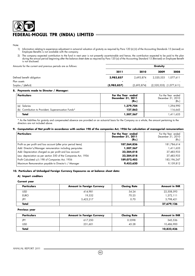Note:

- 1) Information relating to experience adjustment in actuarial valuation of gratuity as required by Para 120 (n) (ii) of the Accounting Standards 15 (revised) on Employee Benefits is not available with the company.
- 2) The company expected contribution to the fund in next year is not presently ascertainable and hence, the contribution expected to be paid to the plan during the annual period beginning after the balance sheet date as required by Para 120 (o) of the Accounting Standard 15 (Revised) on Employee Benefit is not disclosed.

Amounts for the current and previous periods are as follows: **Gratuity**

| Amounts for the current and previous periods are as follows: |             | vrgivity    |                         |           |  |
|--------------------------------------------------------------|-------------|-------------|-------------------------|-----------|--|
|                                                              | 2011        | 2010        | 2009                    | 2008      |  |
| Defined benefit obligation                                   | 3,983,857   | 2.693.874   | 2,520,533               | 1.077.611 |  |
| Plan assets                                                  | ۰           |             |                         |           |  |
| Surplus / (deficit)                                          | (3,983,857) | (2,693,874) | (2,520,533) (1,077,611) |           |  |

#### **8. Payments made to Director / Manager:**

| Particulars                                          | For the Year ended<br>December 31, 2011<br>(Rs.) | For the Year ended<br>December 31, 2010<br>(Rs.) |
|------------------------------------------------------|--------------------------------------------------|--------------------------------------------------|
| (a) Salaries                                         | 1,379,704                                        | 1.294.990                                        |
| (b) Contribution to Provident, Superannuation Funds* | 127,863                                          | 116,643                                          |
| Total                                                | 1,507,567                                        | 1,411,633                                        |

\* As the liabilities for gratuity and compensated absence are provided on an actuarial basis for the Company as a whole, the amount pertaining to the directors are not included above.

#### **9. Computation of Net profit in accordance with section 198 of the companies Act, 1956 for calculation of managerial remuneration:**

| <b>Particulars</b>                                               | For the Year ended<br>December 31, 2011<br>(Rs.) | For the Year ended<br>December 31, 2010<br>(Rs.) |
|------------------------------------------------------------------|--------------------------------------------------|--------------------------------------------------|
| Profit as per profit and loss account (after prior period items) | 187,564,836                                      | 181,784,614                                      |
| Add: Director's/Manager remuneration including perquisites       | 1,507,567                                        | 1,411,633                                        |
| Add: Depreciation charged as per profit and loss account:        | 32,284,018                                       | 37,483,933                                       |
| Less: depreciation as per section 350 of the Companies Act, 1956 | 32,284,018                                       | 37,483,933                                       |
| Profit Calculated u/s 198 of Companies Act, 1956                 | 189,072,403                                      | 183, 196, 247                                    |
| Maximum Remuneration payable to Director's / Manager             | 9,453,620                                        | 9,159,812                                        |

#### **10. Particulars of Unhedged Foreign Currency Exposures as at balance sheet date:**

#### **A) Import creditors**

#### **Current year**

| <b>Particulars</b> | <b>Amount in Foreign Currency</b> | <b>Closing Rate</b> | <b>Amount in INR</b> |
|--------------------|-----------------------------------|---------------------|----------------------|
| USD                | 414.981                           | 54.24               | 22,508,593           |
| <b>EURO</b>        | 19.532                            | 70.25               | 1,372,111            |
| JPY                | 5,423,217                         | 0.70                | 3,798,421            |
| Total              |                                   |                     | 27,679,126           |

#### **Previous year**

| <b>Particulars</b> | <b>Amount in Foreign Currency</b> | <b>Closing Rate</b> | <b>Amount in INR</b> |
|--------------------|-----------------------------------|---------------------|----------------------|
| JPY                | 617,250                           | 0.5598              | 345,536              |
| USD                | 231,601                           | 45.28               | 10,486,900           |
| Total              |                                   |                     | 10,832,436           |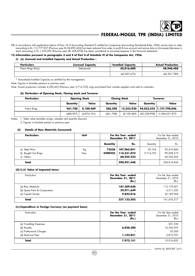11. In accordance with explanation below of Para 10 of Accounting Standard 9 notified by Companies (Accounting Standards) Rules, 2006, excise duty on sales amounting to Rs 113,777,927 (Previous year Rs 94,892,426) has been reduced from sales in profit & loss account and excise duty on (increase)/decrease in stock amounting to Rs 1,533,092 (Previous year (Rs 458,873)) has been considered as (income)/expense in the financial statements.

#### **12. Information pursuant to paragraphs 3 and 4 of Part II of Schedule VI of the Companies Act, 1956.**

#### **(i) (a) Licensed and Installed Capacity and Actual Production :**

| <b>Particulars</b> | Licensed Capacity | *Installed Capacity | <b>Actual Production</b> |
|--------------------|-------------------|---------------------|--------------------------|
| Piston Rings (Nos) | Delicensed        | 50,016,000          | 48,948,488               |
|                    |                   | (45, 837, 672)      | (42,301,789)             |

\* Annualized Installed Capacity as certified by the management.

Note: Figures in brackets pertains to previous year

Note: Actual production includes 4,290,425 (Previous year 3,714,723) rings purchased from outside suppliers and sold to customers.

#### **(b) Particulars of Opening Stock, Closing stock and Turnover**

| <b>Particulars</b> |            | <b>Opening Stock</b> | <b>Closing Stock</b> |             |              | Turnover                   |
|--------------------|------------|----------------------|----------------------|-------------|--------------|----------------------------|
|                    | Quantity   | Value                | Quantity             | Value       | Quantity     | Value                      |
| Piston Rings       | 461,788    | 8,100,469            | 286,308              | 15,353,930  |              | 44,833,543   1,157,798,046 |
|                    | (488, 997) | (4,874,181)          | (461,788)            | (8,100,469) | (42,328,998) | (1,006,051,875)            |

Notes: 1. Sales value excludes scraps, samples and quantity discount.

2. Figures in brackets pertain to previous year.

#### **(ii) Details of Raw Materials Consumed:**

| <b>Particulars</b>                                   | Unit       | For the Year ended<br>December 31, 2011 |                                          |                     | For the Year ended<br>December 31, 2010 |
|------------------------------------------------------|------------|-----------------------------------------|------------------------------------------|---------------------|-----------------------------------------|
|                                                      |            | Quantity                                | Rs.                                      | Quantity            | Rs.                                     |
| a). Steel Wire<br>b). Bought Out Rings<br>c). Others | Кg<br>Nos. | 72526<br>4290425                        | 107,965,041<br>114,531,074<br>68,425,333 | 69,104<br>3,714,723 | 95,419,860<br>99,058,519<br>44,336,563  |
| Total                                                |            |                                         | 290,921,448                              |                     | 238,814,942                             |

#### **(iii) C.I.F. Value of Imported items:**

| Particulars                                                            | For the Year ended<br>December 31, 2011<br>(Rs.) | For the Year ended<br>December 31, 2010<br>(Rs.) |
|------------------------------------------------------------------------|--------------------------------------------------|--------------------------------------------------|
| (a) Raw Materials<br>(b) Spare Parts & Components<br>(c) Capital Goods | 187,309,038<br>39,971,649<br>9,842,816           | 113,179,001<br>6,311,352<br>22,185,964           |
| Total                                                                  | 237,123,503                                      | 141,676,317                                      |

#### **(iv) Expenditure in Foreign Currency (on payment basis)**

| <b>Particulars</b>       | For the Year ended<br>December 31, 2011<br>(Rs.) | For the Year ended<br>December 31, 2010<br>(Rs.) |
|--------------------------|--------------------------------------------------|--------------------------------------------------|
| (a) Travelling Expenses  |                                                  | 301,530                                          |
| (b) Royalty              | 6,828,300                                        | 16,760,595                                       |
| (c) Professional Charges |                                                  | 35,000                                           |
| (d) Technical Fees       | 1,143,851                                        | 2,819,707                                        |
| Total                    | 7,972,151                                        | 19,916,832                                       |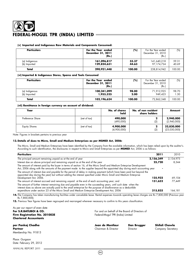#### **(v) Imported and Indigenous Raw Materials and Components Consumed:**

| <b>Particulars</b>             | For the Year ended<br>December 31, 2011<br>(Rs.) | (%)            | For the Year ended<br>December 31, 2010<br>(Rs.) | (%)            |
|--------------------------------|--------------------------------------------------|----------------|--------------------------------------------------|----------------|
| (a) Indigenous<br>(b) Imported | 161,096,817<br>129,824,631                       | 55.37<br>44.63 | 141,640,218<br>97.174.724                        | 59.31<br>40.69 |
| Total                          | 290,921,448                                      | 100.00         | 238,814,942                                      | 100.00         |

#### **(vi) Imported & Indigenous Stores, Spares and Tools Consumed**

| <b>Particulars</b>             | For the Year ended<br>December 31, 2011<br>(Rs.) | (% )          | For the Year ended<br>December 31, 2010<br>(Rs.) | (%)           |
|--------------------------------|--------------------------------------------------|---------------|--------------------------------------------------|---------------|
| (a) Indigenous<br>(b) Imported | 100,241,099<br>1,955,525                         | 98.00<br>2.00 | 71,912,925<br>949.423                            | 98.70<br>1.30 |
| Total                          | 102,196,624                                      | 100.00        | 72,862,348                                       | 100.00        |

#### **(vii) Remittance in foreign currency on account of dividend:**

| Year                 |              | No. of shares<br>held    | No. of non resident<br>share holders | <b>Amount</b>              |
|----------------------|--------------|--------------------------|--------------------------------------|----------------------------|
| Preference Share     | (net of tax) | 490,000<br>(490,000)     | (2)                                  | 2,940,000<br>(2,940,000)   |
| <b>Equity Shares</b> | (net of tax) | 4,900,000<br>(4,900,000) | (2)                                  | 32,830,000<br>(23,030,000) |

Note: Figures in brackets pertains to previous year

#### **13. Details of dues to Micro, Small and Medium Enterprises as per MSMED Act, 2006:**

The Micro, Small and Medium Enterprises have been identified by the Company from the available information, which has been relied upon by the auditor's. According to such identification, the disclosures in respect to Micro and Small Enterprises as per **MSMED** Act, 2006 is as follows:

| <b>Particulars</b>                                                                                                                                                                                                                                                                                                                                                                                                                                                                              | 2011      | 2010      |
|-------------------------------------------------------------------------------------------------------------------------------------------------------------------------------------------------------------------------------------------------------------------------------------------------------------------------------------------------------------------------------------------------------------------------------------------------------------------------------------------------|-----------|-----------|
| The principal amount remaining unpaid as at the end of year                                                                                                                                                                                                                                                                                                                                                                                                                                     | 2,156,349 | 2,134,975 |
| Interest due on above principal and remaining unpaid as at the end of the year                                                                                                                                                                                                                                                                                                                                                                                                                  | 25,720    | 8,344     |
| The amount of interest paid by the buyer in terms of section 16, of the Micro Small and Medium Enterprise Development<br>Act, 2006 along with the amounts of the payment made to the supplier beyond the appointed day during each accounting year<br>The amount of interest due and payable for the period of delay in making payment (which have been paid but beyond the<br>appointed day during the year) but without adding the interest specified under Micro Small and Medium Enterprise |           |           |
| Development Act, 2006.                                                                                                                                                                                                                                                                                                                                                                                                                                                                          | 125,932   | 69,104    |
| The amount of interest accrued and remaining unpaid at the end of each accounting year; and                                                                                                                                                                                                                                                                                                                                                                                                     | 151,652   | 77,449    |
| The amount of further interest remaining due and payable even in the succeeding years, until such date when the<br>interest dues as above are actually paid to the small enterprise for the purpose of disallowance as a deductible<br>expenditure under section 23 of the Micro Small and Medium Enterprise Development Act, 2006                                                                                                                                                              | 315,833   | 164,181   |

14. The Company has taken manufacturing facilities under cancelable lease. Rental expenses towards operating lease charges are Rs 7,800,000 (Previous year Rs 7,800,000).

**15.** Previous Year figures have been regrouped and rearranged wherever necessary to confirm to this years classification.

| As per our report of even date<br>For S.R.BATLIBOI & CO.<br>Firm Registration No. 301003E<br><b>Chartered Accountants</b> | For and on behalf of the Board of Directors of<br>Federal-Mogul TPR (India) Limited |                         |                                     |
|---------------------------------------------------------------------------------------------------------------------------|-------------------------------------------------------------------------------------|-------------------------|-------------------------------------|
| per Pankaj Chadha<br>Partner<br>Membership No. 91813                                                                      | Jean de Montlaur<br>Chairman & Director                                             | Dan Brugger<br>Director | Shifali Chawla<br>Company Secretary |
| Place: Gurgaon<br>Date: February 29, 2012                                                                                 |                                                                                     |                         |                                     |

ANNUAL REPORT 2011

 $(64)$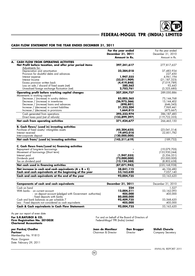#### **CASH FLOW STATEMENT FOR THE YEAR ENDED DECEMBER 31, 2011**

|                                                                                               | For the year ended       | For the year ended    |
|-----------------------------------------------------------------------------------------------|--------------------------|-----------------------|
|                                                                                               | December 31, 2011        | December 31, 2010     |
|                                                                                               | Amount in Rs.            | Amount in Rs.         |
| <b>CASH FLOW FROM OPERATING ACTIVITIES</b>                                                    |                          |                       |
| Net Profit before taxation, and after prior period items<br>Adjustments for:                  | 297,341,617              | 277,817,657           |
| Depreciation and amortisation                                                                 | 32,284,018               | 37,483,934            |
| Provision for doubtful debts and advances                                                     |                          | 227,450               |
| Interest expense                                                                              | 1,947,555                | 4,961,194             |
| Interest Income                                                                               | (23, 011, 909)           | (21, 187, 323)        |
| Excess provision written back                                                                 | (4,419,848)              | (7,019,789)           |
| Loss on sale / discard of fixed assets (net)<br>Unrealised foreign exchange fluctuation (net) | 380,563<br>2,782,761     | 93.443<br>(3,325,680) |
| Operating profit before working capital changes                                               |                          | 289,050,886           |
| Movements in working capital :                                                                | 307,304,757              |                       |
| Decrease / (increase) in sundry debtors                                                       | 83,005,365               | 75.144.768            |
| Decrease / (increase) in inventories                                                          | (26, 975, 366)           | 15,144,402            |
| Decrease / (increase) loans and advances                                                      | (898, 801)               | (646, 345)            |
| Increase / (decrease) in current liabilities                                                  | 31,223,204               | 7,969,441             |
| Increase / (decrease) in provisions                                                           | 1,664,815                | (475, 667)            |
| Cash generated from operations                                                                | 395,323,974              | 386, 187, 485         |
| Direct taxes paid (net of refunds)                                                            | (123, 899, 297)          | (119, 722, 335)       |
| Net cash from operating activities                                                            | 271,424,677              | 266,465,150           |
| <b>B. Cash flows/ (used in) investing activities</b>                                          |                          |                       |
| Purchase of fixed assets/ intangibles assets                                                  | (45, 204, 635)           | (23,041,514)          |
| Interest received                                                                             | 19,693,016               | 22,851,782            |
| Inter-corporate deposit<br>Net cash from/ (used in) investing activities                      | (120,000,000)            |                       |
|                                                                                               | (145, 511, 619)          | (189, 732)            |
| C. Cash flows from/(used in) financing activities                                             |                          |                       |
| Repayment of long-term borrowings                                                             |                          | (19,079,705)          |
| Movement of borrowings (Short term)                                                           |                          | (133,930,244)         |
| Interest paid                                                                                 | (1,947,555)              | (5, 356, 351)         |
| Dividends paid                                                                                | (73,000,000)             | (53,000,000)          |
| Tax on dividend paid                                                                          | (12,124,388)             | (8,802,638)           |
| Net cash used in financing activities                                                         | (87,071,943)             | (220, 168, 938)       |
| Net increase in cash and cash equivalents $(A + B + C)$                                       | 38,841,115               | 46,106,480            |
| Cash and cash equivalents at the beginning of the year                                        | 53,163,620               | 7,057,140             |
| Cash and cash equivalents at the end of the year                                              | 92,004,735               | 53,163,620            |
| Components of cash and cash equivalents                                                       | <b>December 31, 2011</b> | December 31, 2010     |
| Cash on hand                                                                                  | 224                      | 1,527                 |
| With banks - on current account                                                               | 12,004,511               | 53,162,093            |
| - on deposit account (pledged with Government authorities)                                    | 405,000                  | 405,000               |
| - fixed deposits with banks                                                                   | 80,000,000               |                       |
| Cash and bank balances as per schedule 7                                                      | 92,409,735               | 53,568,620            |
| Less : Fixed deposits not considered as cash equivalents                                      | 405,000                  | 405,000               |
|                                                                                               |                          | 53,163,620            |

As per our report of even date

**Firm Registration No. 301003E** Federal-Mogul TPR (India) Limited **Chartered Accountants**

**per Pankaj Chadha Jean de Montlaur Dan Brugger Shifali Chawla** Membership No. 91813 Place: Gurgaon Date: February 29, 2011

For and on behalf of the Board of Directors of<br>Federal-Mogul TPR (India) Limited

**Chairman & Director** 

 $\overline{\phantom{a}}$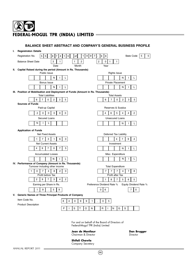| ı. | <b>Regsistraton Details</b>                                                                                                                                                        |
|----|------------------------------------------------------------------------------------------------------------------------------------------------------------------------------------|
|    | Registration No.<br>4<br>$\mathsf{O}\xspace$<br>99<br>State Code<br>5<br>5<br>$8 \mid 7$<br>$1 \mid$<br>$\mathbf{1}$<br>$\overline{7}$<br>9<br>8<br>5<br>5<br>of<br>$\blacksquare$ |
|    | 3<br>$\overline{c}$<br><b>Balance Sheet Date</b><br>$\overline{2}$<br>0<br>$\mathbf{1}$<br>$\mathbf{1}$<br>1<br>$\mathbf{1}$                                                       |
|    | Month<br>Year<br>Date                                                                                                                                                              |
| Ш. | Capital Raised during the period (Amount in Rs. Thousands)<br>Public Issue                                                                                                         |
|    | Rights Issue                                                                                                                                                                       |
|    | N<br>$\mathbf{I}$<br>L<br>N<br>$\mathsf{L}$<br>L<br>Bonus Issue<br><b>Private Placement</b>                                                                                        |
|    | N<br>$\mathbf{I}$<br>L<br>N<br>$\mathbf{I}$<br>L                                                                                                                                   |
|    | III. Position of Mobilisation and Deployment of Funds (Amount in Rs. Thousands)                                                                                                    |
|    | <b>Total Liabilities</b><br><b>Total Assets</b>                                                                                                                                    |
|    | $\overline{7}$<br>$\overline{7}$<br>$\Omega$<br>$\overline{2}$<br>3<br>$\mathbf 0$<br>$\mathbf{2}$<br>3<br>5 <sup>1</sup><br>6<br>5<br>6                                           |
|    | <b>Sources of Funds</b>                                                                                                                                                            |
|    | Paid-up Capital<br>Reserves & Surplus                                                                                                                                              |
|    | $\Omega$<br>0<br>0<br>6<br>5<br>4<br>4<br>$2^{\circ}$<br>2<br>0<br>0<br>4                                                                                                          |
|    | Secured Loans<br>Unsecured Loans                                                                                                                                                   |
|    | N<br>L<br>т.<br>N<br>T<br>L.                                                                                                                                                       |
|    | <b>Application of Funds</b>                                                                                                                                                        |
|    | <b>Net Fixed Assets</b><br>Deferred Tax Liability                                                                                                                                  |
|    | $\overline{7}$<br>3<br>$\mathbf{1}$<br>6<br>0<br>1<br>$\overline{4}$<br>$\overline{7}$<br>9<br>4                                                                                   |
|    | <b>Net Current Assets</b><br>Investment                                                                                                                                            |
|    | 9<br>$\overline{7}$<br>0<br>5<br>4<br>$\overline{7}$<br>N<br>$\mathbf{I}$<br>L.                                                                                                    |
|    | Misc. Expenditure<br><b>Accumulated Losses</b>                                                                                                                                     |
|    | N<br>N<br>L<br>L<br>L<br>L                                                                                                                                                         |
|    | IV. Performance of Company (Amount in Rs. Thousands)<br>Turnover including other income<br><b>Total Expenditure</b>                                                                |
|    | 1<br>$\overline{7}$<br>0<br>4<br>8<br>$\overline{2}$<br>0<br>7<br>7<br>7<br>7<br>4<br>8                                                                                            |
|    | Profit before Tax<br>Profit after Tax                                                                                                                                              |
|    | $\overline{2}$<br>9<br>$\overline{7}$<br>$\overline{4}$<br>$\overline{2}$<br>3<br>$\mathbf{1}$<br>8<br>$\overline{7}$<br>5<br>5<br>6                                               |
|    | Earning per Share in Rs.<br>Preference Dividend Rate %<br>Equity Dividend Rate %                                                                                                   |
|    | $\mathbf{1}$<br>5<br>9<br>9<br>6<br>0<br>0<br>7                                                                                                                                    |
|    | V. Generic Names of Three Principal Products of Company                                                                                                                            |
|    | Item Code No.<br>$\overline{4}$<br>$\mathbf 0$<br>9<br>9<br>8<br>1<br>0<br>5                                                                                                       |
|    | <b>Product Description</b>                                                                                                                                                         |
|    | T<br>P<br>S<br>O<br>N<br>R<br>N<br>S<br>T<br>$\mathbf{I}$<br>G                                                                                                                     |
|    |                                                                                                                                                                                    |

**BALANCE SHEET ABSTRACT AND COMPANY'S GENERAL BUSINESS PROFILE**

For and on behalf of the Board of Directors of Federal-Mogul TPR (India) Limited

**Jean de Montlaur Chaine Brugger<br>
Dan Brugger<br>
Director** Chairman & Director

**Shifali Chawla** Company Secretary

ANNUAL REPORT 2011

66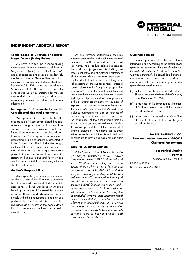

# **INDEPENDENT AUDITOR'S REPORT**

#### **To the Board of Directors of Federal-Mogul Goetze (India) Limited**

We have audited the accompanying consolidated financial statements of Federal-Mogul Goetze (India) Limited ("the Company") and its subsidiaries and associates (collectively the Federal-Mogul Goetze Group), which comprise the consolidated Balance Sheet as at December 31, 2011, and the consolidated Statement of Profit and Loss and the consolidated Cash Flow Statement for the year then ended, and a summary of significant accounting policies and other explanatory information.

#### **Management's Responsibility for the Consolidated Financial Statements**

Management is responsible for the preparation of these consolidated financial statements that give a true and fair view of the consolidated financial position, consolidated financial performance and consolidated cash flows of the Company in accordance with accounting principles generally accepted in India. This responsibility includes the design, implementation and maintenance of internal control relevant to the preparation and presentation of the consolidated financial statements that give a true and fair view and are free from material misstatement, whether due to fraud or error.

#### **Auditor's Responsibility**

Our responsibility is to express an opinion on these consolidated financial statements based on our audit. We conducted our audit in accordance with the Standards on Auditing issued by the Institute of Chartered Accountants of India. Those Standards require that we comply with ethical requirements and plan and perform the audit to obtain reasonable assurance about whether the consolidated financial statements are free from material misstatement.

An audit involves performing procedures to obtain audit evidence about the amounts and disclosures in the consolidated financial statements. The procedures selected depend on the auditor's judgement, including the assessment of the risks of material misstatement of the consolidated financial statements, whether due to fraud or error. In making those risk assessments, the auditor considers internal control relevant to the Company's preparation and presentation of the consolidated financial statements that give a true and fair view in order to design audit procedures that are appropriate in the circumstances but not for the purpose of expressing an opinion on the effectiveness of the company's internal control. An audit also includes evaluating the appropriateness of accounting policies used and the reasonableness of the accounting estimates made by management, as well as evaluating the overall presentation of the consolidated financial statements. We believe that the audit evidence we have obtained is sufficient and appropriate to provide a basis for our audit opinion.

#### **Basis for Qualified Opinion**

Refer Note no. 18 of Schedule 24 on the Company's investments in G. I. Power Corporation Limited ('GIPCL') of the value of Rs 1,070.92 lacs representing investment in equity shares of Rs.194.48 lacs and in preference shares of Rs. 876.44 lacs. During the year, Company's holding in GIPCL was reduced to 6.60% from earlier holding of 26.00%. The Company has been unable to produce audited financial information and , as represented to us, is also in discussion for sale of these investments at par, that are yet to be concluded. In view of these uncertainties and due to non-availability of audited financial information as at December 31, 2011, we are not in a position to assess as to whether provision, if any, needs to be made towards carrying value of these investments and consequential impact thereof.

#### **Qualified opinion**

In our opinion and to the best of our information and according to the explanations given to us, except for the possible effects of the matter described in the Basis for Qualified Opinion paragraph, the consolidated financial statements give a true and fair view in conformity with the accounting principles generally accepted in India:

- (a) in the case of the consolidated Balance Sheet, of the state of affairs of the Company as at December 31, 2011;
- (b) in the case of the consolidated Statement of Profit and Loss, of the profit for the year ended on that date; and
- (c) in the case of the consolidated Cash Flow Statement, of the cash flows for the year ended on that date.

### **For S.R. BATLIBOI & CO. Firm registration number : 301003E Chartered Accountants**

## **per Pankaj Chadha Partner** Membership No.: 91813

Place : Gurgaon Date : February 29, 2012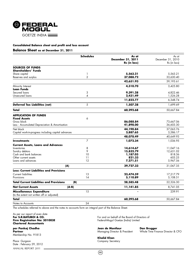

#### **Consolidated Balance sheet and profit and loss account**

#### **Balance Sheet as at December 31, 2011**

|                                                                          | <b>Schedules</b> | As at                             | As at                             |
|--------------------------------------------------------------------------|------------------|-----------------------------------|-----------------------------------|
|                                                                          |                  | December 31, 2011<br>Rs (in lacs) | December 31, 2010<br>Rs (in lacs) |
| <b>SOURCES OF FUNDS</b>                                                  |                  |                                   |                                   |
| Shareholders' Funds                                                      |                  |                                   |                                   |
| Share capital                                                            | 1                | 5,563.21                          | 5,563.21                          |
| Reserves and surplus                                                     | $\overline{2}$   | 37,088.72                         | 33,630.40                         |
|                                                                          |                  | 42,651.93                         | 39,193.61                         |
| Minority Interest                                                        |                  | 4,310.70                          | 3,425.80                          |
| <b>Loan Funds</b>                                                        |                  |                                   |                                   |
| Secured loans                                                            | 3                | 9,391.28                          | 4,822.46                          |
| Unsecured loans                                                          | 4                | 2,431.49                          | 1,526.28                          |
|                                                                          |                  | 11,822.77                         | 6,348.74                          |
| <b>Deferred Tax Liabilities (net)</b>                                    | 5                | 1,507.28                          | 1,699.69                          |
| Total                                                                    |                  | 60,292.68                         | 50,667.84                         |
| <b>APPLICATION OF FUNDS</b>                                              |                  |                                   |                                   |
| <b>Fixed Assets</b>                                                      | 6                |                                   |                                   |
| Gross block                                                              |                  | 86,088.84                         | 73,667.06                         |
| Less: Accumulated Depreciation & Amortisation                            |                  | 41,898.00                         | 36,603.30                         |
| Net block                                                                |                  | 44,190.84                         | 37,063.76                         |
| Capital work-in-progress including capital advances                      |                  | 3,887.65                          | 3,586.17                          |
|                                                                          |                  | 48,078.49                         | 40,649.93                         |
| <b>Investments</b>                                                       | $\overline{7}$   | 1,072.34                          | 1,036.95                          |
| <b>Current Assets, Loans and Advances</b>                                |                  |                                   |                                   |
| Inventories                                                              | 8                | 14,614.67                         | 11,047.16                         |
| Sundry debtors                                                           | 9                | 15,832.79                         | 12,631.02                         |
| Cash and bank balances                                                   | 10               | 1,187.03                          | 818.36                            |
| Other current assets                                                     | 11               | 821.33                            | 603.25                            |
| Loans and advances                                                       | 12               | 7,271.51                          | 5,967.56                          |
|                                                                          | (A)              | 39,727.33                         | 31,067.35                         |
| <b>Less: Current Liabilities and Provisions</b>                          |                  |                                   |                                   |
| <b>Current liabilities</b>                                               | 13               | 23,474.59                         | 17,217.79                         |
| Provisions                                                               | 14               | 5,110.89                          | 5,108.51                          |
| <b>Total Current Liabilities and Provisions</b>                          | (B)              | 28,585.48                         | 22,326.30                         |
| <b>Net Current Assets</b>                                                | $(A-B)$          | 11,141.85                         | 8,741.05                          |
| Miscellaneous Expenditure<br>(to the extent not written off or adjusted) | 15               |                                   | 239.91                            |
| Total                                                                    |                  | 60,292.68                         | 50,667.84                         |
| Notes to Accounts                                                        | 24               |                                   |                                   |

The schedules referred to above and the notes to accounts form an integral part of the Balance Sheet.

As per our report of even date<br>For S.R.BATLIBOI & CO. **Chartered Accountants**

Membership No. 91813

ANNUAL REPORT 2011 Place: Gurgaon **Company Secretary** Date: February 29, 2012

**For S.R.BATLIBOI & CO.** For and on behalf of the Board of Directors of **Firm Registration No: 301003E** Federal-Mogul Goetze (India) Limited Federal-Mogul Goetze (India) Limited

**per Pankaj Chadha Integral de Jean de Montlaur de Dan Brugger<br>Partner Integral de Monaging Director & President Integral Director And Time Fin** 

Whole Time Finance Director & CFO

**Khalid Khan**

 $(68)$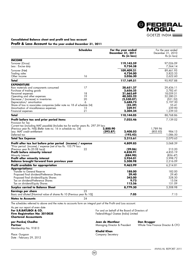**O** FEDERAL<br>MOGUL **GOETZE INDIA** 

# **Consolidated Balance sheet and profit and loss account Profit & Loss Account for the year ended December 31, 2011**

|                                                                                                                 | <b>Schedules</b> | For the year ended       | For the year ended |
|-----------------------------------------------------------------------------------------------------------------|------------------|--------------------------|--------------------|
|                                                                                                                 |                  | <b>December 31, 2011</b> | December 31, 2010  |
|                                                                                                                 |                  | Rs (in lacs)             | Rs (in lacs)       |
| <b>INCOME</b>                                                                                                   |                  |                          |                    |
| Turnover (Gross)                                                                                                |                  | 119,143.59               | 97,026.09          |
| Less: Excise duty                                                                                               |                  | 9,734.38                 | 7,564.14           |
| Turnover (Net)                                                                                                  |                  | 109,409.21               | 89.461.95          |
| Trading sales                                                                                                   |                  | 4,724.00                 | 3,823.33           |
| Other income                                                                                                    | 16               | 3,036.30                 | 2,622.60           |
| Total                                                                                                           |                  | 117,169.51               | 95,907.88          |
| <b>EXPENDITURE</b>                                                                                              |                  |                          |                    |
| Raw materials and components consumed                                                                           | 17               | 38,651.37                | 29,436.11          |
| Purchase of trading goods                                                                                       |                  | 3,656.35                 | 2,782.41           |
| Personnel expenses                                                                                              | 18               | 21,663.69                | 18,059.51          |
| Operating and other expenses                                                                                    | 19               | 40,505.22                | 32,280.21          |
| Decrease / (increase) in inventories                                                                            | 20               | (2,530.07)               | (521.52)           |
| Depreciation/ amortisation                                                                                      | 6                | 5,688.73                 | 5,197.30           |
| Share of loss in associates companies (refer note no 18 of schedule 24)                                         |                  | (35.39)                  | 55.41              |
| Amortisation of miscellaneous expenses                                                                          | 15               | 239.91                   | 239.90             |
| Financial expenses                                                                                              | 21               | 2,304.24                 | 1,239.53           |
| Total                                                                                                           |                  | 110,144.05               | 88,768.86          |
| Profit before tax and prior period items                                                                        |                  | 7,025.46                 | 7,139.02           |
| Provision for Tax                                                                                               |                  |                          |                    |
| Current tax (including MAT payable) (Includes tax for earlier years Rs. 297.59 lacs                             |                  |                          |                    |
| (Previous year Rs. Nil)) (Refer note no. 16 in schedule no. 24)                                                 |                  | 2,800.90                 | 1.789.96           |
| Less: MAT credit entitlement                                                                                    |                  | 2,408.03<br>(392.87)     | 984.13<br>(805.83) |
| Deferred tax                                                                                                    |                  | (192.42)                 | 1,086.50           |
| <b>Total Tax Expense</b>                                                                                        |                  | 2,215.61                 | 2,070.63           |
| Profit after tax but before prior period (income) / expense                                                     |                  | 4,809.85                 | 5,068.39           |
| "Prior period (income) / expense (net of tax Rs. 103.79 lacs                                                    |                  |                          |                    |
| (Previous year Rs. 20.08 lacs))                                                                                 | 22               | (29.06)                  | 213.20             |
| Profit before minority interest                                                                                 |                  | 4,838.91                 | 4.855.19           |
| Minority Interest                                                                                               |                  | (884.90)                 | (856.47)           |
| <b>Profit after minority interest</b>                                                                           |                  | 3,954.01                 | 3,998.72           |
| <b>Balance brought forward from previous year</b>                                                               |                  | 5,508.98                 | 2,216.09           |
| Profit available for appropriation                                                                              |                  | 9,462.99                 | 6,214.81           |
| <b>Appropriations:</b>                                                                                          |                  |                          |                    |
| Transfer to General Reserve                                                                                     |                  | 188.00                   | 182.00             |
| Proposed final dividend-Preference Shares                                                                       |                  | 29.40                    | 29.40              |
| Proposed final dividend-Equity Shares                                                                           |                  | 343.00                   | 328.30             |
| Tax on dividend-Preference Shares                                                                               |                  | 9.73                     | 15.04              |
| Tax on dividend-Equity Shares                                                                                   |                  | 113.56                   | 151.09             |
| <b>Surplus carried to Balance Sheet</b>                                                                         |                  | 8,779.30                 | 5,508.98           |
| Earnings per share                                                                                              | 23               |                          |                    |
| Basic and diluted [Nominal value of shares Rs 10 (Previous year Rs 10)]                                         |                  | 7.05                     | 7.13               |
| <b>Notes to Accounts</b>                                                                                        | 24               |                          |                    |
| The schedules referred to above and the notes to accounts form an integral part of the Profit and Loss account. |                  |                          |                    |

As per our report of even date<br>For S.R.BATLIBOI & CO. **Chartering Creative Community**<br>Firm Registration No: 301003E<br>Chartered Accountants

Membership No. 91813

Place: Gurgaon **Company Secretary** Date : February 29, 2012

For and on behalf of the Board of Directors of Federal-Mogul Goetze (India) Limited

**per Pankaj Chadha Jean de Montlaur de Dan Brugger<br>Partner Managing Director & President Monde Time Fin** 

Whole Time Finance Director & CFO

**Khalid Khan**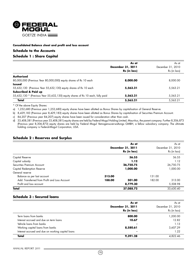

### **Consolidated Balance sheet and profit and loss account**

### **Schedule to the Accounts**

### **Schedule 1 : Share Capital**

|                                                                                 | As at                    | As at             |
|---------------------------------------------------------------------------------|--------------------------|-------------------|
|                                                                                 | <b>December 31, 2011</b> | December 31, 2010 |
|                                                                                 | Rs (in lacs)             | Rs (in lacs)      |
| <b>Authorised</b>                                                               |                          |                   |
| 80,000,000 (Previous Year 80,000,000) equity shares of Rs 10 each               | 8,000.00                 | 8,000.00          |
| <b>Issued</b>                                                                   |                          |                   |
| 55,632,130 (Previous Year 55,632,130) equity shares of Rs 10 each               | 5,563.21                 | 5,563.21          |
| Subscribed & Paid up                                                            |                          |                   |
| 55,632,130 * (Previous Year 55,632,130) equity shares of Rs 10 each, fully paid | 5,563.21                 | 5,563.21          |
| Total                                                                           | 5,563.21                 | 5,563.21          |

\* Of the above Equity Shares:

a) 1,252,680 (Previous year 1,252,680) equity shares have been allotted as Bonus Shares by capitalisation of General Reserve.

b) 8,429,183 (Previous year 8,429,183) equity shares have been allotted as Bonus Shares by capitalisation of Securities Premium Account.

c) 84,207 (Previous year 84,207) equity shares have been issued for consideration other than cash.

d) 33,408,581 (Previous year 33,408,581) equity shares are held by Federal Mogul Holding Limited, Mauritius, the parent company. Further 8,306,873 (Previous year 8,306,873) equity shares are held by Federal Mogul Vemogensuverwaltungs GMBH, a fellow subsidiary company. The ultimate holding company is Federal-Mogul Corporation, USA.

# **Schedule 2 : Reserves and Surplus**

|                                               | As at             | As at             |
|-----------------------------------------------|-------------------|-------------------|
|                                               | December 31, 2011 | December 31, 2010 |
|                                               | Rs (in lacs)      | Rs (in lacs)      |
| Capital Reserve                               | 56.55             | 56.55             |
| Capital subsidy                               | 1.12              | 1.12              |
| Securities Premium Account                    | 26,750.75         | 26,750.75         |
| Capital Redemption Reserve                    | 1,000.00          | 1,000.00          |
| General reserve                               |                   |                   |
| Balance as per last account                   | 313.00            | 131.00            |
| Add: Transferred from Profit and Loss Account | 188.00<br>501.00  | 182.00<br>313.00  |
| Profit and loss account                       | 8,779.30          | 5,508.98          |
| Total                                         | 37,088.72         | 33,630.40         |

# **Schedule 3 : Secured loans**

|                                                   | As at             | As at             |
|---------------------------------------------------|-------------------|-------------------|
|                                                   | December 31, 2011 | December 31, 2010 |
|                                                   | Rs (in lacs)      | Rs (in lacs)      |
| Term loans from banks                             | 800.00            | 1,200.00          |
| Interest accrued and due on term loans            | 10.67             | 12.82             |
| Vehicle loans from banks                          |                   | 1.13              |
| Working capital loans from banks                  | 8,580.61          | 3,607.29          |
| Interest accrued and due on working capital loans |                   | 1.22              |
| Total                                             | 9,391.28          | 4,822.46          |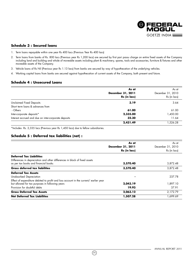

# **Schedule 3 : Secured loans**

- 1. Term loans repayable within one year Rs 400 lacs (Previous Year Rs 400 lacs)
- 2. Term loans from banks of Rs. 800 lacs (Previous year Rs 1,200 lacs) are secured by first pari passu charge on entire fixed assets of the Company including land and building and whole of moveable assets including plant & machinery, spares, tools and accessories, furniture & fixtures and other moveable assets of the Company.
- 3. Vehicle loans of Rs Nil (Previous year Rs 1.13 lacs) from banks are secured by way of hypothecation of the underlying vehicles.
- 4. Working capital loans from banks are secured against hypothecation of current assets of the Company, both present and future.

### **Schedule 4 : Unsecured Loans**

|                                                      | As at                             | As at             |
|------------------------------------------------------|-----------------------------------|-------------------|
|                                                      | December 31, 2011<br>Rs (in lacs) | December 31, 2010 |
|                                                      |                                   | Rs (in lacs)      |
| Unclaimed Fixed Deposits                             | 3.19                              | 3.64              |
| Short term loans & advances from                     |                                   |                   |
| - Others                                             | 61.00                             | 61.00             |
| Inter-corporate deposits*                            | 2,335.00                          | 1,450.00          |
| Interest accrued and due on inter-corporate deposits | 32.30                             | 11.64             |
|                                                      | 2,431.49                          | .526.28           |

\*Includes Rs. 2,335 lacs (Previous year Rs 1,450 lacs) due to fellow subsidiaries.

### **Schedule 5 : Deferred tax liabilities (net) :**

|                                                                                                                    | As at                    | As at             |
|--------------------------------------------------------------------------------------------------------------------|--------------------------|-------------------|
|                                                                                                                    | <b>December 31, 2011</b> | December 31, 2010 |
|                                                                                                                    | Rs (in lacs)             | Rs (in lacs)      |
| <b>Deferred Tax Liabilities</b>                                                                                    |                          |                   |
| Differences in depreciation and other differences in block of fixed assets<br>as per tax books and financial books | 3,570.40                 | 3,872.48          |
|                                                                                                                    |                          |                   |
| <b>Gross deferred tax liabilities</b>                                                                              | 3,570.40                 | 3,872.48          |
| <b>Deferred Tax Assets</b>                                                                                         |                          |                   |
| Unabsorbed Depreciation                                                                                            |                          | 237.78            |
| Effect of expenditure debited to profit and loss account in the current/ earlier year                              |                          |                   |
| but allowed for tax purposes in following years                                                                    | 2,043.19                 | 1,897.10          |
| Provision for doubtful debts                                                                                       | 19.93                    | 37.91             |
| <b>Gross Deferred Tax Assets</b>                                                                                   | 2,063.12                 | 2,172.79          |
| <b>Net Deferred Tax Liabilities</b>                                                                                | 1,507.28                 | 1,699.69          |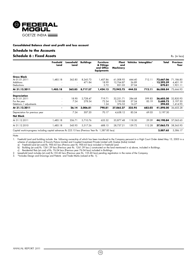

## **Consolidated Balance sheet and profit and loss account**

# **Schedule to the Accounts**

# **Schedule 6 : Fixed Assets** Rs. (in lacs)

|                                                                                                     | Freehold<br>Land         | Leasehold<br>Land | <b>Buildings</b> | <b>Furniture</b><br>& Fittings<br>and Office<br><b>Equipments</b> | Plant<br>and<br>Machinery |        | Vehicles Intangibles* | Total     | <b>Previous</b><br>Year |
|-----------------------------------------------------------------------------------------------------|--------------------------|-------------------|------------------|-------------------------------------------------------------------|---------------------------|--------|-----------------------|-----------|-------------------------|
| Gross Block                                                                                         |                          |                   |                  |                                                                   |                           |        |                       |           |                         |
| At 01.01.2011                                                                                       | 1,485.18                 | 362.85            | 8,245.73         | 1,407.86                                                          | 61,008.93                 | 444.40 | 712.11                | 73,667.06 | 71,186.85               |
| <b>Additions</b>                                                                                    |                          |                   | 471.84           | 18.99                                                             | 12,764.87                 | 36.89  |                       | 13,292.59 | 4,401.19                |
| Deductions                                                                                          |                          |                   |                  | 2.72                                                              | 831.05                    | 37.04  |                       | 870.81    | 1,921.11                |
| At 31.12.2011                                                                                       | 1,485.18                 | 362.85            | 8,717.57         | 1,424.13                                                          | 72,942.75                 | 444.25 | 712.11                | 86,088.84 | 73,666.93               |
| Depreciation                                                                                        |                          |                   |                  |                                                                   |                           |        |                       |           |                         |
| At 01.01.2011                                                                                       | $\sim$                   | 18.90             | 2,728.47         | 719.71                                                            | 32,251.71                 | 284.68 | 599.83                | 36,603.30 | 32,820.93               |
| For the year                                                                                        | $\overline{\phantom{a}}$ | 7.24              | 278.34           | 72.34                                                             | 5,190.08                  | 57.54  | 83.19                 | 5,688.73  | 5,197.30                |
| Deletions / adjustments                                                                             | $\overline{\phantom{a}}$ |                   |                  | 1.24                                                              | 376.52                    | 16.27  |                       | 394.03    | 1,414.95                |
| At 31.12.2011                                                                                       | $\blacksquare$           | 26.14             | 3,006.81         | 790.81                                                            | 37,065.27                 | 325.95 | 683.02                | 41,898.00 | 36,603.28               |
| Depreciation for previous year                                                                      |                          | 7.24              | 307.20           | 70.17                                                             | 4,658.12                  | 85.54  | 69.03                 | 5,197.30  |                         |
| Net Block                                                                                           |                          |                   |                  |                                                                   |                           |        |                       |           |                         |
| At 31.12.2011                                                                                       | 1,485.18                 | 336.71            | 5,710.76         | 633.32                                                            | 35,877.48                 | 118.30 | 29.09                 | 44,190.84 | 37,063.65               |
| At 31.12.2010                                                                                       | 1,485.18                 | 343.95            | 5,517.26         | 688.15                                                            | 28,757.21                 | 159.72 | 112.28                | 37,063.75 | 38,365.93               |
| Capital work-in-progress including capital advances Rs 225.15 lacs (Previous Year Rs 1,387.85 lacs) |                          |                   |                  |                                                                   |                           |        |                       | 3,887.65  | 3,586.17                |

Note:

1. Freehold Land and building include the following ownership of which has been transfered to the Company persuant to a High Court Order dated May 13, 2003 in a scheme of amalgamation of Escorts Pistons Limited and Coupled Investment Private Limited with Goetze (India) Limited:

a) Freehold Land (at cost) Rs. 900.65 lacs (Previos year Rs. 900.65 lacs) included in Freehold Land.

b) Building (at cost) Rs. 1261.39 lacs (Previous year Rs. 1261.39 lacs ) constructed on the land mentioned in a) above, included in Buildings.

c) Residential flats (at cost) of Rs. 76.04 lacs (Previous year 76.04 lacs) included in Buildings.

2. Leasehold Land includes (at cost) Rs.155.60 lacs (Previous year Rs. 155.60 lacs) pending registration in the name of the Company.

3. \*Includes Design and Drawings and Patents and Trade Marks (valued at Re. 1).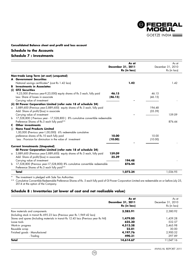

# **Consolidated Balance sheet and profit and loss account**

# **Schedule to the Accounts**

# **Schedule 7 : Investments**

|          |                                                                                                                           |         | As at<br>December 31, 2011<br>Rs (in lacs) |         | As at<br>December 31, 2010<br>Rs (in lacs) |
|----------|---------------------------------------------------------------------------------------------------------------------------|---------|--------------------------------------------|---------|--------------------------------------------|
|          | Non-trade Long Term (at cost) (unquoted)                                                                                  |         |                                            |         |                                            |
|          | <b>A</b> Government Securities                                                                                            |         |                                            |         |                                            |
|          | National savings certificates* (cost Rs 1.42 lacs)                                                                        |         | 1.42                                       |         | 1.42                                       |
| В        | <b>Investments in Associates</b>                                                                                          |         |                                            |         |                                            |
|          | (i) GTZ Securities                                                                                                        |         |                                            |         |                                            |
|          | 9,23,000 (Previous year-9,23,000) equity shares of Rs 5 each, fully paid                                                  | 46.15   |                                            | 46.15   |                                            |
|          | Less: Share of losses in associate                                                                                        | (46.15) |                                            | (46.15) |                                            |
|          | Carrying value of investment<br>(ii) GI Power Corporation Limited (refer note 18 of schedule 24)                          |         |                                            |         |                                            |
| $\alpha$ | 3,889,600 (Previous year-3,889,600) equity shares of Rs 5 each, fully paid                                                |         |                                            | 194.48  |                                            |
|          | Add: Share of profit/(loss) in associate                                                                                  |         |                                            | (35.39) |                                            |
|          | Carrying value of investment                                                                                              |         |                                            |         | 159.09                                     |
| b        | 17,528,800 (Previous year - 17,528,800) 8% cumulative convertible redeemable                                              |         |                                            |         |                                            |
|          | Preference Shares of Rs.5 each fully paid**                                                                               |         |                                            |         | 876.44                                     |
| C.       | <b>Other investments</b>                                                                                                  |         |                                            |         |                                            |
| (i)      | <b>Nanz Food Products Limited</b>                                                                                         |         |                                            |         |                                            |
|          | 1,00,000 (Previous year-1,00,000) 6% redeemable cumulative                                                                |         |                                            |         |                                            |
|          | preference shares of Rs.10 each fully paid                                                                                | 10.00   |                                            | 10.00   |                                            |
|          | Less : Provision for diminution in the value of investment                                                                | (10.00) |                                            | (10.00) |                                            |
|          | <b>Current Investments (Unquoted)</b>                                                                                     |         |                                            |         |                                            |
|          | GI Power Corporation Limited (refer note 18 of schedule 24)                                                               |         |                                            |         |                                            |
| a        | 3,889,600 (Previous year-3,889,600) equity shares of Rs 5 each, fully paid                                                | 159.09  |                                            |         |                                            |
|          | Add: Share of profit/(loss) in associate                                                                                  | 35.39   |                                            |         |                                            |
|          | Carrying value of investment                                                                                              |         | 194.48                                     |         |                                            |
| b        | 17,528,800 (Previous year-17,528,800) 8% cumulative convertible redeemable<br>Preference Shares of Rs.5 each fully paid** |         | 876.44                                     |         |                                            |
|          | Total                                                                                                                     |         | 1,072.34                                   |         | 1,036.95                                   |

\* The investment is pledged with Sale Tax Authorities

\*\* Cumulative Convertible Redeemable Preference Shares of Rs. 5 each fully paid of GI Power Corporation Limited are redeemable on or before July 25, 2014 at the option of the Company.

# **Schedule 8 : Inventories (at lower of cost and net realisable value)**

|                                                                                        | As at             | As at             |
|----------------------------------------------------------------------------------------|-------------------|-------------------|
|                                                                                        | December 31, 2011 | December 31, 2010 |
|                                                                                        | Rs (in lacs)      | Rs (in lacs)      |
| Raw materials and components                                                           | 3,285.91          | 2,380.92          |
| (Including stock in transit Rs 695.23 lacs (Previous year Rs 1,969.42 lacs)            |                   |                   |
| Stores and spares (Including materials in transit Rs 12.45 lacs (Previous year Rs Nil) | 1,479.00          | 1,439.28          |
| Loose tools                                                                            | 625.30            | 532.57            |
| Work-in-progress                                                                       | 4,513.38          | 3,465.98          |
| Reusable scrap                                                                         | 23.01             | 30.00             |
| Finished goods - Manufactured                                                          | 4,197.76          | 2,900.52          |
| - Trading                                                                              | 490.31            | 297.89            |
| Total                                                                                  | 14,614.67         | 11,047.16         |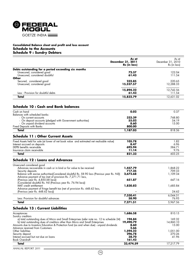

# **Consolidated Balance sheet and profit and loss account Schedule to the Accounts Schedule 9 : Sundry Debtors**

|                                                                                              | As at<br><b>December 31, 2011</b><br>Rs (in lacs) | As at<br>December 31, 2010<br>Rs (in lacs) |
|----------------------------------------------------------------------------------------------|---------------------------------------------------|--------------------------------------------|
| Debts outstanding for a period exceeding six months                                          |                                                   |                                            |
| Unsecured, considered good                                                                   | 72.37                                             | 122.04                                     |
| Unsecured, considered doubtful                                                               | 61.43                                             | 111.54                                     |
| Other                                                                                        |                                                   |                                            |
| Secured, considered good                                                                     | 232.85                                            | 220.65                                     |
| Unsecured, considered good                                                                   | 15,527.57                                         | 12,288.33                                  |
|                                                                                              |                                                   |                                            |
|                                                                                              | 15,894.22                                         | 12,742.56                                  |
| Less: Provision for doubtful debts                                                           | 61.43                                             | 111.54                                     |
|                                                                                              |                                                   |                                            |
| Total                                                                                        | 15,832.79                                         | 12,631.02                                  |
| <b>Schedule 10: Cash and Bank balances</b>                                                   |                                                   |                                            |
| Cash on hand                                                                                 | 0.02                                              | 0.37                                       |
| Balances with scheduled banks:                                                               |                                                   |                                            |
| - On current accounts                                                                        | 323.39                                            | 748.80                                     |
| - On deposit accounts (pledged with Government authorities)                                  | 55.02                                             | 54.19                                      |
| - On unpaid dividend accounts                                                                | 8.60                                              | 15.00                                      |
| <b>Fixed Deposits with Banks</b>                                                             | 800.00                                            |                                            |
| Total                                                                                        | 1,187.03                                          | 818.36                                     |
|                                                                                              |                                                   |                                            |
| <b>Schedule 11: Other Current Assets</b>                                                     |                                                   |                                            |
| Fixed Assets held for sale (at lower of net book value and estimated net realisable value)   | 105.78                                            | 1.82                                       |
| Interest accrued on deposits                                                                 | 8.47                                              | 6.96                                       |
| DEPB benefits receivable                                                                     | 695.94                                            | 584.71                                     |
| Insurance claim receivable                                                                   | 11.14                                             | 9.76                                       |
| Total                                                                                        | 821.33                                            | 603.25                                     |
|                                                                                              |                                                   |                                            |
| <b>Schedule 12: Loans and Advances</b>                                                       |                                                   |                                            |
| Unsecured considered good                                                                    |                                                   |                                            |
| Advances recoverable in cash or in kind or for value to be received                          | 1,457.79                                          | 1,868.22                                   |
| Security deposits                                                                            | 717.25                                            | 709.33                                     |
| Balance with excise authorities (Considered doubtful Rs. 58.90 lacs (Previous year Rs. Nil)) | 2,672.68                                          | 1,109.34                                   |
| Advance payment of tax (net of provision Rs. 7,271.71 lacs,                                  |                                                   |                                            |
| (Previous year Rs. 4,850.68 lacs))                                                           | 651.87                                            | 647.16                                     |
| (Considered doubtful Rs. Nil (Previous year Rs. 76.94 lacs))                                 |                                                   |                                            |
| MAT credit entitlement                                                                       | 1,830.82                                          | 1,685.84                                   |
| Advance payment of fringe benefit tax (net of provision Rs. 448.62 lacs,                     |                                                   |                                            |
| (Previous year Rs. 448.62 lacs))                                                             |                                                   | 24.62                                      |
|                                                                                              | 7,330.41                                          | 6,044.51                                   |
| Less: Provision for doubtful advances                                                        | 58.90                                             | 76.95                                      |
| Total                                                                                        | 7,271.51                                          | 5,967.56                                   |
| <b>Schedule 13 : Current Liabilities</b>                                                     |                                                   |                                            |
| Acceptances                                                                                  | 1,686.58                                          | 810.15                                     |
| Sundry creditors                                                                             |                                                   |                                            |
| a) total outstanding dues of Micro and Small Enterprises (refer note no. 12 to schedule 24)  | 194.84                                            | 169.32                                     |
| b) total outstanding dues of creditors other than Micro and Small Enterprises                | 19,490.79                                         | 14,860.10                                  |
| Amounts due to Investors Education & Protection fund (as and when due) - unpaid dividends    | 8.60                                              | 15.00                                      |
| Advance received from Customers                                                              | 2.66                                              |                                            |
| Other liabilities                                                                            | 1,594.22                                          | 1,051.00                                   |
| Security deposit                                                                             | 296.78                                            | 270.26                                     |
| Interest accrued but not due on loans                                                        | 38.70                                             | 41.96                                      |
| <b>Book Overdraft</b>                                                                        | 161.42                                            |                                            |
| Total                                                                                        | 23,474.59                                         | 17,217.79                                  |
|                                                                                              |                                                   |                                            |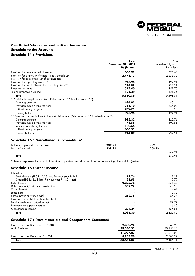

# **Consolidated Balance sheet and profit and loss account Schedule to the Accounts Schedule 14 : Provisions**

|                                                                                              | As at<br>December 31, 2011<br>Rs (in lacs) | As at<br>December 31, 2010<br>Rs (in lacs) |
|----------------------------------------------------------------------------------------------|--------------------------------------------|--------------------------------------------|
| Provision for compensated absences                                                           | 683.92                                     | 695.60                                     |
| Provision for gratuity (Refer note 11 to Schedule 24)                                        | 2,773.13                                   | 2,576.75                                   |
| Provision for current tax (net of advance tax)                                               |                                            |                                            |
| Provision for regulatory matters*                                                            | 943.26                                     | 424.91                                     |
| Provision for non fulfilment of export obligations**                                         | 214.89                                     | 932.31                                     |
| Proposed dividend                                                                            | 372.40                                     | 357.70                                     |
| Tax on proposed dividend                                                                     | 123.29                                     | 121.24                                     |
| Total                                                                                        | 5,110.89                                   | 5,108.51                                   |
| * Provision for regulatory matters (Refer note no. 16 in schedule no. 24)                    |                                            |                                            |
| Opening balance                                                                              | 424.91                                     | 93.14                                      |
| Provision made during the year                                                               | 788.10                                     | 845.00                                     |
| Utilised during the year                                                                     | 269.75                                     | 513.23                                     |
| Closing balance                                                                              | 943.26                                     | 424.91                                     |
| ** Provision for non fulfilment of export obligations (Refer note no. 15 in schedule no. 24) |                                            |                                            |
| Opening balance                                                                              | 932.32                                     | 822.76                                     |
| Provision made during the year                                                               | 73.58                                      | 109.55                                     |
| Written back during the year                                                                 | 130.66                                     |                                            |
| Utilised during the year                                                                     | 660.35                                     |                                            |
| Closing balance                                                                              | 214.89                                     | 932.31                                     |

# **Schedule 15 : Miscellaneous Expenditure\***

| Balance as per last balance sheet | 239.91 | 479.81 |        |
|-----------------------------------|--------|--------|--------|
| Less: Written off                 | 239.91 | 239.90 |        |
|                                   |        |        | 239.91 |
| Total                             |        |        | 239.91 |

\* Amount represents the impact of transitional provision on adoption of notified Accounting Standard 15 (revised).

# **Schedule 16 : Other Income**

| Interest on:                                           |          |          |
|--------------------------------------------------------|----------|----------|
| Bank deposits (TDS Rs 0.18 lacs, Previous year Rs Nil) | 19.74    | 1.21     |
| Others (TDS Rs 2.58 lacs, Previous year Rs 3.01 lacs)  | 21.55    | 19.79    |
| Sale of scrap                                          | 2,205.72 | 1,671.42 |
| Duty drawback/ Exim scrip realisation                  | 352.27   | 344.38   |
| Cash discount                                          |          | 4.62     |
| Lease Rent                                             |          | 0.30     |
| Excess provision written back                          | 212.78   | 65.73    |
| Provision for doubtful debts written back              |          | 13.77    |
| Foreign exchange fluctuation (net)                     |          | 97.77    |
| Management support charges                             |          | 46.80    |
| Miscellaneous income                                   | 224.24   | 356.81   |
| Total                                                  | 3,036.30 | 2,622.60 |

# **Schedule 17 : Raw materials and Components Consumed**

| Inventories as at December 31, 2010<br>Add: Purchases | 2,380.92<br>39,556.35 | .663.90<br>30,153.13  |
|-------------------------------------------------------|-----------------------|-----------------------|
| Inventories as at December 31, 2011                   | 41,937.27<br>3,285.90 | 31,817.03<br>2.380.92 |
| Total                                                 | 38,651.37             | 29,436.11             |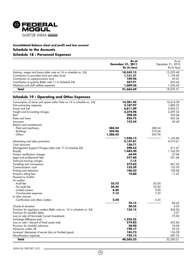

# **Consolidated Balance sheet and profit and loss account Schedule to the Accounts Schedule 18 : Personnel Expenses**

|                                                                  | As at<br>December 31, 2011<br>Rs (in lacs) | As at<br>December 31, 2010<br>Rs (in lacs) |
|------------------------------------------------------------------|--------------------------------------------|--------------------------------------------|
| Salaries, wages and bonus (refer note no. 14 in schedule no. 24) | 18,545.15                                  | 15,229.48                                  |
| Contribution to provident fund and other funds                   | 1,151.31                                   | 1,178.49                                   |
| Contribution to superannuation fund                              | 109.96                                     | 69.47                                      |
| Contribution to gratuity (Refer note 11 to Schedule 24)          | 247.91                                     | 245.64                                     |
| Workmen and staff welfare expenses                               | 1,609.36                                   | 1,336.43                                   |
| Total                                                            | 21,663.69                                  | 18.059.51                                  |

# **Schedule 19 : Operating and Other Expenses**

| Screable 17: Operanny and Onicr Expenses                                |           |        |           |
|-------------------------------------------------------------------------|-----------|--------|-----------|
| Consumption of stores and spares (refer Note no. 14 in schedule no. 24) | 14,281.45 |        | 10,414.38 |
| Sub-contracting expenses                                                | 2,187.97  |        | 1,883.35  |
| Power and fuel                                                          | 6,811.09  |        | 5,856.37  |
| Freight and forwarding charges                                          | 2,374.98  |        | 2,297.32  |
| Rent                                                                    | 398.50    |        | 526.44    |
| Rates and taxes                                                         | 825.75    |        | 562.26    |
| Insurance                                                               | 152.54    |        | 69.68     |
| Repairs and maintenance                                                 |           |        |           |
| - Plant and machinery                                                   | 284.24    | 280.24 |           |
| - Buildings                                                             | 259.46    | 319.66 |           |
| - Others                                                                | 1,386.42  | 503.96 |           |
|                                                                         | 1,930.12  |        | 1,103.86  |
| Advertising and sales promotion                                         | 5,147.81  |        | 4,310.61  |
| Cash discounts                                                          | 126.71    |        |           |
| Management Support Charges (refre note 17 of schedule 24)               | 498.52    |        | 411.67    |
| Royalty                                                                 | 1,483.20  |        | 1,162.30  |
| Product rectification charges                                           | 64.94     |        | 57.08     |
| Legal and professional fees                                             | 531.60    |        | 521.46    |
| Technical training charges                                              | 7.15      |        |           |
| Travelling and conveyance                                               | 572.62    |        | 461.05    |
| Communication costs                                                     | 153.39    |        | 153.59    |
| Printing and stationery                                                 | 106.23    |        | 105.08    |
| Directors sitting fees                                                  | 10.80     |        | 11.67     |
| Payment to Auditor                                                      |           |        |           |
| As auditor:                                                             |           |        |           |
| - Audit fee                                                             | 33.75     | 42.00  |           |
| - Tax audit fee                                                         | 24.25     | 25.85  |           |
| - Limited reviews                                                       | 8.50      | 9.00   |           |
| - Out-of-pocket expenses                                                | 7.15      | 7.52   |           |
| In other manner:                                                        |           |        |           |
| - Certification and others matters                                      | 2.50      | 2.25   |           |
|                                                                         | 76.15     |        | 86.62     |
| Charity & donation                                                      | 20.55     |        | 0.29      |
| Provision for regulatory matters (Refer note no. 16 in schedule no. 24) | 133.15    |        | 845.00    |
| Provision for doubtful debts                                            |           |        | 2.27      |
| Loss on sale of Non-trade Current Investments                           |           |        | 75.00     |
| Exchange difference (net)                                               | 1,222.25  |        |           |
| Loss on sale / discard of fixed assets (net)                            | 219.82    |        | 422.84    |
| Provision for doubtful advances                                         | 58.90     |        | 76.94     |
| Advances written off                                                    | 198.17    |        | 39.35     |
| Increase/ (decrease) of excise duty on finished goods                   | 185.73    |        | 136.38    |
| Miscellaneous expenses                                                  | 725.13    |        | 687.35    |
| Total                                                                   | 40,505.22 |        | 32,280.21 |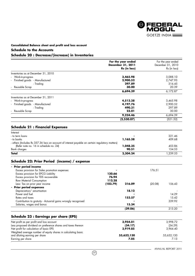

# **Consolidated Balance sheet and profit and loss account**

# **Schedule to the Accounts**

# **Schedule 20 : Decrease/(increase) in Inventories**

|                                     | For the year ended<br>December 31, 2011 | For the year ended<br>December 31, 2010 |
|-------------------------------------|-----------------------------------------|-----------------------------------------|
|                                     | Rs (in lacs)                            | Rs (in lacs)                            |
| Inventories as at December 31, 2010 |                                         |                                         |
| - Work-in-progress                  | 3,465.98                                | 3,088.10                                |
| - Finished goods - Manufactured     | 2,900.52                                | 2,747.93                                |
| - Trading                           | 297.89                                  | 316.45                                  |
| - Reusable Scrap                    | 30.00                                   | 20.39                                   |
|                                     | 6,694.39                                | 6,172.87                                |
| Inventories as at December 31, 2011 |                                         |                                         |
| - Work-in-progress                  | 4,513.38                                | 3,465.98                                |
| - Finished goods - Manufactured     | 4,197.76                                | 2,900.52                                |
| - Trading                           | 490.31                                  | 297.89                                  |
| - Reusable Scrap                    | 23.01                                   | 30.00                                   |
|                                     | 9,224.46                                | 6,694.39                                |
|                                     | (2,530.07)                              | (521.52)                                |

# **Schedule 21 : Financial Expenses**

| Total                                                                                           | 2,304.24 | 1.239.53 |
|-------------------------------------------------------------------------------------------------|----------|----------|
| Bank charges                                                                                    | 90.51    | 154.53   |
| (Refer note no. 16 in schedule no. 24)                                                          | 1,048.35 | 453.86   |
| - others (Includes Rs 357.36 lacs on account of interest payable on certain regulatory matters) |          |          |
| - to banks                                                                                      | 1,165.38 | 409.68   |
| - to term loans                                                                                 |          | 221.46   |
| Interest                                                                                        |          |          |

# **Schedule 22: Prior Period (income) / expense**

| - Prior period income                                         |          |         |         |        |
|---------------------------------------------------------------|----------|---------|---------|--------|
| Excess provision for Sales promotion expenses                 |          |         | 176.51  |        |
| Excess provision for EPCG Liability                           | 130.66   |         |         |        |
| Excess provision for TDS recoverable                          | 76.94    |         |         |        |
| <b>Raw Material Consumption</b>                               | 112.28   |         |         |        |
| Less: Tax on prior year income                                | (103.79) | 216.09  | (20.08) | 156.43 |
| - Prior period expenses                                       |          |         |         |        |
| Depreciation/ amortisation                                    |          | 18.12   |         |        |
| Power and fuel                                                |          |         |         | 14.29  |
| Rates and taxes                                               |          | 153.57  |         | 15.42  |
| Contribution to gratuity - Actuarial gains wrongly recognised |          |         |         | 339.92 |
| Salaries, wages and bonus                                     |          | 15.34   |         |        |
|                                                               |          | (29.06) |         | 213.20 |

# **Schedule 23 : Earnings per share (EPS)**

| Weighted average number of equity shares in calculating basic |            |            |
|---------------------------------------------------------------|------------|------------|
| and diluting earning per share                                | 55,632,130 | 55,632,130 |
| Earning per share                                             | 7.05       | 7.13       |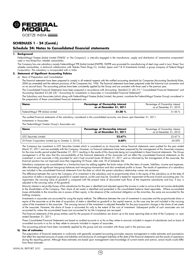

# **SCHEDULES 1 - 24 (Contd.)**

# **Schedule 24: Notes to Consolidated financial statements**

#### **1. Background**

Federal-Mogul Goetze (India) Limited ('FMGIL' or 'the Company'), is inter-alia engaged in the manufacture, supply and distribution of 'automotive components' used in two/three/four wheeler automobiles.

The Company has one subsidiary namely Federal-Mogul TPR (India) Limited (FMTPR). FMTPR was promoted for manufacturing of steel rings used in two/ three/ four wheeler automobiles, in technical collaboration with Teikoku Piston Rings Co. Limited, Japan and T & N Investments Limited, a group company of Federal Mogul Corporation. The subsidiary is incorporated with in India.

#### **2. Statement of Significant Accounting Policies**

a) Basis of Preparation and Consolidation

The financial statements have been prepared to comply in all material respects with the notified accounting standards by Companies (Accounting Standards) Rules, 2006 (as amended) and the relevant provisions of the Companies Act, 1956. The financial statements have been prepared under the historical cost convention and on an accrual basis. The accounting policies have been consistently applied by the Group and are consistent with those used in the previous year.

The Consolidated Financial Statements have been prepared in accordance with Accounting Standard 21 (AS 21) " Consolidated Financial Statements" and Accounting Standard 23 (AS 23) " Accounting for investments in Associates in Consolidated Financial Statements".

The Subsidiary and Associates (which along with Federal-Mogul Goetze (India) Limited, the parent, constitute the Federal-Mogul Goetze Group) considered in the preparation of these consolidated financial statements are:

| <b>Name</b>                       | Percentage of Ownership interest<br>as at December 31, 2011 | Percentage of Ownership interest<br>as at December 31, 2010 |
|-----------------------------------|-------------------------------------------------------------|-------------------------------------------------------------|
| Federal-Mogul TPR (India) Limited | 51.00 %                                                     | 51.00 %                                                     |

The audited financial statements of the subsidiary, considered in the consolidated accounts, are drawn upto December 31, 2011. Investments in Associates:

The Federal-Mogul Goetze Group's Associates are:

| <b>Name</b>                                          | Percentage of Ownership interest<br>as at December 31, 2011 | Percentage of Ownership interest<br>as at December 31, 2010 |
|------------------------------------------------------|-------------------------------------------------------------|-------------------------------------------------------------|
| l GTZ Securities Limited                             | 23.67%                                                      | 23.67 %                                                     |
| GI Power Corporation Limited (up to October 5, 2010) | 6.60%                                                       | 26.00%                                                      |

The Company has investment in GTZ Securities Limited which is considered as an Associate, whose financial statements were audited for the year ended March 31, 2011 and are available with the Company. However, no financial statements have been prepared by the management of this Associate company for the nine months period ended December 31, 2011 resulting in the results of this Associate being not consolidated in these financial statements. The Group management is of the view that this non-availability of the financial statements of this Associate will not affect the consolidated financial statements as the investment in such associate is fully provided for and it had incurred losses till March 31, 2011 and as informed by the management of the associate, the financial position has not improved since then (regarding GI Power, refer note 18 of Schedule 24).

Subsidiary companies are consolidated on a line-by-line basis by adding together the book values of the like items of assets, liabilities, income and expenses, after eliminating all significant intra-group balances and intra-group transactions and also unrealised profits or losses. The results of operations of a subsidiary are included in the consolidated financial statements from the date on which the parent subsidiary relationship comes into existence.

The difference between the cost to the Company of its investment in the subsidiary and its proportionate share in the equity of the subsidiary as at the date of acquisition of stake is recognized as goodwill or capital reserve, as the case may be. Goodwill is tested for impairment at the end of each accounting year. For impairment, the carrying value of goodwill is compared with the present value of discounted cash flows of the respective subsidiaries and loss, if any, is adjusted to the carrying value of the goodwill.

Minority interest in net profits/losses of the subsidiaries for the year is identified and adjusted against the income in order to arrive at the net income attributable to the shareholders of the Company. Their share of net assets is identified and presented in the consolidated balance sheet separately. Where accumulated losses attributable to the minorities are in excess of their equity, in the absence of the contractual obligation on the minorities, the same are accounted for the holding company.

Investments in associates are accounted for using the equity method. The difference between the cost of investment in associate and the proportionate share in equity of the associate as at the date of acquisition of stake is identified as goodwill or the capital reserve, as the case may be and included in the carrying value of the investment in the associate. The carrying amount of the investment is adjusted thereafter for the post acquisition change in the share of net assets of the associate. However, the share of losses is accounted for only to the extent of the cost of investment. Subsequent profits of such associates are not accounted for unless the accumulated losses (not accounted for by the Company) are recouped.

The financial statements of the group entities used for the purpose of consolidation are drawn up to the same reporting date as that of the Company i.e. year ended December 31, 2011.

These Consolidated Financial Statements are based on audited accounts in so far as they relate to amounts included in respect of subsidiaries and on basis of un-audited accounts in so far as they relate to amounts included in respect of associates.

The accounting policies have been consistently applied by the group and are consistent with those used in the previous year.

#### **b) Use of estimates**

The preparation of financial statements in conformity with generally accepted accounting principles requires management to make estimates and assumptions that affect the reported amounts of assets and liabilities and disclosure of contingent liabilities at the date of the financial statements and the results of operations during the reporting period. Although these estimates are based upon management's best knowledge of current events and actions, actual results could differ from these estimates.

 $(78)$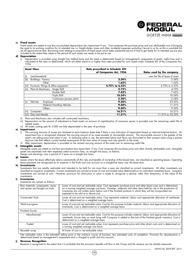

#### **c) Fixed assets**

Fixed assets are stated at cost less accumulated depreciation less impairment if any. Cost comprises the purchase price and any attributable cost of bringing the asset to its working condition for its intended use i.e. freight duties, taxes and other incidental expenses excluding Cenvat in so far as this is available for set off against excise duty. Borrowing costs relating to acquisition of fixed assets which takes substantial period of time to get ready for its intended use are also<br>included to the extent they relate to the period till s

#### **d) Depreciation**

i) Depreciation is provided using straight line method basis and the same is determined based on management's assessment of assets' useful lives and is<br>calculated at the rates so determined, which are either equal to or hi 1956.

| <b>Asset Class</b>                              | <b>Rate prescribed in Schedule XIV</b><br>of Companies Act, 1956 | Rates used by the company       |
|-------------------------------------------------|------------------------------------------------------------------|---------------------------------|
| Land-Leasehold<br>(i)                           |                                                                  | over the life of lease of asset |
| (ii)<br><b>Buildings - Factory</b>              | 3.34%                                                            | 3.34%                           |
| - Other                                         | 1.63%                                                            | 1.63%                           |
| Furniture, fittings & office equipment<br>(iii) | 4.75% to 6.33%                                                   | 4.75% to 6.33%                  |
| Plant & Machinery - Single Shift<br>(iv)        | 4.75%                                                            | 4.75%                           |
| - Double Shift                                  | 7.42%                                                            | 7.42%                           |
| - Triple Shift                                  | 10.34%                                                           | 10.34%                          |
| - Continuous process plant                      | 5.28%                                                            | 5.28%                           |
| Vehicles<br>- Employee<br>(v)                   | 9.50%                                                            | 33.33%                          |
| - Material Handling Vehicles                    | 9.50%                                                            | 11.31%                          |
| - Others                                        | 9.50%                                                            | 9.50%                           |
| (v <sub>i</sub> )<br>Computers                  | 16.21%                                                           | 16.21%                          |
| Dies and Moulds<br>(vii)                        | 11.31%                                                           | 1.31% to 33.33%                 |

Plant and Machinery also includes self constructed machinery.

iii) Depreciation on the amount of adjustment to fixed assets on account of capitalization of insurance spares is provided over the remaining useful life of related assets.

iv) All assets costing upto Rs 5,000 are fully depreciated in the year of purchase.

#### **e) Impairment**

i) The carrying amounts of assets are reviewed at each balance sheet date if there is any indication of impairment based on internal/external factors. An impairment loss is recognized wherever the carrying amount of an asset exceeds its recoverable amount. The recoverable amount is the greater of the asset's net selling price and value in use. In assessing value in use, the estimated future cash flows are discounted to their present value using a pre-tax discount rate that reflects current market assessments of the time value of money and risks specific to the asset.

After impairment, depreciation is provided on the revised carrying amount of the asset over its remaining useful life.

#### **f) Intangible assets**

Intangible assets are stated at cost less amortisation less impairment, if any. Cost comprises the purchase price and other directly attributable costs. Intangible assets are amortised over their expected useful economic lives, on straight line basis, as follows: Design and drawings- over a period of 5 years on a straight line basis.

#### **g) Leases**

Leases where the lessor effectively retains substantially all the risks and benefits of ownership of the leased item, are classified as operating leases. Operating lease payments are recognized as an expense in the Profit and Loss account on a straight-line basis over the lease term.

#### **h) Investments**

Investments that are readily realizable and intended to be held for not more than a year are classified as current investments. All other investments are classified as long-term investments. Current investments are carried at lower of cost and market value determined on an individual investment basis. Long-term investments are carried at cost. However, provision for diminution in value is made to recognize a decline, other than temporary, in the value of the investments.

#### **i) Inventories**

Inventories are valued as follows:

| Raw materials, components, stores<br>and spares and bought out tools. | Lower of cost and net realizable value. Cost represents purchase price and other direct costs and is determined<br>on a moving weighted average cost basis. However, materials and other items held for use in the production of<br>inventories are not written down below cost if the finished products in which they will be incorporated are<br>expected to be sold at or above cost. |
|-----------------------------------------------------------------------|------------------------------------------------------------------------------------------------------------------------------------------------------------------------------------------------------------------------------------------------------------------------------------------------------------------------------------------------------------------------------------------|
| Constructed Tools                                                     | Lower of cost and net realizable value. Cost represents material, labour and appropriate allocation of overheads.<br>Cost is determined on a weighted average basis.                                                                                                                                                                                                                     |
| Work-in-progress                                                      | Lower of cost and net realizable value. Cost for this purpose includes material, labour and appropriate allocation of<br>overheads. Cost is determined on a weighted average basis                                                                                                                                                                                                       |
|                                                                       |                                                                                                                                                                                                                                                                                                                                                                                          |
| Finished Goods:                                                       |                                                                                                                                                                                                                                                                                                                                                                                          |
| - Manufactured                                                        | Lower of cost and net realizable value. Cost for this purpose includes material, labour and appropriate allocation of<br>overheads. Excise duty on stock lying with Company is added to the cost of the finished goods inventory. Cost is<br>determined on a weighted average basis                                                                                                      |
| - Traded                                                              | Lower of cost and net realizable value. Cost represents purchase price and other direct costs and is determined on<br>a moving weighted average cost basis.                                                                                                                                                                                                                              |
| Reusable scrap                                                        | At lower of cost or net realizable value.                                                                                                                                                                                                                                                                                                                                                |

Net realizable value is the estimated selling price in the ordinary course of business, less estimated costs of completion. Provision for obsolescence is determined based on management's assessment and is charged to profit and loss account.

#### **j) Revenue Recognition**

Revenue is recognised to the extent that it is probable that the economic benefits will flow to the Group and the revenue can be reliably measured.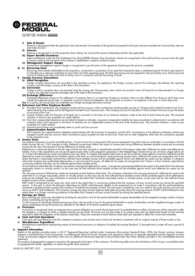

#### **GOFTZE INDIA EXAMPLE**

#### **i) Sale of Goods:**

Revenue is recognized when the significant risks and rewards of ownership of the goods have passed to the buyer and are recorded net of excise duty, sales tax and trade discount.

- **ii) Interest:**
- Revenue is recognised on a time proportion basis taking into account the amount outstanding and the rate applicable. **iii) Export Benefits/Incentives:**
- 

Export entitlements under the Duty Entitlement Pass Book (DEPB) Scheme/ Duty Drawback scheme are recognized in the profit and loss account when the right<br>to receive credit as per the terms of the scheme is established in r

#### **iv) Management Support charges**

Income from management support charges is recognized as per the terms of the agreement based upon the services completed.

#### **k) k) Borrowing Costs**

Borrowing costs directly attributable to the acquisition, construction or production ot an asset that necessarily takes a substantial period ot time to get ready tor<br>its intended use or sale are capitalized as part of the consist of interest and other costs that an entity incurs in connection with the borrowing of funds.

### **l) Foreign Currency Transactions**

#### **(i) Initial Recognition**

Foreign currency transactions are recorded in the reporting currency, by applying to the foreign currency amount the exchange rate between the reporting currency and the foreign currency at the date of the transaction. **(ii) Conversion**

# Foreign currency monetary items are reported using the closing rate. Non-monetary items which are carried in terms of historical cost denominated in a foreign<br>currency are reported using the exchange rate at the date of th

#### **(iii) Exchange Differences**

Exchange differences arising on the settlement of monetary items or on reporting Company's monetary items at rates different from those at which they were<br>initially recorded during the year, or reported in previous financi **(iv)** As a policy, the Group does not undertake any foreign exchange derivative contract.

- , "Retirement and Other Employee Benefits<br>, "I Provident fund contributions paid/payable are due to "Goetze India Limited Provident Fund Trust",<br>administered by the trustees and to the Regional Provident Fund Commissioners
	- (ii) Gratuity liability under the Payment of Gratuity Act is accrued on the basis of an actuarial valuation made at the end of each financial year. The actuarial valuation is done as per projected unit credit method.
	- iii) Short term compensated absences are provided tor based on estimates. Long term compensation liability tor leave encashment is determined in accordance with<br>company policy and measured on the basis of valuation by an i projected unit credit method. (iv) Actuarial gains/losses are immediately taken to profit and loss account.
		-

#### (v) **Superannuation Benefit**

The Company has superannuation obligation administered with Life Insurance Corporation of India (LIC). Contributions to the defined contribution scheme are<br>charged to profit and loss account when contributions paid/ payabl

#### **n) Income Taxes**

Tax expense comprises of current and deferred tax. Current income tax is measured at the amount expected to be paid to the tax authorities in accordance with the<br>Indian Income Tax Act, 1961 enacted in India. Deferred incom income for the year and reversal of timing differences of earlier years.

Deferred tax is measured based on the tax rates and the tax laws enacted or substantively enacted at the balance sheet date. Deferred tax assets and deferred tax liability, if any in the subsidiaries are not set off against each other as the respective companies in the Federal-Mogul Goetze Group do not have a legal right to do<br>so. Current and deferred tax assets and liabilities are

convincing evidence that they can be realised against future taxable profits.<br>At each balance sheet date the Company re-assesses unrecognised deferred tax assets. It recognises unrecognised deferred tax assets to the exten realised.

The carrying amount of deferred tax assets are reviewed at each balance sheet date. The Company writes down the carrying amount of a deferred tax asset to the<br>extent that it is no longer reasonably certain or virtually cer asset can be realised. Any such write-down is reversed to the extent that it becomes reasonably certain or virtually certain, as the case may be, that sufficient future taxable income will be available.

MAT credit is recognised as an asset only when and to the extent there is convincing evidence that the company will pay normal income tax during the specified<br>period. In the year in which the Minimum Alternative tax (MAT)

#### **o) Earnings per Share**

Basic earnings per share are calculated by dividing the net profit or loss for the period attributable to equity shareholders by the weighted average number of equity<br>shares outstanding during the period.<br>For the purpose o

#### **p) Provisions**

A provision is recognised when an enterprise has a present obligation as a result of past event and it is probable that an outflow of resources will be required to settle the obligation, in respect of which a reliable estimate can be made. Provisions are not discounted to its present value and are determined based on best estimate<br>required to settle the obligation at the balance sheet date.

# **q) Cash and Cash Equivalents**

Cash and cash equivalents for cash flow statement comprises cash at bank and in hand and short-term investments with an original maturity of three months or less. **r) Miscellaneous Expenditure**

Miscellaneous expenditure representing impact of transitional provisions on adoption of notified Accounting Standard 15 (revised) and is written off over a period of 5 years.

#### **3. Segment Information**

Based on the guiding principles given in AS-17 'Segmental Reporting' notified under Companies (Accounting Standard) Rules, 2006, the Group's primary business<br>segment is manufacturing of auto components. Considering the nat statements.

The analysis of geographical segment is based on the geographical location of the customers. The following table shows the distribution of the Group's consolidated sales<br>by geographical market, regardless of where the good

| v       |         |
|---------|---------|
|         |         |
|         |         |
| ×<br>۰. | т.<br>× |
|         |         |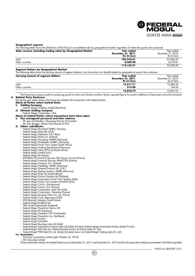

#### **Geographical segment**

The following table shows the distribution of the Group's consolidated sales by geographical market, regardless of where the goods were produced

| Sales revenue (including trading sales) by Geographical Market | Year ended               | Year ended        |
|----------------------------------------------------------------|--------------------------|-------------------|
|                                                                | <b>December 31, 2011</b> | December 31, 2010 |
|                                                                | Rs (in lacs)             | Rs (in lacs)      |
| India                                                          | 105,743.81               | 87.066.47         |
| Other countries                                                | 8,389.40                 | 6.218.81          |
|                                                                | 114,133.21               | 93.285.28         |

#### **Segment Debtors by Geographical Market:**

The following table shows the carrying amount of segment debtors ( net of provision for doubtful debts) by geographical area of the customers:

| Carrying amount of segment debtors | Year ended               | Year ended        |
|------------------------------------|--------------------------|-------------------|
|                                    | <b>December 31, 2011</b> | December 31, 2010 |
|                                    | Rs (in lacs)             | Rs (in lacs)      |
| India                              | 15,517.71                | 12,486.42         |
| Other countries                    | 315.08                   | 144.60            |
|                                    | 15,832.79                | 12,631.02         |

The Group has common assets for producing goods for India and Outside countries. Hence, separate figures for assets/ additions to fixed assets cannot be furnished. **4. Related Party Disclosure**

During the year under review, the Group has entered into transactions with related parties.

#### **Name of Parties where Control Exists**

**i) Holding Company** - Federal Mogul Holdings Limited (Mauritius)

**ii) Ultimate Holding Company**

- Federal Mogul Corporation, USA.

#### **Name of related Parties where transactions have taken place**

- **i) Key managerial personnel and their relatives**
	- Mr. Jean De Montleur, Managing Director & President
	- Mr. Dan Brugger, Whole Time Director & CFO
- **ii) Fellow subsidiaries**
	- Federal Mogul Burscheid GMBH, Germany
	- Federal Mogul Maysville (USA)
	- Federal Mogul Operation S.R.L (Italy)
	- Federal Mogul Bimet S.A. (Poland)
	- Federal Mogul Nurnberg, GMBH (Germany)
	- Federal Mogul Wiesbaden GMBH, (Germany)
	- Federal Mogul Power Train System (South Africa)
	- Federal Mogul Holding Deutschland (Germany)
	- Federal Mogul Valves (PTY) Ltd (South Africa) - Federal Mogul Limited (U.K.)
	-
	- Federal Mogul KK (Japan)
	- SSCFRAN FM Financial Services SAS Veurey Voroize (France)
	- Federal Mogul Financial Services FRANCTNL (France)
	- Federal Mogul Gorzyce, S.A. (Poland)
	- Federal Mogul Friedberg, GMBH (Germany)
	- Federal Mogul Sintered Products Ltd. (U.K.)
	- Federal Mogul Sealing Systems, GMBH (Germany) - Federal Mogul Brasil do Limited (Brazil)
	- Federal Mogul Friction Products Ltd (Thailand)
	- Federal Mogul Corporation Power Train Systems (USA)
	- Federal Mogul Power Train Systems Schofield (USA)
	- Federal Mogul S.A.R.L. (Switzerland)
	- Federal Mogul France, S.A. (France)
	- Federal Mogul Corporation, Lake City (USA)
	- Federal Mogul Corporation, Garennes (France)
	- Federal Mogul Dongsuh Piston Co. Ltd. (China)
	- Federal Mogul Corp, Mgmoogus (USA)
	- KFM Bearing Company (South Korea)
	- Federal Mogul Bradford Ltd.
	- T&N Limited Manchester (England)
	- Federal Mogul Powertrain Spara, MII
	- Federal Mogul KK Yokohama
	- Federal Mogul Sintertech SVC Functionnels
	- Federal Mogul Powertrain Inc, Southbend
	- Federal Mogul Kontich
	- Federal Mogul Schofield Federal Mogul Bearings India Ltd (India)
	- Federal-Mogul Automotive Products India Ltd (India) (Formerly Federal Mogul Automotive Product (India) Pvt Ltd.)
	- Federal-Mogul VSP India Ltd. (India) (Formerly known as Ferodo India Pvt. Ltd.)
	- Federal-Mogul PTSB India Pvt. Ltd. (India) (Formerly known as Federal-Mogul Trading India Pvt. Ltd.)
- **iv) Associates**
	- GI Power Corporation Limited (upto October 05, 2010)
	- GTZ Securities Limited

Those transactions along with related balances as at December 31, 2011 and December 31, 2010 and for the years then ended are presented in the following table: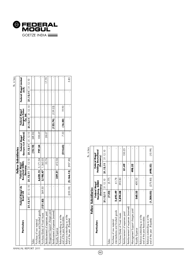| <b>O</b> FEDERAL<br><b>MOGUL</b> |
|----------------------------------|
| GOFTZE INDIA $\blacksquare$      |

|                                                               |          |                                |                                                                                  |                     |                                                    |        |                                             |          |                                | N3. III IUUS |
|---------------------------------------------------------------|----------|--------------------------------|----------------------------------------------------------------------------------|---------------------|----------------------------------------------------|--------|---------------------------------------------|----------|--------------------------------|--------------|
|                                                               |          |                                |                                                                                  | Fellow Subsidiaries |                                                    |        |                                             |          |                                |              |
| Particulars                                                   |          | Federal Mogul do<br>Brasil Ltd | Federal Mogul<br>Burscheid GMBH,<br>Germany                                      |                     | Gorzyce S.A (Poland)<br>Federal Mogul              |        | Dongsuh Piston<br>Co. Ltd.<br>Federal Mogul |          | Federal Mogul Limited<br>(U.K) |              |
|                                                               |          |                                | 31.12.11 31.12.10 31.12.11 31.12.11 31.12.11 31.12.10 31.12.10 31.12.10 31.12.10 |                     |                                                    |        |                                             |          | $31.12.11$ 31.12.10            |              |
| Sales                                                         |          |                                |                                                                                  |                     | $\overline{0}$<br>$\overline{0}$<br>$\overline{0}$ | 68.26  |                                             |          |                                |              |
| intermediaries and finished goods<br>Purchase of raw material |          |                                |                                                                                  |                     | 6,620.15 $5,171.04$ 797.54                         | 108.69 |                                             |          |                                |              |
| Purchase/(Sale) of Fixed Assets                               | (121.83) | 369.50                         | $3,198.47$   1,365.03                                                            |                     |                                                    |        |                                             |          |                                |              |
| Reimbursement of expenses paid                                |          |                                |                                                                                  | 53.76               |                                                    | 28.07  |                                             |          |                                | 17.79        |
| Mnagement Support charges paid                                |          |                                |                                                                                  |                     |                                                    |        |                                             |          |                                |              |
| Reimbursement of expenses (received)                          |          |                                |                                                                                  |                     |                                                    |        | (122.74)                                    | (139.22) |                                |              |
| Royalty Expense                                               |          |                                | 359.21                                                                           | 412.56              |                                                    |        |                                             |          |                                |              |
| Balance outstanding as at the<br>end of the year Receivables  |          |                                |                                                                                  |                     | (214.65)                                           | 7.33   | (16.50)                                     | 19.90    |                                |              |
| Balance outstanding as at the<br>end of the year (Payable)    |          | (253.33)                       | $(2,166.13)$ $(957.50)$                                                          |                     |                                                    |        |                                             |          |                                | 5.85         |
|                                                               |          |                                |                                                                                  |                     |                                                    |        |                                             |          |                                |              |

ANNUAL REPORT 2011

|                                                                |                                              |          |                                  | Rs. in lacs   |
|----------------------------------------------------------------|----------------------------------------------|----------|----------------------------------|---------------|
|                                                                | Fellow Subsidiaries                          |          |                                  |               |
| Particulars                                                    | Nurnberg, GMBH<br>Federal Mogul<br>(Germany) |          | Holding Deutschland<br>(Germany) | Federal Mogul |
|                                                                | 31.12.11                                     | 31.12.10 | 31.12.11                         | 31.12.10      |
| Sales                                                          | (7.22)                                       | (5.77)   |                                  |               |
| intermediaries and finished goods<br>Purchase of raw material, | 2,693.49                                     | 61.78    |                                  |               |
| Purchase/(Sale) of Fixed Assets                                | 2,894.08                                     | 393.80   |                                  |               |
| Reimbursement of expenses paid                                 |                                              |          | 81.49                            | 150.25        |
| Reimbursement of expenses (received)                           |                                              |          |                                  |               |
| Management Support charges paid                                |                                              |          | 498.52                           |               |
| Royalty Expense                                                | 560.55                                       | 400.32   |                                  |               |
| Balance outstanding as at the<br>end of the year Receivables   |                                              |          |                                  |               |
| Balance outstanding as at the<br>end of the year (Payable)     | (1, 208.05)                                  | (275.80) | (498.52)                         | (10.99)       |

Rs. in lacs

 $\overline{\circ}$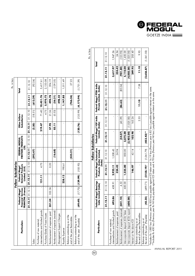|                                                                              |                                                |               | Fellow Subsidiaries                                         |        |                        |                                     |         |                              |                         |            |
|------------------------------------------------------------------------------|------------------------------------------------|---------------|-------------------------------------------------------------|--------|------------------------|-------------------------------------|---------|------------------------------|-------------------------|------------|
| Particular                                                                   | FRANCTNL (France)<br><b>Financial Services</b> | Federal Mogul | <b>Sintered Products</b><br>Federal Mogul<br>Limited, (U.K) |        | FRICTION PRODUCTS<br>g | FEDERAL MOGUL                       |         | Other Fellow<br>Subsidiaries |                         | Total      |
|                                                                              |                                                |               | 31.12.11 31.12.10 31.12.11 31.12.10                         |        |                        | 31.12.11 31.12.10 31.12.11 31.12.10 |         |                              | 31.12.11                | 31.12.10   |
| Sales                                                                        |                                                |               |                                                             |        | (593.47)               |                                     | (2.50)  | (18.51)                      | (613.29)                | (92.54)    |
| intermediaries and finished goods<br>$\overline{2}$<br>Purchase of raw mater |                                                |               | 121.11                                                      | 4.70   |                        |                                     | 219.47  | 71.40                        | 10,451.76               | 5,417.61   |
| Purchase/(Sale) of Fixed Assets                                              |                                                |               |                                                             |        |                        |                                     |         | 4.75                         | 5,970.72                | 2,133.08   |
| Reimbursement of expenses paid                                               | 351.34                                         | 322.56        |                                                             | 0.20   |                        |                                     | 57.95   | 21.56                        | 490.78                  | 594.19     |
| Reimbursement of expenses (received)                                         |                                                |               |                                                             |        | (16.68)                |                                     | =<br>ន3 | (0.33)                       | (56.31)                 | (139.55)   |
| Charges<br>Management Support                                                |                                                |               |                                                             |        |                        |                                     |         |                              | 498.52                  |            |
| Royalty Expense                                                              |                                                |               | 228.12                                                      | 198.61 |                        |                                     |         |                              | 1,147.88                | 1,011.49   |
| at the<br>end of the year Receivables<br>Balance outstanding as              |                                                |               |                                                             |        | (535.21)               |                                     |         |                              | (766.36)                | 27.23      |
| at the<br>end of the year (Payable)<br><b>Balance outstanding as</b>         |                                                |               | $(49.49)$   $(777)$   $(771)$   $(05.99)$                   |        |                        |                                     | 120.76  |                              | $(135.99)$ $(4.172.94)$ | (1,751.39) |

|                                                               |            |                                       |                                                                                                           | Fellow Subsidiaries |                                             |            |                                                      |          |               | Rs. in lacs |
|---------------------------------------------------------------|------------|---------------------------------------|-----------------------------------------------------------------------------------------------------------|---------------------|---------------------------------------------|------------|------------------------------------------------------|----------|---------------|-------------|
| Particulars                                                   | India Limi | Federal Mogul Bearings<br>ted (India) | Federal Mogul Automotive<br>Products (India) Limited,<br>(India)                                          |                     | Federal-Mogul VSP India<br>Limited, (India) |            | Federal Mogul PTSB India<br>Private Limited, (India) |          | Total         |             |
|                                                               | 31.12.11   | 31.12.10                              | 31.12.11                                                                                                  | 31.12.10            | 31.12.11                                    | 31.12.10   | 31.12.11                                             | 31.12.10 | 31.12.11      | 31.12.10    |
| intermediaries and finished goods<br>Purchase of raw material | 695.86     | 438.91                                | 2,922.11                                                                                                  | 1,508.45            |                                             |            |                                                      |          | 3,617.97      | 1,947.36    |
| Reimbursement of expenses paid                                |            |                                       | 324.42                                                                                                    | 24.94               |                                             |            |                                                      |          | 324.42        | 24.94       |
| Reimbursement of expenses (received) (841.10)                 |            | 4.53                                  |                                                                                                           |                     | (54.07)                                     | (43.39)    | (86.63)                                              | (85.04)  | (981.80)      | (123.90)    |
| nter-corporate deposit (ICD) Taken                            |            | 600.00                                | 1,235.00                                                                                                  | 850.00              | 3,875.00                                    |            |                                                      |          | 5,110.00      | 1,450.00    |
| nter-corporate deposit (ICD) repaid   (600.00)                |            |                                       |                                                                                                           |                     | (3,405.00)                                  | (1,025.00) |                                                      |          | (4,005.00)    | (1,025.00)  |
| Interest on the above ICD                                     |            |                                       | 146.97                                                                                                    | 42.14               | 102.98                                      | 163.26     |                                                      |          | 249.95        | 205.40      |
| the end of the year Receivables<br>Balance outstanding as at  |            |                                       |                                                                                                           |                     |                                             | 2.35       | $\frac{1}{2}$                                        | 7.58     | $\frac{1}{2}$ | 9.93        |
| the end of the year (Payable)<br>Balance outstanding as at    | (45.25)    | (499.71)                              | $(2158.19)^*$                                                                                             | (1,061.79)          | $(453.43)$ **                               |            |                                                      |          | (2,656.87)    | (1,561.50)  |
| *Includes Rs 1,885 lacs (Previous year Rs 850 lacs)           |            |                                       | payable against ICD taken and 16.19 lacs (Previous year 6.82 lacs ) payable against interest on the same. |                     |                                             |            |                                                      |          |               |             |

\*\*Includes Rs 450 lacs (Previous year Rs Nil lacs) payable against ICD taken and 4.78 lacs (Previous year Nil lacs) payable against interest on the same. \*\*Includes Rs 450 lacs (Previous year Rs Nil lacs) payable against ICD taken and 4.78 lacs (Previous year Nil lacs ) payable against interest on the same.



Rs. in lacs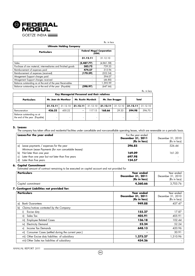

|                                                             |            | Rs. in lacs                               |
|-------------------------------------------------------------|------------|-------------------------------------------|
| <b>Ultimate Holding Company</b>                             |            |                                           |
| <b>Particulars</b>                                          |            | <b>Federal Mogul Corporation</b><br>(USA) |
|                                                             | 31.12.11   | 31.12.10                                  |
| Sales                                                       | (5,487.77) | (4, 861.58)                               |
| Purchase of raw material, intermediaries and finished goods | 382.72     | 739.55                                    |
| Reimbursement of expenses paid                              | 474.57     | 315.96                                    |
| Reimbursement of expenses (received)                        | (170.59)   | (322.34)                                  |
| Mnagement Support charges paid                              |            | 394.07                                    |
| Mnagement Support charges received                          |            | (46.80)                                   |
| Balance outstanding as at the end of the year Receivables   |            | 1,395.99                                  |
| Balance outstanding as at the end of the year (Payable)     | (298.97)   | (647.66)                                  |

|                                                            |                      |          |                                              |          |                 |                          |          | Rs. in lacs |
|------------------------------------------------------------|----------------------|----------|----------------------------------------------|----------|-----------------|--------------------------|----------|-------------|
|                                                            |                      |          | Key Managerial Personnel and their relatives |          |                 |                          |          |             |
| <b>Particulars</b>                                         | Mr. Jean de Montlaur |          | <b>Mr. Rustin Murdock</b>                    |          | Mr. Dan Brugger |                          | Total    |             |
|                                                            | 31.12.11             | 31.12.10 | 31.12.11                                     | 31.12.10 | 31.12.11        | 31.12.10                 | 31.12.11 | 31.12.10    |
| Remuneration                                               | 426.32               | 450.22   |                                              | 117.15   | 168.66          | 29.33                    | 594.98   | 596.70      |
| Balance outstanding as at<br>the end of the year (Payable) |                      |          |                                              |          |                 | $\overline{\phantom{0}}$ |          |             |

### **5. Leases**

The company has taken office and residential facilities under cancellable and non-cancellable operating leases, which are renewable on a periodic basis.

| Leases For the year ended                               | For the year ended |                   |
|---------------------------------------------------------|--------------------|-------------------|
|                                                         | December 31, 2011  | December 31, 2010 |
|                                                         | (Rs in lacs)       | (Rs in lacs)      |
| Lease payments / expenses for the year<br>a)            | 396.85             | 526.44            |
| Minimum Lease Payments (for non cancelable leases):     |                    |                   |
| Not later than one year<br>bl                           | 169.09             | 161.20            |
| Later than one year but not later than five years<br>c) | 697.98             |                   |
| Later than five years                                   | 154.57             |                   |

### **6. Capital Commitment**

Estimated amount of contract remaining to be executed on capital account and not provided for

| Particulars        | Year ended<br><b>December 31, 2011</b><br>(Rs in lacs) | Year ended<br>December 31, 2010<br>(Rs in lacs) |
|--------------------|--------------------------------------------------------|-------------------------------------------------|
| Capital commitment | 4,360.66                                               | 3.703.76                                        |

### **7. Contingent Liabilities not provided for:**

| <b>Particulars</b>                                    | Year ended<br>December 31, 2011 | Year ended<br>December 31, 2010 |
|-------------------------------------------------------|---------------------------------|---------------------------------|
|                                                       | (Rs in lacs)                    | (Rs in lacs)                    |
| <b>Bank Guarantees</b><br>a)                          | 949.88                          | 457.47                          |
| Claims/notices contested by the Company<br>b)         |                                 |                                 |
| Excise duty                                           | 155.27                          | 17.87                           |
| Sales Tax<br>ii)                                      | 405.91                          | 405.91                          |
| <b>Employee Related Cases</b><br>iii)                 | 136.18                          | 102.44                          |
| <b>Electricity Demand</b><br>iv)                      | 52.24                           | 52.24                           |
| Income Tax Demands<br>vl                              | 648.13                          | 420.96                          |
| vi) Consumer Cases (settled during the current year.) |                                 | 30.91                           |
| vii) Other Excise duty liabilities of subsidiary      | 1,275.27                        | 1,310.96                        |
| viii) Other Sales tax liabilities of subsidiary       | 454.26                          |                                 |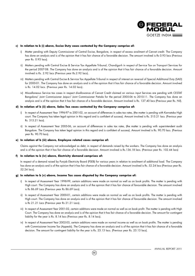

### **c) In relation to b (i) above, Excise Duty cases contested by the Company comprise of:**

- i) Matter pending with Deputy Commissioner of Central Excise, Bangalore, in respect of excess availment of Cenvat credit. The Company has done an analysis and is of the opinion that it has fair chance of a favorable decision. The amount involved is Rs 0.93 lacs (Previous year Rs. 0.93 lacs).
- ii) Matters pending with Central Excise & Service Tax Appellate Tribunal, Chandigarh in respect of Service Tax on Transport Services for the period 2007-08. The Company has done an analysis and is of the opinion that it has fair chance of a favorable decision. Amount involved is Rs. 2.92 lacs (Previous year Rs.2.92 lacs).
- iii) Matters pending with Central Excise & Service Tax Appellate Tribunal in respect of interest on reversal of Special Additional Duty (SAD) for 2000-01. The Company has done an analysis and is of the opinion that it has fair chance of a favorable decision. Amount involved is Rs. 14.02 lacs. (Previous year Rs. 14.02 lacs).
- iv) Miscellaneous Service tax cases in respect disallowance of Cenvat Credit claimed on various input Services are pending with CESTAT Bangalore/ Joint Commissioner Jaipur/ Joint Commissioner Patiala for the period 2005-06 to 2010-11. The Company has done an analysis and is of the opinion that it has fair chance of a favorable decision. Amount involved is Rs. 137.40 lacs (Previous year Rs. Nil).

#### **d) In relation of b (ii) above, Sales Tax cases contested by the Company comprise of:**

- i) In respect of Assessment Year 1996-97 to 2001-02, on account of differences in sales tax rates, (the matter is pending with Karnataka High court. The Company has taken legal opinion in this regard and is confident of success). Amount involved is Rs. 315.21 lacs. (Previous year Rs. 315.21 lacs).
- ii) In respect of Assessment Year 2005-06, on account of differences in sales tax rates, (the matter is pending with superintendent audit Bangalore. The Company has taken legal opinion in this regard and is confident of success). Amount involved is Rs. 90.70 lacs. (Previous year Rs. 90.70 lacs).

#### **e) In relation of b (iii) above, Employee related cases comprise of:**

Claims against the Company not acknowledged as debt, in respect of demands raised by the workers. The Company has done an analysis and is of the opinion that it has fair chance of a favorable decision. Amount involved is Rs.136.18 lacs. (Previous year Rs. 102.44 lacs)

#### **f) In relation to b (iv) above, Electricity demand comprises of:**

In respect of a demand raised by Punjab Electricity Board (PSEB) for various years in relation to availment of additional load. The Company has done an analysis and is of the opinion that it has fair chance of a favorable decision. Amount involved is Rs. 52.24 lacs (Previous year Rs. 52.24 lacs).

#### **g) In relation to b (v) above, Income Tax cases disputed by the Company comprise of:**

- i) In respect of Assessment Year 1998-99, certain additions were made on normal as well as on book profits. The matter is pending with High court. The Company has done an analysis and is of the opinion that it has fair chance of favourable decision. The amount involved is Rs 86.69 Lacs (Previous year Rs 86.69 Lacs).
- ii) In respect of Assessment Year 2000-01, certain additions were made on normal as well as on book profits. The matter is pending with High court. The Company has done an analysis and is of the opinion that it has fair chance of favourable decision. The amount involved is Rs 21.21 Lacs (Previous year Rs 21.21 Lacs).
- iii) In respect of Assessment Year 2001-02, certain additions were made on normal as well as on book profit. The matter is pending with High Court. The Company has done an analysis and is of the opinion that it has fair chance of a favorable decision. The amount for contingent liability for the year is Rs. 8.14 lacs (Previous year Rs. 8.14 lacs).
- iv) In respect of Assessment Year 2002-03, certain additions were made on normal income as well as on book profits. The matter is pending with Commissioner Income Tax (Appeals). The Company has done an analysis and is of the opinion that it has fair chance of a favorable decision. The amount for contingent liability for the year is Rs. 23.13 lacs. (Previous year Rs. 23.13 lacs).

 $(85)$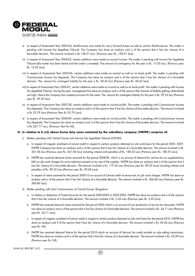

- v) In respect of Assessment Year 2003-04, disallowance was made for carry forward losses as well as certain disallowances. The matter is pending with Income Tax Appellate Tribunal. The Company has done an analysis and is of the opinion that it has fair chance of a favorable decision. The amount involved is Rs.158.01 lacs. (Previous year Rs. 158.01 lacs).
- vi) In respect of Assessment Year 2004-05, certain additions were made on normal income. The matter is pending with Income Tax Appellate Tribunal (the matter has been heard and the order is awaited). The amount of contingency for the year is Rs. 13.05 lacs. (Previous year Rs. 13.05 lacs)
- vii) In respect of Assessment Year 2005-06, certain additions were made on normal as well as on book profit. The matter is pending with Commissioner Income Tax (Appeals). The Company has done an analysis and is of the opinion that it has fair chance of a favorable decision. The amount for contingent liability for the year is Rs. 38.42 lacs (Previous year Rs. 38.42 lacs).
- viii) In respect of Assessment Year 2006-07, certain additions were made on normal as well as on book profit. The matter is pending with Income Tax Appellate Tribunal. During the year, management has done an analysis and is of the opinion that chances of liability getting materialised are high. Hence the Company has created provision for the same. The amount for contingent liability for the year is Rs. 39.52 lacs (Previous year Rs. 39.52 lacs)
- ix) In respect of Assessment Year 2007-08, certain additions were made on normal profits. The matter is pending with Commissioner Income Tax (Appeals). The Company has done an analysis and is of the opinion that it has fair chance of favorable decision. The amount involved is Rs 32.79 Lacs (Previous Year Rs 32.79 Lacs).
- x) In respect of Assessment Year 2008-09, certain additions were made on normal profits. The matter is pending with Commissioner Income Tax (Appeals). The Company has done an analysis and is of the opinion that it has fair chance of favorable decision. The amount involved is Rs 227.17 Lacs. (Previous Year Rs Nil).

### **h) In relation to b (vii) above Excise duty cases contested by the subsidiary company ('FMTPR') comprise of:**

- i) Matters pending with Central Excise and Service Tax Appellate Tribunal (CESTAT):
	- a. In respect of irregular availment of cenvat credit in respect to certain products obtained on job work basis for the period 2005- 2007. FMTPR Company has done an analysis and is of the opinion that it has fair chance of a favorable decision. The amount involved is Rs. 361.06 lacs (Previous year Rs. 361.06 lacs) including interest and penalties of Rs. 180.53 Lacs (Previous year Rs. 180.53 Lacs).
	- b. FMTPR has received demand notice received for the period 2008-09, which is on account of demand for service tax on supplementary bills on job work charges for price reduction passed on by one of the supplier. FMTPR has done an analysis and is of the opinion that it has fair chance of a favorable decision. The amount involved is Rs. 119.36 Lacs (Previous year Rs. 89.52 Lacs) including interest and penalties of Rs. 89.52 Lacs (Previous year Rs. 59.68 Lacs).
	- c. In respect of notice received for the period 2009-10 on account of Cenvat credit of service tax on job work charges. FMTPR has done an analysis and is of the opinion that it has fair chance of a favorable decision. The amount involved is Rs. 306.80 Lacs (Previous year Rs. 306.80 Lacs)
- ii) Matter pending with Joint Commissioner of Central Excise, Bangalore:
	- a. In relation to deduction of Trade Discounts for the period 2000-2002 to 2003-2004. FMTPR has done an analysis and is of the opinion that it has fair chance of a favorable decision. The amount involved is Rs. 2.42 Lacs (Previous year Rs. 2.42 Lacs).
	- b. FMTPR has received demand notice received for the period 2005 which is on account of non production of service tax document. FMTPR has done an analysis and is of the opinion that it has fair chance of a favorable decision. The amount involved is Rs. 24.71 Lacs (Previous year Rs. 24.71 Lacs).
	- c. In respect of irregular availment of cenvat credit in respect to certain product obtained on job work basis for the period 2010. FMTPR has done an analysis and if of the opinion that it has fair chance of a favorable decision. The amount involved is Rs. 85.66 Lacs (Previous year Rs. Nil).
	- d. FMTPR has received demand Notice for the period 2010 which on account of Service Tax credit availed on sole selling commission. FMTPR has done an analysis and is of the opinion that it has fair chance of a favorable decision. The amount involved is Rs. 56.49 Lacs (Previous year Rs. Nil).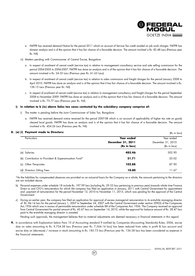

- e. FMTPR has received demand Notice for the period 2011 which on account of Service Tax credit availed on job work charges. FMTPR has donean analysis and is of the opinion that it has fair chance of a favorable decision. The amount involved is Rs. 82.48 Lacs (Previous year Rs. Nil).
- iii) Matters pending with Commissioner of Central Excise, Bangalore:
	- a. In respect of availment of cenvat credit (service tax) in relation to management consultancy service and sole selling commission for the period 2004-2005 to 2006-2007. FMTPR has done an analysis and is of the opinion that it has fair chance of a favorable decision. The amount involved is Rs. 24.35 Lacs (Previous year Rs. 61.63 Lacs).
	- b. In respect of availment of cenvat credit (service tax) in relation to sales commission and freight charges for the period January 2008 to April 2010. FMTPR has done an analysis and is of the opinion that it has fair chance of a favorable decision. The amount involved is Rs. 138.13 Lacs (Previous year Rs. Nil).
	- c. In respect of availment of cenvat credit (service tax) in relation to management consultancy and freight charges for the period September 2008 to November 2009. FMTPR has done an analysis and is of the opinion that it has fair chance of a favorable decision. The amount involved is Rs. 73.77 Lacs (Previous year Rs. Nil).

### **i) In relation to b (ix) above Sales tax cases contested by the subsidiary company comprise of:**

- i) The matter is pending before the Joint Commissioner of Sales Tax, Bangalore:
	- a. FMTPR has received demand notice received for the period 2007-08 which is on account of applicability of higher tax rate on goods cleared local goods. FMTPR has done an analysis and is of the opinion that it has fair chance of a favorable decision. The amount involved is Rs. 454.26 Lacs (Previous year Rs. Nil).

| 8. (a) (i) Payment made to Directors:                |                   | (Rs in lacs)      |
|------------------------------------------------------|-------------------|-------------------|
| <b>Particulars</b>                                   | <b>Year ended</b> | Year ended        |
|                                                      | December 31, 2011 | December 31, 2010 |
|                                                      | (Rs in lacs)      | (Rs in lacs)      |
| (a) Salaries                                         | 485.46            | 502.90            |
| (b) Contribution to Provident & Superannuation Fund* | 21.71             | 20.02             |
| (c) Other Perquisites                                | 102.88            | 87.90             |
| (d) Directors Sitting Fees                           | 10.80             | 11.67             |

\*As the liabilities for compensated absences are provided on an actuarial basis for the Company as a whole, the amounts pertaining to the directors are not included above.

- b) Personal expenses under schedule 18 include Rs. 197.99 lacs (including Rs. 29.33 lacs pertaining to previous year) towards whole time Finance Direct or and CFO's remuneration for which the company has filed an application in January, 2011 with Central Government for appointment and payment of remuneration for the period November 12, 2010 to November 11, 2015, which was pending for the approval of the Central Government.
- c) During an earlier year, the company has filed an application for approval of excess managerial remuneration to its erstwhile managing director of Rs. 84.14 lacs for the period January 1, 2007 to September 24, 2007 with the Central Government under section 309(3) of the Companies Act,1956 which was in excess of permissible remuneration under schedule XIII of the Companies Act, 1956. The Company received an approval from Central Government for partial amount of Rs. 45.67 lacs on September 14, 2010, while the approval for balance amount of Rs. 38.47 lacs paid to the erstwhile managing director is awaited.

Pending such approvals, the management believes that no material adjustments are deemed necessary in financial statements in this regard.

**9.** In accordance with Explanation below Para 10 of Accounting standard 9 notified by Companies (Accounting Standards) Rules, 2006, excise duty on sales amounting to Rs. 9,734.38 lacs (Previous year Rs. 7,564.14 lacs) has been reduced from sales in profit & loss account and excise duty on (decrease) / increase in stock amounting to Rs. 185.73 lacs (Previous year Rs. 136.38 lacs has been considered as expense in the financial statements.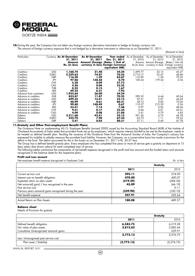

**10.**During the year, the Company has not taken any foreign currency derivative instruments to hedge its foreign currency risk. The amount of foreign currency exposure that is not hedged by a derivative instrument or otherwise as on December 31, 2011:

(Amount in lacs)

| Particulars            |             | Currency As At December<br>31, 2011<br>Amount<br>Rs. (in lacs) | <b>As At December</b><br>31, 2011 | Year ended<br>Dec. 31, 2011<br>Amount (Foreign (Rates, 1 Unit of<br>currency in lacs) Foreign Currency)<br>equivalent INR) | As at December<br>31, 2010<br>Amount<br>Rs.(in lacs) | As at December<br>31, 2010<br>Amount (Foreign | As at December<br>31, 2010<br>(Rates, 1 Unit of)<br>currency in lacs) Foreign currency<br>equivalent INR) |
|------------------------|-------------|----------------------------------------------------------------|-----------------------------------|----------------------------------------------------------------------------------------------------------------------------|------------------------------------------------------|-----------------------------------------------|-----------------------------------------------------------------------------------------------------------|
| Creditors              | <b>USD</b>  | 1,160.74                                                       | 21.40                             | 54.24                                                                                                                      | 1,499.77                                             | 33.13                                         | 45.27                                                                                                     |
| Creditors              | <b>EURO</b> | 5,259.62                                                       | 74.87                             | 70.25                                                                                                                      | 2,710.17                                             | 55.47                                         | 48.86                                                                                                     |
| Creditors              | GBP         | 116.30                                                         | 1.39                              | 83.67                                                                                                                      | 110.99                                               | 1.58                                          | 70.25                                                                                                     |
| Creditors              | JPY         | 97.06                                                          | 138.58                            | 0.70                                                                                                                       | 100.34                                               | 179.24                                        | 0.56                                                                                                      |
| Creditors              | <b>CHF</b>  | 5.20                                                           | 0.09                              | 57.73                                                                                                                      |                                                      |                                               |                                                                                                           |
| Creditors              | CAD         | 4.26                                                           | 0.08                              | 53.25                                                                                                                      |                                                      |                                               |                                                                                                           |
| Creditors              | THB         | 0.25                                                           | 0.15                              | 1.67                                                                                                                       |                                                      |                                               |                                                                                                           |
| Creditors              | <b>SEK</b>  | 49.25                                                          | 6.21                              | 7.93                                                                                                                       |                                                      |                                               |                                                                                                           |
| Advance from customers | <b>USD</b>  | 1,952.64                                                       | 36.00                             | 54.24                                                                                                                      |                                                      |                                               |                                                                                                           |
| Advance to creditors   | EUR         | 833.87                                                         | 11.87                             | 70.25                                                                                                                      | 390.52                                               | 6.44                                          | 60.64                                                                                                     |
| Advance to creditors   | <b>USD</b>  | 699.33                                                         | 13.41                             | 52.15                                                                                                                      | 92.51                                                | 2.07                                          | 44.69                                                                                                     |
| Advance to creditors   | GBP         | 48.99                                                          | 0.61                              | 80.31                                                                                                                      | 58.12                                                | 0.83                                          | 70.02                                                                                                     |
| Advance to creditors   | JPY         | 99.80                                                          | 148.49                            | 0.67                                                                                                                       | 119.57                                               | 213.59                                        | 0.56                                                                                                      |
| Advance to creditors   | <b>SEK</b>  | 53.41                                                          | 7.14                              | 7.48                                                                                                                       | 0.97                                                 | 0.02                                          | 48.66                                                                                                     |
| Advance to creditors   | <b>CHF</b>  | 9.41                                                           | 0.17                              | 55.34                                                                                                                      | 0.46                                                 | 0.01                                          | 45.61                                                                                                     |
| Advance to creditors   | CAD         | 4.09                                                           | 0.08                              | 51.08                                                                                                                      | 5.41                                                 | 0.79                                          | 6.85                                                                                                      |
| <b>Debtors</b>         | <b>USD</b>  | 2,211.68                                                       | 42.41                             | 52.15                                                                                                                      | 301.36                                               | 6.73                                          | 44.78                                                                                                     |
| <b>Debtors</b>         | <b>EURO</b> | 532.70                                                         | 7.90                              | 67.43                                                                                                                      | 65.73                                                | 1.11                                          | 59.22                                                                                                     |
| <b>Debtors</b>         | GBP         | 2.41                                                           | 0.03                              | 80.31                                                                                                                      | 27.11                                                | 0.40                                          | 67.78                                                                                                     |

### **11.Gratuity and Other Post-employment Benefit Plans:**

The Guidance Note on implementing AS-15, Employee Benefits (revised 2005) issued by the Accounting Standard Board (ASB) of the Institute of Chartered Accountants of India states that provident funds set up by employers, which requires interest shortfall to be met by the employer, needs to be treated as defined benefit plan. Pending the issuance of the Guidance Note from the Actuarial Society of India, the Company's actuary has expressed his inability to reliably measure the provident fund liability. However, the Company, on a conservative basis has made a provision for the deficit in the fund. The deficit accounted for the in the books as on December 31, 2011 is Rs. 50.57 lacs.

The Group has a defined benefit gratuity plan. Every employee who has completed five years or more of service gets a gratuity on departure at 15 days salary (last drawn salary) for each completed year of service.

The following tables summarize the components of net benefit expense recognized in the profit and loss account and the funded status and amounts recognized in the balance sheet for the respective plans.

#### **Profit and Loss account**

Net employee benefit expense (recognised in Employee Cost) **Research 2006** Rs. in lacs Rs. in lacs Rs. in lacs

|                                                           |          | Gratuity |
|-----------------------------------------------------------|----------|----------|
|                                                           | 2011     | 2010     |
| Current service cost                                      | 292.11   | 274.09   |
| Interest cost on benefit obligation                       | 470.00   | 400.07   |
| Expected return on plan assets                            | (319.39) | (284.34) |
| Net actuarial(gain) / loss recognised in the year         | 45.09    | (44.19)  |
| Past service cost                                         |          | 0.11     |
| Previous years actuarial gains recognized during the year | (239.90) | (100.10) |
| Net benefit expense                                       | 247.91   | 245.64   |
| Actual Return on Plan Assets                              | 180.08   | 489.37   |

### **Balance sheet**

Details of Provision for gratuity

|                                         |                          | Gratuity    |
|-----------------------------------------|--------------------------|-------------|
|                                         | 2011                     | 2010        |
| Defined benefit obligation              | 6,585.75                 | 6,219.28    |
| Fair value of plan assets               | 3,812.62                 | 3,882.44    |
| Cumulative Unrecognized actuarial gains |                          | 239.91      |
|                                         | 2,773.13                 | 2,576.75    |
| Less: Unrecognised past service cost    | $\overline{\phantom{a}}$ |             |
| Plan asset / (liability)                | (2,773.13)               | (2, 576.75) |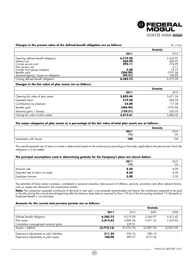

# **Changes in the present value of the defined benefit obligation are as follows:** Rs. in lacs Rs. in lacs

|                                          | Gratuity |          |
|------------------------------------------|----------|----------|
|                                          | 2011     | 2010     |
| Opening defined benefit obligation       | 6,219.28 | 5,560.97 |
| Interest cost                            | 469.99   | 400.07   |
| Current service cost                     | 292.11   | 274.09   |
| Past service cost                        |          | 0.11     |
| Transfer from group company              | 3.48     | 18.75    |
| Benefits paid                            | (304.90) | (195.54) |
| Actuarial (gains) / losses on obligation | (94.21)  | 160.83   |
| Closing defined benefit obligation       | 6,585.75 | 6,219.28 |

#### **Changes in the fair value of plan assets are as follows:**

|                                   | Gratuity |          |
|-----------------------------------|----------|----------|
|                                   | 2011     | 2010     |
| Opening fair value of plan assets | 3,882.44 | 3,471.24 |
| Expected return                   | 319.38   | 284.34   |
| Contributions by employer         | 55.00    | 117.38   |
| Benefits paid                     | (304.90) | (195.54) |
| Actuarial gains / (losses)        | (139.31) | 205.03   |
| Closing fair value of plan assets | 3,812.61 | 3,882.45 |

## **The major categories of plan assets as a percentage of the fair value of total plan assets are as follows:**

|                          |      | Gratuity      |
|--------------------------|------|---------------|
|                          | 2011 | 2010          |
|                          | (%)  | $(\%)$        |
| Investments with Insurer | 100  | <sub>OC</sub> |

The overall expected rate of return on assets is determined based on the market prices prevailing on that date, applicable to the period over which the obligation is to be settled.

#### **The principal assumptions used in determining gratuity for the Company's plans are shown below:**

|                                   | 2011<br>(%) | 2010<br>(%) |
|-----------------------------------|-------------|-------------|
| Discount rate                     | 8.50        | 8.00        |
| Expected rate of return on assets | 8.50        | 8.50        |
| Employee turnover                 | 5.00        | 5.00        |

The estimates of future salary increases, considered in actuarial valuation, take account of inflation, seniority, promotion and other relevant factors, such as supply and demand in the employment market.

**Note:** The companies expected contribution to the fund in next year is not presently ascertainable and hence, the contribution expected to be paid to the plan during the annual period beginning after the balance sheet date as required by Para 120 (o) of the Accounting standard 15 ( Revised) on Employee Benefit is not disclosed.

#### **Amounts for the current and previous periods are as follows:**

|                                                                                     |                  |                  | Gratuity           |            |
|-------------------------------------------------------------------------------------|------------------|------------------|--------------------|------------|
|                                                                                     | 2011             | 2010             | 2009               | 2008       |
| Defined benefit obligation                                                          | 6,585.75         | 6.219.28         | 5,560.97           | 5,415.42   |
| Plan assets                                                                         | 3,812.62         | 3.882.44         | 3,471.23           | 3,352.83   |
| Cumulative unrecognized actuarial gains                                             |                  | 239.91           |                    |            |
| Surplus / (deficit)                                                                 | (2,773.13)       | (2,576.75)       | (2,089.74)         | (2,062.59) |
| Experience adjustments on plan liabilities<br>Experience adjustments on plan assets | 511.34<br>180.08 | 205.76<br>489.37 | 280.10<br>(210.74) |            |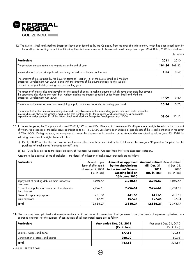

12. The Micro, Small and Medium Enterprises have been Identified by the Company from the available information, which has been relied upon by the auditors. According to such identification, the disclosure in respect to Micro and Small Enterprises as per MSMED Act, 2006 is as follows :

| Rs. in lacs |  |  |
|-------------|--|--|
|-------------|--|--|

| <b>Particulars</b>                                                                                                                                                                                                                                                  | 2011   | 2010   |
|---------------------------------------------------------------------------------------------------------------------------------------------------------------------------------------------------------------------------------------------------------------------|--------|--------|
| The principal amount remaining unpaid as at the end of year                                                                                                                                                                                                         | 194.84 | 169.32 |
| Interest due on above principal and remaining unpaid as at the end of the year                                                                                                                                                                                      | 1.85   | 0.52   |
| The amount of interest paid by the buyer in terms of section 16, of the Micro Small and Medium<br>Enterprise Development Act, 2006 along with the amounts of the payment made to the supplier<br>beyond the appointed day during each accounting year               |        |        |
| The amount of interest due and payable for the period of delay in making payment (which have been paid but beyond<br>the appointed day during the year) but without adding the interest specified under Micro Small and Medium<br>Enterprise Development Act, 2006. | 14.09  | 9.60   |
| The amount of interest accrued and remaining unpaid at the end of each accounting year; and                                                                                                                                                                         | 15.94  | 10.73  |
| The amount of further interest remaining due and payable even in the succeeding years, until such date when the<br>interest dues as above are actually paid to the small enterprise for the purpose of disallowance as a deductib                                   | 38.06  | 22.12  |

- 13. In the earlier years, the Company had issued 23,011,192 shares @ Rs. 10 each at a premium of Rs. 46 per share on right issue basis for cash, out of which, the proceeds of the rights issue aggregating to Rs. 11,737.50 Lacs have been utilized as per objects of the issued mentioned in the Letter of Offer (LOO). During the year, the company has taken the approval of its members at the Annual General Meeting held at June 25, 2010 for following amendment in Rights Issue utilization:
	- a) Rs. 1,138.42 lacs for the purchase of machineries other than those specified in the LOO under the category "Payment to Suppliers for the purchase of machineries (including interest)": and
	- b) Rs. 10.35 lacs inter-se to the object category of "General Corporate Purposes" from the "Issue Expenses" category.

Pursuant to the approval of the shareholders, the details of utilization of rights issue proceeds are as follows:

| Particulars                                      | Amount as per         | Amount as approved    | <b>Amount utilized Amount utilized</b> |                  |
|--------------------------------------------------|-----------------------|-----------------------|----------------------------------------|------------------|
|                                                  | letter of offer dated | by the shareholders   | till Dec. 31,                          | till Dec. $31$ , |
|                                                  | November 5, 2008      | in the Annual General | 2011                                   | 2010             |
|                                                  | (Rs. in lacs)         | Meeting held on       | (Rs. in lacs)                          | (Rs. in lacs)    |
|                                                  |                       | 25th June 2010        |                                        |                  |
| Repayment of existing debt on their respective   | 3,040.67              | 3,040.67              | 3,040.67                               | 3,040.67         |
| due dates                                        |                       |                       |                                        |                  |
| Payment to suppliers for purchase of machineries | 9,296.61              | 9,296.61              | 9,296.61                               | 8,753.51         |
| (incl. interest)                                 |                       |                       |                                        |                  |
| General corporate purposes                       | 431.30                | 441.65                | 441.65                                 | 441.65           |
| Issue expenses                                   | 117.69                | 107.34                | 107.34                                 | 107.34           |
| Total                                            | 12,886.27             | 12,886.27             | 12,886.27                              | 12,343.17        |

14. The company has capitalized various expenses incurred in the course of construction of self generated assets, the details of expenses capitalized from operating expenses for the purpose of construction of self generated assets are as follow:

| <b>Particulars</b>               | <b>Year ended Dec. 31, 2011</b> | Year ended Dec. 31, 2010 |
|----------------------------------|---------------------------------|--------------------------|
|                                  | (Rs. in lacs)                   | Rs. (in lacs)            |
| Salaries, wages and bonus        | 177.53                          | 120.66                   |
| Consumption of stores and spares | 266.30                          | 180.98                   |
| Total                            | 443.83                          | 301.64                   |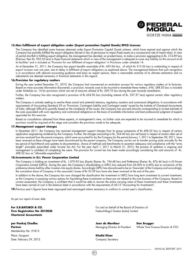

### **15.Non fulfillment of export obligation under (Export promotion Capital Goods) EPCG Licenses**

The Company has identified some licenses obtained under Export Promotion Capital Goods scheme, which have expired and against which the Company has partially fulfilled the export obligation (levied in lieu of permission to import fixed assets at a concessional rate of import duty). In view of partial shortfall in fulfilling export obligation, the management has decided, on prudent basis, to make a provision aggregating to Rs. 214.89 lacs (Previous Year Rs. 932.32 lacs) in these financial statements which in view of the management is adequate to cover any liability on this account at all its facilities' and is included as 'Provision for non fulfillment of export obligation' in Provisions under schedule 14.

As at December 31, 2011, the Company has export benefits receivable of Rs. 695.94 lacs, of which Rs 315.26 lacs is outstanding in respect of export invoices over one year, due to delay in fulfillment of export obligations as explained above. The management believes that such recognition is in accordance with relevant accounting guidance and basis an expert opinion, there is reasonable certainty of its ultimate realization and no adjustments are deemed necessary in financial statements in this regard.

#### **16.Provision for regulatory matters**

During the year ended December 31, 2010, the Company had commenced an evaluation process for various regulatory matters at its factories. Based on more accurate information discovered, a provision, towards costs to be incurred to remediate these matters, of Rs. 288.30 lacs is included under Schedule no. 14 for provisions which are net of amounts utilized of Rs. 269.75 lacs during the year towards remediation.

Further, the Company has also recognized a provision of Rs 654.96 lacs (including interest of Rs. 357.37 lacs) against certain other regulatory matters.

The Company is actively seeking to resolve these actual and potential statutory, regulatory, taxation and contractual obligations. In accordance with requirements of Accounting Standard 29 on 'Provisions, Contingent liability and Contingent assets' issued by the Institute of Chartered Accountants of India, although difficult to quantify based on the complexity of the issues, the Company has accrued amounts corresponding to its best estimate of the costs associated with such regulatory and contractual obligations on the basis of available information and best professional judgment of experts appointed for this exercise.

Based on consultations obtained from these experts, in management's view, no further costs are expected to be incurred to remediate for which a provision would be required at this stage and considers the provisions made to be adequate.

#### **17.Management support charges**

In December 2011, the Company has received management support charges from its group companies of Rs 498.52 lacs in respect of certain application engineering rendered by the Company. Further, the charges amounting to Rs. 354.40 lacs (on net basis) in respect of certain other set of services received from the parent company, which were accounted for by the Company for the period January 1, 2011 to September 30, 2011, have been reversed as these charges have been discontinued by the parent company. The Company carries out its transfer pricing study annually for the tax period of April-March and updates its documentation, choice of methods and benchmarks to ascertain adequacy and compliance with the "arms length" principles prescribed under Income Tax Act. For the year April 1, 2011 to March 31, 2012, the process of updation is ongoing and management is confident of completing the same. The provision for current tax has been made accordingly considering the said amounts of Rs. 498.52 lacs as "allowable expenditure".

#### **18.Investments in G.I. Power Corporation Limited**

The Company is holding an investment of Rs. 1,070.92 lacs (Equity Shares: Rs. 194.48 lacs and Preference Shares: Rs. 876.44 lacs) in GI Power Corporation Limited (GIPCL). During the year, the Company's shareholding in GIPCL has reduced from 26.00% to 6.60% due to conversion of the preference shares held by other investors into equity shares. Accordingly GIPCL has discontinued to be an 'Associate' of the Company and accordingly, the cumulative share of Company in the associate's losses of Rs 35.39 lacs have also been reversed at the end of the year.

In addition to the above, the Company has now changed the classification the investment in GIPCL from long term investment to current investment, as the Company is assessing various options for liquidating these investments as these are not related to the core business of the Company. Based on current assessment, the Company is confident that it would be able to recover the entire carrying value of these investments and these investments have been carried at cost in the balance sheet in accordance with the requirements of AS-13 "Accounting for Investments".

19. Previous year's figures have been regrouped and rearranged where necessary to conform to current year's classification.

As per our report of even date

**Firm Registration No 301003E Firm Registration No 301003E Federal-Mogul Goetze (India) Limited Chartered Accountants**

Membership No. 91813 Place: Gurgaon **Khalid Khan** Date: February 29, 2012 Company Secretary

**For S.R.BATLIBOI & CO.** The Same of the Board of the Board of Directors of **Formula** Section 2011 **For and on behalf of the Board of Directors of** 

**per Pankaj Chadha Jean de Montlaur Dan Brugger**

**Partner Managing Director & President Monder Time Finance Director & CFO Managing Director & President Monder**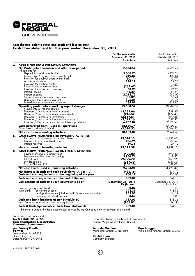

### **Consolidated Balance sheet and profit and loss account Cash flow statement for the year ended December 31, 2011**

|    |                                                             | For the year ended | For the year ended |
|----|-------------------------------------------------------------|--------------------|--------------------|
|    |                                                             |                    |                    |
|    |                                                             | December 31, 2011  | December 31, 2010  |
|    |                                                             | Rs (in lacs)       | Rs (in lacs)       |
|    |                                                             |                    |                    |
|    | A. CASH FLOW FROM OPERATING ACTIVITIES                      |                    |                    |
|    | Net Profit before taxation and after prior period           | 7,054.52           | 6,925.79           |
|    | Adjustments for:                                            |                    |                    |
|    | Depreciation and amortisation                               | 5,688.73           | 5,197.30           |
|    | Loss on sale / discard of fixed assets (net)                | 219.82             | 422.84             |
|    |                                                             |                    |                    |
|    | Provision for doubtful debts written back                   | (50.11)            | (13.77)            |
|    | Advances written off                                        | 198.17             | 39.35              |
|    | Provision for doubtful debts                                |                    | 2.27               |
|    | Excess Provision written back                               | (162.67)           | (65.73)            |
|    | Provision for loans and advances                            | 58.90              | 76.94              |
|    | Interest income                                             | (41.29)            | (1.21)             |
|    |                                                             |                    |                    |
|    | Interest expense                                            | 2,213.73           | 1,085.00           |
|    | Share of loss in associate companies                        | (35.39)            | 55.41              |
|    | Unrealised forex (gain)/loss (net)                          | 196.25             | 20.45              |
|    | Miscellaneous expenditure written off                       | 239.91             | 239.90             |
|    |                                                             |                    |                    |
|    | Operating profit before working capital changes             | 15,580.57          | 13,984.54          |
|    | Movements in working capital:                               |                    |                    |
|    | Decrease / (Increase) in sundry debtors                     | (3, 151.66)        | (1,938.90)         |
|    | Decrease / (Increase) in other current assets               | (216.57)           | (177.43)           |
|    | Decrease / (Increase) in inventories                        | (3,567.51)         | (1,199.48)         |
|    | Decrease / (Increase) in loans and advances**               | (2,212.16)         | (1,057.93)         |
|    | Increase / (Decrease) in current liabilities & provisions   | 6,257.07           | 2,398.40           |
|    | Cash generated from/ (used in) operations                   | 12,689.74          | 12.009.20          |
|    |                                                             |                    |                    |
|    | Direct taxes paid (net of refunds)                          | (2,574.53)         | (2,064.55)         |
|    | Net cash from operating activities                          | 10,132.02          | 9.944.65           |
| в. | <b>CASH FLOWS FROM/(used in) INVESTING ACTIVITIES</b>       |                    |                    |
|    | Purchase of fixed assets/ Intangibles Assets                |                    |                    |
|    |                                                             | (13, 594.13)       | (6, 253.63)        |
|    | Proceeds from sale of fixed assets                          | 256.96             | 1,237.40           |
|    | Interest received                                           | 39.78              | 27.10              |
|    | Net cash used in investing activities                       | (13, 297, 39)      | (4,989,13)         |
|    | C. CASH FLOWS FROM/(used in) FINANCING ACTIVITIES           |                    |                    |
|    | Payment of Long term borrowings                             | (400.00)           | (1,490.80)         |
|    |                                                             |                    |                    |
|    | Movement in Short term borrowings                           | 5,856.74           | (1,418.93)         |
|    | Interest paid                                               | (2,199.70)         | (1,163.95)         |
|    | Dividends Paid                                              | (357.70)           | (259.70)           |
|    | Tax on Dividend Paid                                        | (166.13)           | (88.02)            |
|    | Net cash From/(used in) financing activities                | 2,733.21           | (4, 421.40)        |
|    |                                                             |                    |                    |
|    | Net increase in cash and cash equivalents $(A + B + C)$     | (432.16)           | 534.12             |
|    | Cash and cash equivalents at the beginning of the year      | 764.17             | 230.05             |
|    | Cash and cash equivalents at the end of the year            | 332.01             | 764.17             |
|    | Components of cash and cash equivalents as at               | December 31, 2011  | December 31, 2010  |
|    |                                                             | Rs (in lacs)       | Rs (in lacs)       |
|    |                                                             |                    |                    |
|    | Cash and cheques on hand                                    | 0.02               | 0.37               |
|    | With banks - on current account                             | 323.39             | 748.80             |
|    | - on deposit accounts (pledged with Government authorities) | 855.02             | 54.19              |
|    | - on unpaid dividend account*                               | 8.60               | 15.00              |
|    |                                                             |                    |                    |
|    | Cash and bank balances as per Schedule 10                   | 1,187.03           | 818.36             |
|    | Less: Deposits not considered as cash equivalents           | (855.02)           | (54.19)            |
|    | <b>Cash &amp; Cash Equivalents in Cash Flow Statement:</b>  | 332.01             | 764.17             |

\* Balance in unpaid dividend account can be used by the Company only for payment of dividend.

As per our report of even date **Charles Co.**<br>**For S.R.BATLIBOI & CO.**<br>**Firm Registration No: 301003E**<br>**Chartered Accountants per Pankaj Chadha Jean de Montlaur Dan Brugger** Membership No. 91813 Place: Gurgaon **Khalid Khan** Date: February 29, 2012 Company Secretary

**For S.R.BATLIBOI & CO.** For and on behalf of the Board of Directors of **Firm Registration No: 301003E** Federal-Mogul Goetze (India) Limited

**Participarts Internet Control of Trustee**<br>
Whole Time Finance Director & CFO